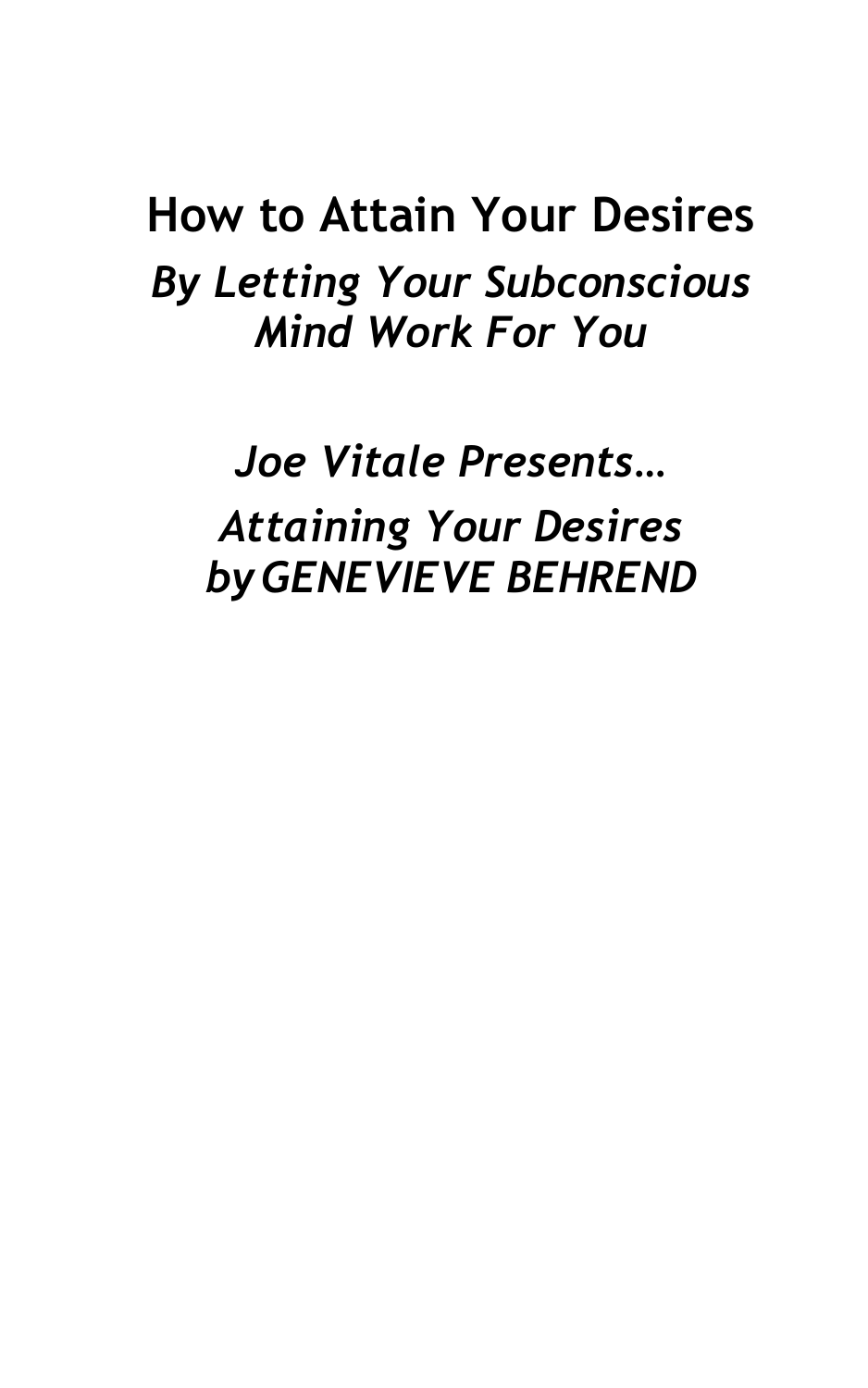# **How to Attain Your Desires**  *By Letting Your Subconscious Mind Work For You*

*Joe Vitale Presents… Attaining Your Desires byGENEVIEVE BEHREND*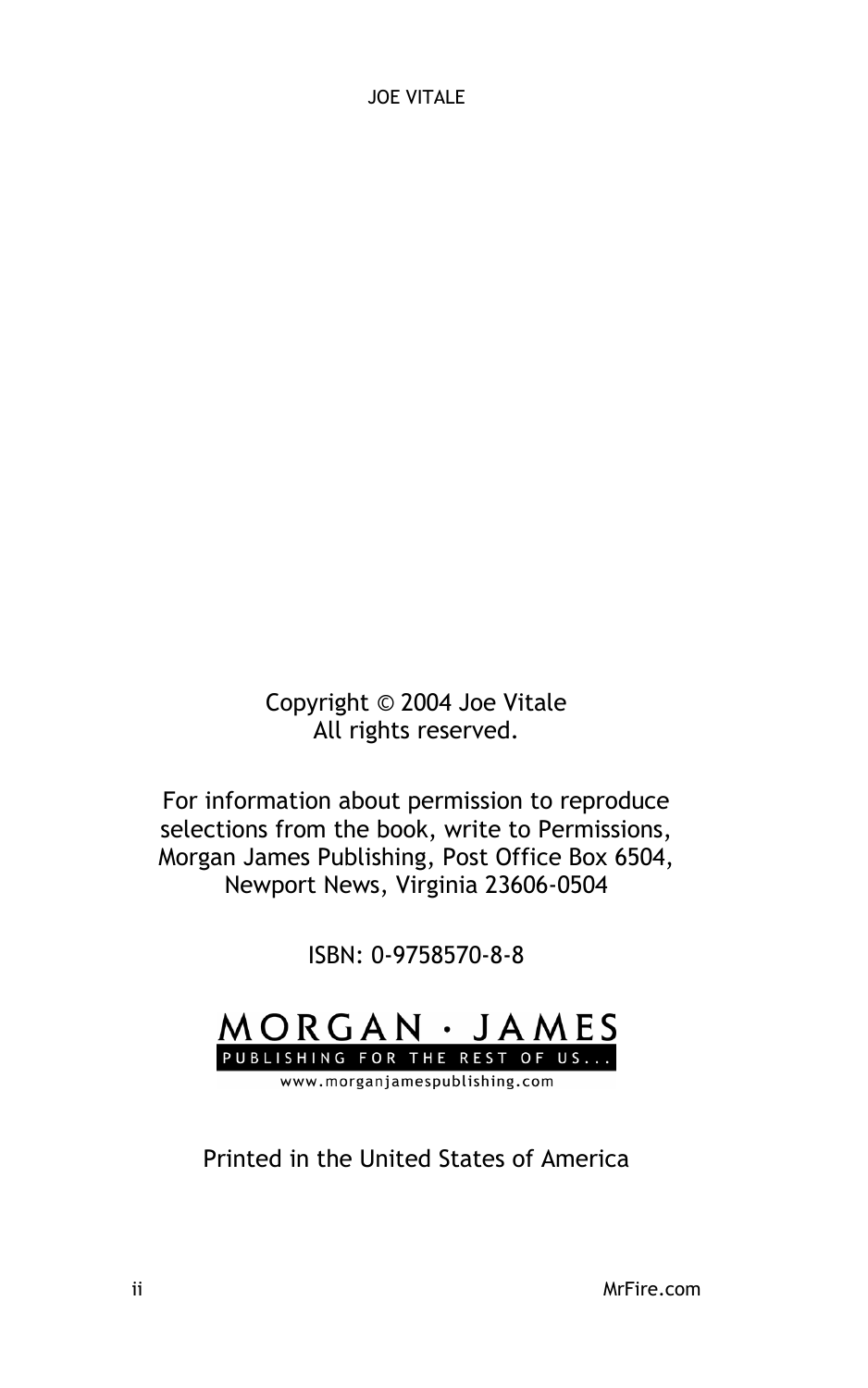Copyright © 2004 Joe Vitale All rights reserved.

For information about permission to reproduce selections from the book, write to Permissions, Morgan James Publishing, Post Office Box 6504, Newport News, Virginia 23606-0504

ISBN: 0-9758570-8-8



www.morganjamespublishing.com

Printed in the United States of America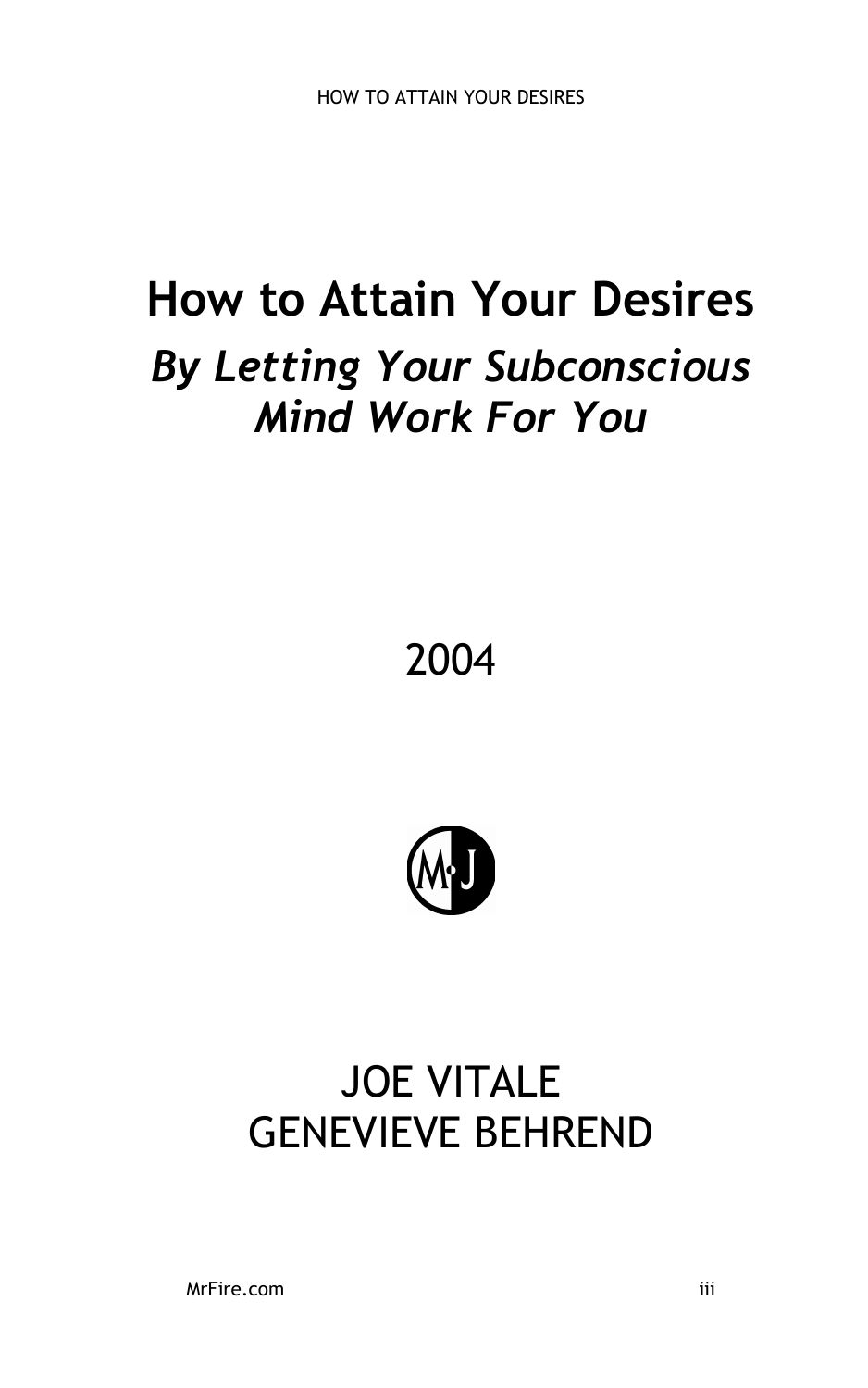# **How to Attain Your Desires**  *By Letting Your Subconscious Mind Work For You*

# 2004



# JOE VITALE GENEVIEVE BEHREND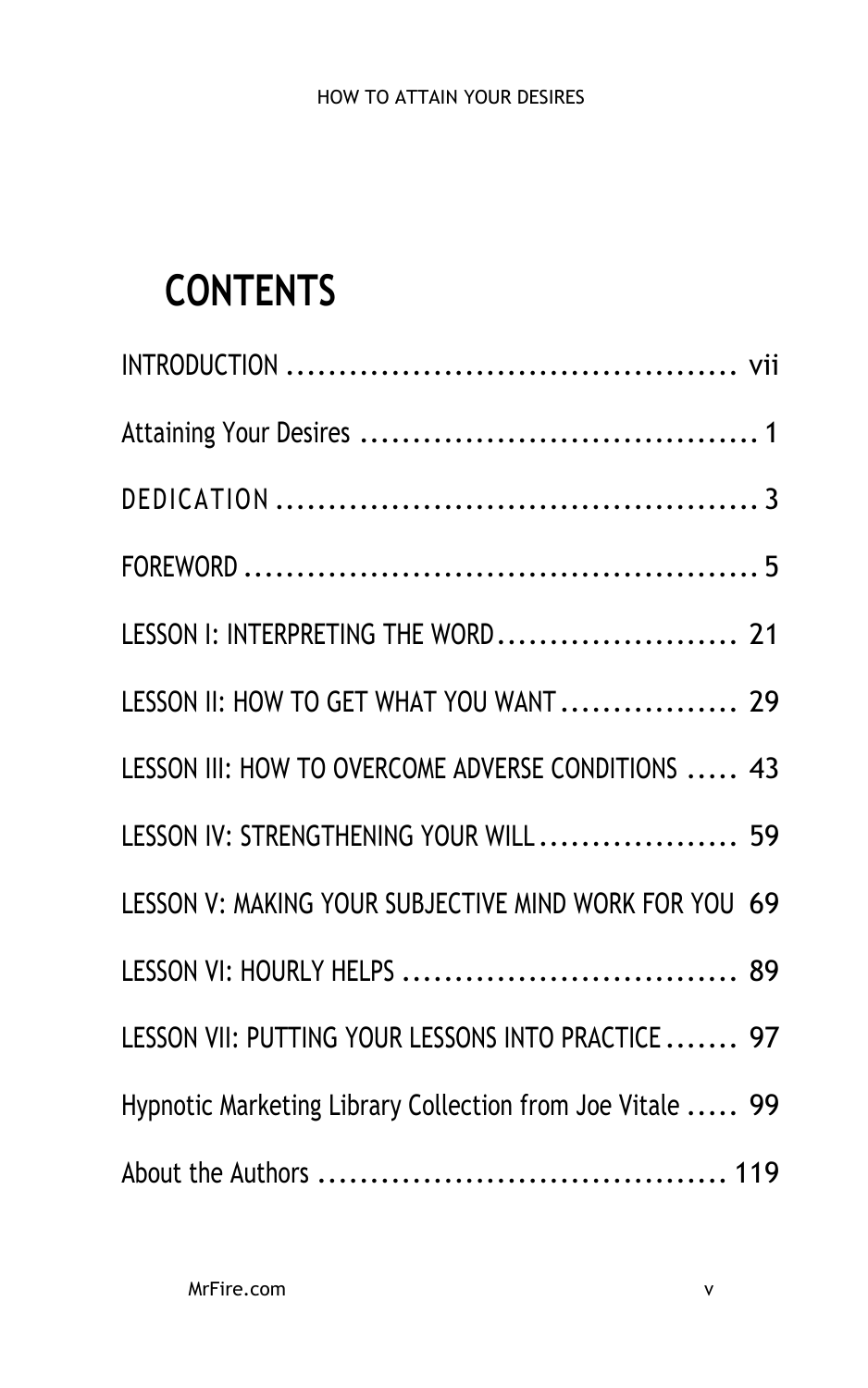# **CONTENTS**

| LESSON I: INTERPRETING THE WORD 21                        |
|-----------------------------------------------------------|
| LESSON II: HOW TO GET WHAT YOU WANT 29                    |
| LESSON III: HOW TO OVERCOME ADVERSE CONDITIONS  43        |
| LESSON IV: STRENGTHENING YOUR WILL 59                     |
| LESSON V: MAKING YOUR SUBJECTIVE MIND WORK FOR YOU 69     |
|                                                           |
| LESSON VII: PUTTING YOUR LESSONS INTO PRACTICE  97        |
| Hypnotic Marketing Library Collection from Joe Vitale  99 |
|                                                           |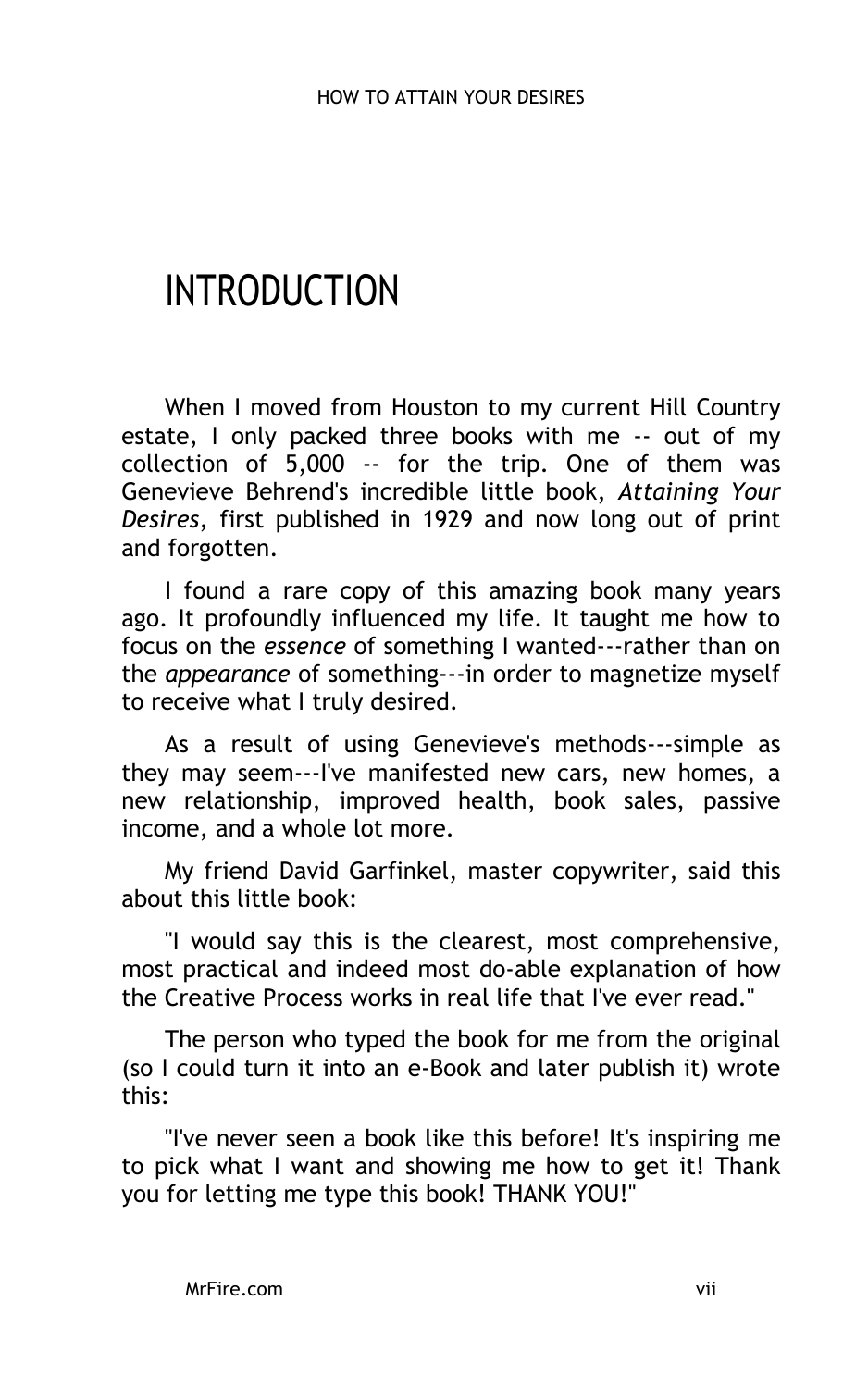# INTRODUCTION

When I moved from Houston to my current Hill Country estate, I only packed three books with me -- out of my collection of 5,000 -- for the trip. One of them was Genevieve Behrend's incredible little book, *Attaining Your Desires*, first published in 1929 and now long out of print and forgotten.

I found a rare copy of this amazing book many years ago. It profoundly influenced my life. It taught me how to focus on the *essence* of something I wanted---rather than on the *appearance* of something---in order to magnetize myself to receive what I truly desired.

As a result of using Genevieve's methods---simple as they may seem---I've manifested new cars, new homes, a new relationship, improved health, book sales, passive income, and a whole lot more.

My friend David Garfinkel, master copywriter, said this about this little book:

"I would say this is the clearest, most comprehensive, most practical and indeed most do-able explanation of how the Creative Process works in real life that I've ever read."

The person who typed the book for me from the original (so I could turn it into an e-Book and later publish it) wrote this:

"I've never seen a book like this before! It's inspiring me to pick what I want and showing me how to get it! Thank you for letting me type this book! THANK YOU!"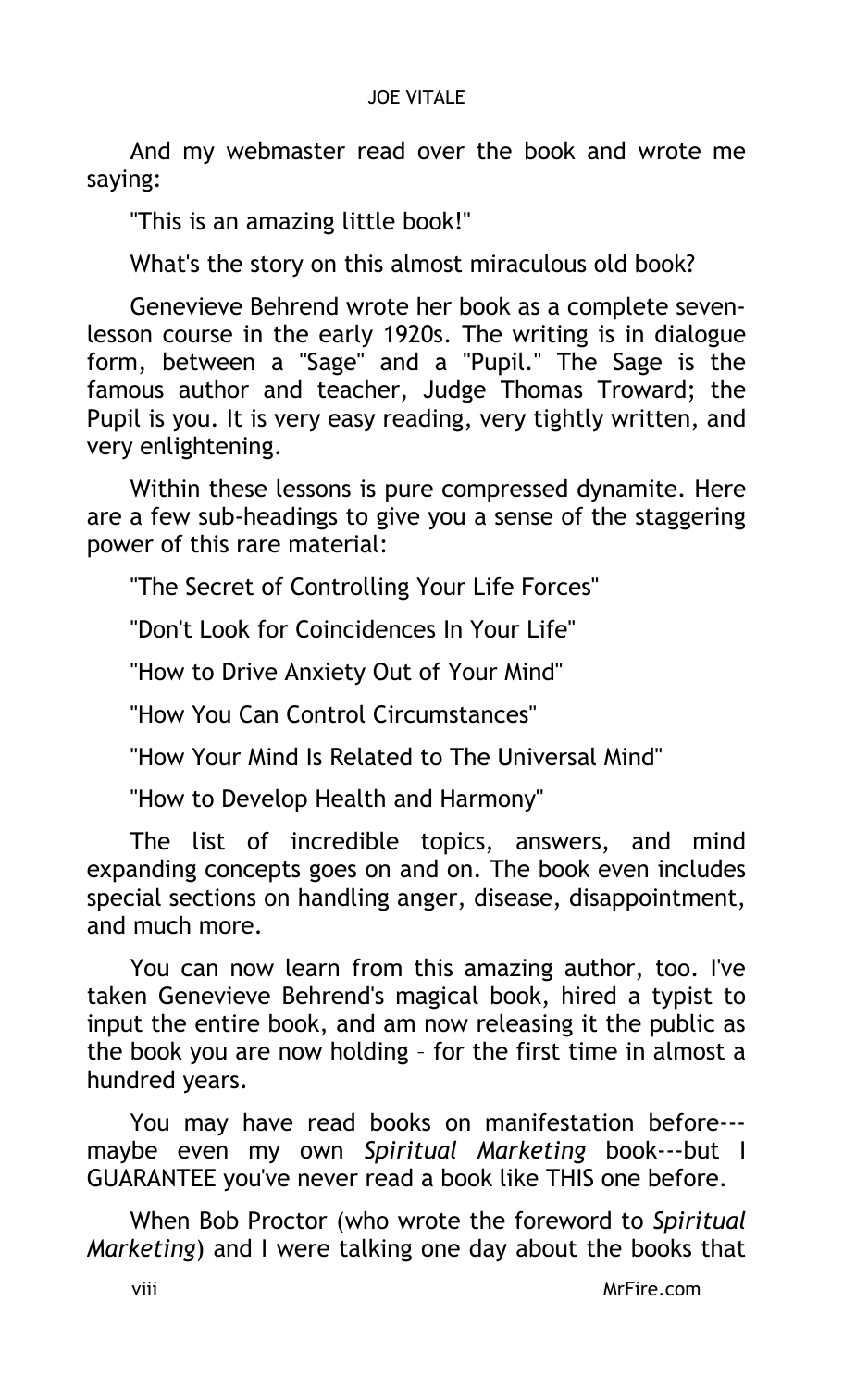And my webmaster read over the book and wrote me saying:

"This is an amazing little book!"

What's the story on this almost miraculous old book?

Genevieve Behrend wrote her book as a complete sevenlesson course in the early 1920s. The writing is in dialogue form, between a "Sage" and a "Pupil." The Sage is the famous author and teacher, Judge Thomas Troward; the Pupil is you. It is very easy reading, very tightly written, and very enlightening.

Within these lessons is pure compressed dynamite. Here are a few sub-headings to give you a sense of the staggering power of this rare material:

"The Secret of Controlling Your Life Forces"

"Don't Look for Coincidences In Your Life"

"How to Drive Anxiety Out of Your Mind"

"How You Can Control Circumstances"

"How Your Mind Is Related to The Universal Mind"

"How to Develop Health and Harmony"

The list of incredible topics, answers, and mind expanding concepts goes on and on. The book even includes special sections on handling anger, disease, disappointment, and much more.

You can now learn from this amazing author, too. I've taken Genevieve Behrend's magical book, hired a typist to input the entire book, and am now releasing it the public as the book you are now holding – for the first time in almost a hundred years.

You may have read books on manifestation before-- maybe even my own *Spiritual Marketing* book---but I GUARANTEE you've never read a book like THIS one before.

When Bob Proctor (who wrote the foreword to *Spiritual Marketing*) and I were talking one day about the books that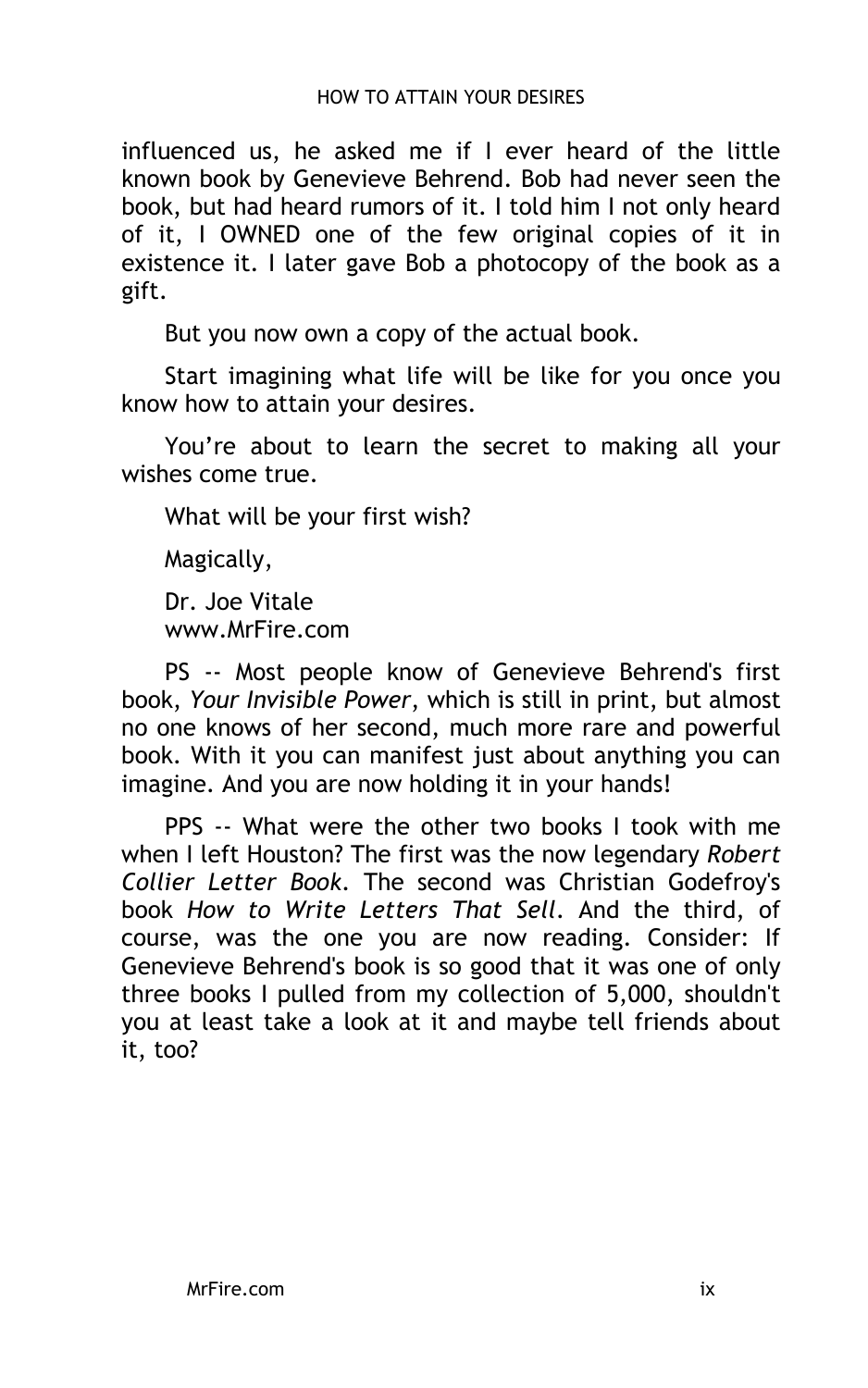influenced us, he asked me if I ever heard of the little known book by Genevieve Behrend. Bob had never seen the book, but had heard rumors of it. I told him I not only heard of it, I OWNED one of the few original copies of it in existence it. I later gave Bob a photocopy of the book as a gift.

But you now own a copy of the actual book.

Start imagining what life will be like for you once you know how to attain your desires.

You're about to learn the secret to making all your wishes come true.

What will be your first wish?

Magically,

Dr. Joe Vitale www.MrFire.com

PS -- Most people know of Genevieve Behrend's first book, *Your Invisible Power*, which is still in print, but almost no one knows of her second, much more rare and powerful book. With it you can manifest just about anything you can imagine. And you are now holding it in your hands!

PPS -- What were the other two books I took with me when I left Houston? The first was the now legendary *Robert Collier Letter Book*. The second was Christian Godefroy's book *How to Write Letters That Sell*. And the third, of course, was the one you are now reading. Consider: If Genevieve Behrend's book is so good that it was one of only three books I pulled from my collection of 5,000, shouldn't you at least take a look at it and maybe tell friends about it, too?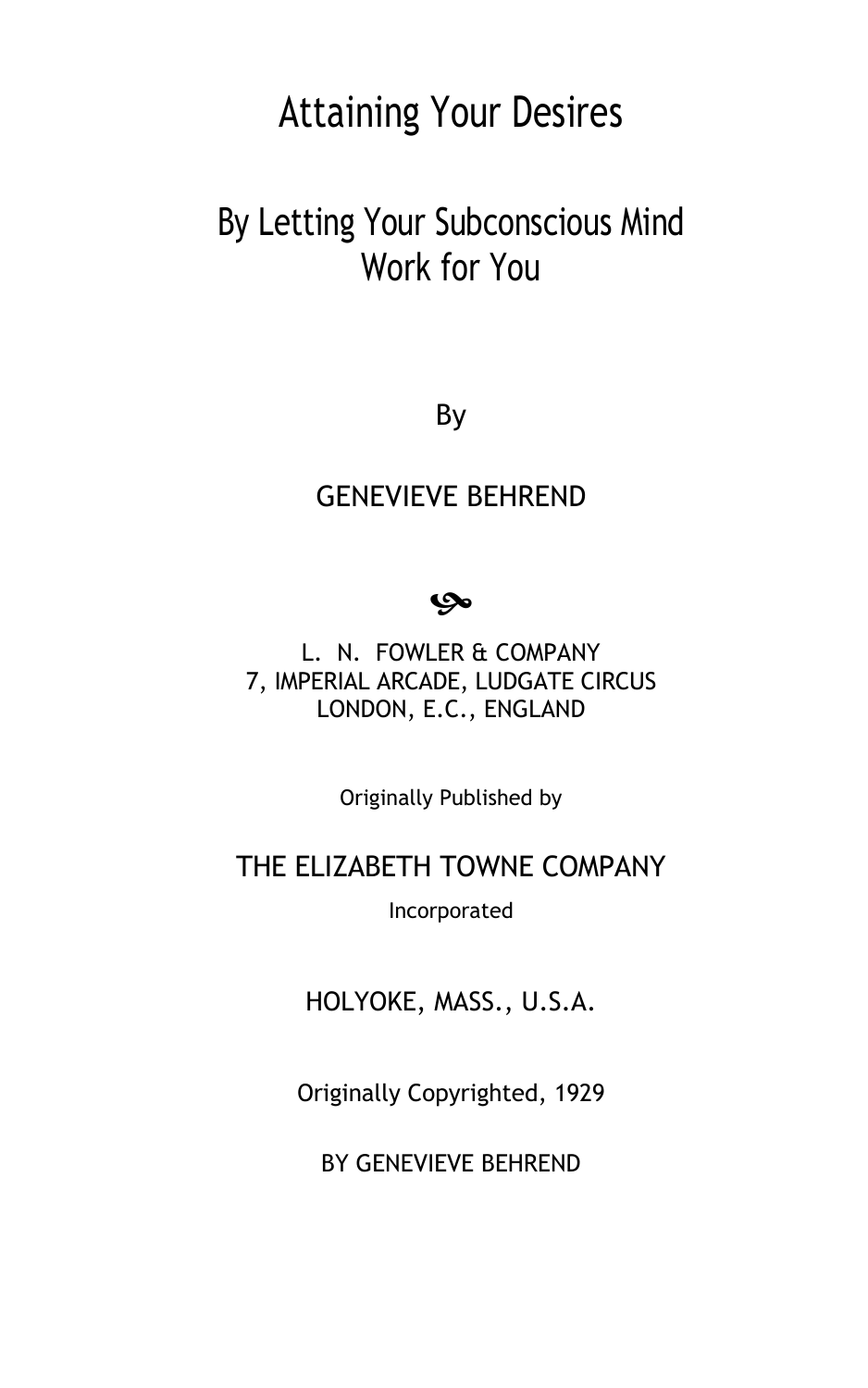# Attaining Your Desires

# By Letting Your Subconscious Mind Work for You

By

# GENEVIEVE BEHREND

### $\boldsymbol{\infty}$

L. N. FOWLER & COMPANY 7, IMPERIAL ARCADE, LUDGATE CIRCUS LONDON, E.C., ENGLAND

Originally Published by

# THE ELIZABETH TOWNE COMPANY

Incorporated

HOLYOKE, MASS., U.S.A.

Originally Copyrighted, 1929

BY GENEVIEVE BEHREND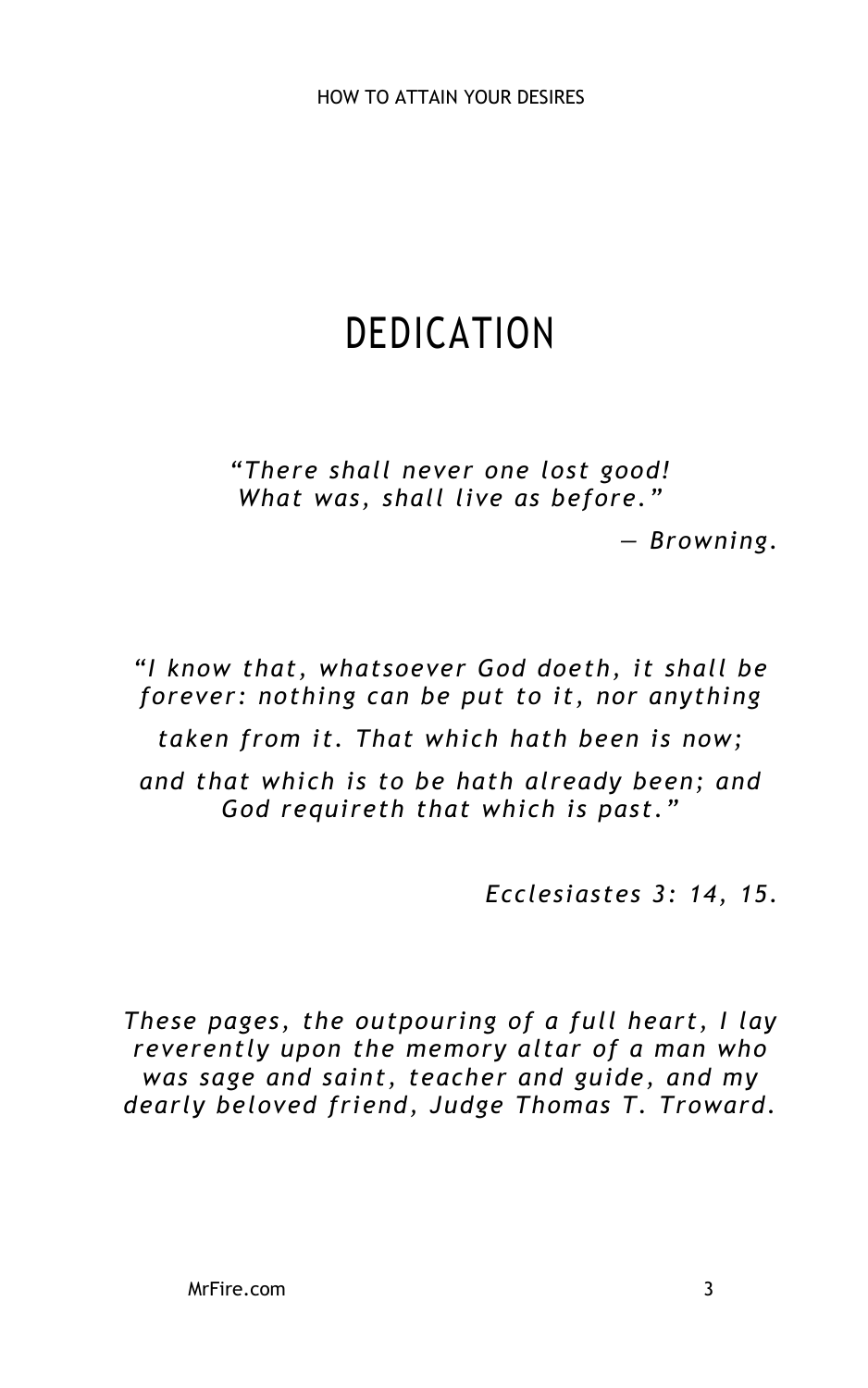# DEDICATION

*"There shall never one lost good! What was, shall live as before."* 

*— Browning.* 

*"I know that, whatsoever God doeth, it shall be forever: nothing can be put to it, nor anything* 

*taken from it. That which hath been is now;* 

*and that which is to be hath already been; and God requireth that which is past."* 

*Ecclesiastes 3: 14, 15.* 

*These pages, the outpouring of a full heart, I lay reverently upon the memory altar of a man who was sage and saint, teacher and guide, and my dearly beloved friend, Judge Thomas T. Troward.*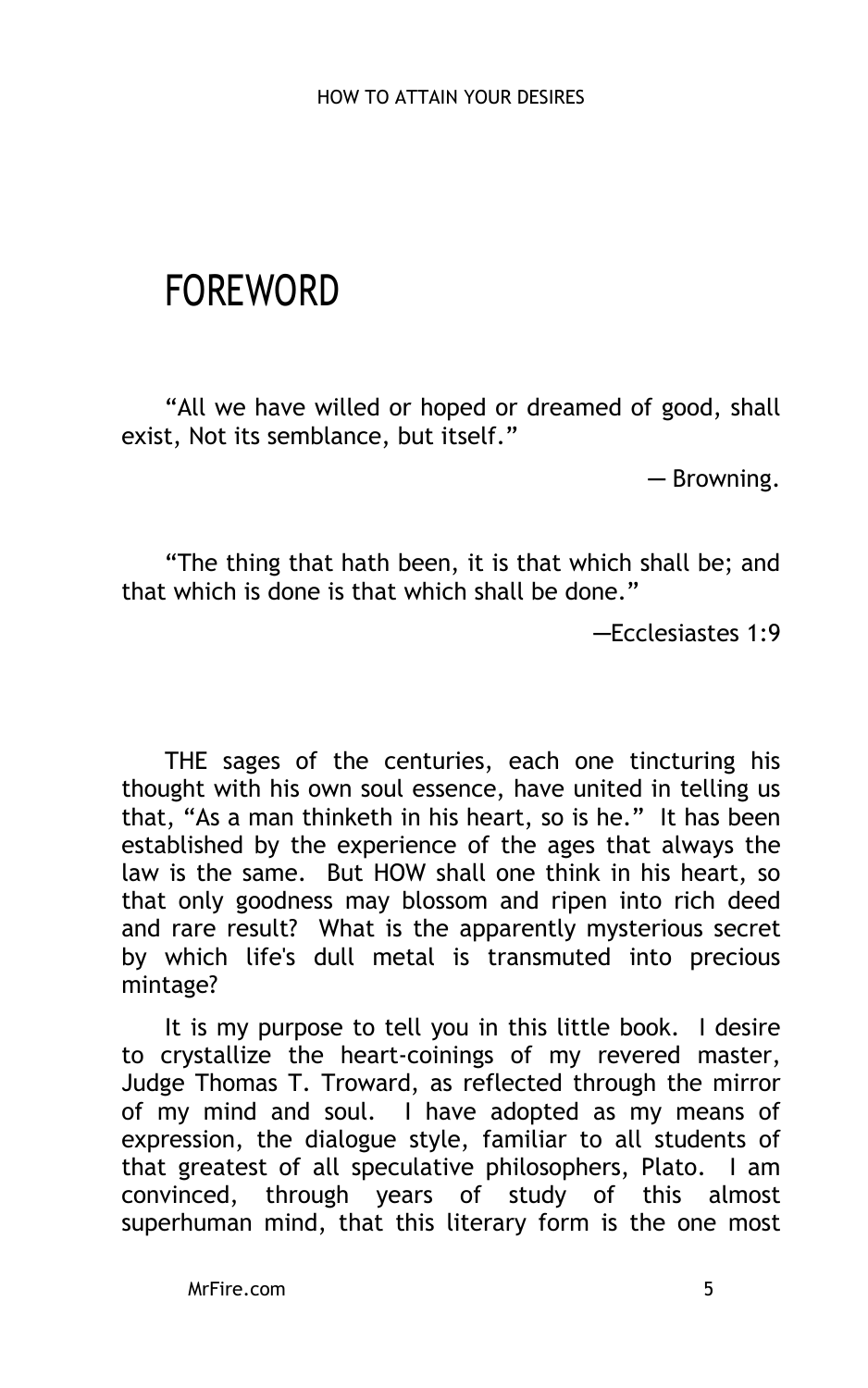# FOREWORD

"All we have willed or hoped or dreamed of good, shall exist, Not its semblance, but itself."

─ Browning.

"The thing that hath been, it is that which shall be; and that which is done is that which shall be done."

─Ecclesiastes 1:9

THE sages of the centuries, each one tincturing his thought with his own soul essence, have united in telling us that, "As a man thinketh in his heart, so is he." It has been established by the experience of the ages that always the law is the same. But HOW shall one think in his heart, so that only goodness may blossom and ripen into rich deed and rare result? What is the apparently mysterious secret by which life's dull metal is transmuted into precious mintage?

It is my purpose to tell you in this little book. I desire to crystallize the heart-coinings of my revered master, Judge Thomas T. Troward, as reflected through the mirror of my mind and soul. I have adopted as my means of expression, the dialogue style, familiar to all students of that greatest of all speculative philosophers, Plato. I am convinced, through years of study of this almost superhuman mind, that this literary form is the one most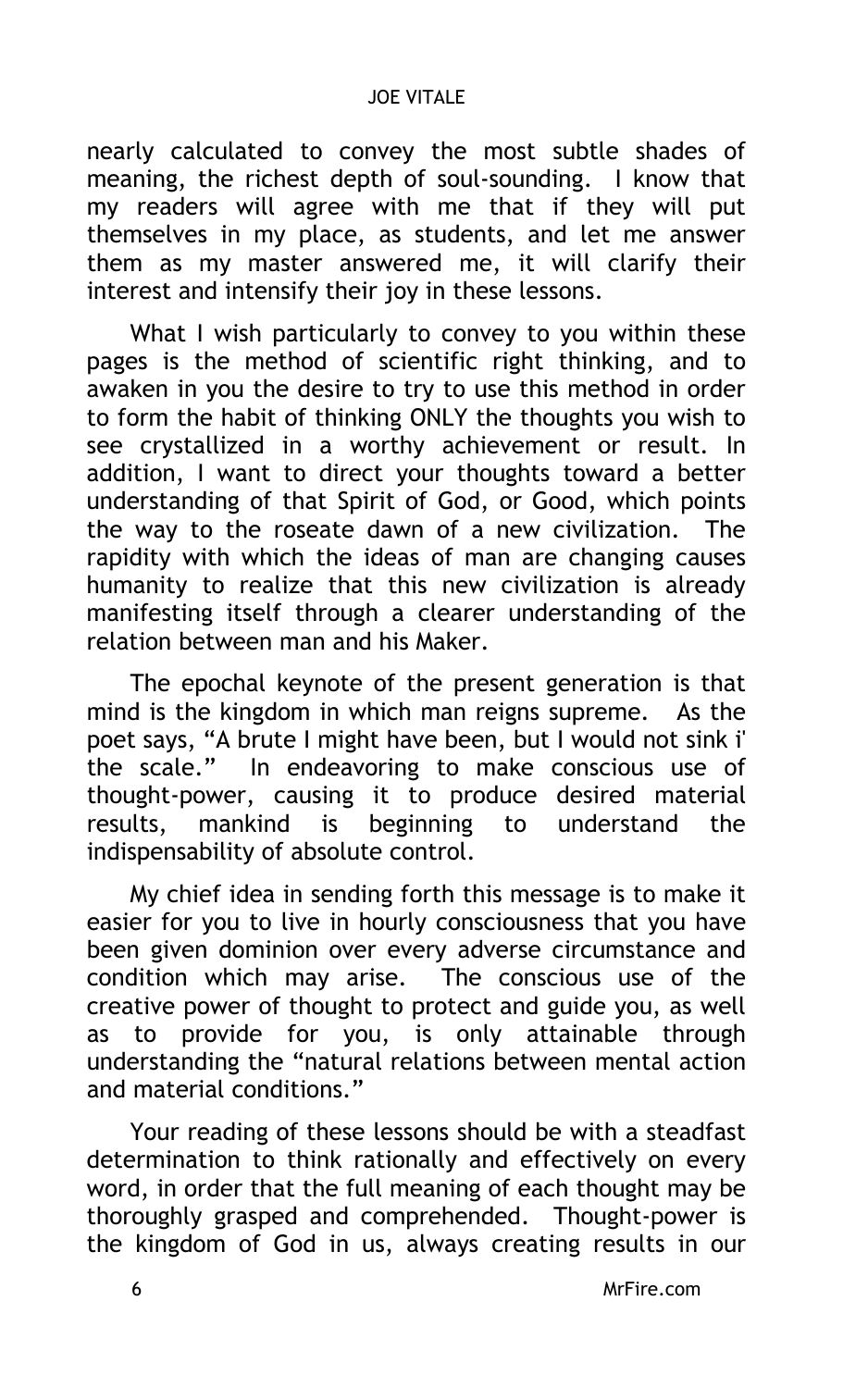nearly calculated to convey the most subtle shades of meaning, the richest depth of soul-sounding. I know that my readers will agree with me that if they will put themselves in my place, as students, and let me answer them as my master answered me, it will clarify their interest and intensify their joy in these lessons.

What I wish particularly to convey to you within these pages is the method of scientific right thinking, and to awaken in you the desire to try to use this method in order to form the habit of thinking ONLY the thoughts you wish to see crystallized in a worthy achievement or result. In addition, I want to direct your thoughts toward a better understanding of that Spirit of God, or Good, which points the way to the roseate dawn of a new civilization. The rapidity with which the ideas of man are changing causes humanity to realize that this new civilization is already manifesting itself through a clearer understanding of the relation between man and his Maker.

The epochal keynote of the present generation is that mind is the kingdom in which man reigns supreme. As the poet says, "A brute I might have been, but I would not sink i' the scale." In endeavoring to make conscious use of thought-power, causing it to produce desired material results, mankind is beginning to understand the indispensability of absolute control.

My chief idea in sending forth this message is to make it easier for you to live in hourly consciousness that you have been given dominion over every adverse circumstance and condition which may arise. The conscious use of the creative power of thought to protect and guide you, as well as to provide for you, is only attainable through understanding the "natural relations between mental action and material conditions."

Your reading of these lessons should be with a steadfast determination to think rationally and effectively on every word, in order that the full meaning of each thought may be thoroughly grasped and comprehended. Thought-power is the kingdom of God in us, always creating results in our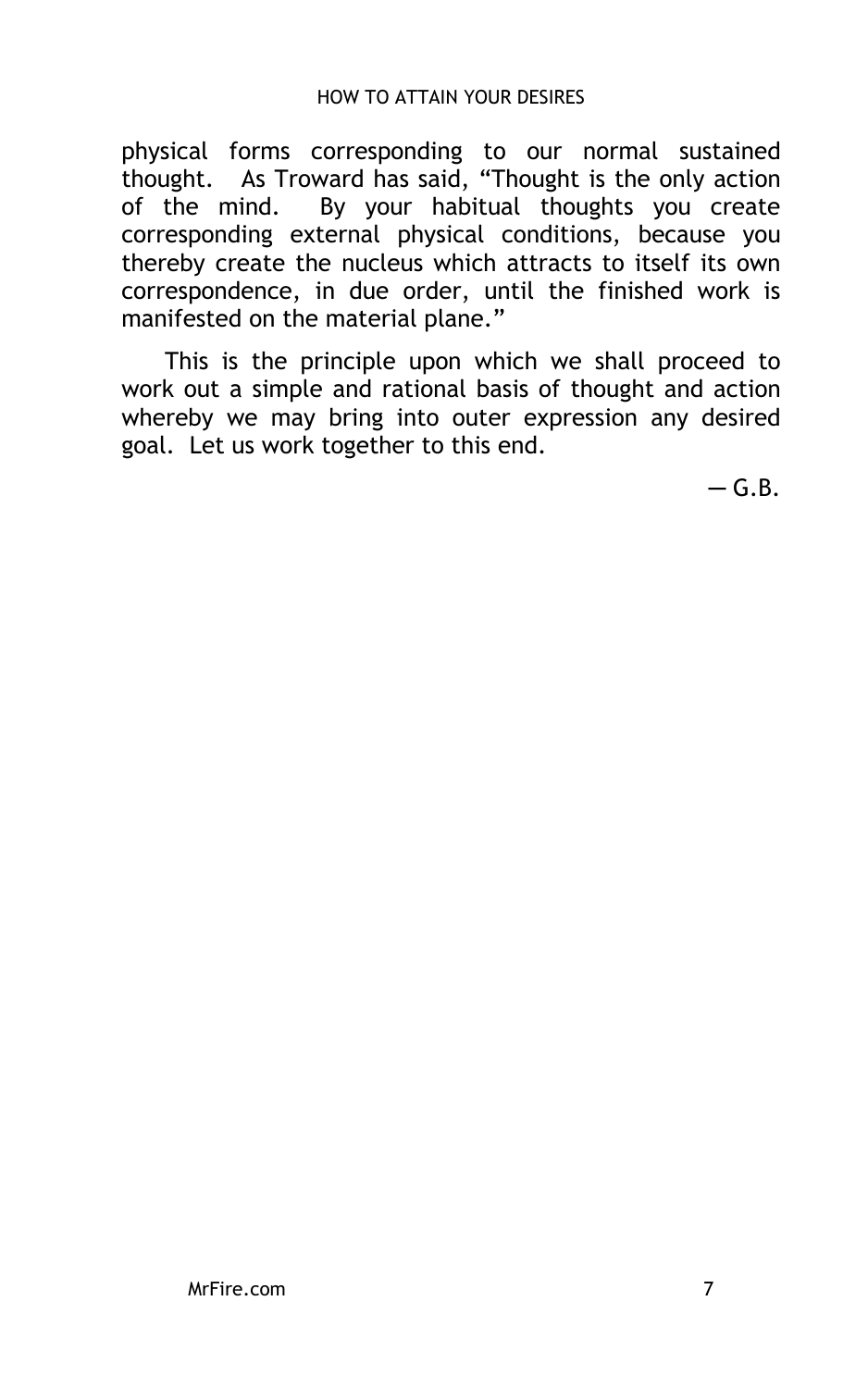physical forms corresponding to our normal sustained thought. As Troward has said, "Thought is the only action of the mind. By your habitual thoughts you create corresponding external physical conditions, because you thereby create the nucleus which attracts to itself its own correspondence, in due order, until the finished work is manifested on the material plane."

This is the principle upon which we shall proceed to work out a simple and rational basis of thought and action whereby we may bring into outer expression any desired goal. Let us work together to this end.

 $-$  G.B.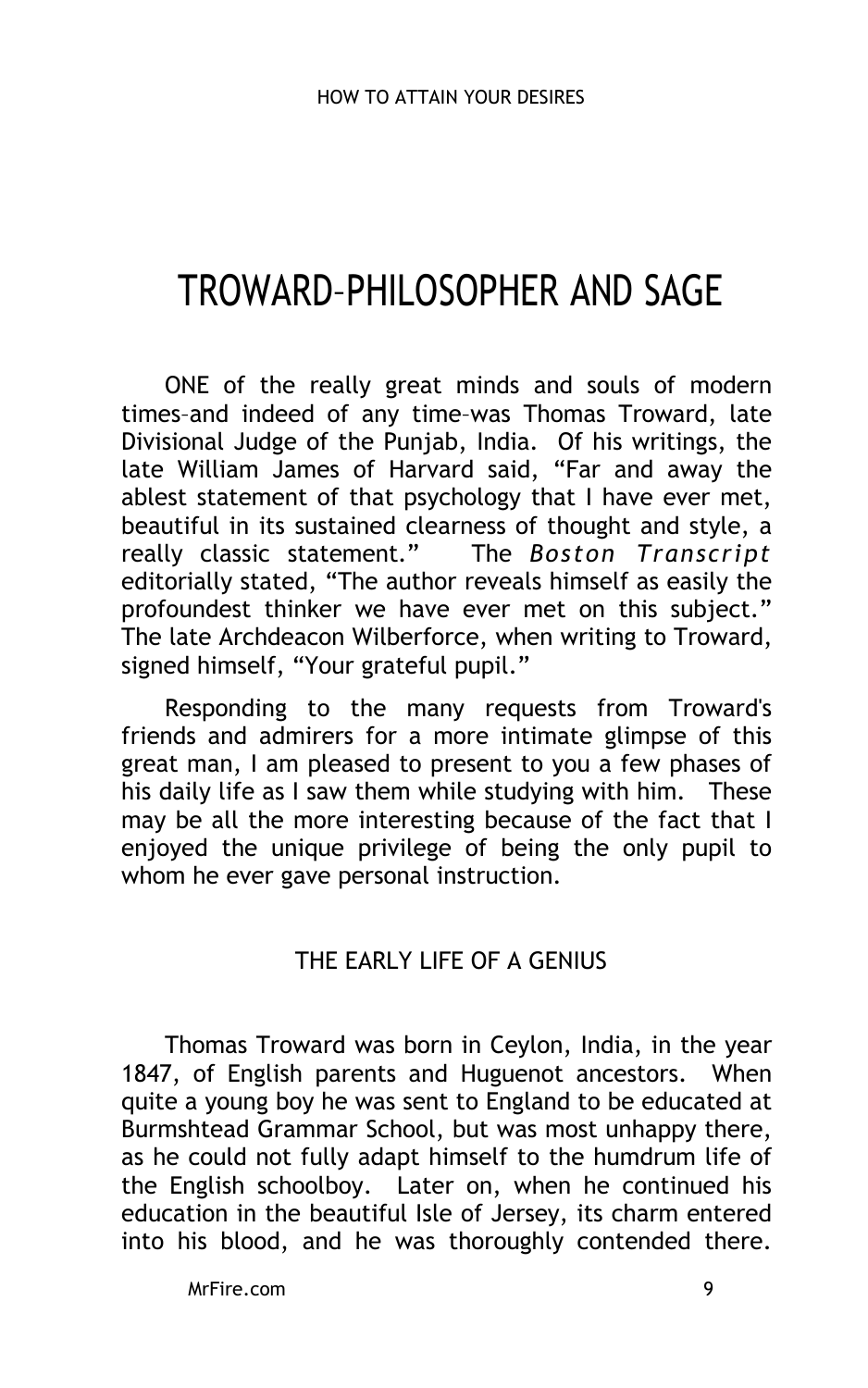# TROWARD–PHILOSOPHER AND SAGE

ONE of the really great minds and souls of modern times–and indeed of any time–was Thomas Troward, late Divisional Judge of the Punjab, India. Of his writings, the late William James of Harvard said, "Far and away the ablest statement of that psychology that I have ever met, beautiful in its sustained clearness of thought and style, a really classic statement." The *Boston Transcript* editorially stated, "The author reveals himself as easily the profoundest thinker we have ever met on this subject." The late Archdeacon Wilberforce, when writing to Troward, signed himself, "Your grateful pupil."

Responding to the many requests from Troward's friends and admirers for a more intimate glimpse of this great man, I am pleased to present to you a few phases of his daily life as I saw them while studying with him. These may be all the more interesting because of the fact that I enjoyed the unique privilege of being the only pupil to whom he ever gave personal instruction.

# THE EARLY LIFE OF A GENIUS

Thomas Troward was born in Ceylon, India, in the year 1847, of English parents and Huguenot ancestors. When quite a young boy he was sent to England to be educated at Burmshtead Grammar School, but was most unhappy there, as he could not fully adapt himself to the humdrum life of the English schoolboy. Later on, when he continued his education in the beautiful Isle of Jersey, its charm entered into his blood, and he was thoroughly contended there.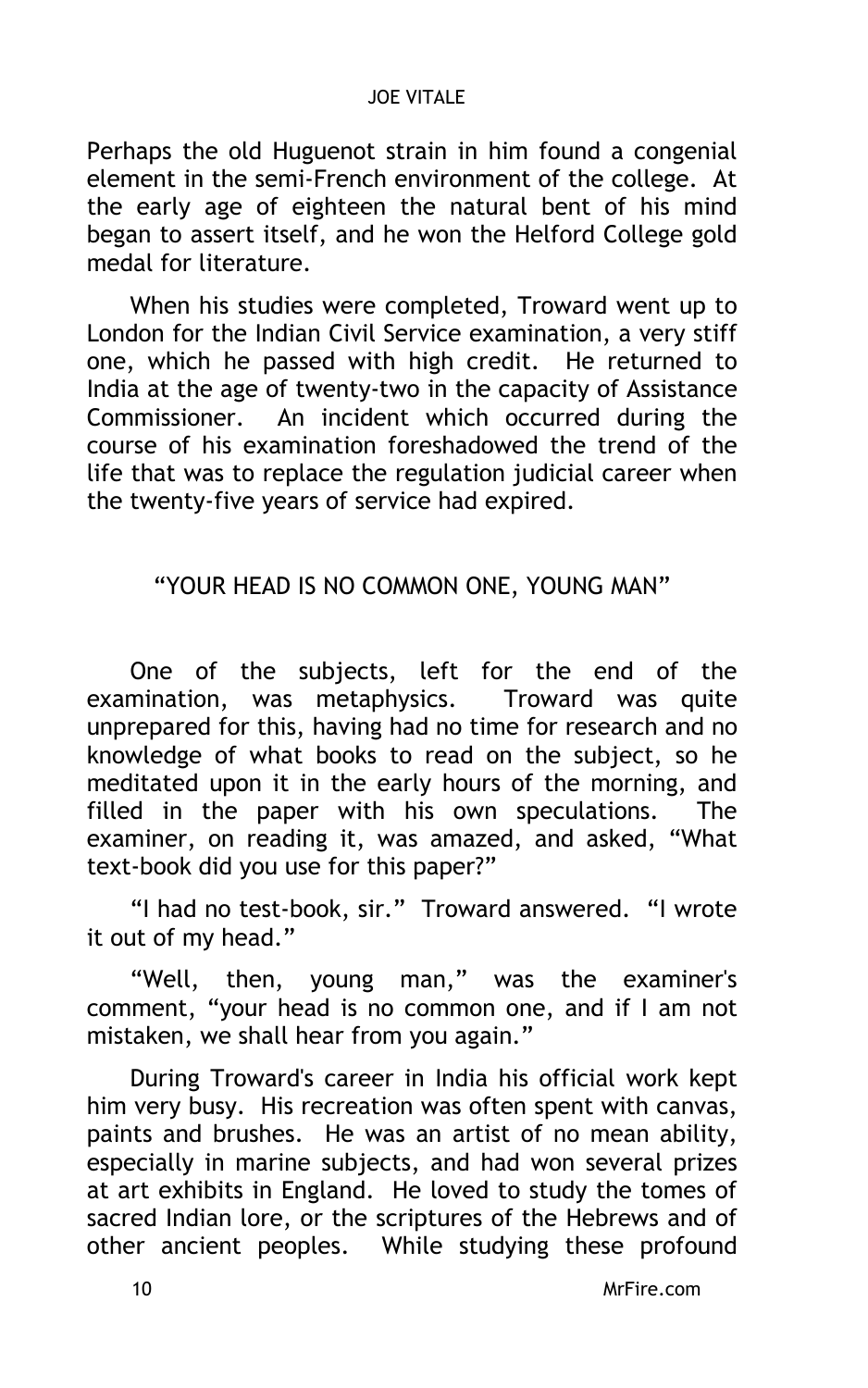Perhaps the old Huguenot strain in him found a congenial element in the semi-French environment of the college. At the early age of eighteen the natural bent of his mind began to assert itself, and he won the Helford College gold medal for literature.

When his studies were completed, Troward went up to London for the Indian Civil Service examination, a very stiff one, which he passed with high credit. He returned to India at the age of twenty-two in the capacity of Assistance Commissioner. An incident which occurred during the course of his examination foreshadowed the trend of the life that was to replace the regulation judicial career when the twenty-five years of service had expired.

# "YOUR HEAD IS NO COMMON ONE, YOUNG MAN"

One of the subjects, left for the end of the examination, was metaphysics. Troward was quite unprepared for this, having had no time for research and no knowledge of what books to read on the subject, so he meditated upon it in the early hours of the morning, and filled in the paper with his own speculations. The examiner, on reading it, was amazed, and asked, "What text-book did you use for this paper?"

"I had no test-book, sir." Troward answered. "I wrote it out of my head."

"Well, then, young man," was the examiner's comment, "your head is no common one, and if I am not mistaken, we shall hear from you again."

During Troward's career in India his official work kept him very busy. His recreation was often spent with canvas, paints and brushes. He was an artist of no mean ability, especially in marine subjects, and had won several prizes at art exhibits in England. He loved to study the tomes of sacred Indian lore, or the scriptures of the Hebrews and of other ancient peoples. While studying these profound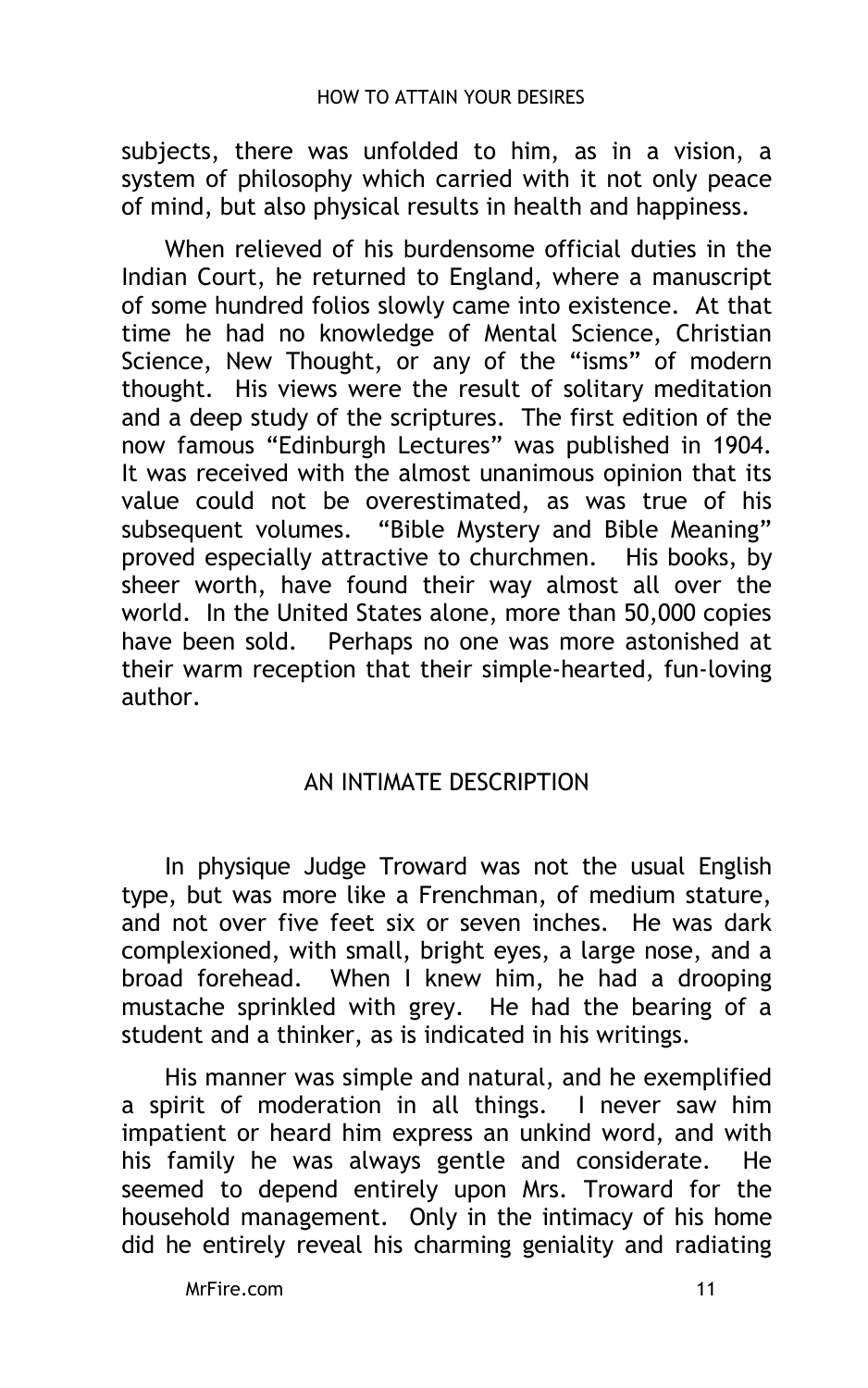subjects, there was unfolded to him, as in a vision, a system of philosophy which carried with it not only peace of mind, but also physical results in health and happiness.

When relieved of his burdensome official duties in the Indian Court, he returned to England, where a manuscript of some hundred folios slowly came into existence. At that time he had no knowledge of Mental Science, Christian Science, New Thought, or any of the "isms" of modern thought. His views were the result of solitary meditation and a deep study of the scriptures. The first edition of the now famous "Edinburgh Lectures" was published in 1904. It was received with the almost unanimous opinion that its value could not be overestimated, as was true of his subsequent volumes. "Bible Mystery and Bible Meaning" proved especially attractive to churchmen. His books, by sheer worth, have found their way almost all over the world. In the United States alone, more than 50,000 copies have been sold. Perhaps no one was more astonished at their warm reception that their simple-hearted, fun-loving author.

## AN INTIMATE DESCRIPTION

In physique Judge Troward was not the usual English type, but was more like a Frenchman, of medium stature, and not over five feet six or seven inches. He was dark complexioned, with small, bright eyes, a large nose, and a broad forehead. When I knew him, he had a drooping mustache sprinkled with grey. He had the bearing of a student and a thinker, as is indicated in his writings.

His manner was simple and natural, and he exemplified a spirit of moderation in all things. I never saw him impatient or heard him express an unkind word, and with his family he was always gentle and considerate. He seemed to depend entirely upon Mrs. Troward for the household management. Only in the intimacy of his home did he entirely reveal his charming geniality and radiating

MrFire.com 11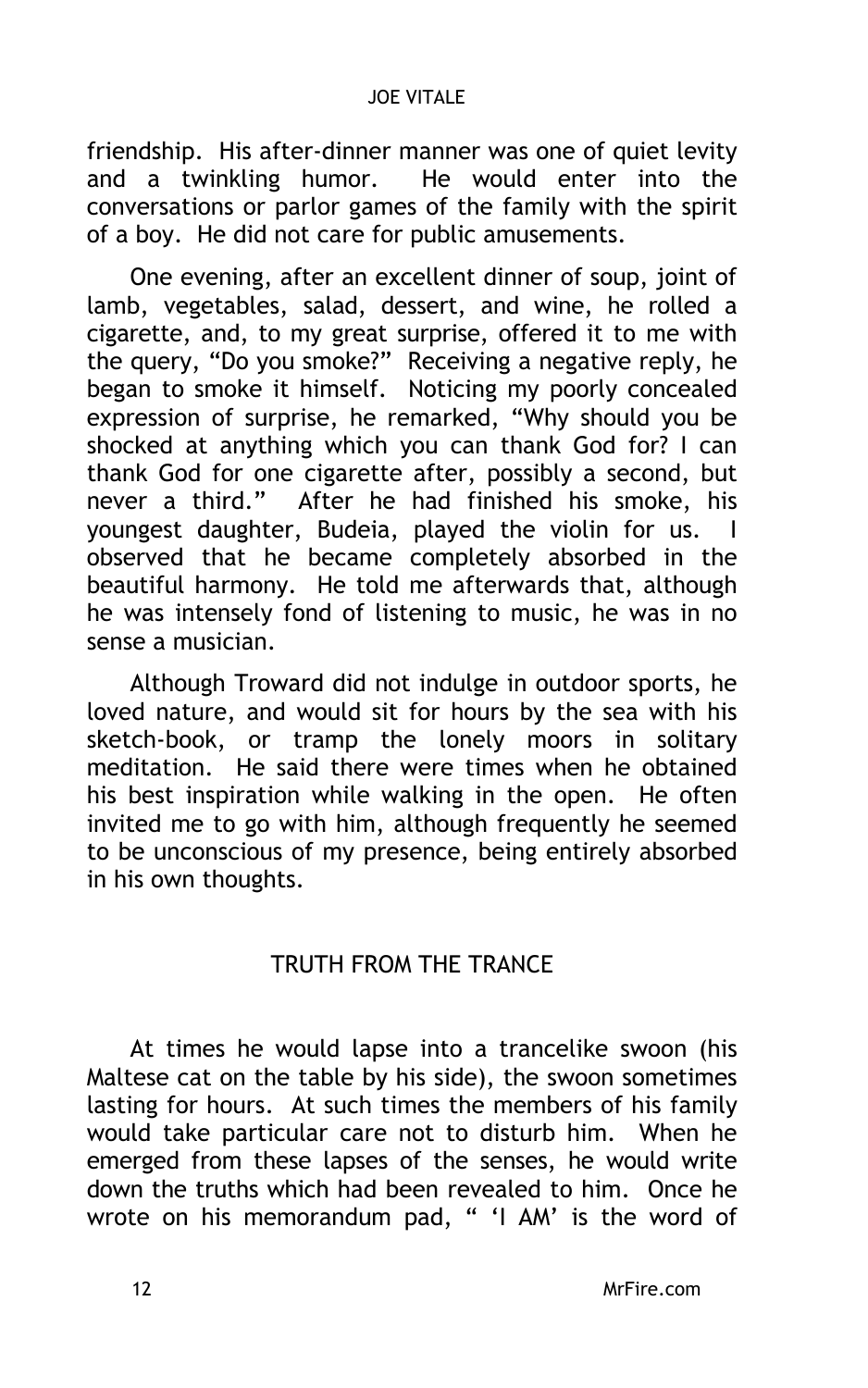friendship. His after-dinner manner was one of quiet levity and a twinkling humor. He would enter into the conversations or parlor games of the family with the spirit of a boy. He did not care for public amusements.

One evening, after an excellent dinner of soup, joint of lamb, vegetables, salad, dessert, and wine, he rolled a cigarette, and, to my great surprise, offered it to me with the query, "Do you smoke?" Receiving a negative reply, he began to smoke it himself. Noticing my poorly concealed expression of surprise, he remarked, "Why should you be shocked at anything which you can thank God for? I can thank God for one cigarette after, possibly a second, but never a third." After he had finished his smoke, his youngest daughter, Budeia, played the violin for us. I observed that he became completely absorbed in the beautiful harmony. He told me afterwards that, although he was intensely fond of listening to music, he was in no sense a musician.

Although Troward did not indulge in outdoor sports, he loved nature, and would sit for hours by the sea with his sketch-book, or tramp the lonely moors in solitary meditation. He said there were times when he obtained his best inspiration while walking in the open. He often invited me to go with him, although frequently he seemed to be unconscious of my presence, being entirely absorbed in his own thoughts.

# TRUTH FROM THE TRANCE

At times he would lapse into a trancelike swoon (his Maltese cat on the table by his side), the swoon sometimes lasting for hours. At such times the members of his family would take particular care not to disturb him. When he emerged from these lapses of the senses, he would write down the truths which had been revealed to him. Once he wrote on his memorandum pad, " 'I AM' is the word of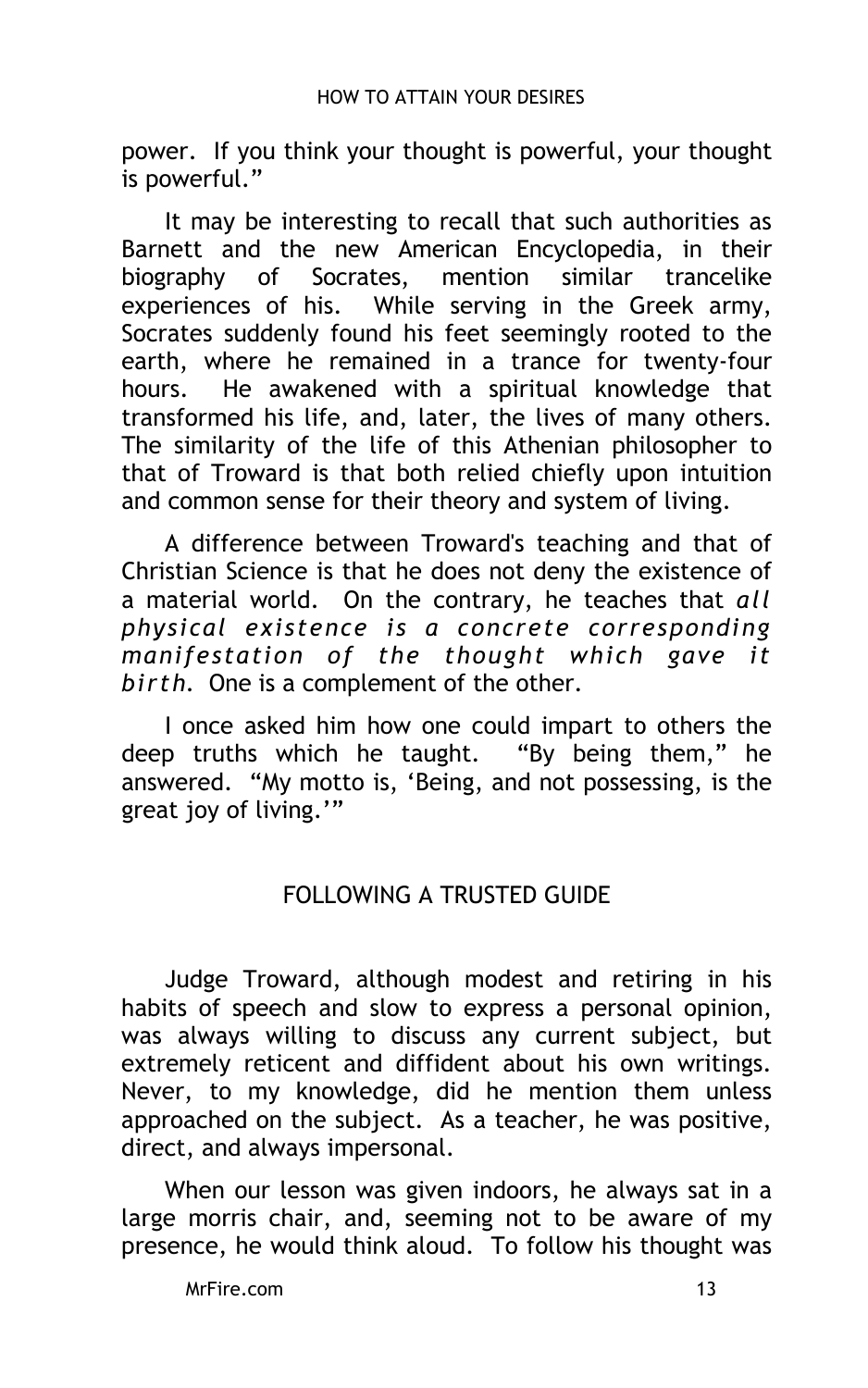power. If you think your thought is powerful, your thought is powerful."

It may be interesting to recall that such authorities as Barnett and the new American Encyclopedia, in their biography of Socrates, mention similar trancelike experiences of his. While serving in the Greek army, Socrates suddenly found his feet seemingly rooted to the earth, where he remained in a trance for twenty-four hours. He awakened with a spiritual knowledge that transformed his life, and, later, the lives of many others. The similarity of the life of this Athenian philosopher to that of Troward is that both relied chiefly upon intuition and common sense for their theory and system of living.

A difference between Troward's teaching and that of Christian Science is that he does not deny the existence of a material world. On the contrary, he teaches that *all physical existence is a concrete corresponding manifestation of the thought which gave it birth*. One is a complement of the other.

I once asked him how one could impart to others the deep truths which he taught. "By being them," he answered. "My motto is, 'Being, and not possessing, is the great joy of living.'"

# FOLLOWING A TRUSTED GUIDE

Judge Troward, although modest and retiring in his habits of speech and slow to express a personal opinion, was always willing to discuss any current subject, but extremely reticent and diffident about his own writings. Never, to my knowledge, did he mention them unless approached on the subject. As a teacher, he was positive, direct, and always impersonal.

When our lesson was given indoors, he always sat in a large morris chair, and, seeming not to be aware of my presence, he would think aloud. To follow his thought was

MrFire.com 13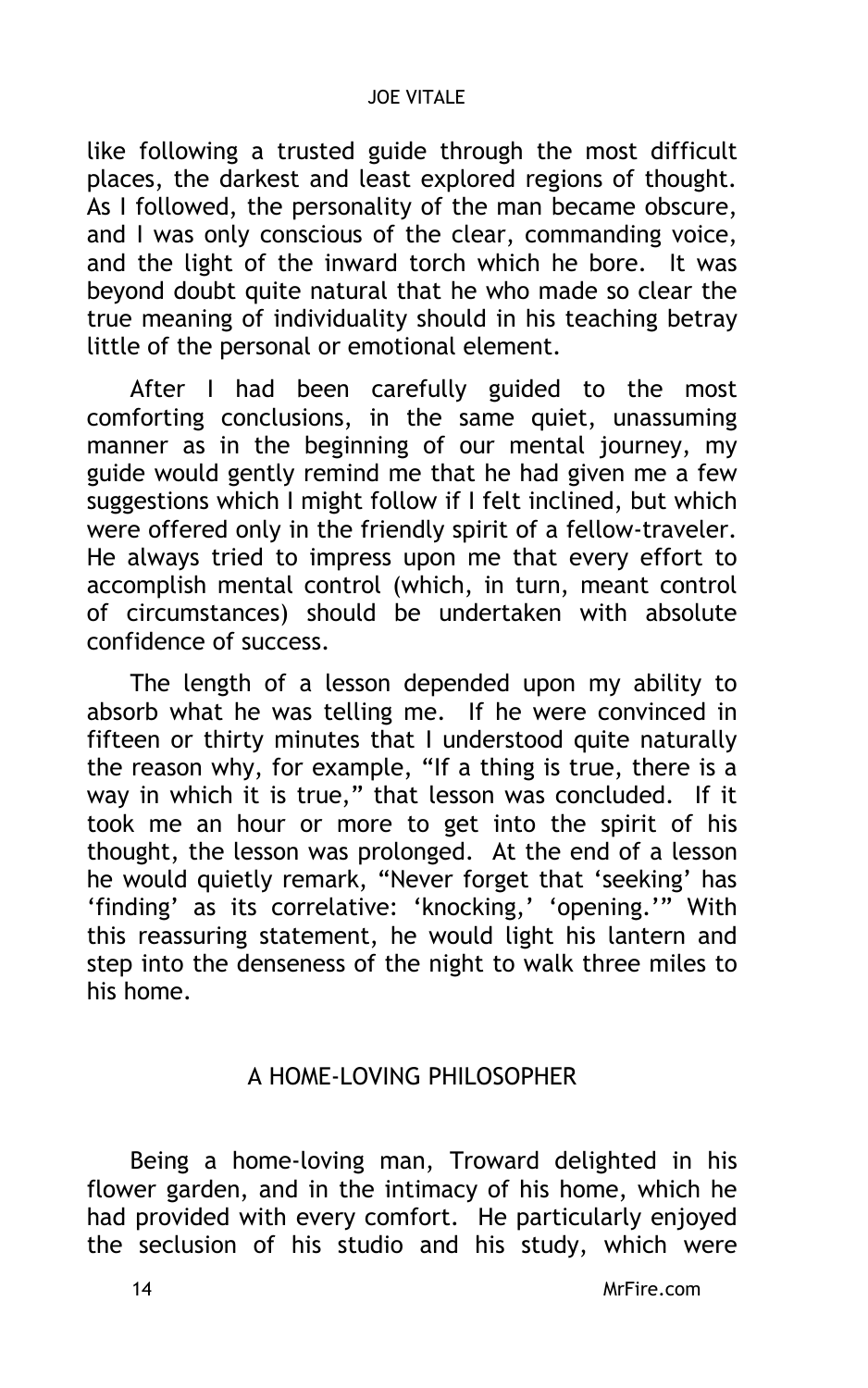like following a trusted guide through the most difficult places, the darkest and least explored regions of thought. As I followed, the personality of the man became obscure, and I was only conscious of the clear, commanding voice, and the light of the inward torch which he bore. It was beyond doubt quite natural that he who made so clear the true meaning of individuality should in his teaching betray little of the personal or emotional element.

After I had been carefully guided to the most comforting conclusions, in the same quiet, unassuming manner as in the beginning of our mental journey, my guide would gently remind me that he had given me a few suggestions which I might follow if I felt inclined, but which were offered only in the friendly spirit of a fellow-traveler. He always tried to impress upon me that every effort to accomplish mental control (which, in turn, meant control of circumstances) should be undertaken with absolute confidence of success.

The length of a lesson depended upon my ability to absorb what he was telling me. If he were convinced in fifteen or thirty minutes that I understood quite naturally the reason why, for example, "If a thing is true, there is a way in which it is true," that lesson was concluded. If it took me an hour or more to get into the spirit of his thought, the lesson was prolonged. At the end of a lesson he would quietly remark, "Never forget that 'seeking' has 'finding' as its correlative: 'knocking,' 'opening.'" With this reassuring statement, he would light his lantern and step into the denseness of the night to walk three miles to his home.

#### A HOME-LOVING PHILOSOPHER

Being a home-loving man, Troward delighted in his flower garden, and in the intimacy of his home, which he had provided with every comfort. He particularly enjoyed the seclusion of his studio and his study, which were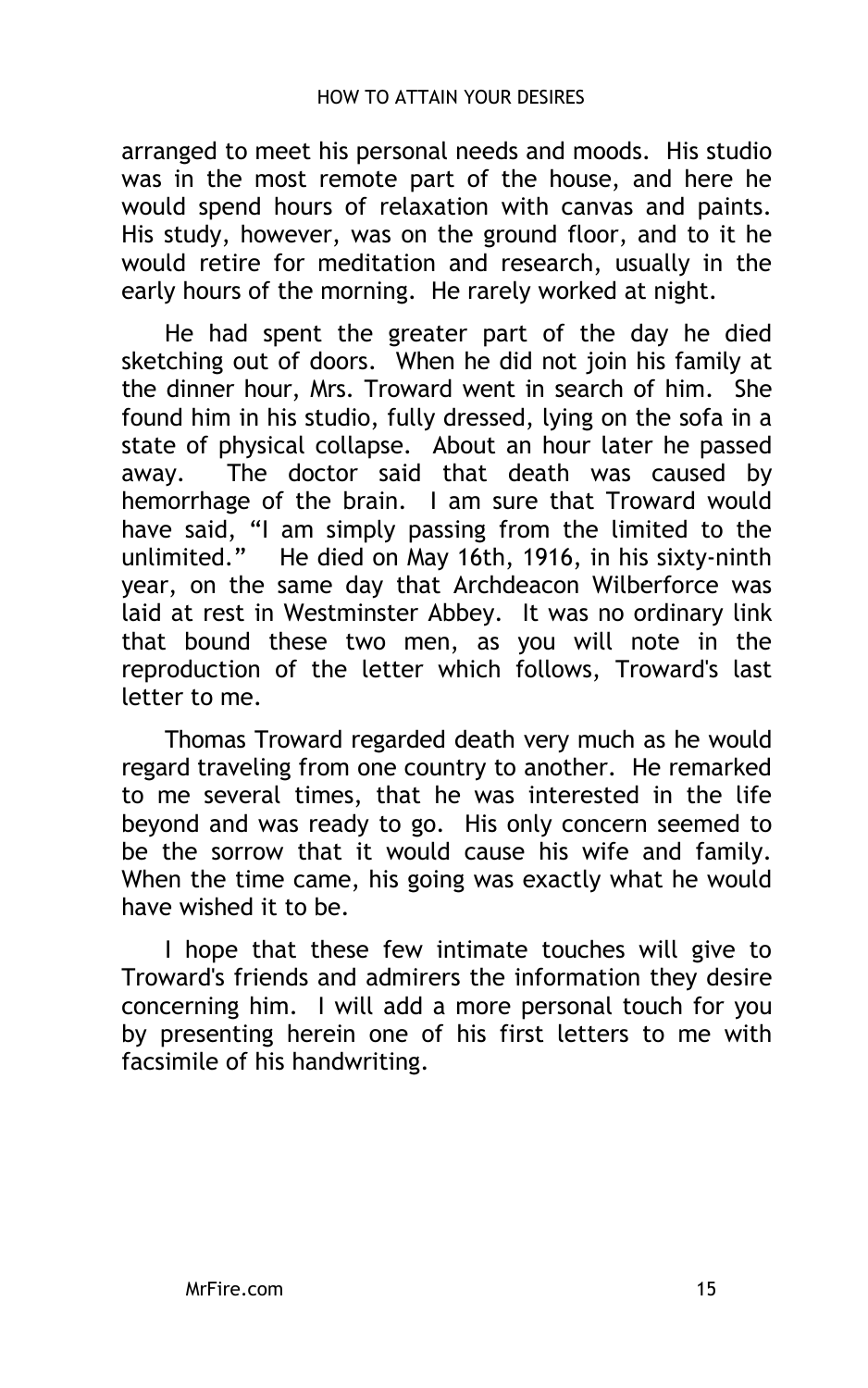arranged to meet his personal needs and moods. His studio was in the most remote part of the house, and here he would spend hours of relaxation with canvas and paints. His study, however, was on the ground floor, and to it he would retire for meditation and research, usually in the early hours of the morning. He rarely worked at night.

He had spent the greater part of the day he died sketching out of doors. When he did not join his family at the dinner hour, Mrs. Troward went in search of him. She found him in his studio, fully dressed, lying on the sofa in a state of physical collapse. About an hour later he passed away. The doctor said that death was caused by hemorrhage of the brain. I am sure that Troward would have said, "I am simply passing from the limited to the unlimited." He died on May 16th, 1916, in his sixty-ninth year, on the same day that Archdeacon Wilberforce was laid at rest in Westminster Abbey. It was no ordinary link that bound these two men, as you will note in the reproduction of the letter which follows, Troward's last letter to me.

Thomas Troward regarded death very much as he would regard traveling from one country to another. He remarked to me several times, that he was interested in the life beyond and was ready to go. His only concern seemed to be the sorrow that it would cause his wife and family. When the time came, his going was exactly what he would have wished it to be.

I hope that these few intimate touches will give to Troward's friends and admirers the information they desire concerning him. I will add a more personal touch for you by presenting herein one of his first letters to me with facsimile of his handwriting.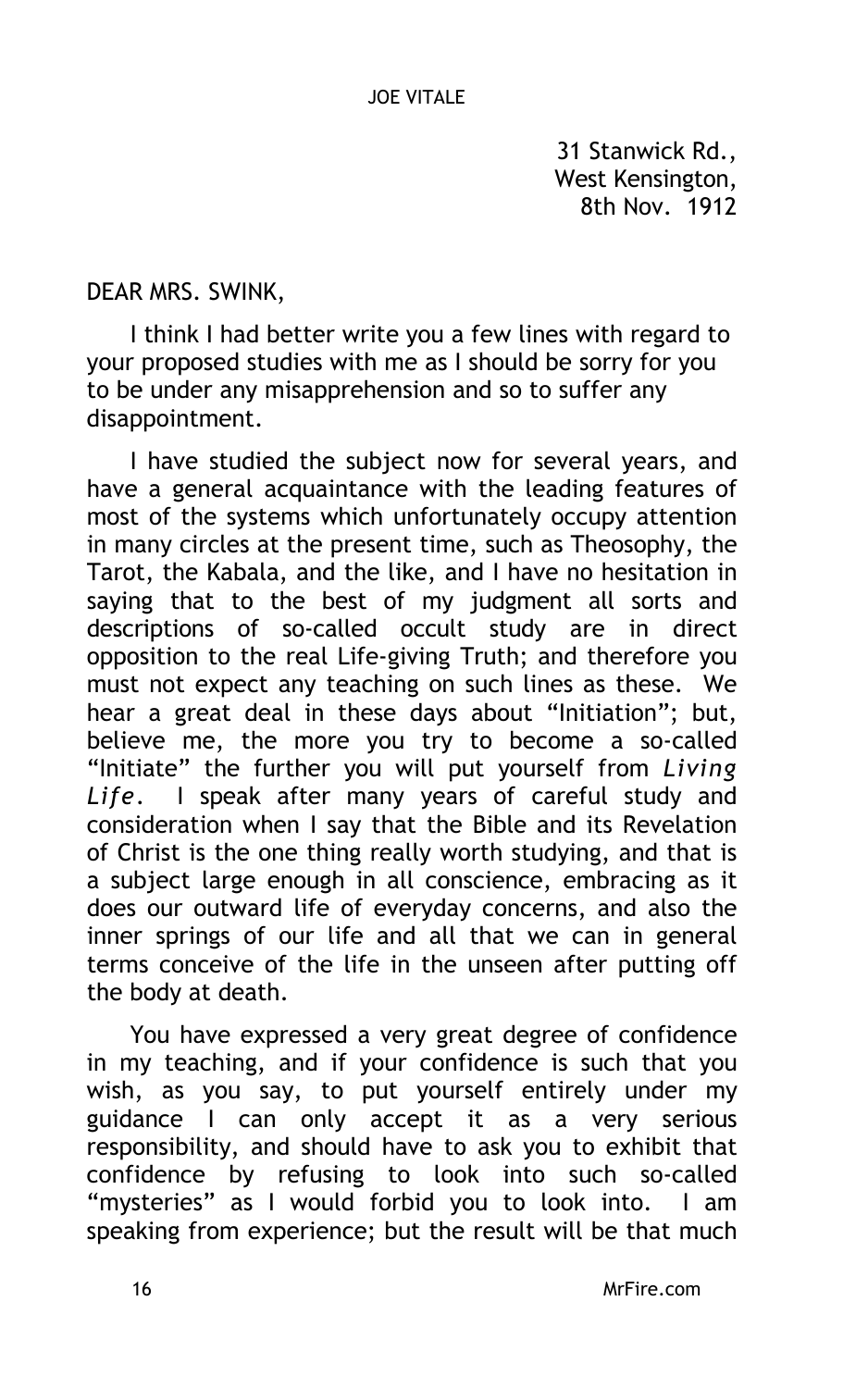31 Stanwick Rd., West Kensington, 8th Nov. 1912

## DEAR MRS. SWINK,

I think I had better write you a few lines with regard to your proposed studies with me as I should be sorry for you to be under any misapprehension and so to suffer any disappointment.

I have studied the subject now for several years, and have a general acquaintance with the leading features of most of the systems which unfortunately occupy attention in many circles at the present time, such as Theosophy, the Tarot, the Kabala, and the like, and I have no hesitation in saying that to the best of my judgment all sorts and descriptions of so-called occult study are in direct opposition to the real Life-giving Truth; and therefore you must not expect any teaching on such lines as these. We hear a great deal in these days about "Initiation"; but, believe me, the more you try to become a so-called "Initiate" the further you will put yourself from *Living Life*. I speak after many years of careful study and consideration when I say that the Bible and its Revelation of Christ is the one thing really worth studying, and that is a subject large enough in all conscience, embracing as it does our outward life of everyday concerns, and also the inner springs of our life and all that we can in general terms conceive of the life in the unseen after putting off the body at death.

You have expressed a very great degree of confidence in my teaching, and if your confidence is such that you wish, as you say, to put yourself entirely under my guidance I can only accept it as a very serious responsibility, and should have to ask you to exhibit that confidence by refusing to look into such so-called "mysteries" as I would forbid you to look into. I am speaking from experience; but the result will be that much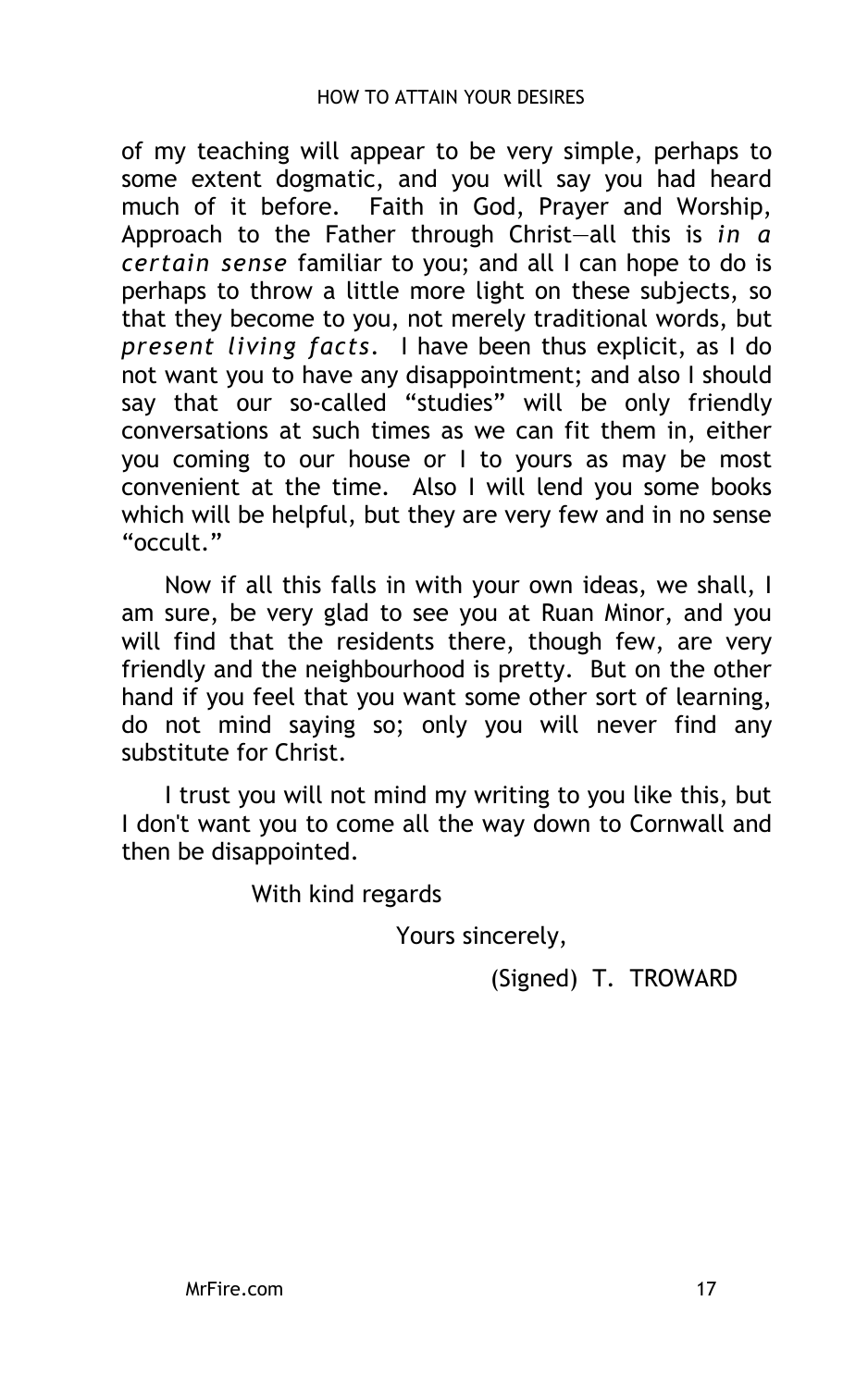of my teaching will appear to be very simple, perhaps to some extent dogmatic, and you will say you had heard much of it before. Faith in God, Prayer and Worship, Approach to the Father through Christ—all this is *in a certain sense* familiar to you; and all I can hope to do is perhaps to throw a little more light on these subjects, so that they become to you, not merely traditional words, but *present living facts*. I have been thus explicit, as I do not want you to have any disappointment; and also I should say that our so-called "studies" will be only friendly conversations at such times as we can fit them in, either you coming to our house or I to yours as may be most convenient at the time. Also I will lend you some books which will be helpful, but they are very few and in no sense "occult."

Now if all this falls in with your own ideas, we shall, I am sure, be very glad to see you at Ruan Minor, and you will find that the residents there, though few, are very friendly and the neighbourhood is pretty. But on the other hand if you feel that you want some other sort of learning, do not mind saying so; only you will never find any substitute for Christ.

I trust you will not mind my writing to you like this, but I don't want you to come all the way down to Cornwall and then be disappointed.

With kind regards

Yours sincerely,

(Signed) T. TROWARD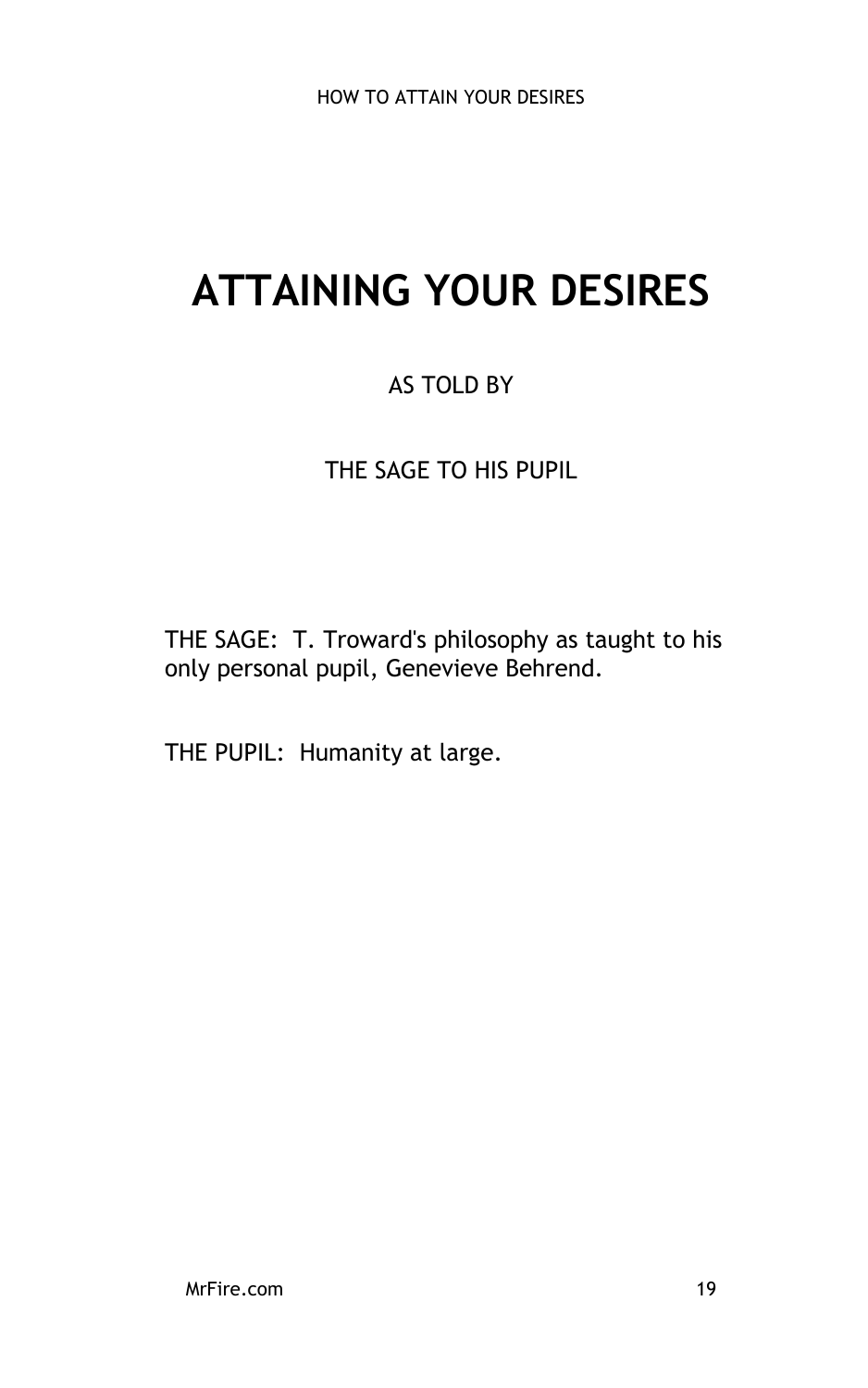# **ATTAINING YOUR DESIRES**

# AS TOLD BY

THE SAGE TO HIS PUPIL

THE SAGE: T. Troward's philosophy as taught to his only personal pupil, Genevieve Behrend.

THE PUPIL: Humanity at large.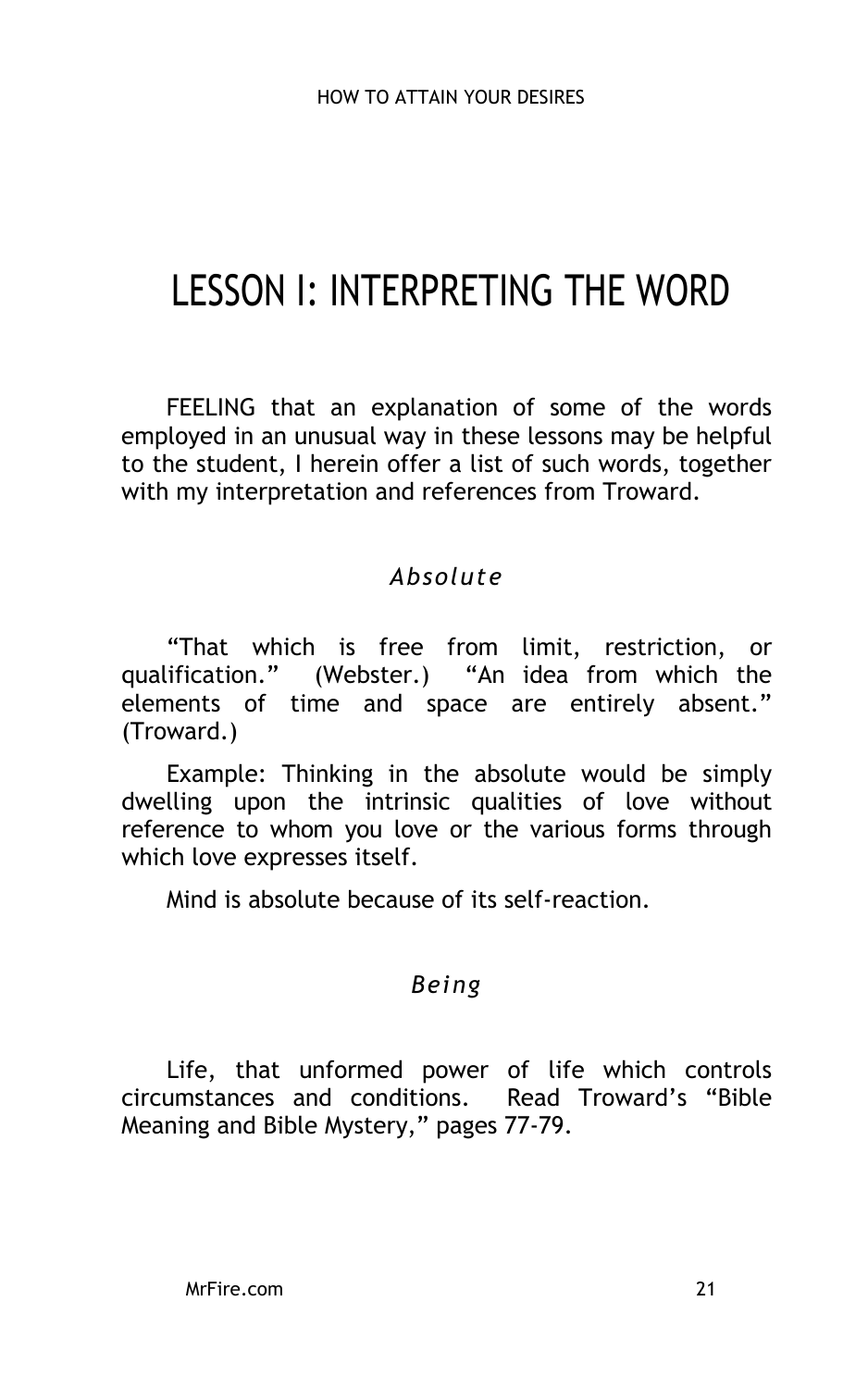# LESSON I: INTERPRETING THE WORD

FEELING that an explanation of some of the words employed in an unusual way in these lessons may be helpful to the student, I herein offer a list of such words, together with my interpretation and references from Troward.

## *Absolute*

"That which is free from limit, restriction, or qualification." (Webster.) "An idea from which the elements of time and space are entirely absent." (Troward.)

Example: Thinking in the absolute would be simply dwelling upon the intrinsic qualities of love without reference to whom you love or the various forms through which love expresses itself.

Mind is absolute because of its self-reaction.

## *Being*

Life, that unformed power of life which controls circumstances and conditions. Read Troward's "Bible Meaning and Bible Mystery," pages 77-79.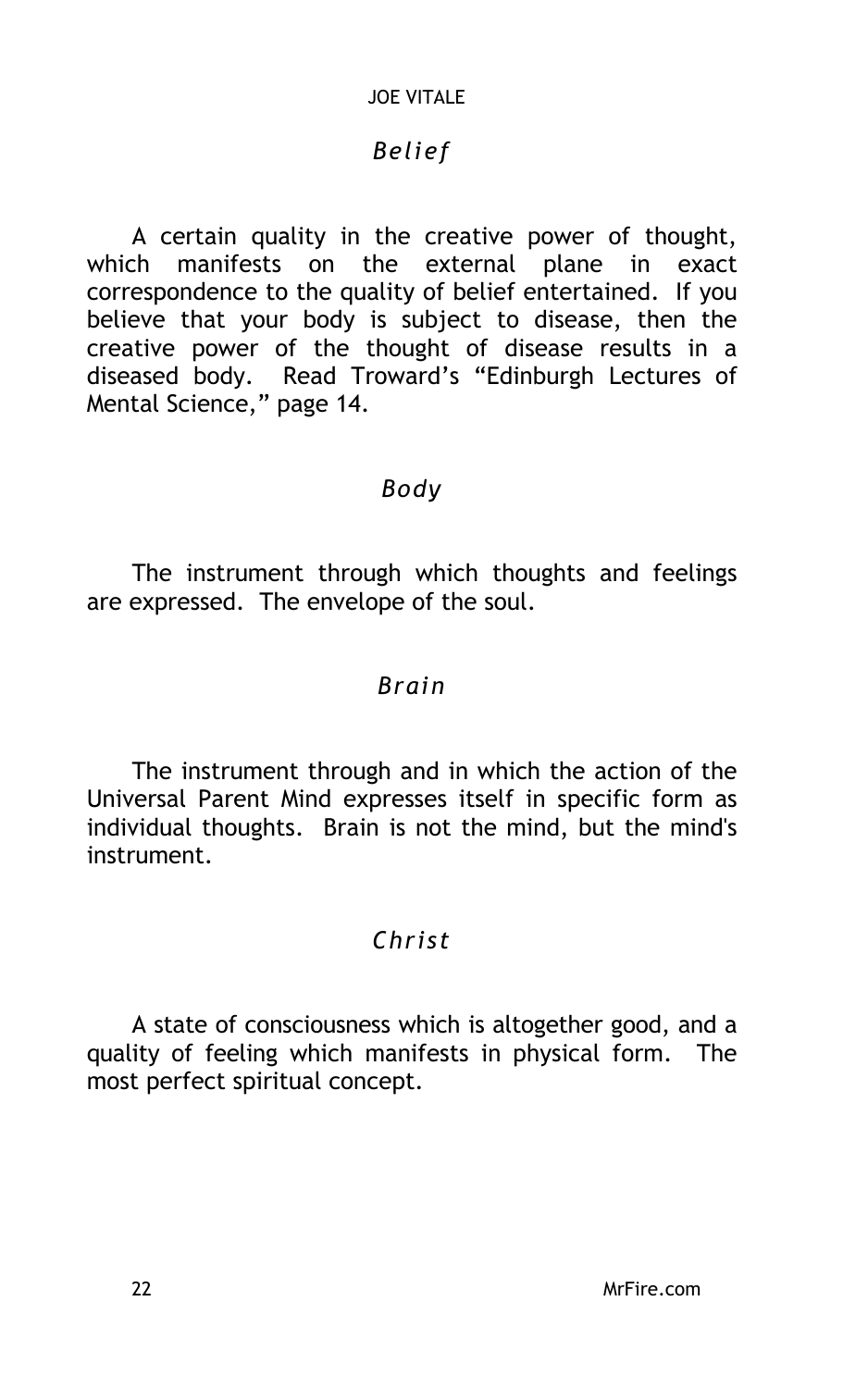# *Belief*

A certain quality in the creative power of thought, which manifests on the external plane in exact correspondence to the quality of belief entertained. If you believe that your body is subject to disease, then the creative power of the thought of disease results in a diseased body. Read Troward's "Edinburgh Lectures of Mental Science," page 14.

## *Body*

The instrument through which thoughts and feelings are expressed. The envelope of the soul.

### *Brain*

The instrument through and in which the action of the Universal Parent Mind expresses itself in specific form as individual thoughts. Brain is not the mind, but the mind's instrument.

### *Christ*

A state of consciousness which is altogether good, and a quality of feeling which manifests in physical form. The most perfect spiritual concept.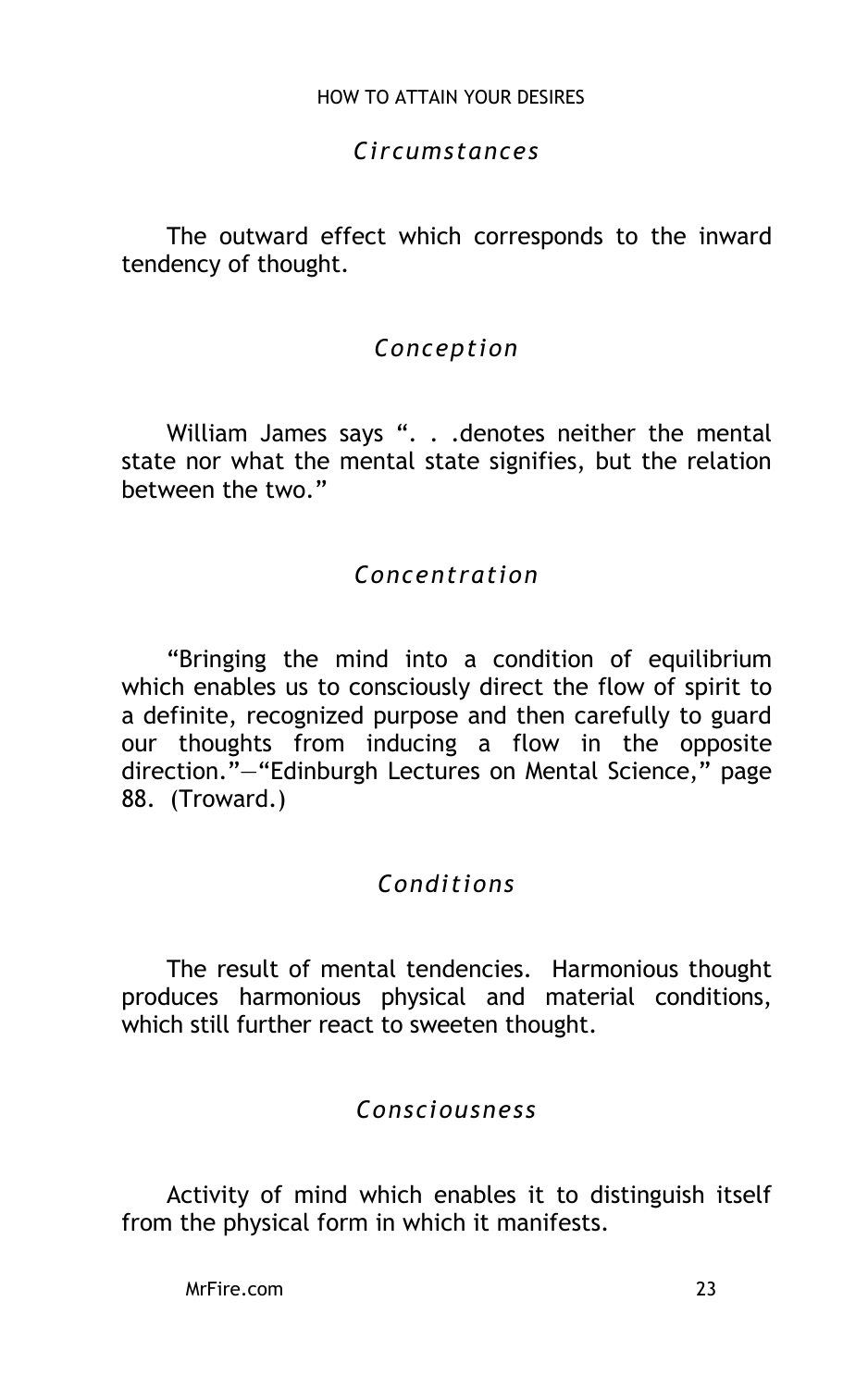## *Circumstances*

The outward effect which corresponds to the inward tendency of thought.

## *Conception*

William James says ". . . denotes neither the mental state nor what the mental state signifies, but the relation between the two."

## *Concentration*

"Bringing the mind into a condition of equilibrium which enables us to consciously direct the flow of spirit to a definite, recognized purpose and then carefully to guard our thoughts from inducing a flow in the opposite direction."—"Edinburgh Lectures on Mental Science," page 88. (Troward.)

# *Conditions*

The result of mental tendencies. Harmonious thought produces harmonious physical and material conditions, which still further react to sweeten thought.

## *Consciousness*

Activity of mind which enables it to distinguish itself from the physical form in which it manifests.

MrFire.com 23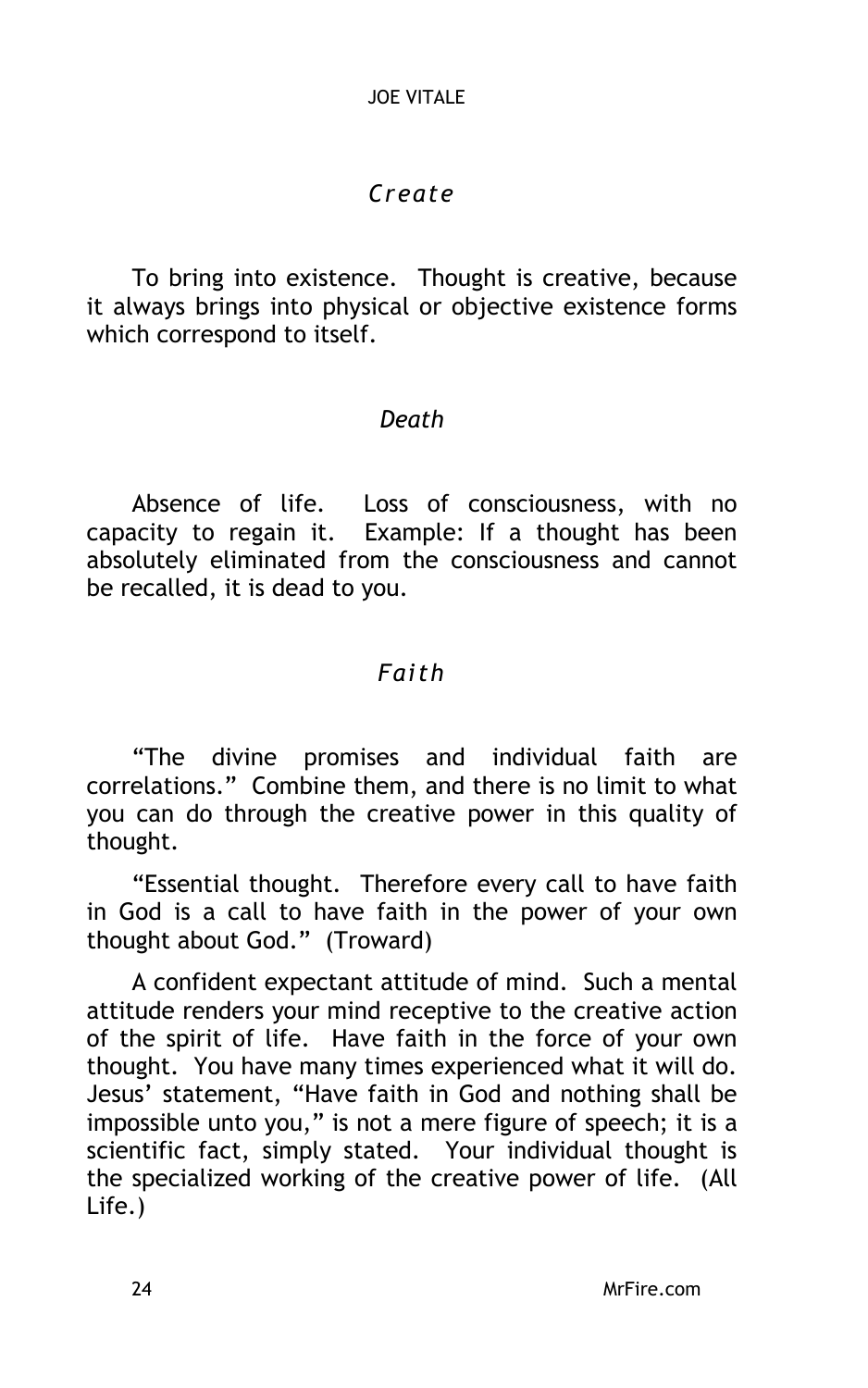# *Create*

To bring into existence. Thought is creative, because it always brings into physical or objective existence forms which correspond to itself.

## *Death*

Absence of life. Loss of consciousness, with no capacity to regain it. Example: If a thought has been absolutely eliminated from the consciousness and cannot be recalled, it is dead to you.

# *Faith*

"The divine promises and individual faith are correlations." Combine them, and there is no limit to what you can do through the creative power in this quality of thought.

"Essential thought. Therefore every call to have faith in God is a call to have faith in the power of your own thought about God." (Troward)

A confident expectant attitude of mind. Such a mental attitude renders your mind receptive to the creative action of the spirit of life. Have faith in the force of your own thought. You have many times experienced what it will do. Jesus' statement, "Have faith in God and nothing shall be impossible unto you," is not a mere figure of speech; it is a scientific fact, simply stated. Your individual thought is the specialized working of the creative power of life. (All Life.)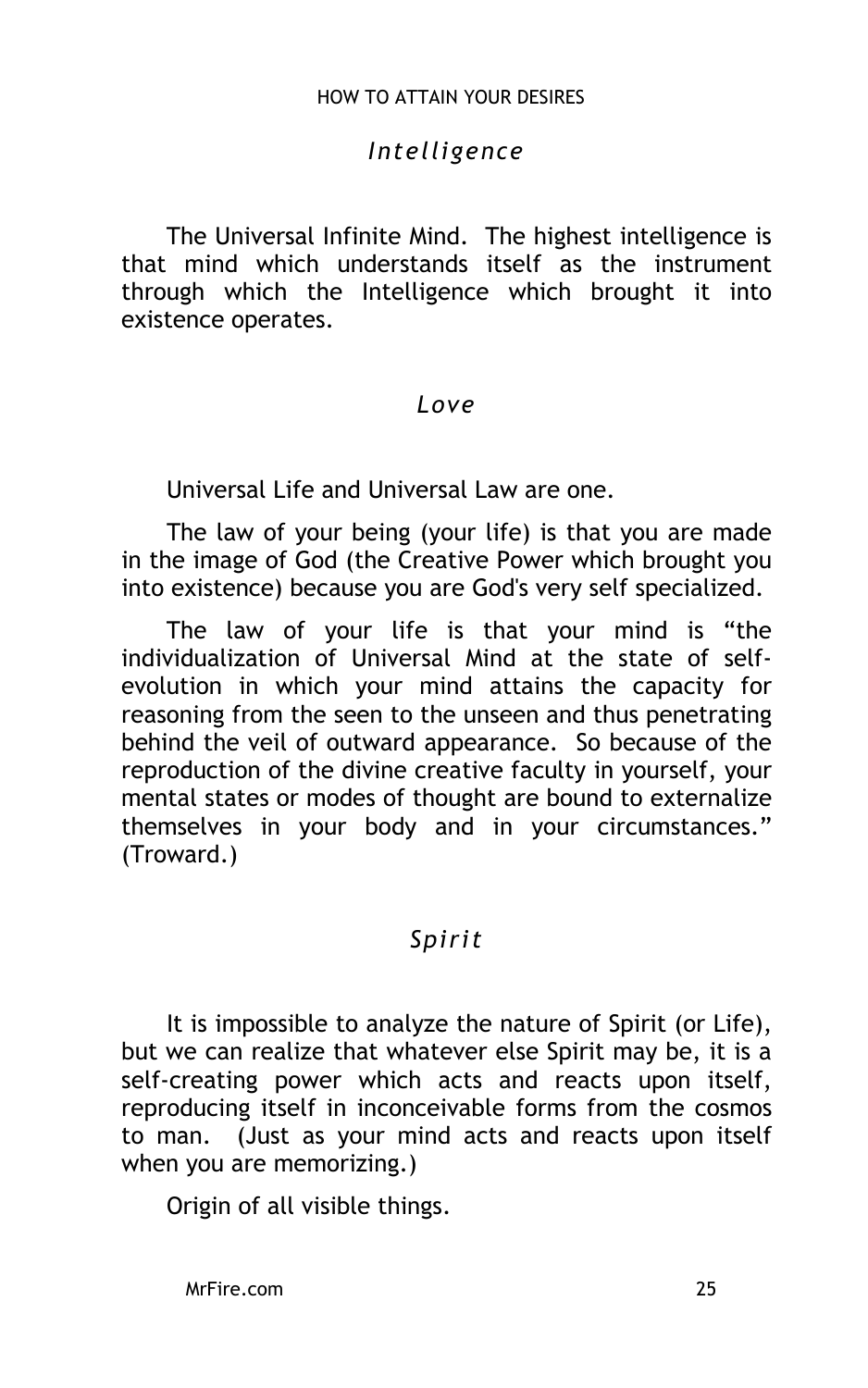# *Intelligence*

The Universal Infinite Mind. The highest intelligence is that mind which understands itself as the instrument through which the Intelligence which brought it into existence operates.

## *Love*

Universal Life and Universal Law are one.

The law of your being (your life) is that you are made in the image of God (the Creative Power which brought you into existence) because you are God's very self specialized.

The law of your life is that your mind is "the individualization of Universal Mind at the state of selfevolution in which your mind attains the capacity for reasoning from the seen to the unseen and thus penetrating behind the veil of outward appearance. So because of the reproduction of the divine creative faculty in yourself, your mental states or modes of thought are bound to externalize themselves in your body and in your circumstances." (Troward.)

## *Spirit*

It is impossible to analyze the nature of Spirit (or Life), but we can realize that whatever else Spirit may be, it is a self-creating power which acts and reacts upon itself, reproducing itself in inconceivable forms from the cosmos to man. (Just as your mind acts and reacts upon itself when you are memorizing.)

Origin of all visible things.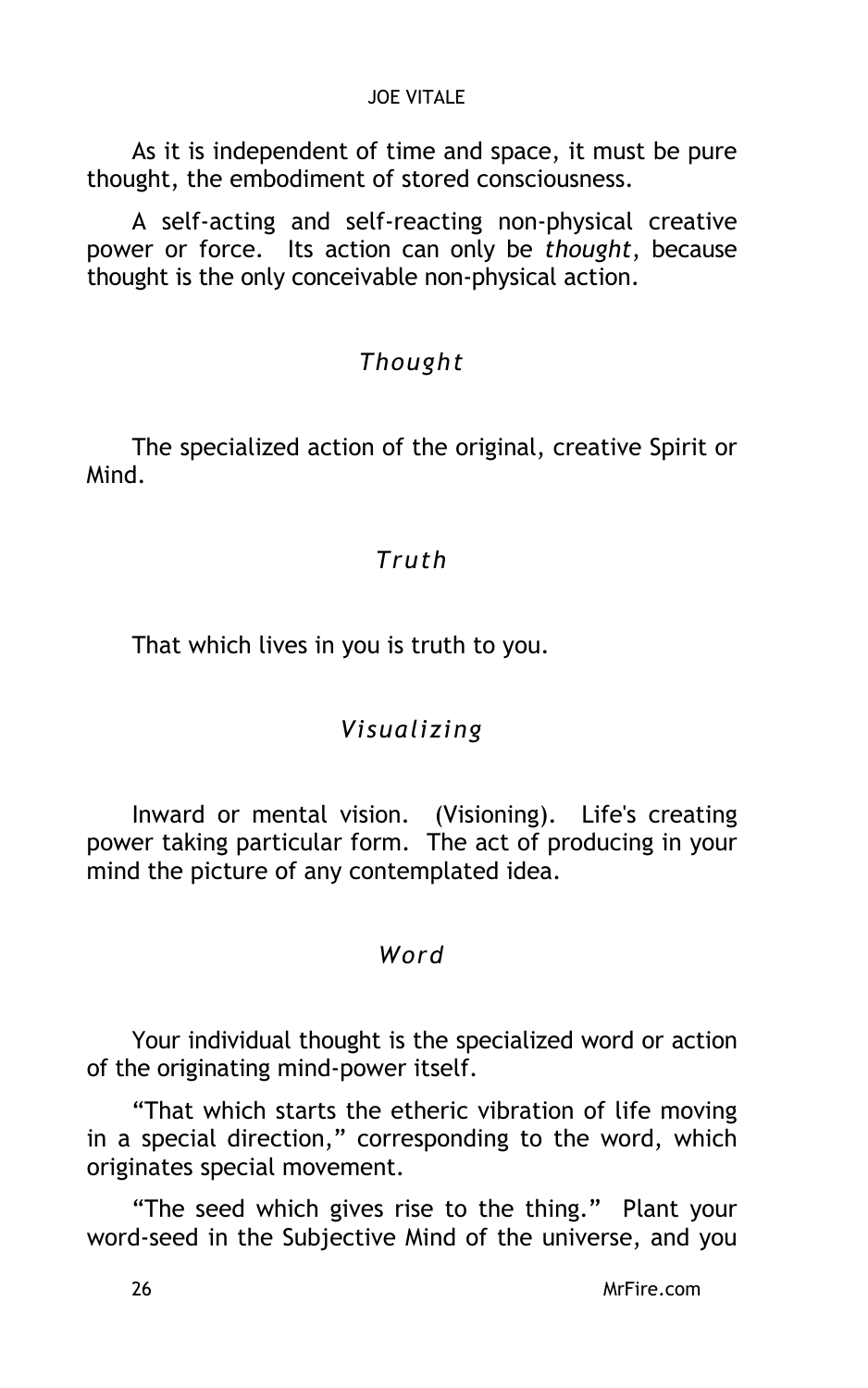As it is independent of time and space, it must be pure thought, the embodiment of stored consciousness.

A self-acting and self-reacting non-physical creative power or force. Its action can only be *thought*, because thought is the only conceivable non-physical action.

# *Thought*

The specialized action of the original, creative Spirit or Mind.

# *Truth*

That which lives in you is truth to you.

# *Visualizing*

Inward or mental vision. (Visioning). Life's creating power taking particular form. The act of producing in your mind the picture of any contemplated idea.

# *Word*

Your individual thought is the specialized word or action of the originating mind-power itself.

"That which starts the etheric vibration of life moving in a special direction," corresponding to the word, which originates special movement.

"The seed which gives rise to the thing." Plant your word-seed in the Subjective Mind of the universe, and you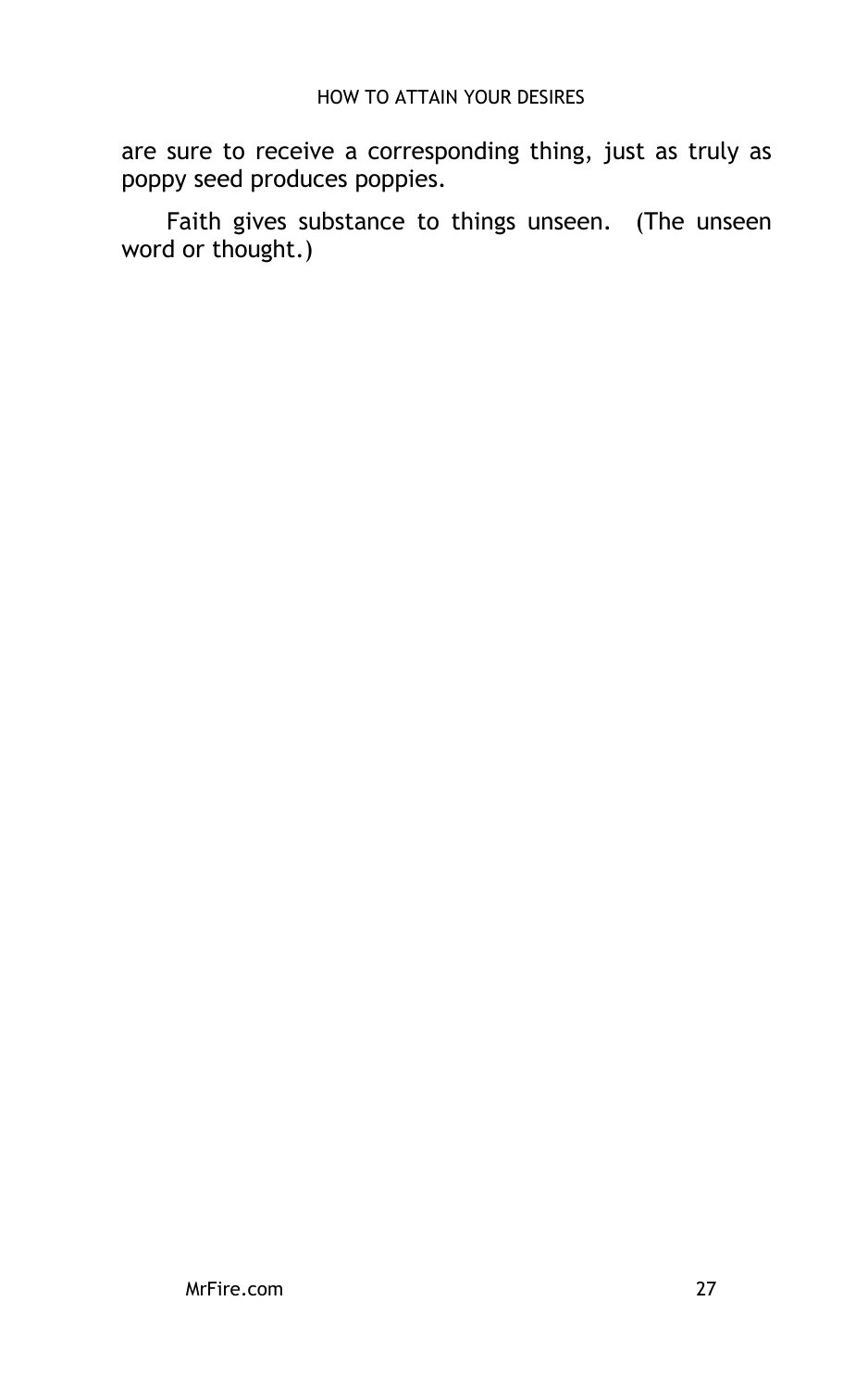are sure to receive a corresponding thing, just as truly as poppy seed produces poppies.

Faith gives substance to things unseen. (The unseen word or thought.)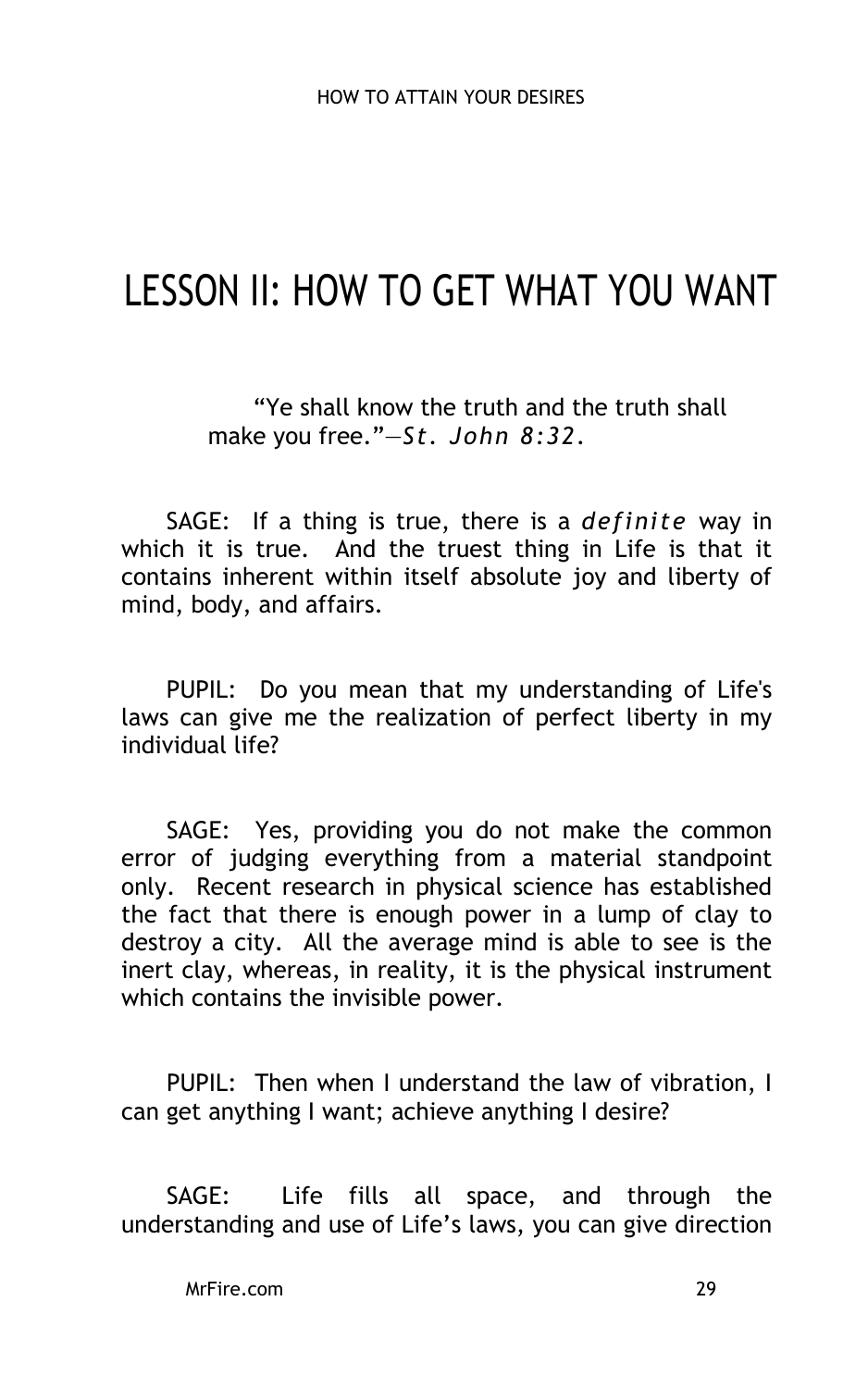# LESSON II: HOW TO GET WHAT YOU WANT

"Ye shall know the truth and the truth shall make you free."—*St. John 8:32.*

SAGE: If a thing is true, there is a *definite* way in which it is true. And the truest thing in Life is that it contains inherent within itself absolute joy and liberty of mind, body, and affairs.

PUPIL: Do you mean that my understanding of Life's laws can give me the realization of perfect liberty in my individual life?

SAGE: Yes, providing you do not make the common error of judging everything from a material standpoint only. Recent research in physical science has established the fact that there is enough power in a lump of clay to destroy a city. All the average mind is able to see is the inert clay, whereas, in reality, it is the physical instrument which contains the invisible power.

PUPIL: Then when I understand the law of vibration, I can get anything I want; achieve anything I desire?

SAGE: Life fills all space, and through the understanding and use of Life's laws, you can give direction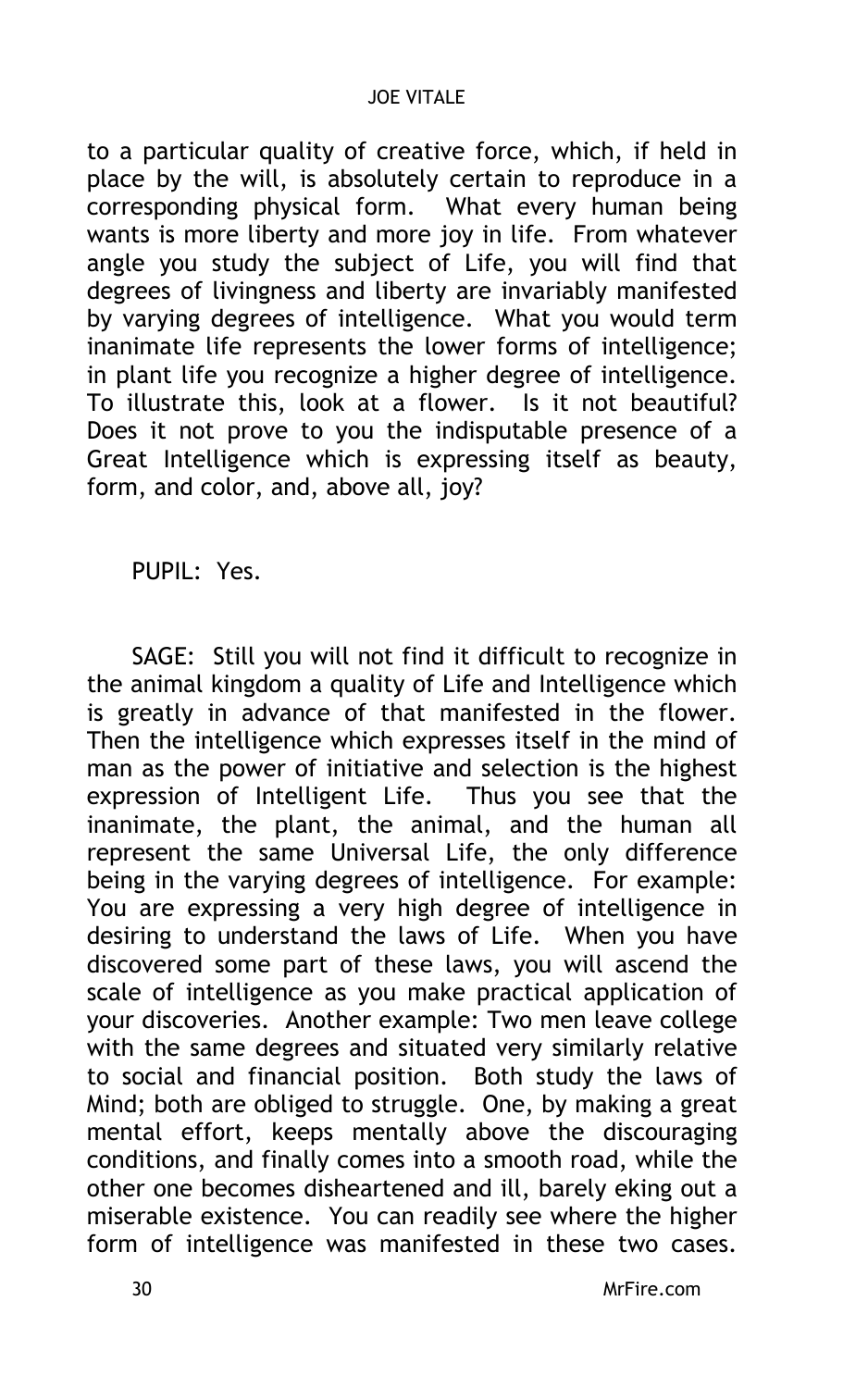to a particular quality of creative force, which, if held in place by the will, is absolutely certain to reproduce in a corresponding physical form. What every human being wants is more liberty and more joy in life. From whatever angle you study the subject of Life, you will find that degrees of livingness and liberty are invariably manifested by varying degrees of intelligence. What you would term inanimate life represents the lower forms of intelligence; in plant life you recognize a higher degree of intelligence. To illustrate this, look at a flower. Is it not beautiful? Does it not prove to you the indisputable presence of a Great Intelligence which is expressing itself as beauty, form, and color, and, above all, joy?

PUPIL: Yes.

SAGE: Still you will not find it difficult to recognize in the animal kingdom a quality of Life and Intelligence which is greatly in advance of that manifested in the flower. Then the intelligence which expresses itself in the mind of man as the power of initiative and selection is the highest expression of Intelligent Life. Thus you see that the inanimate, the plant, the animal, and the human all represent the same Universal Life, the only difference being in the varying degrees of intelligence. For example: You are expressing a very high degree of intelligence in desiring to understand the laws of Life. When you have discovered some part of these laws, you will ascend the scale of intelligence as you make practical application of your discoveries. Another example: Two men leave college with the same degrees and situated very similarly relative to social and financial position. Both study the laws of Mind; both are obliged to struggle. One, by making a great mental effort, keeps mentally above the discouraging conditions, and finally comes into a smooth road, while the other one becomes disheartened and ill, barely eking out a miserable existence. You can readily see where the higher form of intelligence was manifested in these two cases.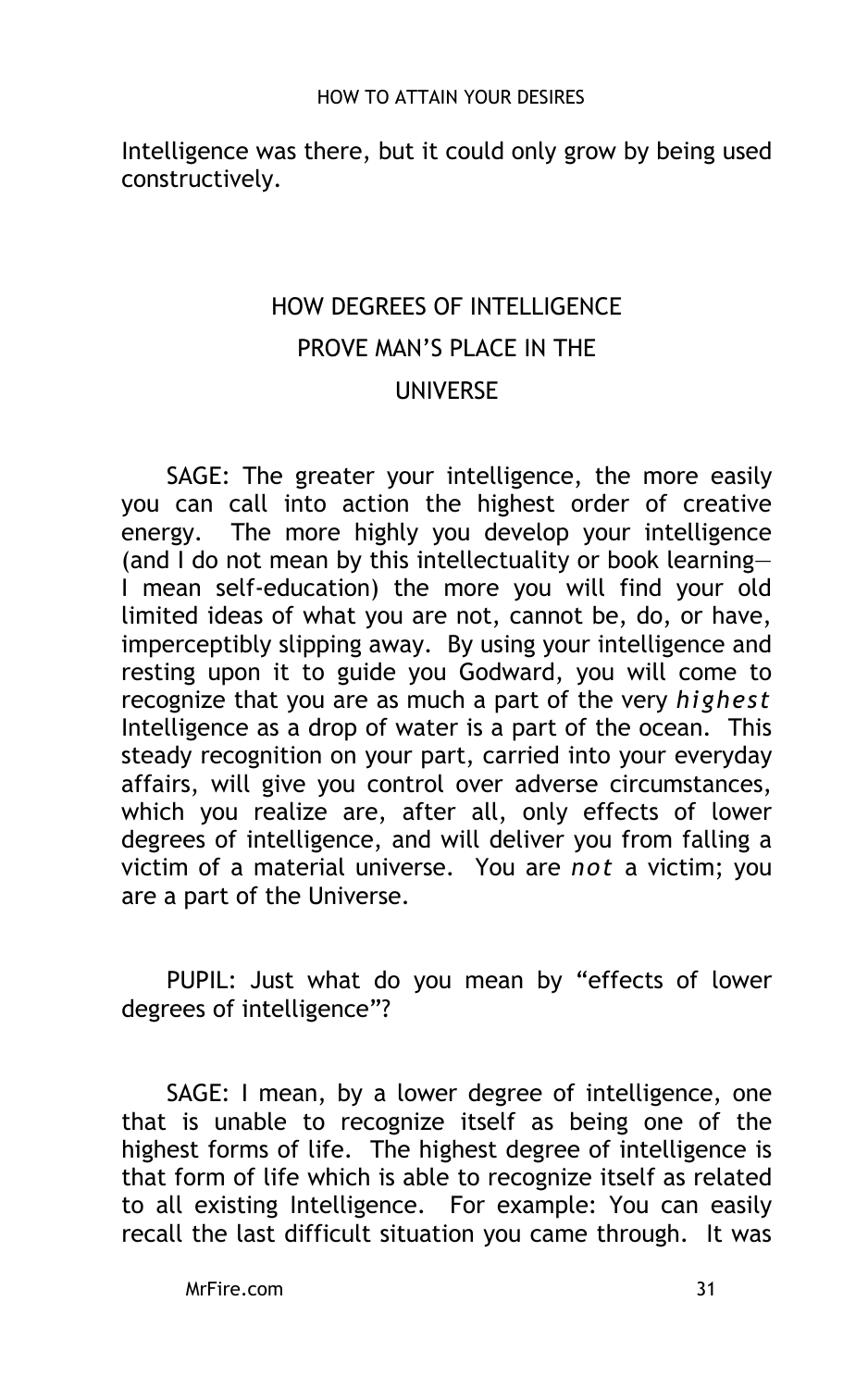Intelligence was there, but it could only grow by being used constructively.

## HOW DEGREES OF INTELLIGENCE PROVE MAN'S PLACE IN THE UNIVERSE

SAGE: The greater your intelligence, the more easily you can call into action the highest order of creative energy. The more highly you develop your intelligence (and I do not mean by this intellectuality or book learning— I mean self-education) the more you will find your old limited ideas of what you are not, cannot be, do, or have, imperceptibly slipping away. By using your intelligence and resting upon it to guide you Godward, you will come to recognize that you are as much a part of the very *highest* Intelligence as a drop of water is a part of the ocean. This steady recognition on your part, carried into your everyday affairs, will give you control over adverse circumstances, which you realize are, after all, only effects of lower degrees of intelligence, and will deliver you from falling a victim of a material universe. You are *not* a victim; you are a part of the Universe.

PUPIL: Just what do you mean by "effects of lower degrees of intelligence"?

SAGE: I mean, by a lower degree of intelligence, one that is unable to recognize itself as being one of the highest forms of life. The highest degree of intelligence is that form of life which is able to recognize itself as related to all existing Intelligence. For example: You can easily recall the last difficult situation you came through. It was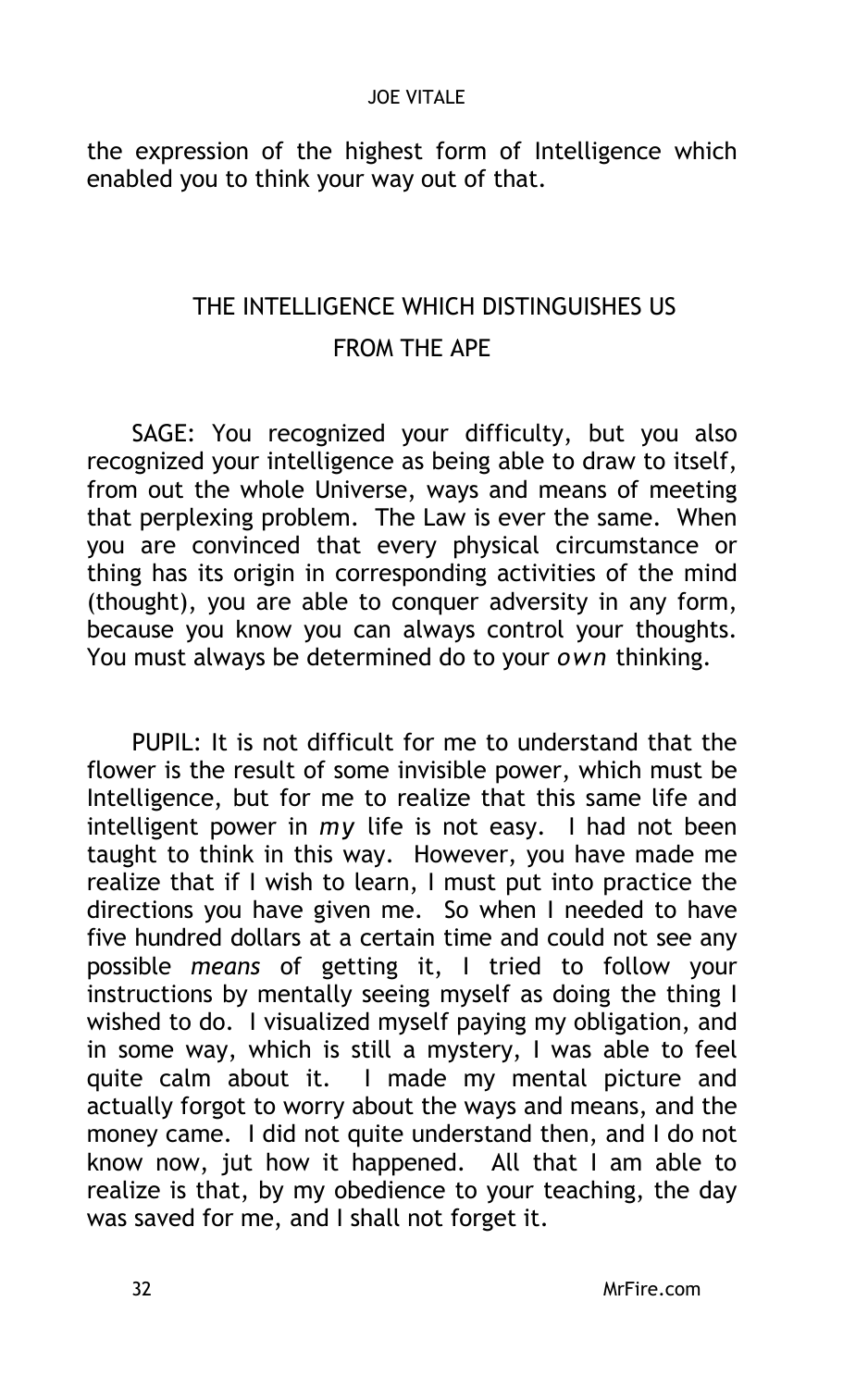the expression of the highest form of Intelligence which enabled you to think your way out of that.

## THE INTELLIGENCE WHICH DISTINGUISHES US FROM THE APE

SAGE: You recognized your difficulty, but you also recognized your intelligence as being able to draw to itself, from out the whole Universe, ways and means of meeting that perplexing problem. The Law is ever the same. When you are convinced that every physical circumstance or thing has its origin in corresponding activities of the mind (thought), you are able to conquer adversity in any form, because you know you can always control your thoughts. You must always be determined do to your *own* thinking.

 $PIIPII: It is not difficult for me to understand that the$ flower is the result of some invisible power, which must be Intelligence, but for me to realize that this same life and intelligent power in *my* life is not easy. I had not been taught to think in this way. However, you have made me realize that if I wish to learn, I must put into practice the directions you have given me. So when I needed to have five hundred dollars at a certain time and could not see any possible *means* of getting it, I tried to follow your instructions by mentally seeing myself as doing the thing I wished to do. I visualized myself paying my obligation, and in some way, which is still a mystery, I was able to feel quite calm about it. I made my mental picture and actually forgot to worry about the ways and means, and the money came. I did not quite understand then, and I do not know now, jut how it happened. All that I am able to realize is that, by my obedience to your teaching, the day was saved for me, and I shall not forget it.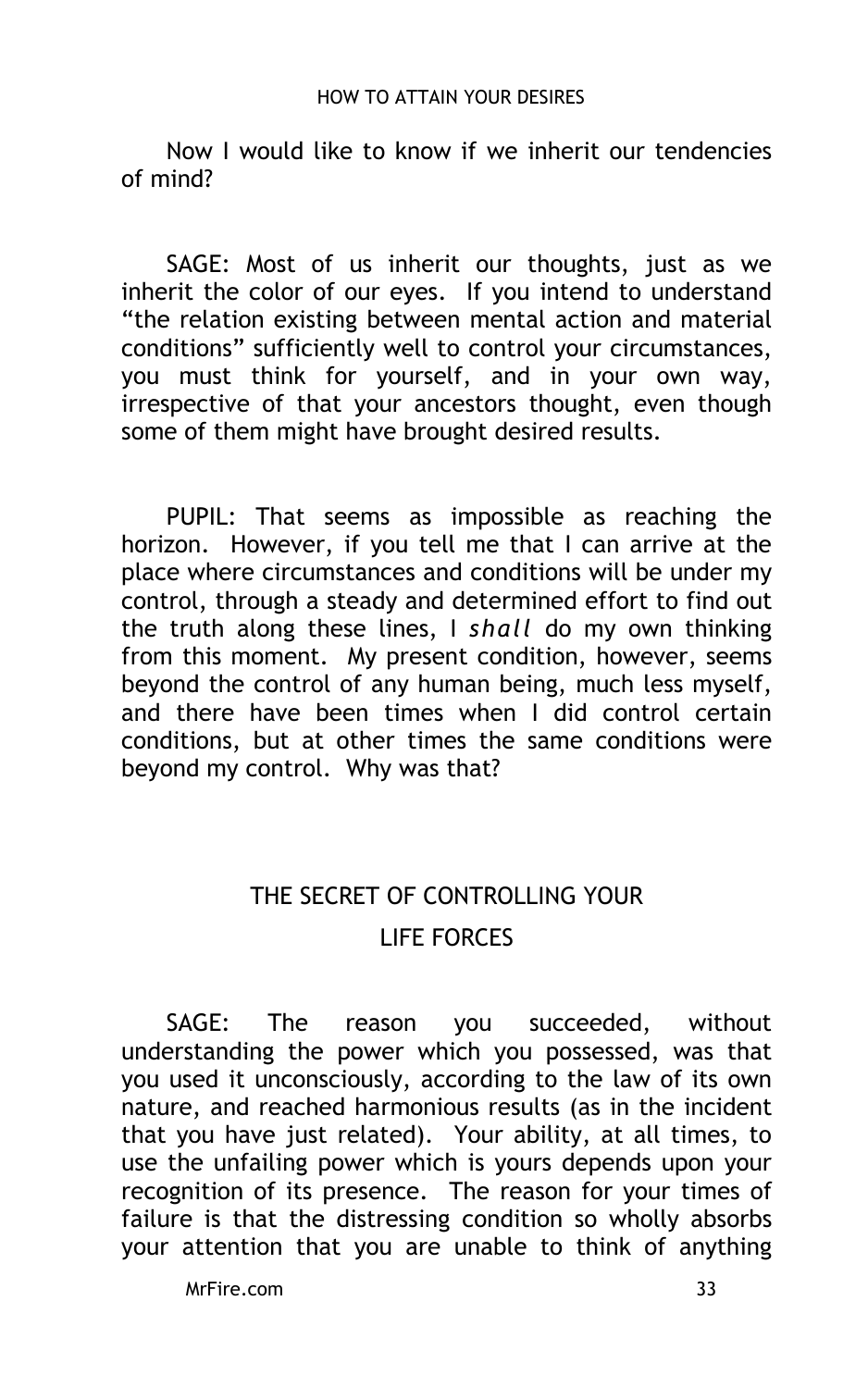Now I would like to know if we inherit our tendencies of mind?

SAGE: Most of us inherit our thoughts, just as we inherit the color of our eyes. If you intend to understand "the relation existing between mental action and material conditions" sufficiently well to control your circumstances, you must think for yourself, and in your own way, irrespective of that your ancestors thought, even though some of them might have brought desired results.

PUPIL: That seems as impossible as reaching the horizon. However, if you tell me that I can arrive at the place where circumstances and conditions will be under my control, through a steady and determined effort to find out the truth along these lines, I *shall* do my own thinking from this moment. My present condition, however, seems beyond the control of any human being, much less myself, and there have been times when I did control certain conditions, but at other times the same conditions were beyond my control. Why was that?

## THE SECRET OF CONTROLLING YOUR LIFE FORCES

SAGE: The reason you succeeded, without understanding the power which you possessed, was that you used it unconsciously, according to the law of its own nature, and reached harmonious results (as in the incident that you have just related). Your ability, at all times, to use the unfailing power which is yours depends upon your recognition of its presence. The reason for your times of failure is that the distressing condition so wholly absorbs your attention that you are unable to think of anything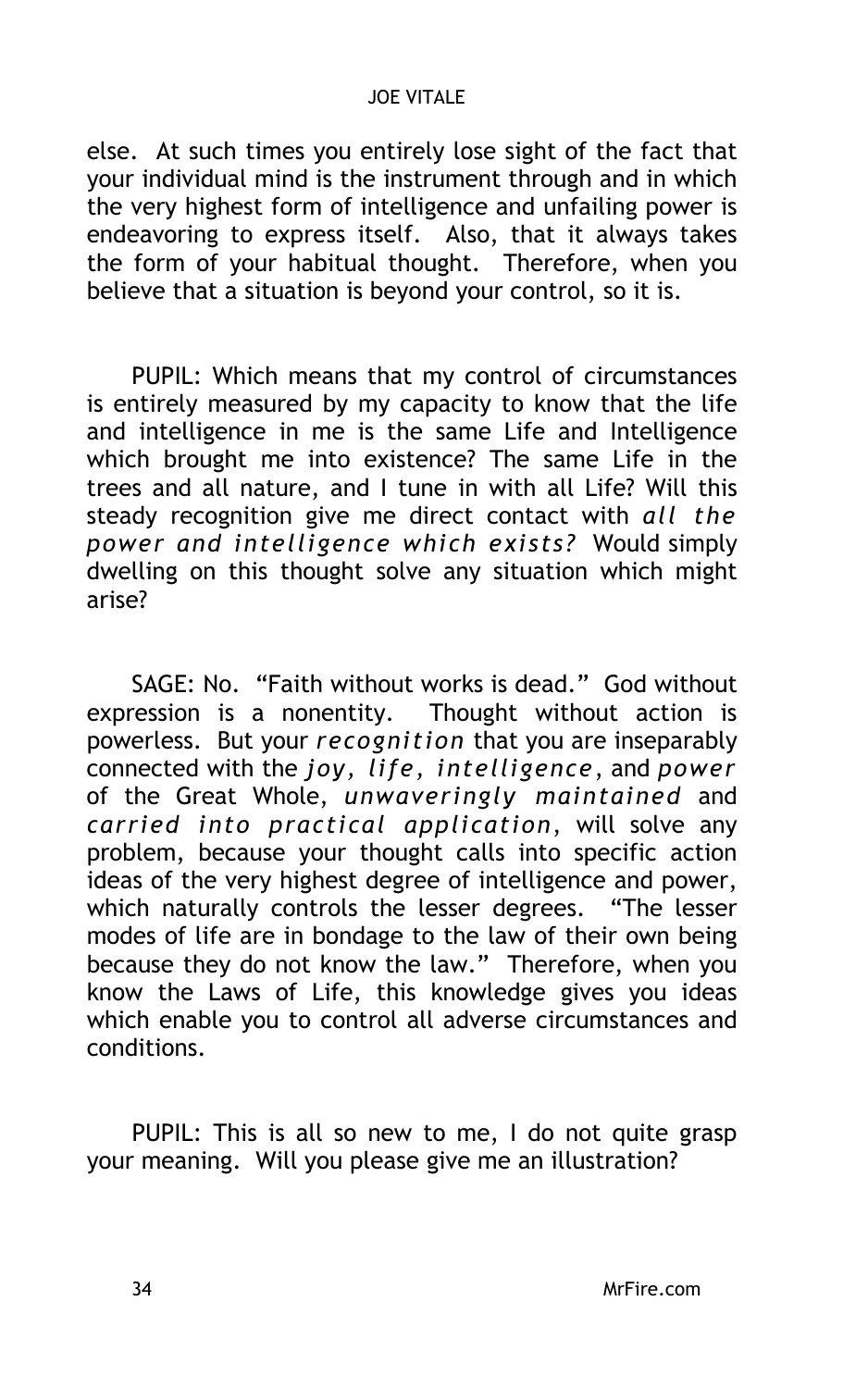else. At such times you entirely lose sight of the fact that your individual mind is the instrument through and in which the very highest form of intelligence and unfailing power is endeavoring to express itself. Also, that it always takes the form of your habitual thought. Therefore, when you believe that a situation is beyond your control, so it is.

PUPIL: Which means that my control of circumstances is entirely measured by my capacity to know that the life and intelligence in me is the same Life and Intelligence which brought me into existence? The same Life in the trees and all nature, and I tune in with all Life? Will this steady recognition give me direct contact with *all the power and intelligence which exists?* Would simply dwelling on this thought solve any situation which might arise?

SAGE: No. "Faith without works is dead." God without expression is a nonentity. Thought without action is powerless. But your *recognition* that you are inseparably connected with the *joy, life, intelligence*, and *power* of the Great Whole, *unwaveringly maintained* and *carried into practical application*, will solve any problem, because your thought calls into specific action ideas of the very highest degree of intelligence and power, which naturally controls the lesser degrees. "The lesser modes of life are in bondage to the law of their own being because they do not know the law." Therefore, when you know the Laws of Life, this knowledge gives you ideas which enable you to control all adverse circumstances and conditions.

PUPIL: This is all so new to me, I do not quite grasp your meaning. Will you please give me an illustration?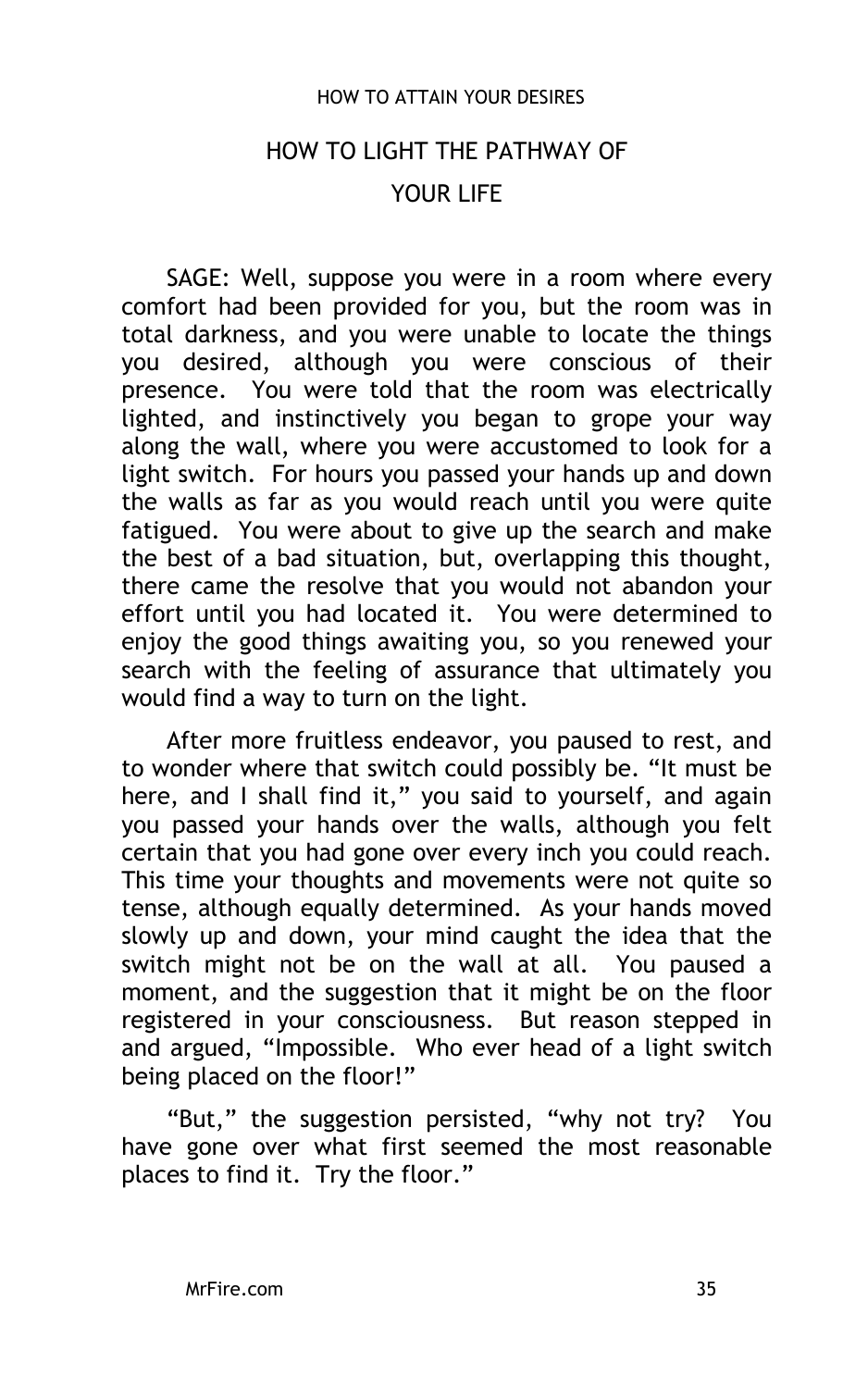#### HOW TO ATTAIN YOUR DESIRES

## HOW TO LIGHT THE PATHWAY OF YOUR LIFE

SAGE: Well, suppose you were in a room where every comfort had been provided for you, but the room was in total darkness, and you were unable to locate the things you desired, although you were conscious of their presence. You were told that the room was electrically lighted, and instinctively you began to grope your way along the wall, where you were accustomed to look for a light switch. For hours you passed your hands up and down the walls as far as you would reach until you were quite fatigued. You were about to give up the search and make the best of a bad situation, but, overlapping this thought, there came the resolve that you would not abandon your effort until you had located it. You were determined to eniov the good things awaiting you, so you renewed your search with the feeling of assurance that ultimately you would find a way to turn on the light.

After more fruitless endeavor, you paused to rest, and to wonder where that switch could possibly be. "It must be here, and I shall find it," you said to yourself, and again you passed your hands over the walls, although you felt certain that you had gone over every inch you could reach. This time your thoughts and movements were not quite so tense, although equally determined. As your hands moved slowly up and down, your mind caught the idea that the switch might not be on the wall at all. You paused a moment, and the suggestion that it might be on the floor registered in your consciousness. But reason stepped in and argued, "Impossible. Who ever head of a light switch being placed on the floor!"

"But," the suggestion persisted, "why not try? You have gone over what first seemed the most reasonable places to find it. Try the floor."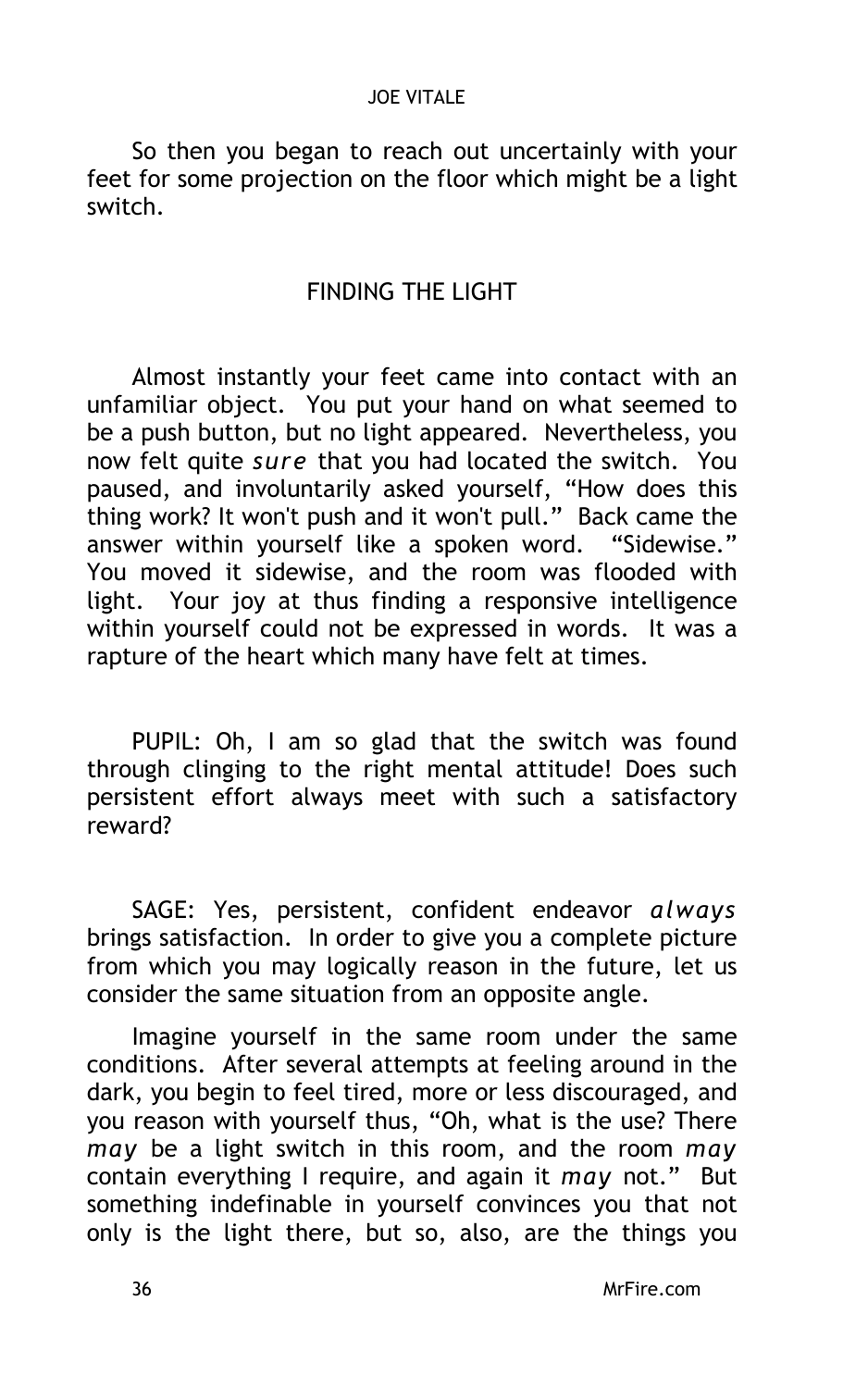So then you began to reach out uncertainly with your feet for some projection on the floor which might be a light switch.

## FINDING THE LIGHT

Almost instantly your feet came into contact with an unfamiliar object. You put your hand on what seemed to be a push button, but no light appeared. Nevertheless, you now felt quite *sure* that you had located the switch. You paused, and involuntarily asked yourself, "How does this thing work? It won't push and it won't pull." Back came the answer within yourself like a spoken word. "Sidewise." You moved it sidewise, and the room was flooded with light. Your joy at thus finding a responsive intelligence within yourself could not be expressed in words. It was a rapture of the heart which many have felt at times.

PUPIL: Oh, I am so glad that the switch was found through clinging to the right mental attitude! Does such persistent effort always meet with such a satisfactory reward?

SAGE: Yes, persistent, confident endeavor *always* brings satisfaction. In order to give you a complete picture from which you may logically reason in the future, let us consider the same situation from an opposite angle.

Imagine yourself in the same room under the same conditions. After several attempts at feeling around in the dark, you begin to feel tired, more or less discouraged, and you reason with yourself thus, "Oh, what is the use? There *may* be a light switch in this room, and the room *may* contain everything I require, and again it *may* not." But something indefinable in yourself convinces you that not only is the light there, but so, also, are the things you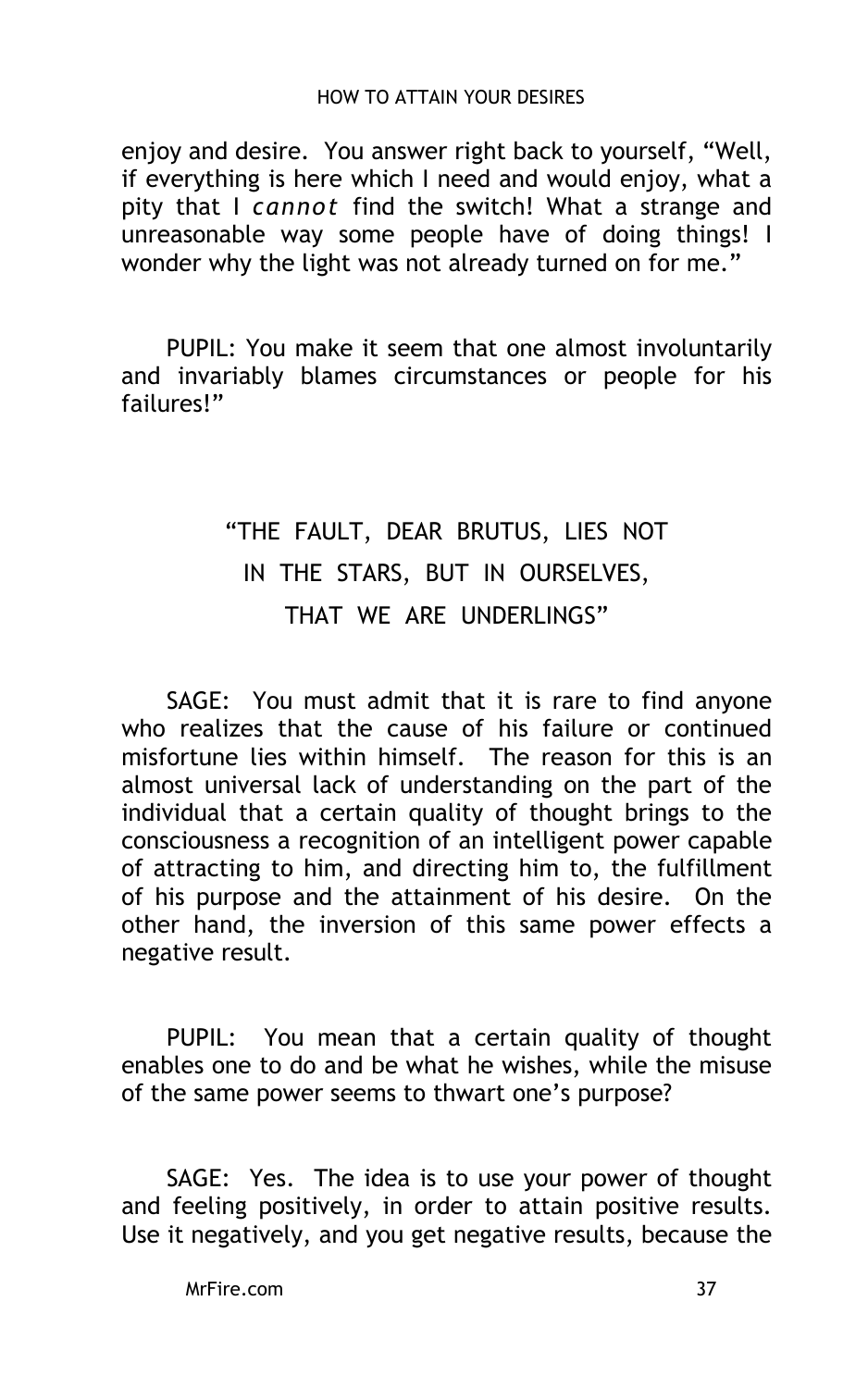#### HOW TO ATTAIN YOUR DESIRES

enjoy and desire. You answer right back to yourself, "Well, if everything is here which I need and would enjoy, what a pity that I *cannot* find the switch! What a strange and unreasonable way some people have of doing things! I wonder why the light was not already turned on for me."

PUPIL: You make it seem that one almost involuntarily and invariably blames circumstances or people for his failures!"

## "THE FAULT, DEAR BRUTUS, LIES NOT IN THE STARS, BUT IN OURSELVES, THAT WE ARE UNDERLINGS"

SAGE: You must admit that it is rare to find anyone who realizes that the cause of his failure or continued misfortune lies within himself. The reason for this is an almost universal lack of understanding on the part of the individual that a certain quality of thought brings to the consciousness a recognition of an intelligent power capable of attracting to him, and directing him to, the fulfillment of his purpose and the attainment of his desire. On the other hand, the inversion of this same power effects a negative result.

PUPIL: You mean that a certain quality of thought enables one to do and be what he wishes, while the misuse of the same power seems to thwart one's purpose?

SAGE: Yes. The idea is to use your power of thought and feeling positively, in order to attain positive results. Use it negatively, and you get negative results, because the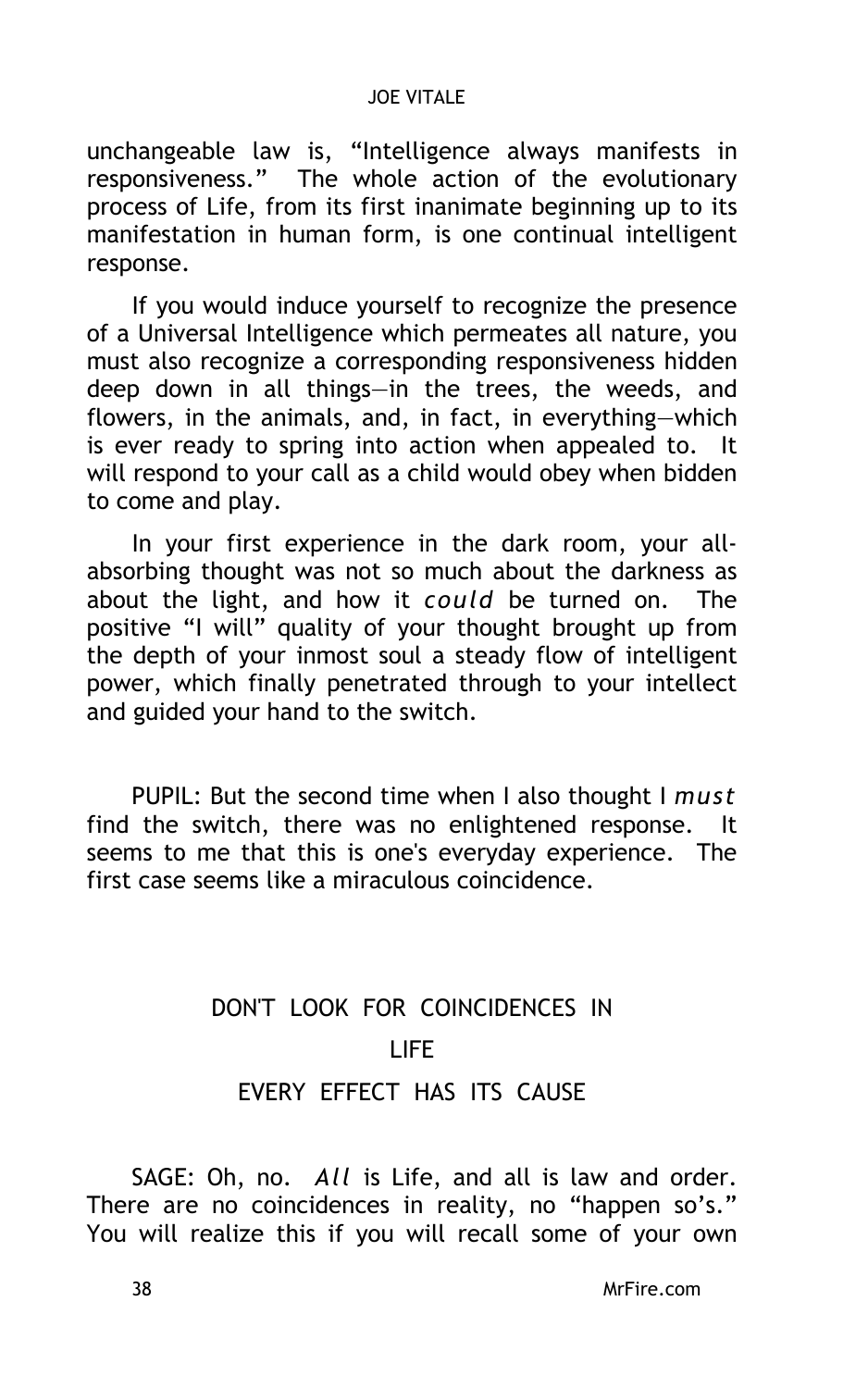unchangeable law is, "Intelligence always manifests in responsiveness." The whole action of the evolutionary process of Life, from its first inanimate beginning up to its manifestation in human form, is one continual intelligent response.

If you would induce yourself to recognize the presence of a Universal Intelligence which permeates all nature, you must also recognize a corresponding responsiveness hidden deep down in all things―in the trees, the weeds, and flowers, in the animals, and, in fact, in everything―which is ever ready to spring into action when appealed to. It will respond to your call as a child would obey when bidden to come and play.

In your first experience in the dark room, your allabsorbing thought was not so much about the darkness as about the light, and how it *could* be turned on. The positive "I will" quality of your thought brought up from the depth of your inmost soul a steady flow of intelligent power, which finally penetrated through to your intellect and guided your hand to the switch.

PUPIL: But the second time when I also thought I *must* find the switch, there was no enlightened response. It seems to me that this is one's everyday experience. The first case seems like a miraculous coincidence.

## DON'T LOOK FOR COINCIDENCES IN LIFE EVERY EFFECT HAS ITS CAUSE

SAGE: Oh, no. *All* is Life, and all is law and order. There are no coincidences in reality, no "happen so's." You will realize this if you will recall some of your own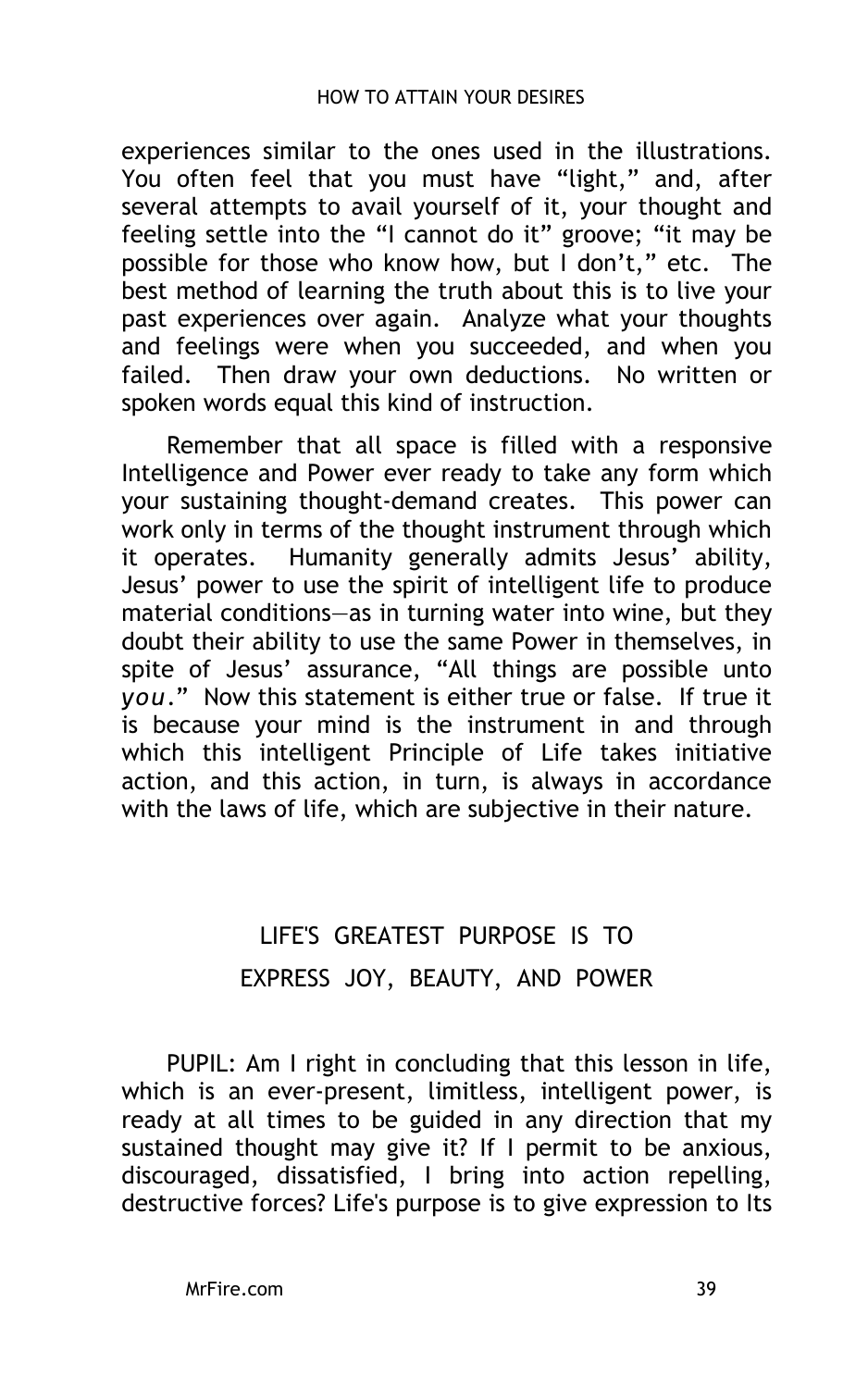experiences similar to the ones used in the illustrations. You often feel that you must have "light," and, after several attempts to avail yourself of it, your thought and feeling settle into the "I cannot do it" groove; "it may be possible for those who know how, but I don't," etc. The best method of learning the truth about this is to live your past experiences over again. Analyze what your thoughts and feelings were when you succeeded, and when you failed. Then draw your own deductions. No written or spoken words equal this kind of instruction.

Remember that all space is filled with a responsive Intelligence and Power ever ready to take any form which your sustaining thought-demand creates. This power can work only in terms of the thought instrument through which it operates. Humanity generally admits Jesus' ability, Jesus' power to use the spirit of intelligent life to produce material conditions―as in turning water into wine, but they doubt their ability to use the same Power in themselves, in spite of Jesus' assurance, "All things are possible unto *you*." Now this statement is either true or false. If true it is because your mind is the instrument in and through which this intelligent Principle of Life takes initiative action, and this action, in turn, is always in accordance with the laws of life, which are subjective in their nature.

## LIFE'S GREATEST PURPOSE IS TO EXPRESS JOY, BEAUTY, AND POWER

PUPIL: Am I right in concluding that this lesson in life, which is an ever-present, limitless, intelligent power, is ready at all times to be guided in any direction that my sustained thought may give it? If I permit to be anxious, discouraged, dissatisfied, I bring into action repelling, destructive forces? Life's purpose is to give expression to Its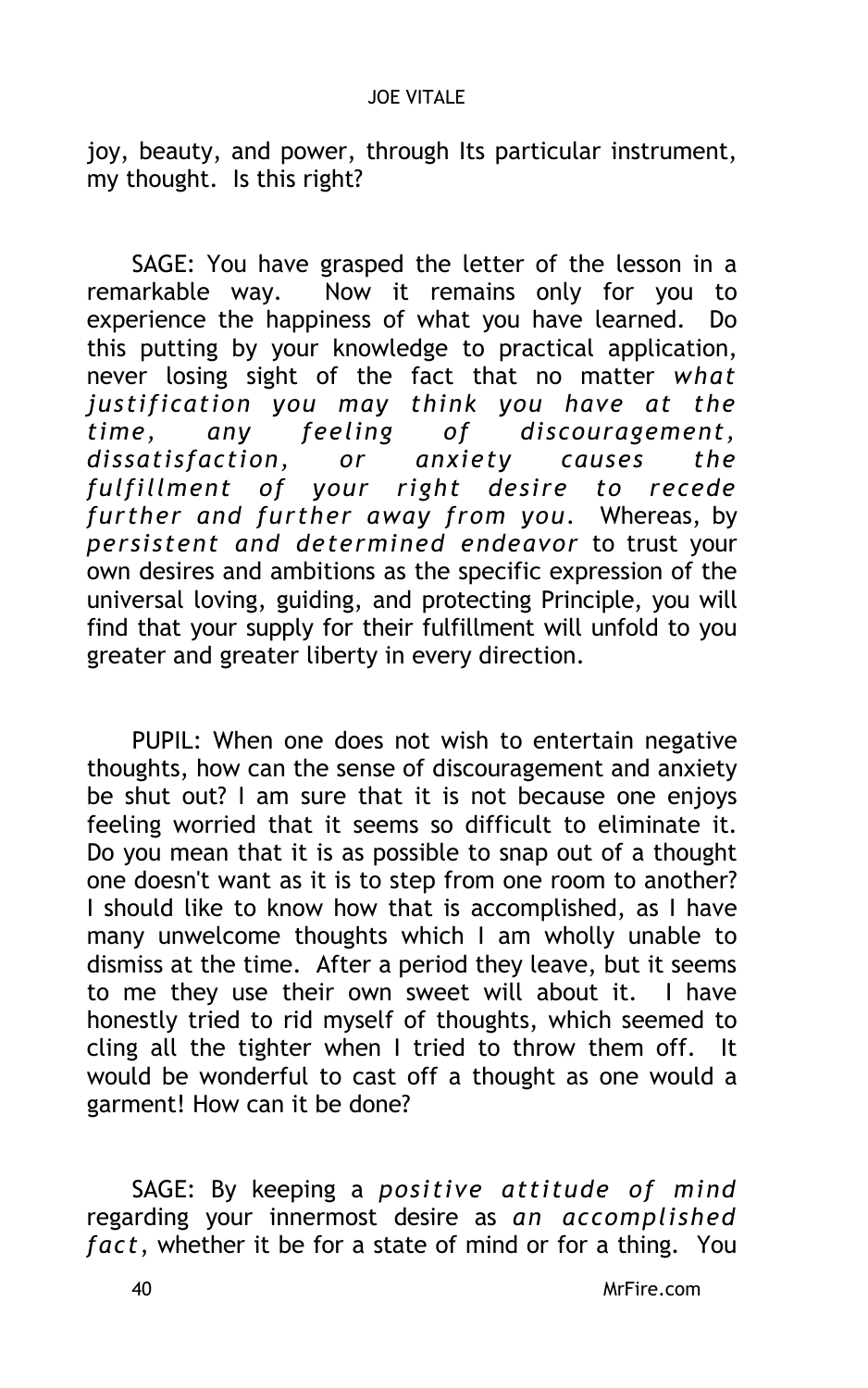joy, beauty, and power, through Its particular instrument, my thought. Is this right?

SAGE: You have grasped the letter of the lesson in a remarkable way. Now it remains only for you to experience the happiness of what you have learned. Do this putting by your knowledge to practical application, never losing sight of the fact that no matter *what justification you may think you have at the time, any feeling of discouragement, dissatisfaction, or anxiety causes the fulfillment of your right desire to recede further and further away from you.* Whereas, by *persistent and determined endeavor* to trust your own desires and ambitions as the specific expression of the universal loving, guiding, and protecting Principle, you will find that your supply for their fulfillment will unfold to you greater and greater liberty in every direction.

PUPIL: When one does not wish to entertain negative thoughts, how can the sense of discouragement and anxiety be shut out? I am sure that it is not because one enjoys feeling worried that it seems so difficult to eliminate it. Do you mean that it is as possible to snap out of a thought one doesn't want as it is to step from one room to another? I should like to know how that is accomplished, as I have many unwelcome thoughts which I am wholly unable to dismiss at the time. After a period they leave, but it seems to me they use their own sweet will about it. I have honestly tried to rid myself of thoughts, which seemed to cling all the tighter when I tried to throw them off. It would be wonderful to cast off a thought as one would a garment! How can it be done?

SAGE: By keeping a *positive attitude of mind* regarding your innermost desire as *an accomplished fact*, whether it be for a state of mind or for a thing. You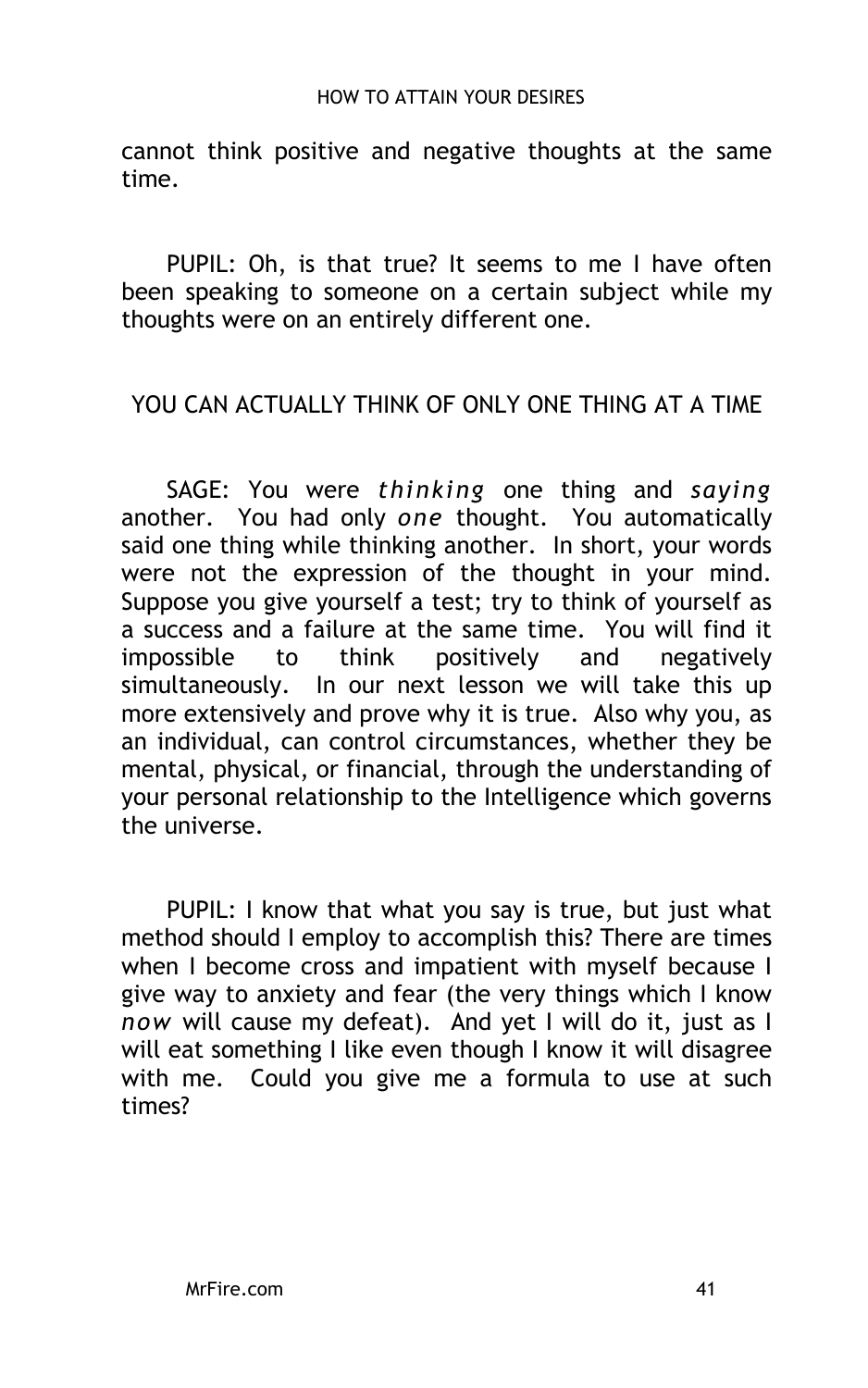cannot think positive and negative thoughts at the same time.

PUPIL: Oh, is that true? It seems to me I have often been speaking to someone on a certain subject while my thoughts were on an entirely different one.

### YOU CAN ACTUALLY THINK OF ONLY ONE THING AT A TIME

SAGE: You were *thinking* one thing and *saying* another. You had only *one* thought. You automatically said one thing while thinking another. In short, your words were not the expression of the thought in your mind. Suppose you give yourself a test; try to think of yourself as a success and a failure at the same time. You will find it impossible to think positively and negatively simultaneously. In our next lesson we will take this up more extensively and prove why it is true. Also why you, as an individual, can control circumstances, whether they be mental, physical, or financial, through the understanding of your personal relationship to the Intelligence which governs the universe.

PUPIL: I know that what you say is true, but just what method should I employ to accomplish this? There are times when I become cross and impatient with myself because I give way to anxiety and fear (the very things which I know *now* will cause my defeat). And yet I will do it, just as I will eat something I like even though I know it will disagree with me. Could you give me a formula to use at such times?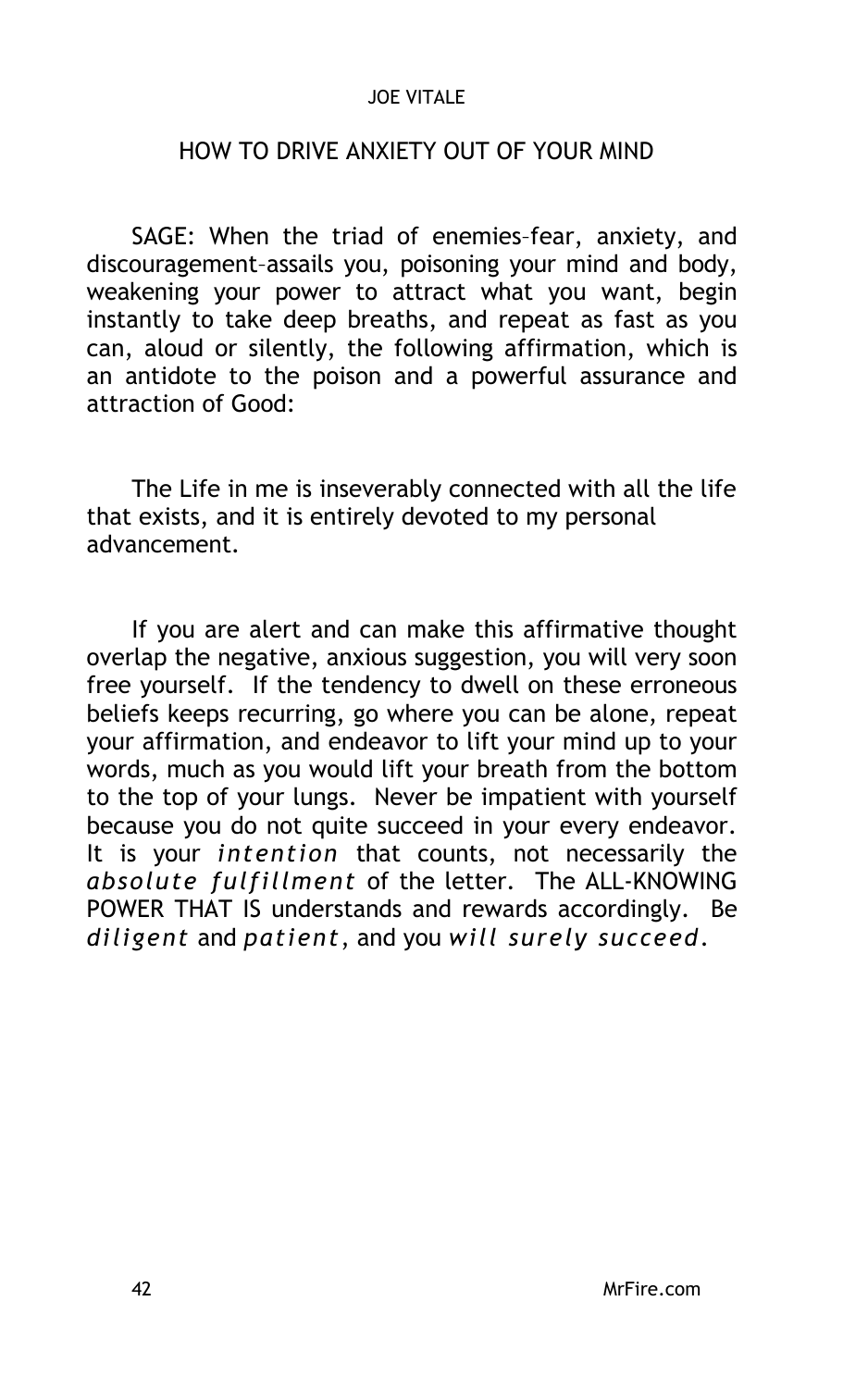### HOW TO DRIVE ANXIETY OUT OF YOUR MIND

SAGE: When the triad of enemies–fear, anxiety, and discouragement–assails you, poisoning your mind and body, weakening your power to attract what you want, begin instantly to take deep breaths, and repeat as fast as you can, aloud or silently, the following affirmation, which is an antidote to the poison and a powerful assurance and attraction of Good:

The Life in me is inseverably connected with all the life that exists, and it is entirely devoted to my personal advancement.

If you are alert and can make this affirmative thought overlap the negative, anxious suggestion, you will very soon free yourself. If the tendency to dwell on these erroneous beliefs keeps recurring, go where you can be alone, repeat your affirmation, and endeavor to lift your mind up to your words, much as you would lift your breath from the bottom to the top of your lungs. Never be impatient with yourself because you do not quite succeed in your every endeavor. It is your *intention* that counts, not necessarily the *absolute fulfillment* of the letter. The ALL-KNOWING POWER THAT IS understands and rewards accordingly. Be *diligent* and *patient*, and you *will surely succeed*.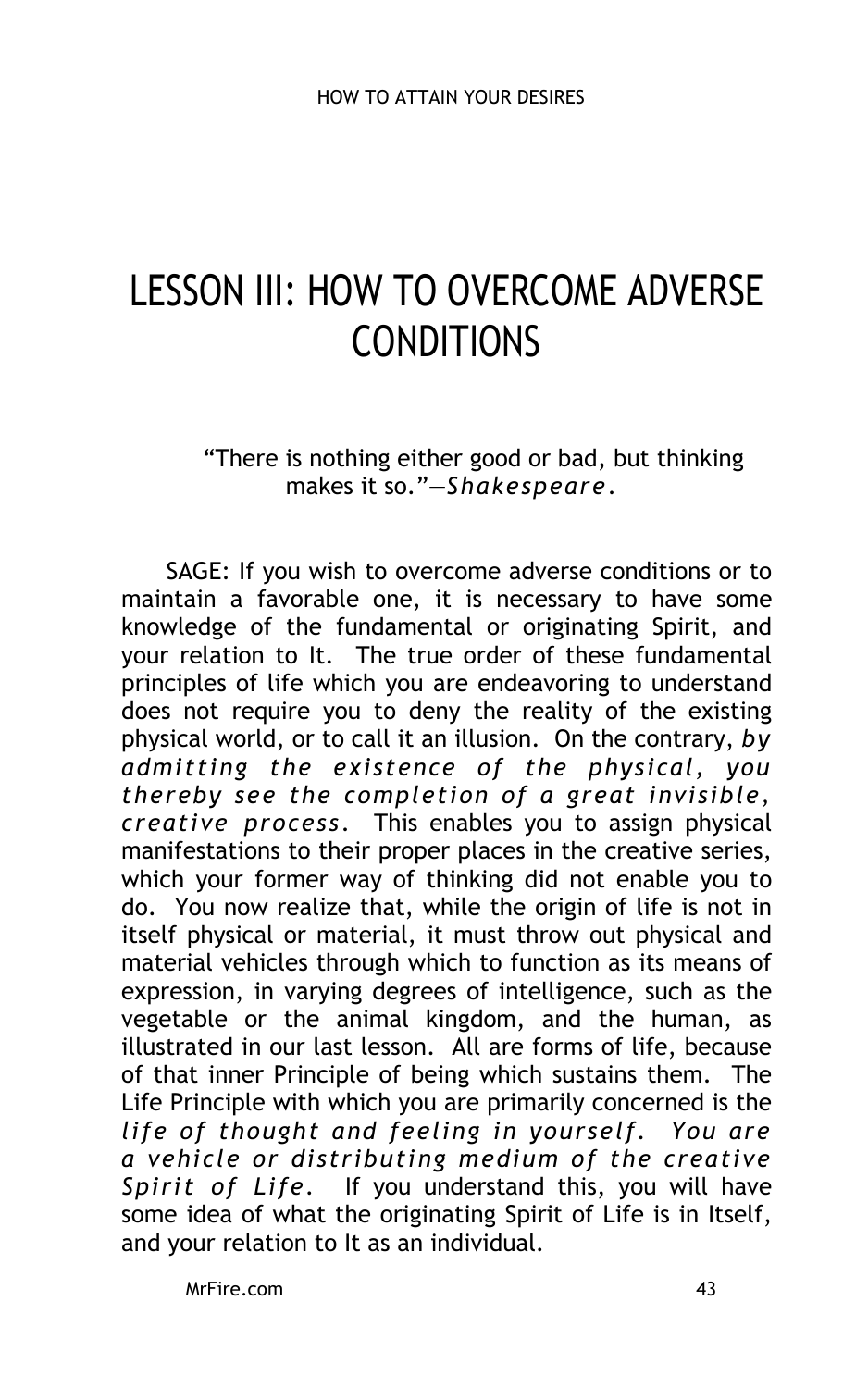# LESSON III: HOW TO OVERCOME ADVERSE **CONDITIONS**

## "There is nothing either good or bad, but thinking makes it so."—*Shakespeare*.

SAGE: If you wish to overcome adverse conditions or to maintain a favorable one, it is necessary to have some knowledge of the fundamental or originating Spirit, and your relation to It. The true order of these fundamental principles of life which you are endeavoring to understand does not require you to deny the reality of the existing physical world, or to call it an illusion. On the contrary, *by admitting the existence of the physical, you thereby see the completion of a great invisible, creative process* . This enables you to assign physical manifestations to their proper places in the creative series, which your former way of thinking did not enable you to do. You now realize that, while the origin of life is not in itself physical or material, it must throw out physical and material vehicles through which to function as its means of expression, in varying degrees of intelligence, such as the vegetable or the animal kingdom, and the human, as illustrated in our last lesson. All are forms of life, because of that inner Principle of being which sustains them. The Life Principle with which you are primarily concerned is the *life of thought and feeling in yourself. You are a vehicle or distributing medium of the creative Spirit of Life.* If you understand this, you will have some idea of what the originating Spirit of Life is in Itself, and your relation to It as an individual.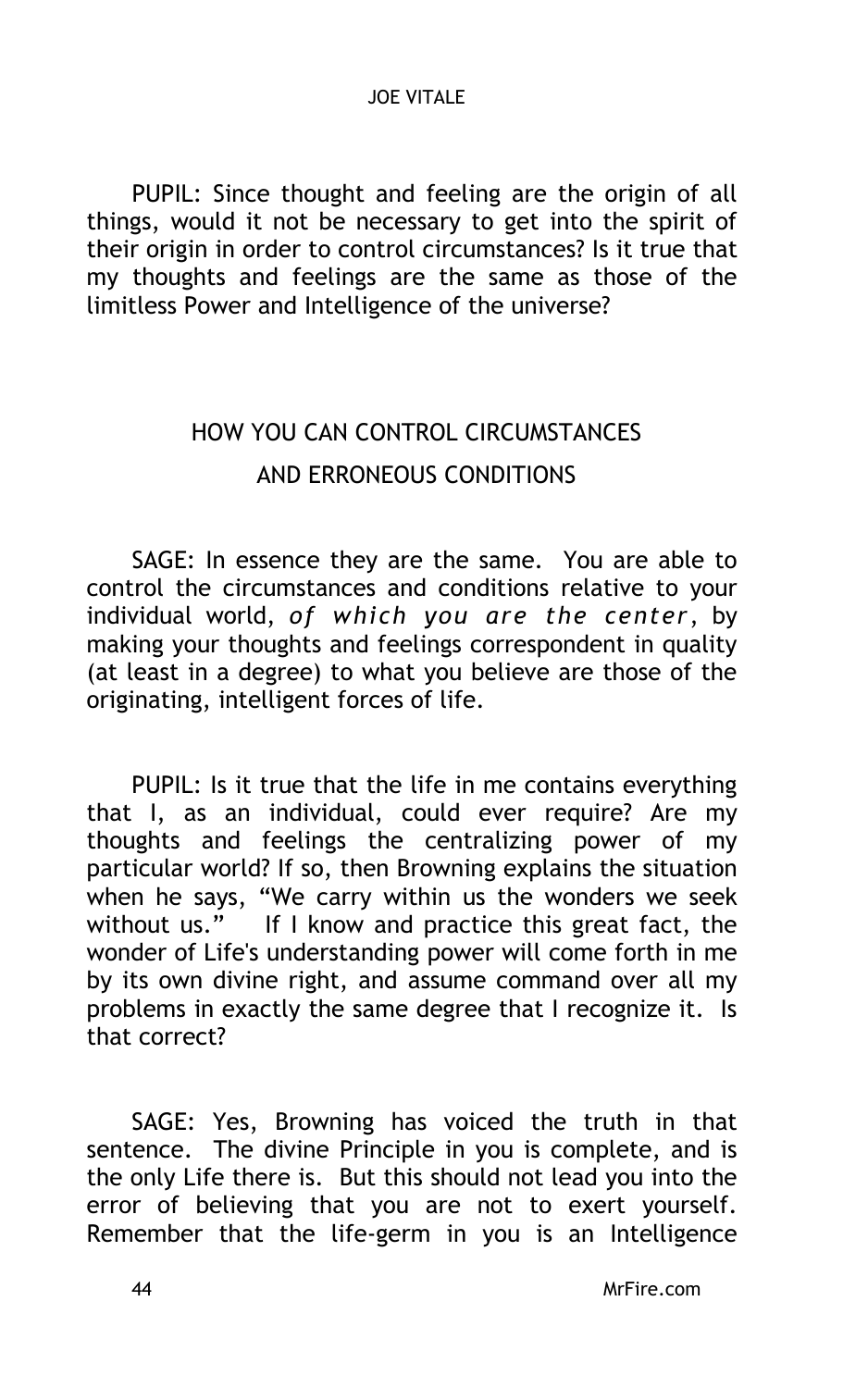PUPIL: Since thought and feeling are the origin of all things, would it not be necessary to get into the spirit of their origin in order to control circumstances? Is it true that my thoughts and feelings are the same as those of the limitless Power and Intelligence of the universe?

## HOW YOU CAN CONTROL CIRCUMSTANCES AND ERRONEOUS CONDITIONS

SAGE: In essence they are the same. You are able to control the circumstances and conditions relative to your individual world, of which you are the center, by making your thoughts and feelings correspondent in quality (at least in a degree) to what you believe are those of the originating, intelligent forces of life.

PUPIL: Is it true that the life in me contains everything that I, as an individual, could ever require? Are my thoughts and feelings the centralizing power of my particular world? If so, then Browning explains the situation when he says, "We carry within us the wonders we seek without us." If I know and practice this great fact, the wonder of Life's understanding power will come forth in me by its own divine right, and assume command over all my problems in exactly the same degree that I recognize it. Is that correct?

SAGE: Yes, Browning has voiced the truth in that sentence. The divine Principle in you is complete, and is the only Life there is. But this should not lead you into the error of believing that you are not to exert yourself. Remember that the life-germ in you is an Intelligence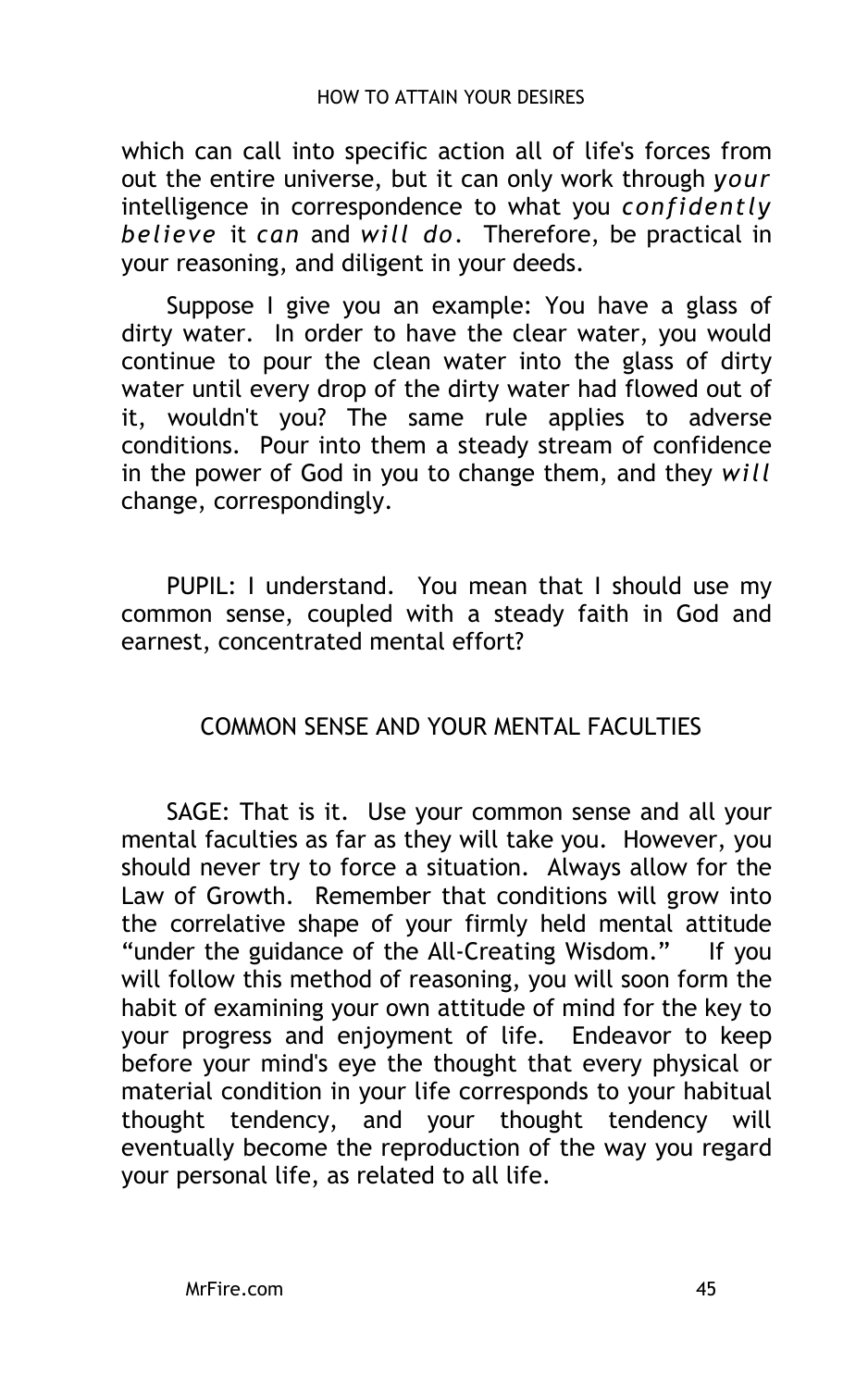which can call into specific action all of life's forces from out the entire universe, but it can only work through *your* intelligence in correspondence to what you *confidently believe* it *can* and *will do*. Therefore, be practical in your reasoning, and diligent in your deeds.

Suppose I give you an example: You have a glass of dirty water. In order to have the clear water, you would continue to pour the clean water into the glass of dirty water until every drop of the dirty water had flowed out of it, wouldn't you? The same rule applies to adverse conditions. Pour into them a steady stream of confidence in the power of God in you to change them, and they *will* change, correspondingly.

PUPIL: I understand. You mean that I should use my common sense, coupled with a steady faith in God and earnest, concentrated mental effort?

## COMMON SENSE AND YOUR MENTAL FACULTIES

SAGE: That is it. Use your common sense and all your mental faculties as far as they will take you. However, you should never try to force a situation. Always allow for the Law of Growth. Remember that conditions will grow into the correlative shape of your firmly held mental attitude "under the guidance of the All-Creating Wisdom." If you will follow this method of reasoning, you will soon form the habit of examining your own attitude of mind for the key to your progress and enjoyment of life. Endeavor to keep before your mind's eye the thought that every physical or material condition in your life corresponds to your habitual thought tendency, and your thought tendency will eventually become the reproduction of the way you regard your personal life, as related to all life.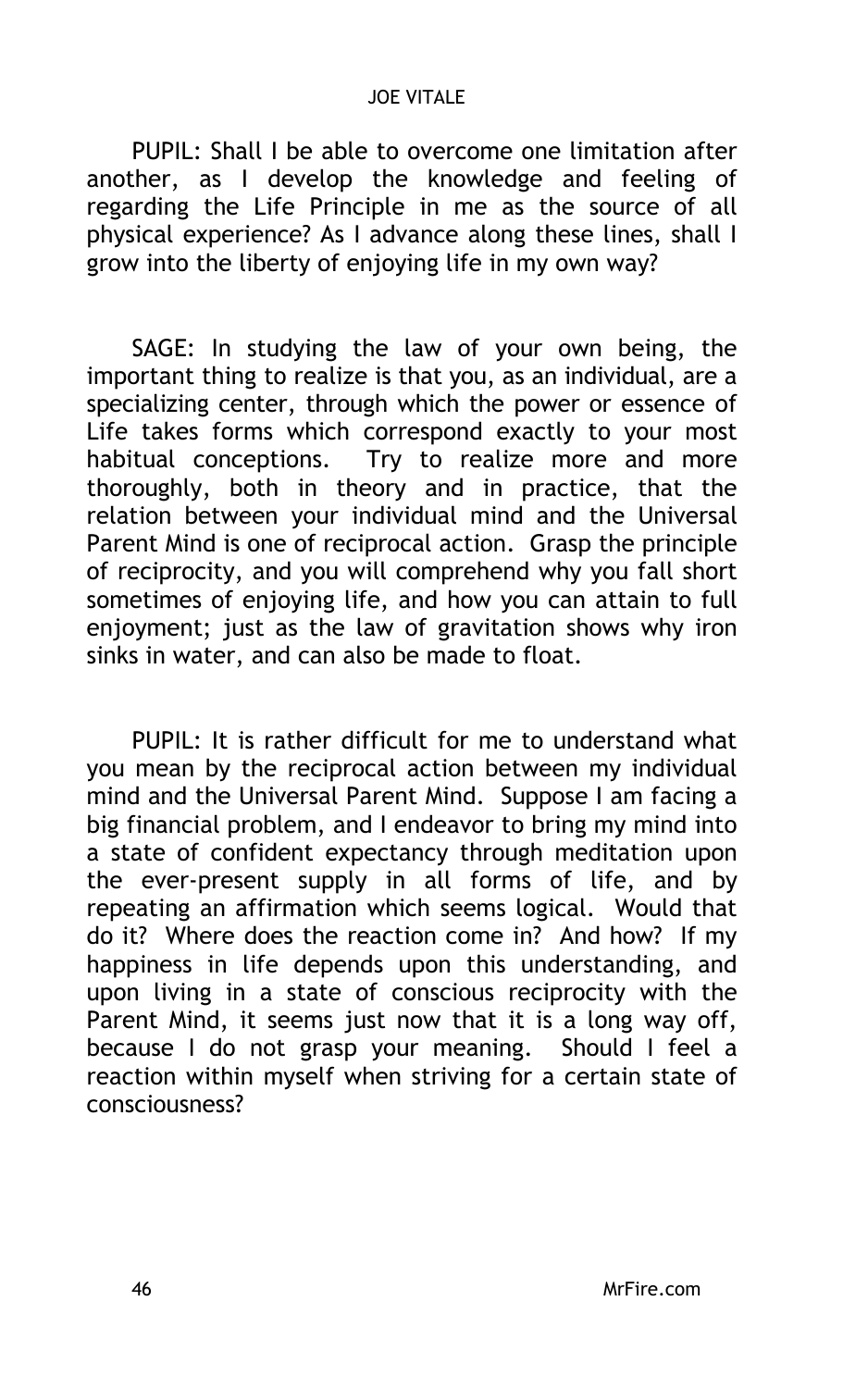PUPIL: Shall I be able to overcome one limitation after another, as I develop the knowledge and feeling of regarding the Life Principle in me as the source of all physical experience? As I advance along these lines, shall I grow into the liberty of enjoying life in my own way?

SAGE: In studying the law of your own being, the important thing to realize is that you, as an individual, are a specializing center, through which the power or essence of Life takes forms which correspond exactly to your most habitual conceptions. Try to realize more and more thoroughly, both in theory and in practice, that the relation between your individual mind and the Universal Parent Mind is one of reciprocal action. Grasp the principle of reciprocity, and you will comprehend why you fall short sometimes of enjoying life, and how you can attain to full enjoyment; just as the law of gravitation shows why iron sinks in water, and can also be made to float.

 $PIIPII: It is rather difficult for me to understand what$ you mean by the reciprocal action between my individual mind and the Universal Parent Mind. Suppose I am facing a big financial problem, and I endeavor to bring my mind into a state of confident expectancy through meditation upon the ever-present supply in all forms of life, and by repeating an affirmation which seems logical. Would that do it? Where does the reaction come in? And how? If my happiness in life depends upon this understanding, and upon living in a state of conscious reciprocity with the Parent Mind, it seems just now that it is a long way off, because I do not grasp your meaning. Should I feel a reaction within myself when striving for a certain state of consciousness?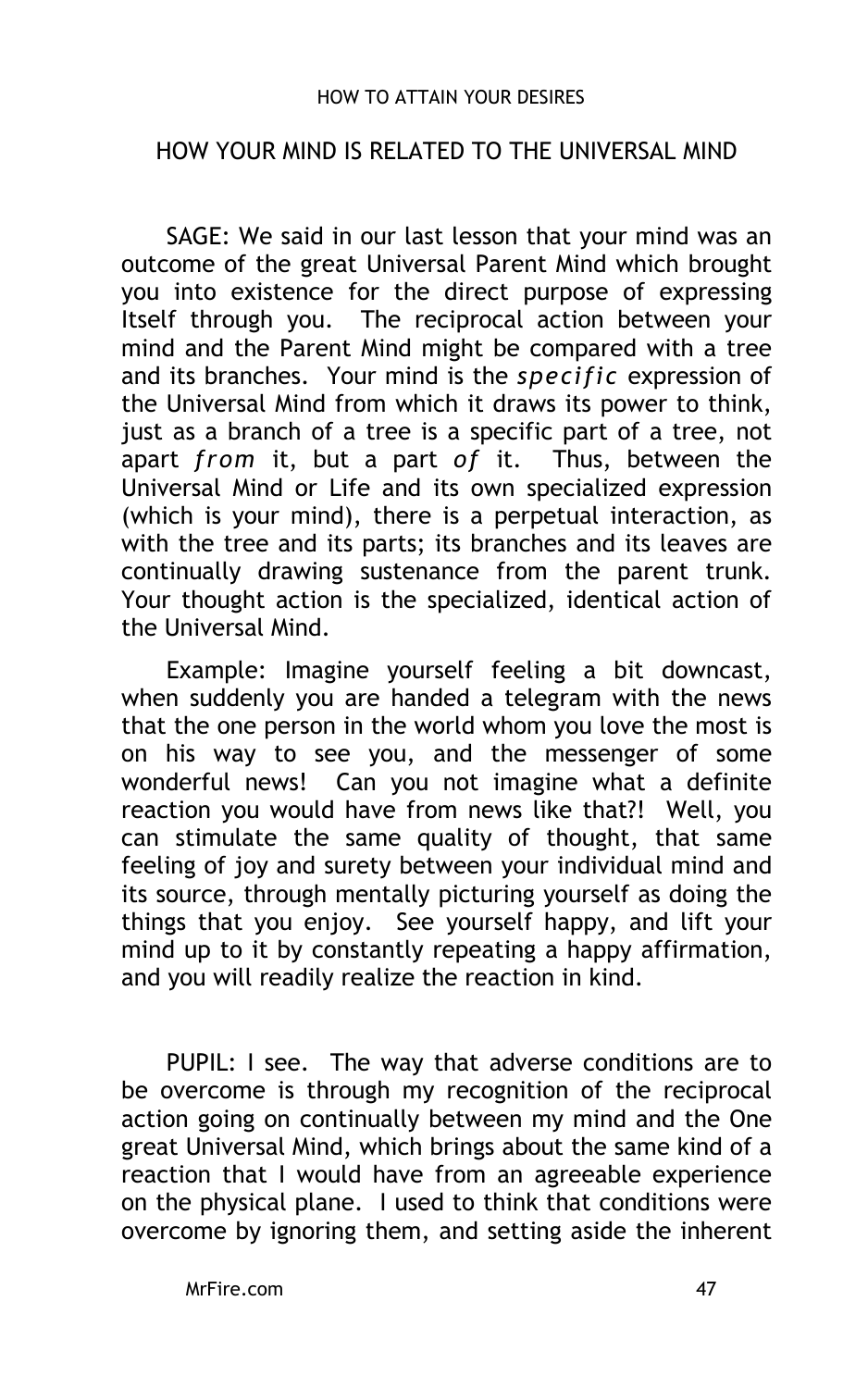### HOW YOUR MIND IS RELATED TO THE UNIVERSAL MIND

SAGE: We said in our last lesson that your mind was an outcome of the great Universal Parent Mind which brought you into existence for the direct purpose of expressing Itself through you. The reciprocal action between your mind and the Parent Mind might be compared with a tree and its branches. Your mind is the *specific* expression of the Universal Mind from which it draws its power to think, just as a branch of a tree is a specific part of a tree, not apart *from* it, but a part *of* it. Thus, between the Universal Mind or Life and its own specialized expression (which is your mind), there is a perpetual interaction, as with the tree and its parts; its branches and its leaves are continually drawing sustenance from the parent trunk. Your thought action is the specialized, identical action of the Universal Mind.

Example: Imagine yourself feeling a bit downcast, when suddenly you are handed a telegram with the news that the one person in the world whom you love the most is on his way to see you, and the messenger of some wonderful news! Can you not imagine what a definite reaction you would have from news like that?! Well, you can stimulate the same quality of thought, that same feeling of joy and surety between your individual mind and its source, through mentally picturing yourself as doing the things that you enjoy. See yourself happy, and lift your mind up to it by constantly repeating a happy affirmation, and you will readily realize the reaction in kind.

PUPIL: I see. The way that adverse conditions are to be overcome is through my recognition of the reciprocal action going on continually between my mind and the One great Universal Mind, which brings about the same kind of a reaction that I would have from an agreeable experience on the physical plane. I used to think that conditions were overcome by ignoring them, and setting aside the inherent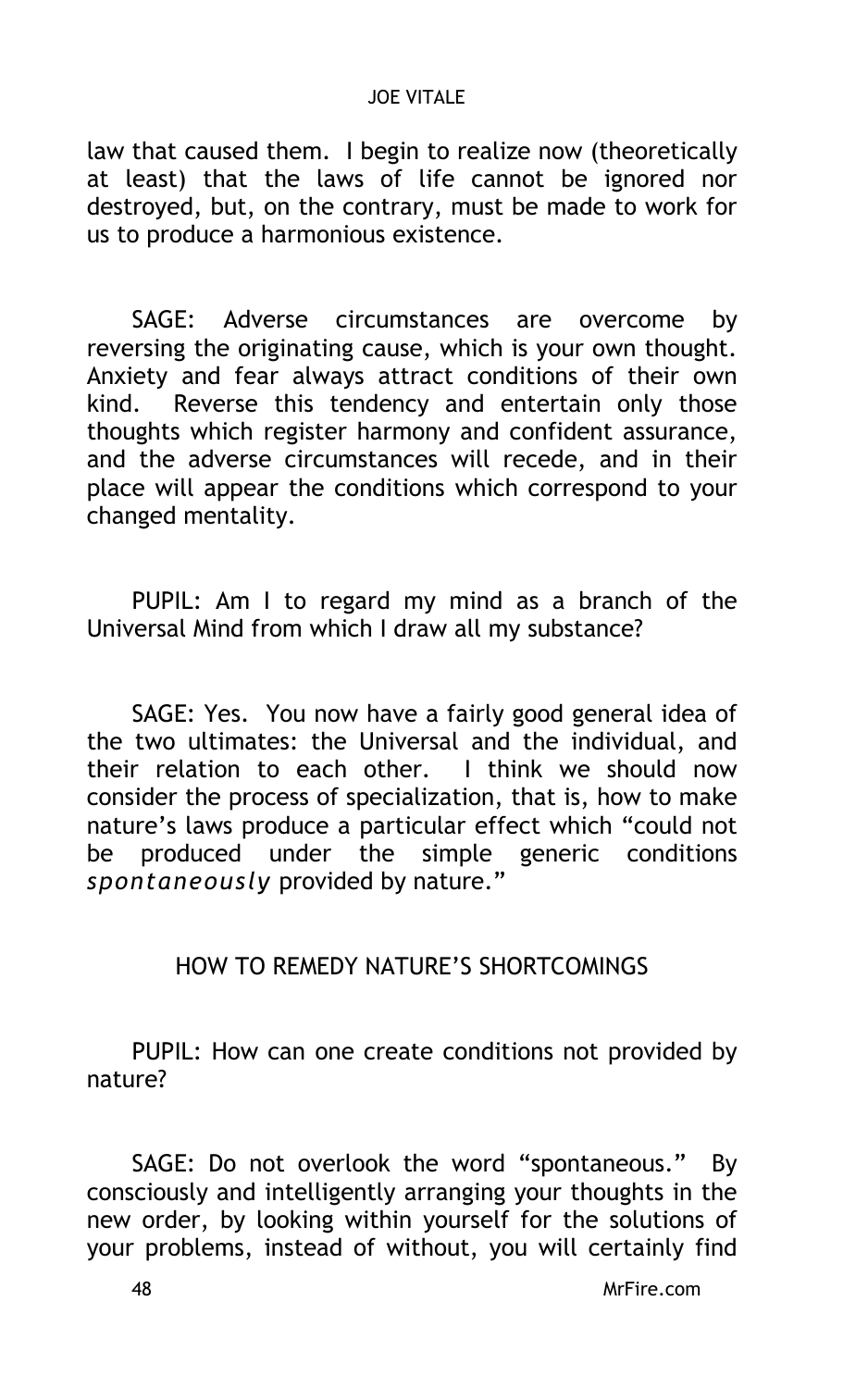law that caused them. I begin to realize now (theoretically at least) that the laws of life cannot be ignored nor destroyed, but, on the contrary, must be made to work for us to produce a harmonious existence.

SAGE: Adverse circumstances are overcome by reversing the originating cause, which is your own thought. Anxiety and fear always attract conditions of their own kind. Reverse this tendency and entertain only those thoughts which register harmony and confident assurance, and the adverse circumstances will recede, and in their place will appear the conditions which correspond to your changed mentality.

PUPIL: Am I to regard my mind as a branch of the Universal Mind from which I draw all my substance?

SAGE: Yes. You now have a fairly good general idea of the two ultimates: the Universal and the individual, and their relation to each other. I think we should now consider the process of specialization, that is, how to make nature's laws produce a particular effect which "could not be produced under the simple generic conditions *spontaneously* provided by nature."

### HOW TO REMEDY NATURE'S SHORTCOMINGS

PUPIL: How can one create conditions not provided by nature?

SAGE: Do not overlook the word "spontaneous." By consciously and intelligently arranging your thoughts in the new order, by looking within yourself for the solutions of your problems, instead of without, you will certainly find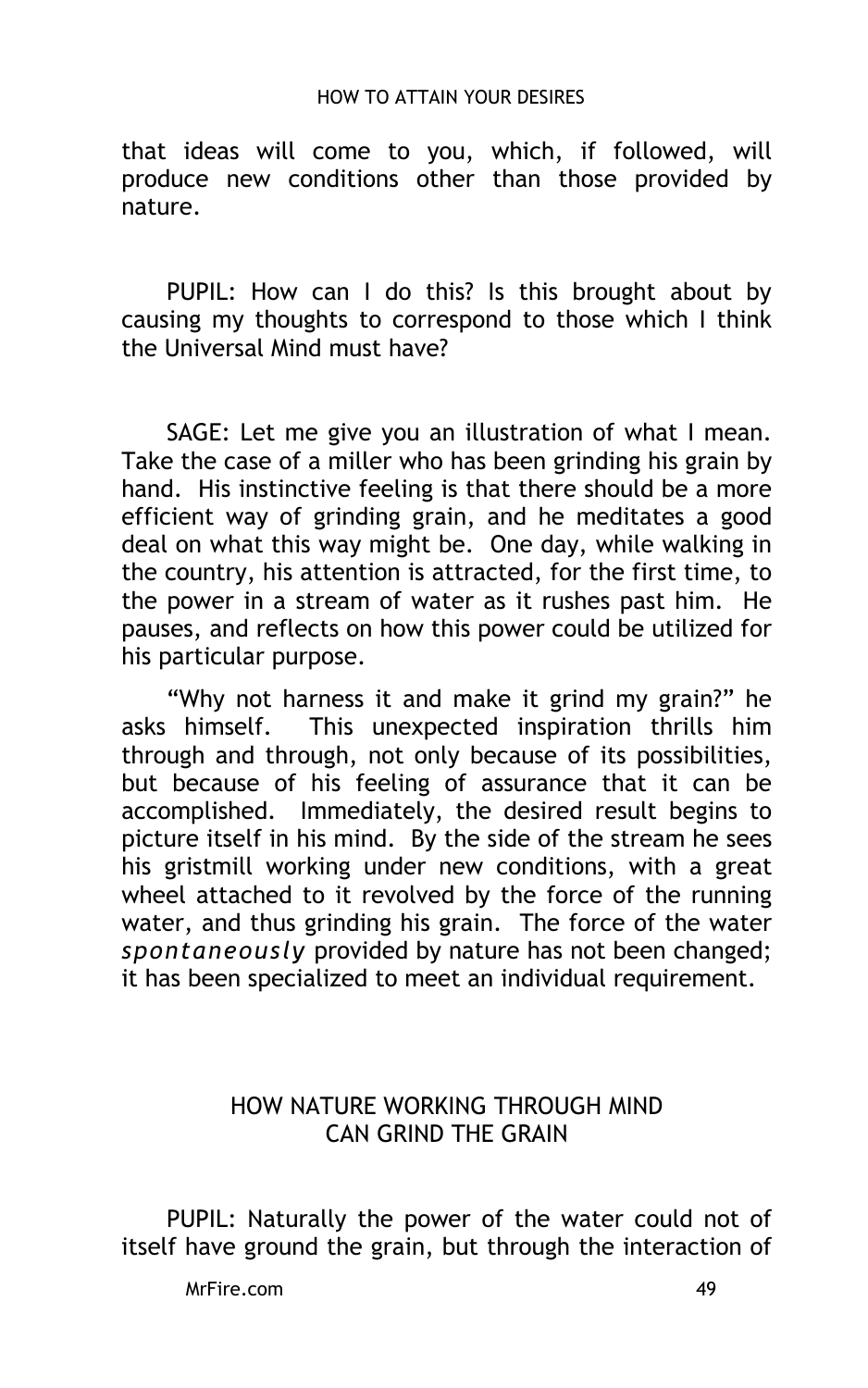that ideas will come to you, which, if followed, will produce new conditions other than those provided by nature.

PUPIL: How can I do this? Is this brought about by causing my thoughts to correspond to those which I think the Universal Mind must have?

SAGE: Let me give you an illustration of what I mean. Take the case of a miller who has been grinding his grain by hand. His instinctive feeling is that there should be a more efficient way of grinding grain, and he meditates a good deal on what this way might be. One day, while walking in the country, his attention is attracted, for the first time, to the power in a stream of water as it rushes past him. He pauses, and reflects on how this power could be utilized for his particular purpose.

"Why not harness it and make it grind my grain?" he asks himself. This unexpected inspiration thrills him through and through, not only because of its possibilities, but because of his feeling of assurance that it can be accomplished. Immediately, the desired result begins to picture itself in his mind. By the side of the stream he sees his gristmill working under new conditions, with a great wheel attached to it revolved by the force of the running water, and thus grinding his grain. The force of the water *spontaneously* provided by nature has not been changed; it has been specialized to meet an individual requirement.

## HOW NATURE WORKING THROUGH MIND CAN GRIND THE GRAIN

PUPIL: Naturally the power of the water could not of itself have ground the grain, but through the interaction of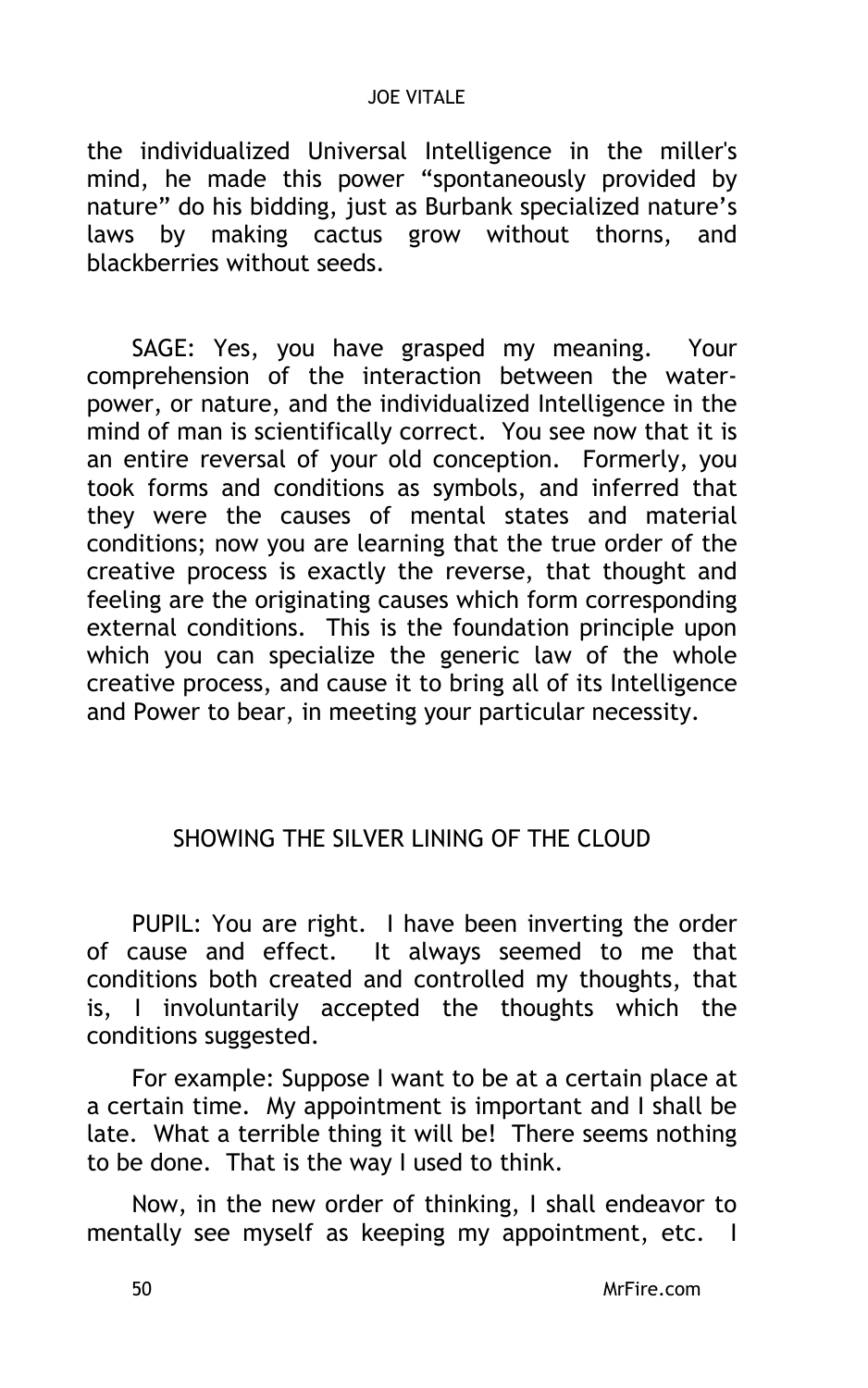the individualized Universal Intelligence in the miller's mind, he made this power "spontaneously provided by nature" do his bidding, just as Burbank specialized nature's laws by making cactus grow without thorns, and blackberries without seeds.

SAGE: Yes, you have grasped my meaning. Your comprehension of the interaction between the waterpower, or nature, and the individualized Intelligence in the mind of man is scientifically correct. You see now that it is an entire reversal of your old conception. Formerly, you took forms and conditions as symbols, and inferred that they were the causes of mental states and material conditions; now you are learning that the true order of the creative process is exactly the reverse, that thought and feeling are the originating causes which form corresponding external conditions. This is the foundation principle upon which you can specialize the generic law of the whole creative process, and cause it to bring all of its Intelligence and Power to bear, in meeting your particular necessity.

## SHOWING THE SILVER LINING OF THE CLOUD

PUPIL: You are right. I have been inverting the order of cause and effect. It always seemed to me that conditions both created and controlled my thoughts, that is, I involuntarily accepted the thoughts which the conditions suggested.

For example: Suppose I want to be at a certain place at a certain time. My appointment is important and I shall be late. What a terrible thing it will be! There seems nothing to be done. That is the way I used to think.

Now, in the new order of thinking, I shall endeavor to mentally see myself as keeping my appointment, etc. I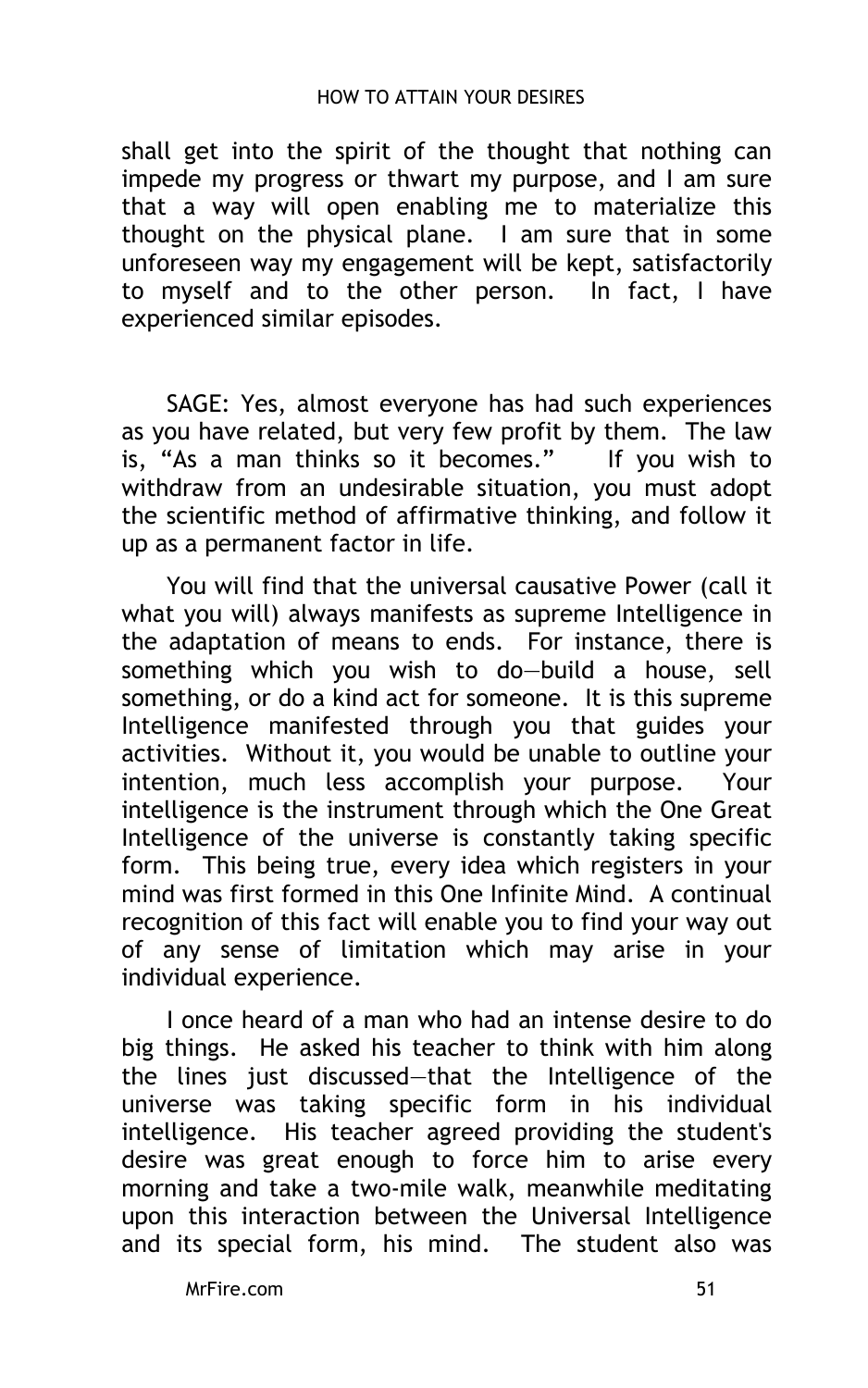shall get into the spirit of the thought that nothing can impede my progress or thwart my purpose, and I am sure that a way will open enabling me to materialize this thought on the physical plane. I am sure that in some unforeseen way my engagement will be kept, satisfactorily to myself and to the other person. In fact, I have experienced similar episodes.

SAGE: Yes, almost everyone has had such experiences as you have related, but very few profit by them. The law is, "As a man thinks so it becomes." If you wish to withdraw from an undesirable situation, you must adopt the scientific method of affirmative thinking, and follow it up as a permanent factor in life.

You will find that the universal causative Power (call it what you will) always manifests as supreme Intelligence in the adaptation of means to ends. For instance, there is something which you wish to do—build a house, sell something, or do a kind act for someone. It is this supreme Intelligence manifested through you that guides your activities. Without it, you would be unable to outline your intention, much less accomplish your purpose. Your intelligence is the instrument through which the One Great Intelligence of the universe is constantly taking specific form. This being true, every idea which registers in your mind was first formed in this One Infinite Mind. A continual recognition of this fact will enable you to find your way out of any sense of limitation which may arise in your individual experience.

I once heard of a man who had an intense desire to do big things. He asked his teacher to think with him along the lines just discussed—that the Intelligence of the universe was taking specific form in his individual intelligence. His teacher agreed providing the student's desire was great enough to force him to arise every morning and take a two-mile walk, meanwhile meditating upon this interaction between the Universal Intelligence and its special form, his mind. The student also was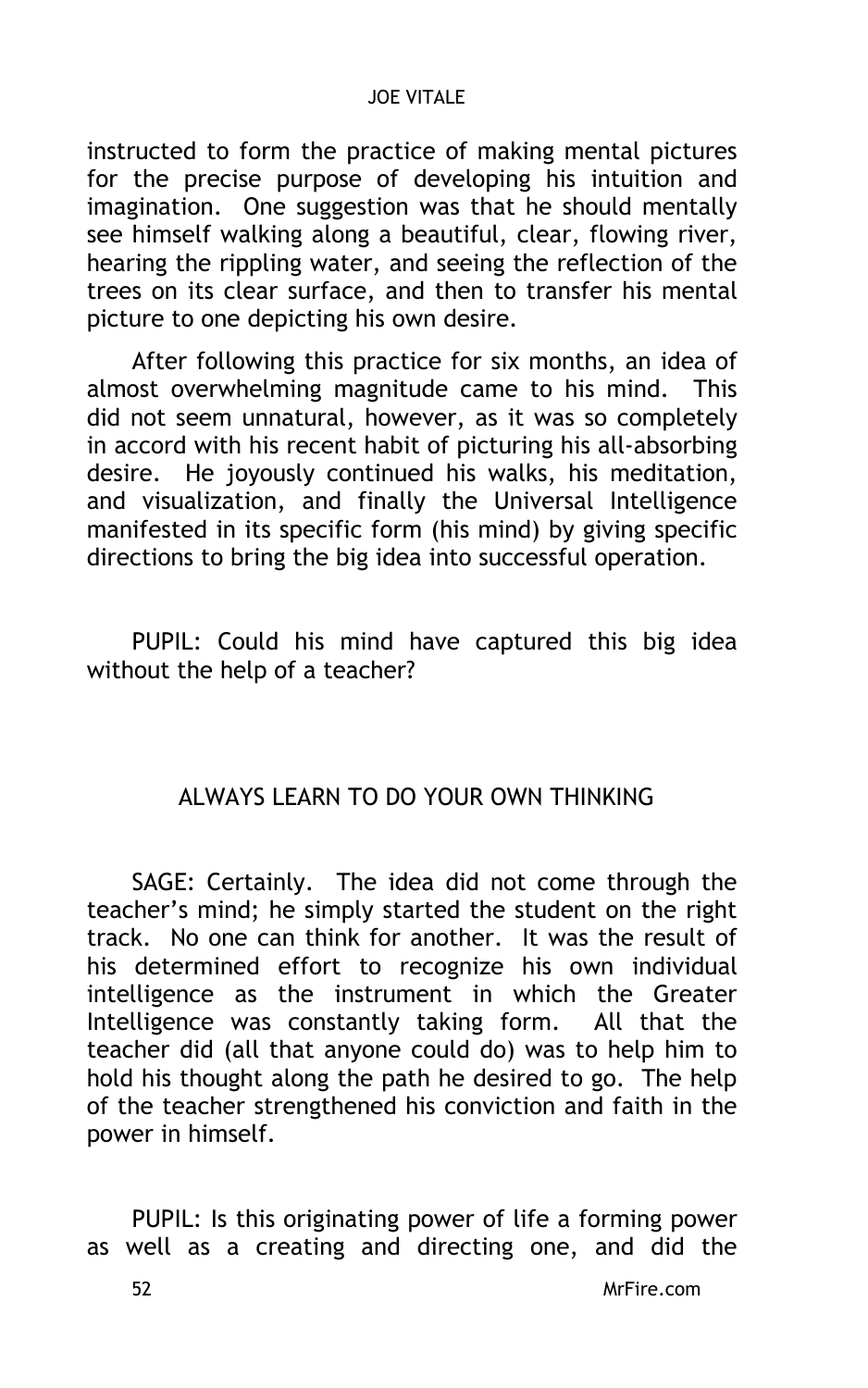instructed to form the practice of making mental pictures for the precise purpose of developing his intuition and imagination. One suggestion was that he should mentally see himself walking along a beautiful, clear, flowing river, hearing the rippling water, and seeing the reflection of the trees on its clear surface, and then to transfer his mental picture to one depicting his own desire.

After following this practice for six months, an idea of almost overwhelming magnitude came to his mind. This did not seem unnatural, however, as it was so completely in accord with his recent habit of picturing his all-absorbing desire. He joyously continued his walks, his meditation, and visualization, and finally the Universal Intelligence manifested in its specific form (his mind) by giving specific directions to bring the big idea into successful operation.

PUPIL: Could his mind have captured this big idea without the help of a teacher?

### ALWAYS LEARN TO DO YOUR OWN THINKING

SAGE: Certainly. The idea did not come through the teacher's mind; he simply started the student on the right track. No one can think for another. It was the result of his determined effort to recognize his own individual intelligence as the instrument in which the Greater Intelligence was constantly taking form. All that the teacher did (all that anyone could do) was to help him to hold his thought along the path he desired to go. The help of the teacher strengthened his conviction and faith in the power in himself.

PUPIL: Is this originating power of life a forming power as well as a creating and directing one, and did the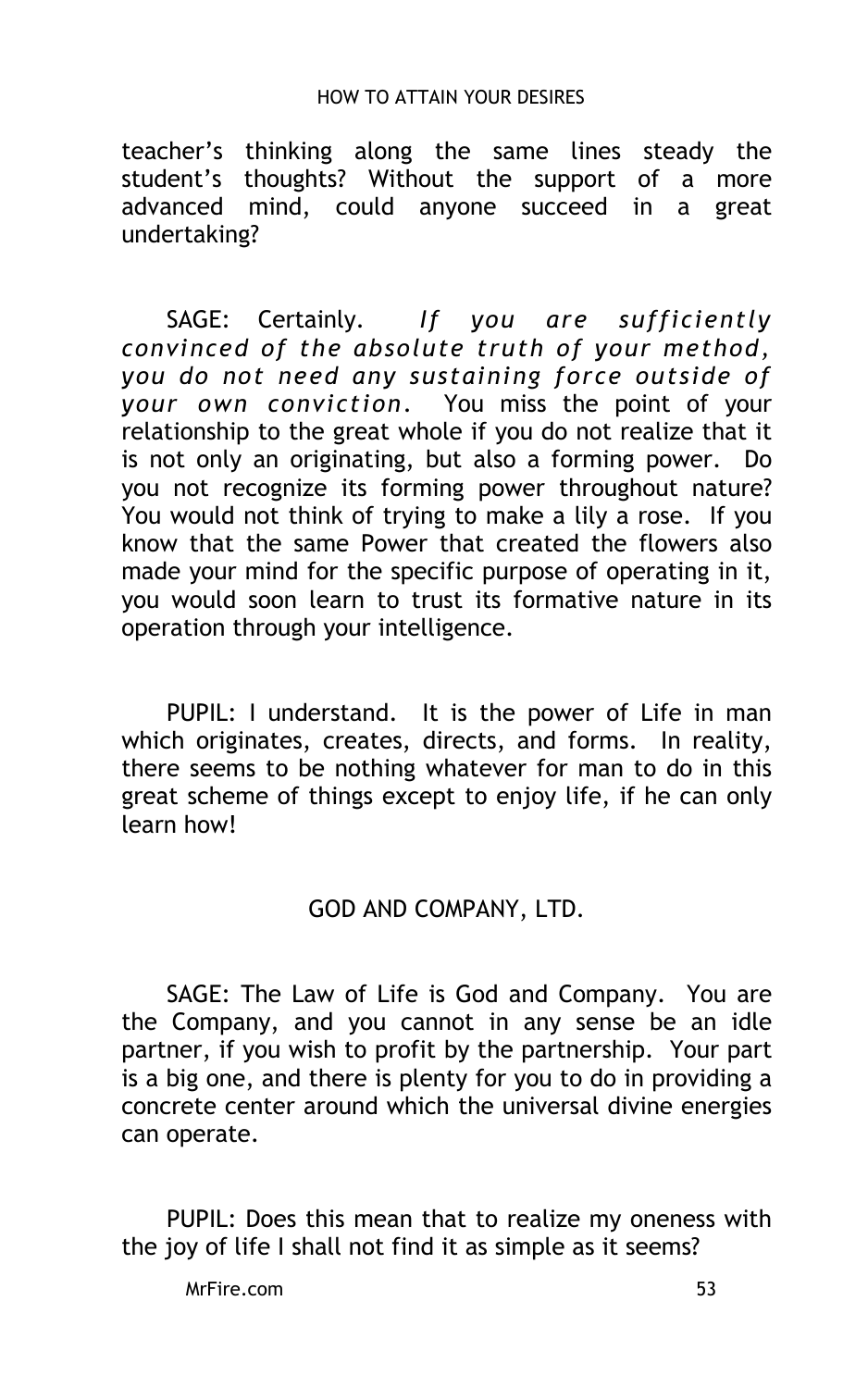teacher's thinking along the same lines steady the student's thoughts? Without the support of a more advanced mind, could anyone succeed in a great undertaking?

SAGE: Certainly. *If you are sufficiently convinced of the absolute truth of your method, you do not need any sustaining force outside of your own conviction*. You miss the point of your relationship to the great whole if you do not realize that it is not only an originating, but also a forming power. Do you not recognize its forming power throughout nature? You would not think of trying to make a lily a rose. If you know that the same Power that created the flowers also made your mind for the specific purpose of operating in it, you would soon learn to trust its formative nature in its operation through your intelligence.

PUPIL: I understand. It is the power of Life in man which originates, creates, directs, and forms. In reality, there seems to be nothing whatever for man to do in this great scheme of things except to enjoy life, if he can only learn how!

### GOD AND COMPANY, LTD.

SAGE: The Law of Life is God and Company. You are the Company, and you cannot in any sense be an idle partner, if you wish to profit by the partnership. Your part is a big one, and there is plenty for you to do in providing a concrete center around which the universal divine energies can operate.

PUPIL: Does this mean that to realize my oneness with the joy of life I shall not find it as simple as it seems?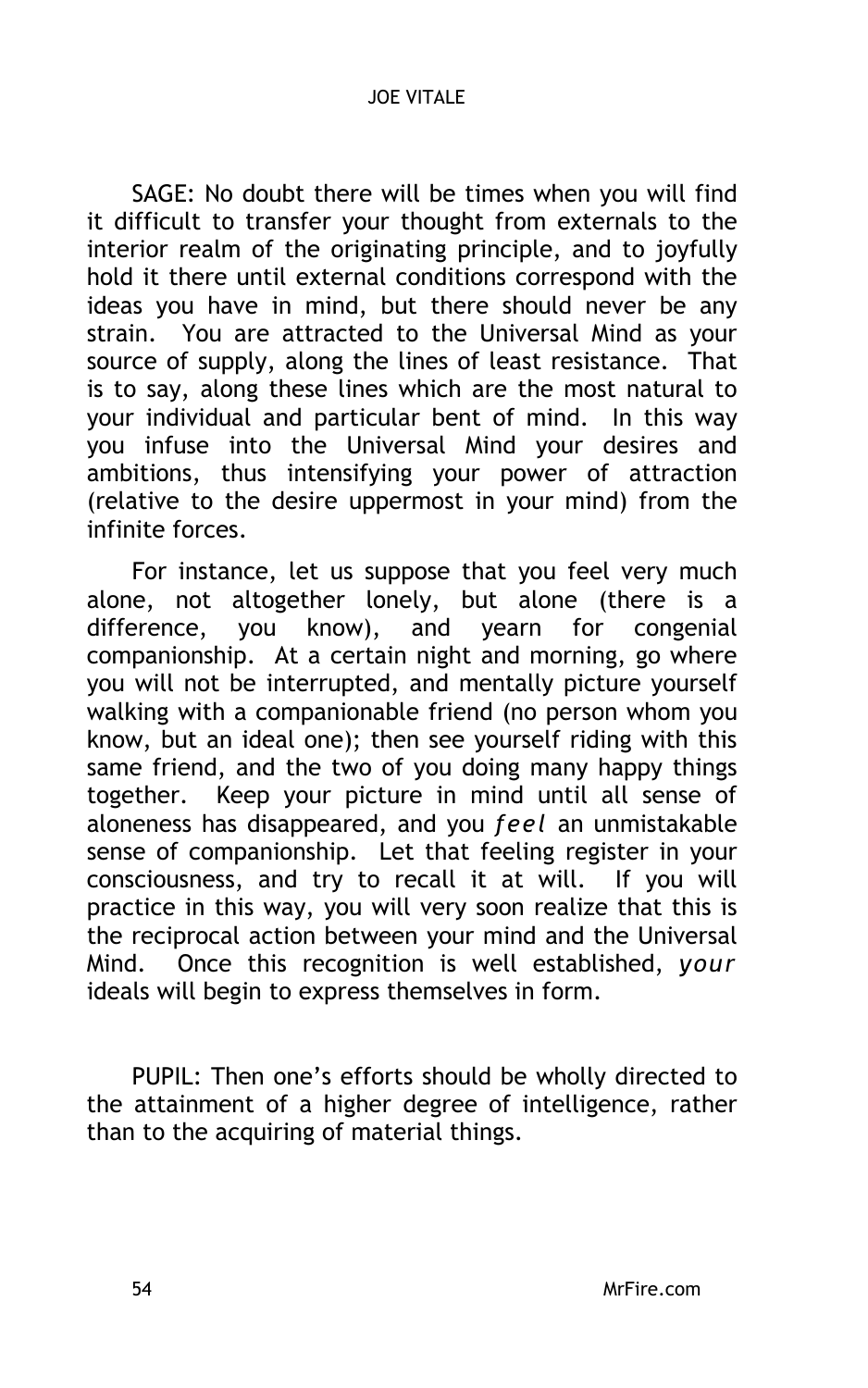SAGE: No doubt there will be times when you will find it difficult to transfer your thought from externals to the interior realm of the originating principle, and to joyfully hold it there until external conditions correspond with the ideas you have in mind, but there should never be any strain. You are attracted to the Universal Mind as your source of supply, along the lines of least resistance. That is to say, along these lines which are the most natural to your individual and particular bent of mind. In this way you infuse into the Universal Mind your desires and ambitions, thus intensifying your power of attraction (relative to the desire uppermost in your mind) from the infinite forces.

For instance, let us suppose that you feel very much alone, not altogether lonely, but alone (there is a difference, you know), and yearn for congenial companionship. At a certain night and morning, go where you will not be interrupted, and mentally picture yourself walking with a companionable friend (no person whom you know, but an ideal one); then see yourself riding with this same friend, and the two of you doing many happy things together. Keep your picture in mind until all sense of aloneness has disappeared, and you *feel* an unmistakable sense of companionship. Let that feeling register in your consciousness, and try to recall it at will. If you will practice in this way, you will very soon realize that this is the reciprocal action between your mind and the Universal Mind. Once this recognition is well established, *your* ideals will begin to express themselves in form.

PUPIL: Then one's efforts should be wholly directed to the attainment of a higher degree of intelligence, rather than to the acquiring of material things.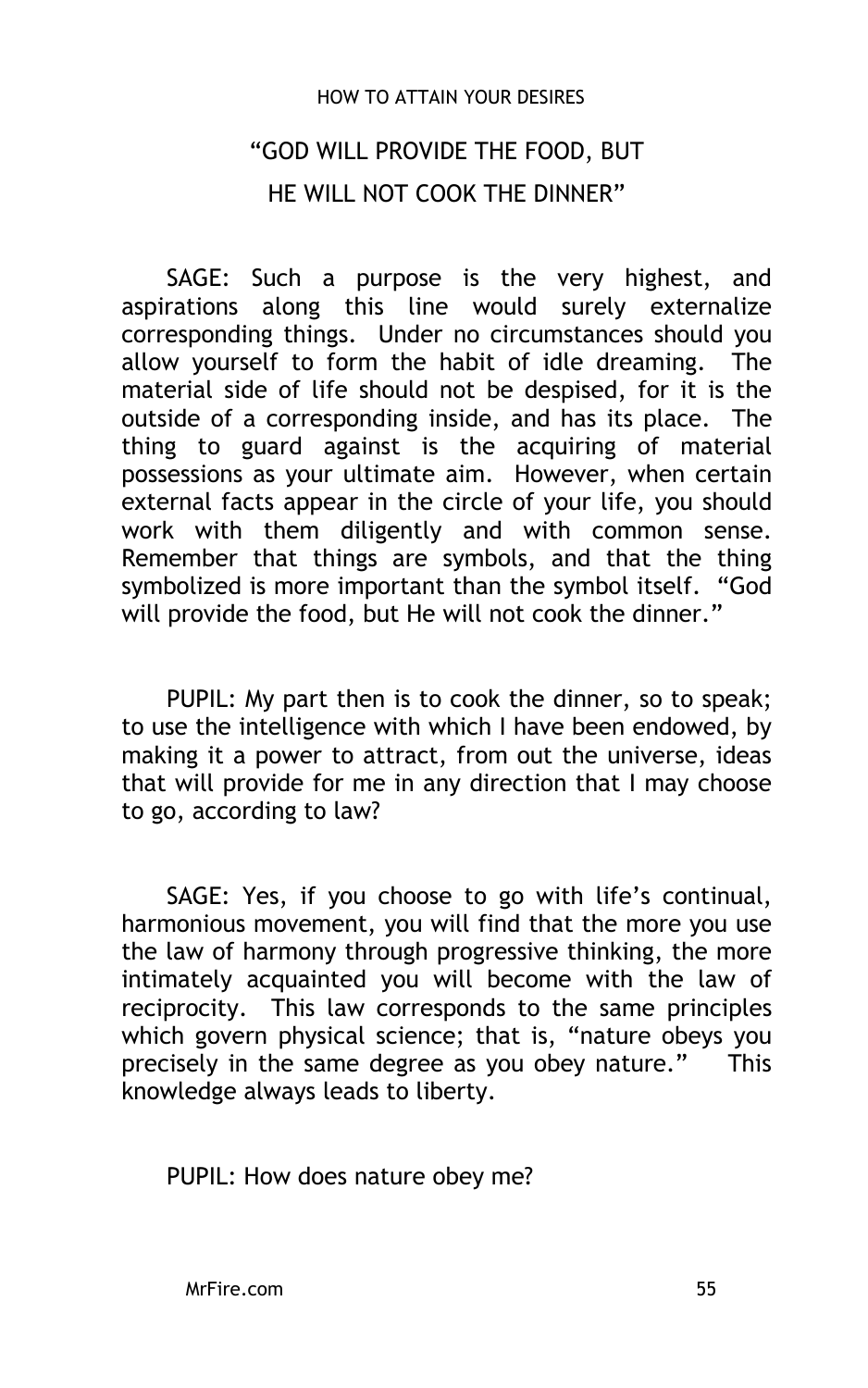#### HOW TO ATTAIN YOUR DESIRES

## "GOD WILL PROVIDE THE FOOD, BUT HE WILL NOT COOK THE DINNER"

SAGE: Such a purpose is the very highest, and aspirations along this line would surely externalize corresponding things. Under no circumstances should you allow yourself to form the habit of idle dreaming. The material side of life should not be despised, for it is the outside of a corresponding inside, and has its place. The thing to guard against is the acquiring of material possessions as your ultimate aim. However, when certain external facts appear in the circle of your life, you should work with them diligently and with common sense. Remember that things are symbols, and that the thing symbolized is more important than the symbol itself. "God will provide the food, but He will not cook the dinner."

PUPIL: My part then is to cook the dinner, so to speak; to use the intelligence with which I have been endowed, by making it a power to attract, from out the universe, ideas that will provide for me in any direction that I may choose to go, according to law?

SAGE: Yes, if you choose to go with life's continual, harmonious movement, you will find that the more you use the law of harmony through progressive thinking, the more intimately acquainted you will become with the law of reciprocity. This law corresponds to the same principles which govern physical science; that is, "nature obeys you precisely in the same degree as you obey nature." This knowledge always leads to liberty.

PUPIL: How does nature obey me?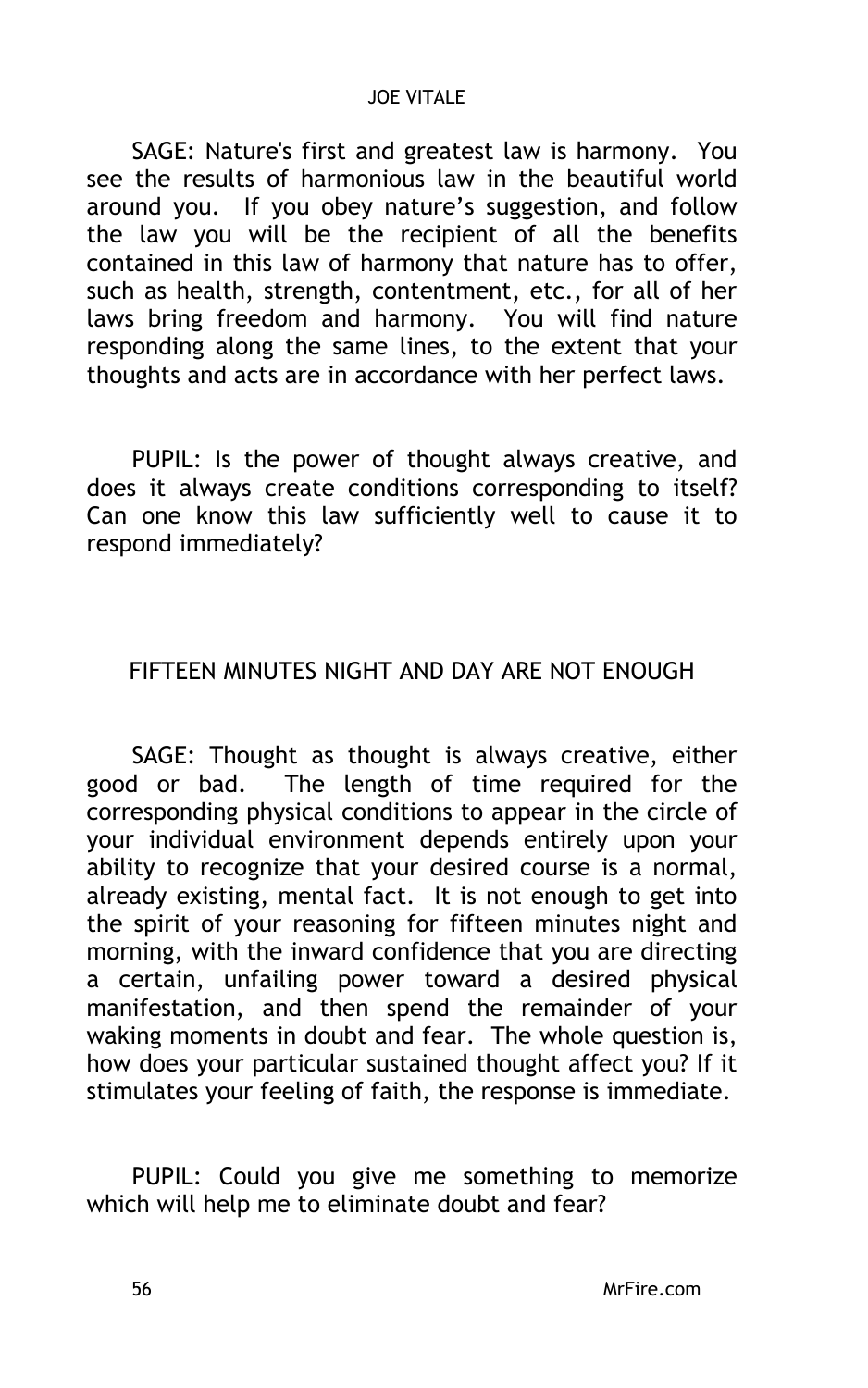SAGE: Nature's first and greatest law is harmony. You see the results of harmonious law in the beautiful world around you. If you obey nature's suggestion, and follow the law you will be the recipient of all the benefits contained in this law of harmony that nature has to offer, such as health, strength, contentment, etc., for all of her laws bring freedom and harmony. You will find nature responding along the same lines, to the extent that your thoughts and acts are in accordance with her perfect laws.

PUPIL: Is the power of thought always creative, and does it always create conditions corresponding to itself? Can one know this law sufficiently well to cause it to respond immediately?

## FIFTEEN MINUTES NIGHT AND DAY ARE NOT ENOUGH

SAGE: Thought as thought is always creative, either good or bad. The length of time required for the corresponding physical conditions to appear in the circle of your individual environment depends entirely upon your ability to recognize that your desired course is a normal, already existing, mental fact. It is not enough to get into the spirit of your reasoning for fifteen minutes night and morning, with the inward confidence that you are directing a certain, unfailing power toward a desired physical manifestation, and then spend the remainder of your waking moments in doubt and fear. The whole question is, how does your particular sustained thought affect you? If it stimulates your feeling of faith, the response is immediate.

PUPIL: Could you give me something to memorize which will help me to eliminate doubt and fear?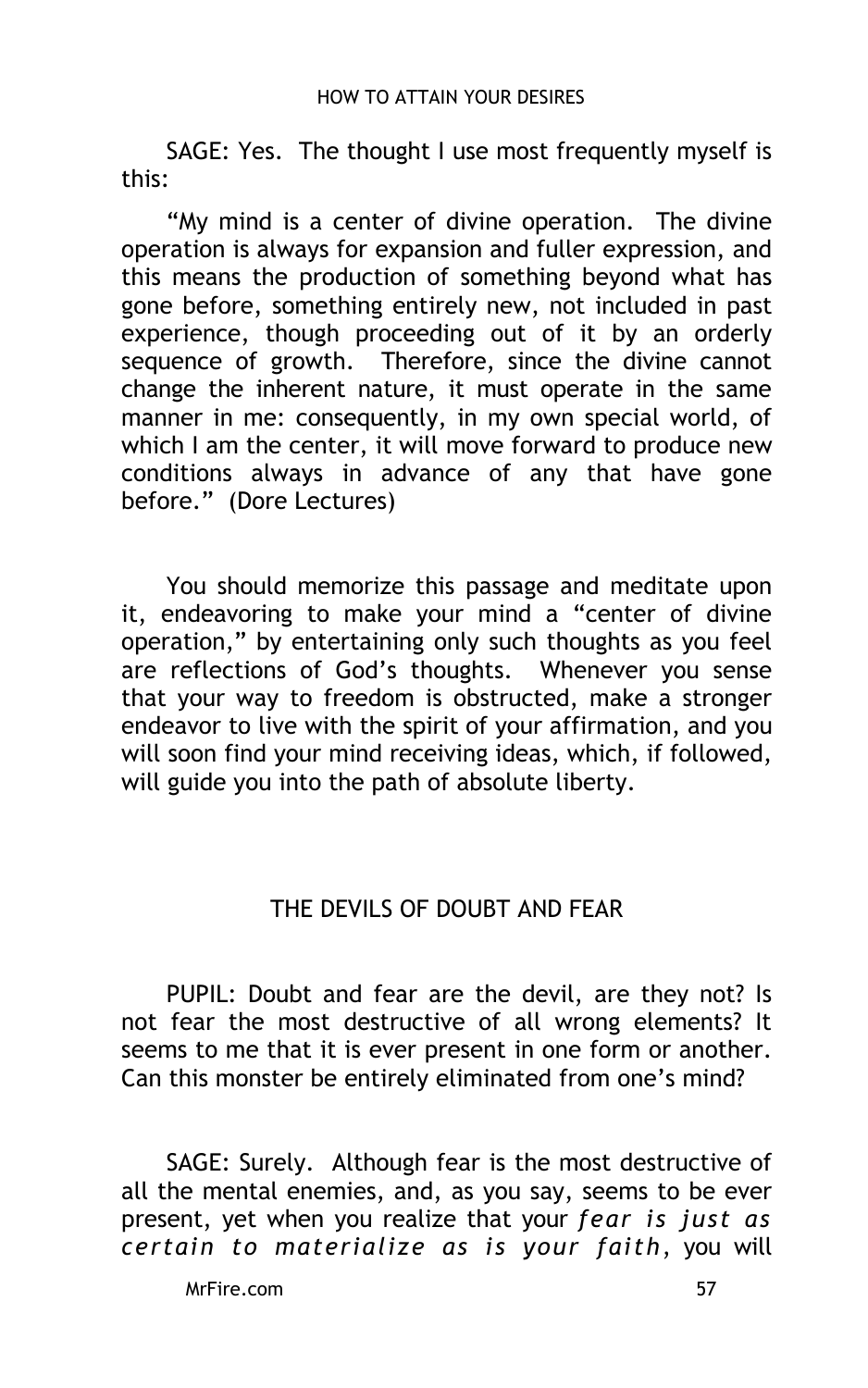SAGE: Yes. The thought I use most frequently myself is this:

"My mind is a center of divine operation. The divine operation is always for expansion and fuller expression, and this means the production of something beyond what has gone before, something entirely new, not included in past experience, though proceeding out of it by an orderly sequence of growth. Therefore, since the divine cannot change the inherent nature, it must operate in the same manner in me: consequently, in my own special world, of which I am the center, it will move forward to produce new conditions always in advance of any that have gone before." (Dore Lectures)

You should memorize this passage and meditate upon it, endeavoring to make your mind a "center of divine operation," by entertaining only such thoughts as you feel are reflections of God's thoughts. Whenever you sense that your way to freedom is obstructed, make a stronger endeavor to live with the spirit of your affirmation, and you will soon find your mind receiving ideas, which, if followed, will guide you into the path of absolute liberty.

## THE DEVILS OF DOUBT AND FEAR

PUPIL: Doubt and fear are the devil, are they not? Is not fear the most destructive of all wrong elements? It seems to me that it is ever present in one form or another. Can this monster be entirely eliminated from one's mind?

SAGE: Surely. Although fear is the most destructive of all the mental enemies, and, as you say, seems to be ever present, yet when you realize that your *fear is just as certain to materialize as is your faith*, you will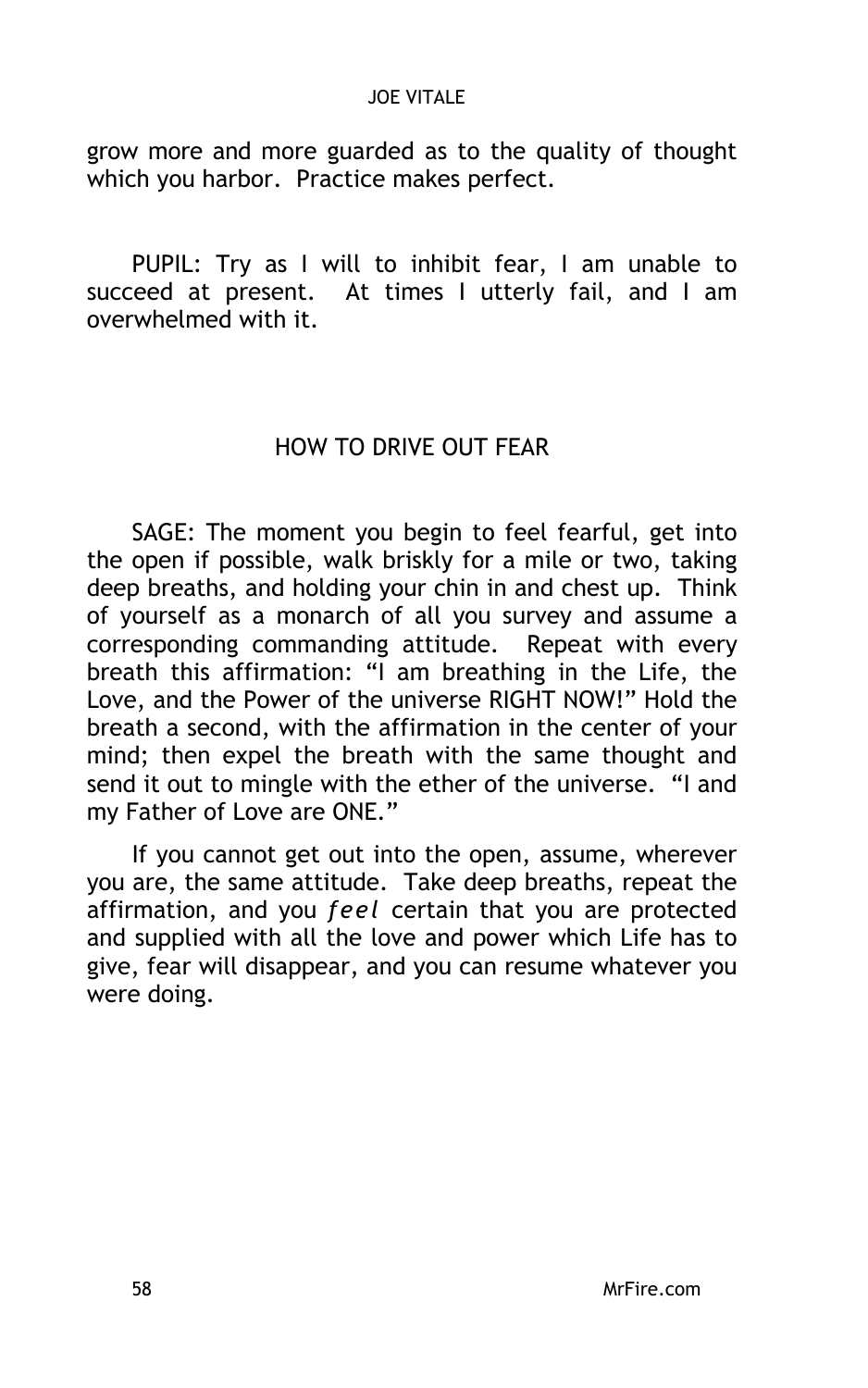grow more and more guarded as to the quality of thought which you harbor. Practice makes perfect.

PUPIL: Try as I will to inhibit fear, I am unable to succeed at present. At times I utterly fail, and I am overwhelmed with it.

## HOW TO DRIVE OUT FEAR

SAGE: The moment you begin to feel fearful, get into the open if possible, walk briskly for a mile or two, taking deep breaths, and holding your chin in and chest up. Think of yourself as a monarch of all you survey and assume a corresponding commanding attitude. Repeat with every breath this affirmation: "I am breathing in the Life, the Love, and the Power of the universe RIGHT NOW!" Hold the breath a second, with the affirmation in the center of your mind; then expel the breath with the same thought and send it out to mingle with the ether of the universe. "I and my Father of Love are ONE."

If you cannot get out into the open, assume, wherever you are, the same attitude. Take deep breaths, repeat the affirmation, and you *feel* certain that you are protected and supplied with all the love and power which Life has to give, fear will disappear, and you can resume whatever you were doing.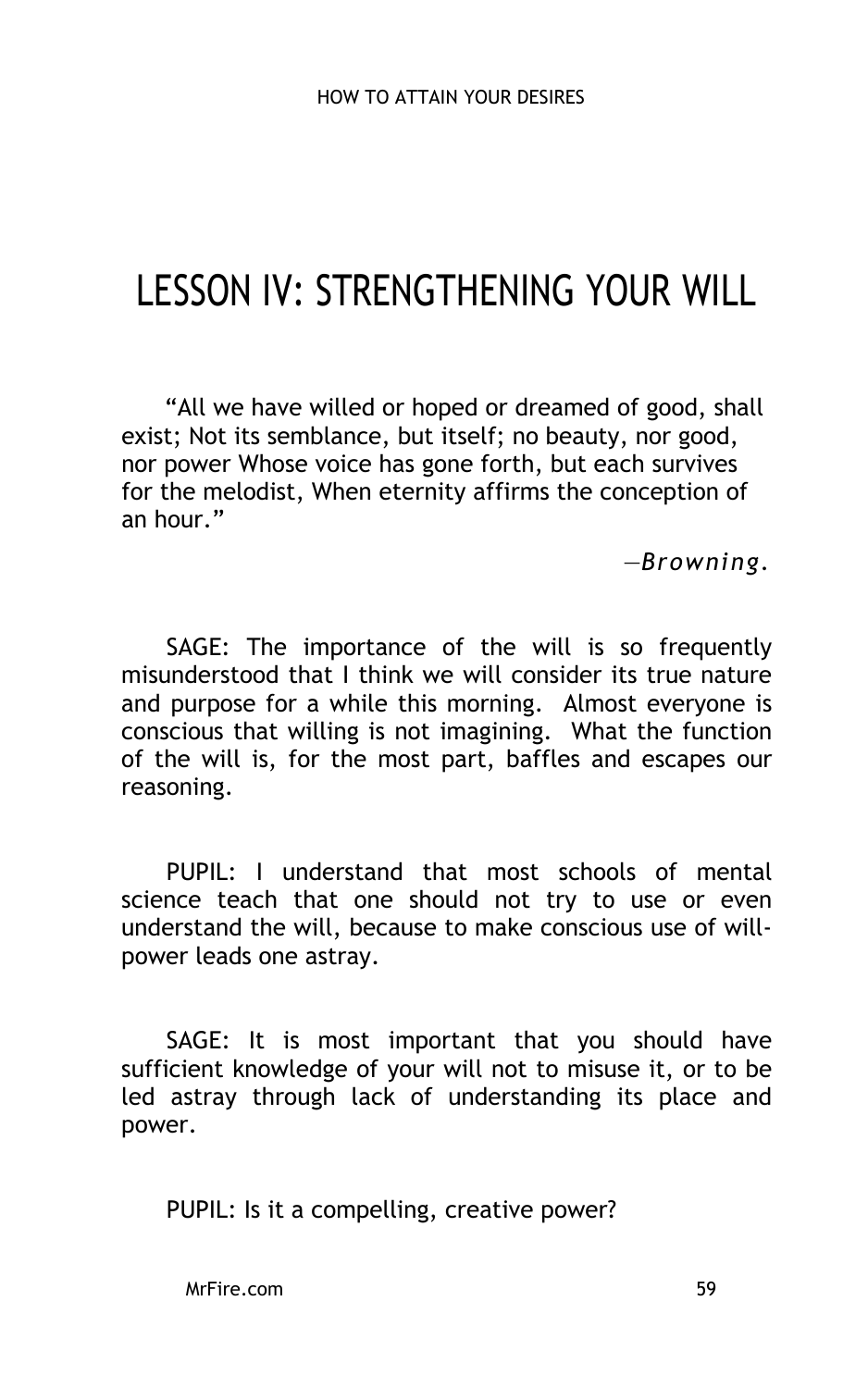# LESSON IV: STRENGTHENING YOUR WILL

"All we have willed or hoped or dreamed of good, shall exist; Not its semblance, but itself; no beauty, nor good, nor power Whose voice has gone forth, but each survives for the melodist, When eternity affirms the conception of an hour."

—*Browning.*

SAGE: The importance of the will is so frequently misunderstood that I think we will consider its true nature and purpose for a while this morning. Almost everyone is conscious that willing is not imagining. What the function of the will is, for the most part, baffles and escapes our reasoning.

PUPIL: I understand that most schools of mental science teach that one should not try to use or even understand the will, because to make conscious use of willpower leads one astray.

SAGE: It is most important that you should have sufficient knowledge of your will not to misuse it, or to be led astray through lack of understanding its place and power.

PUPIL: Is it a compelling, creative power?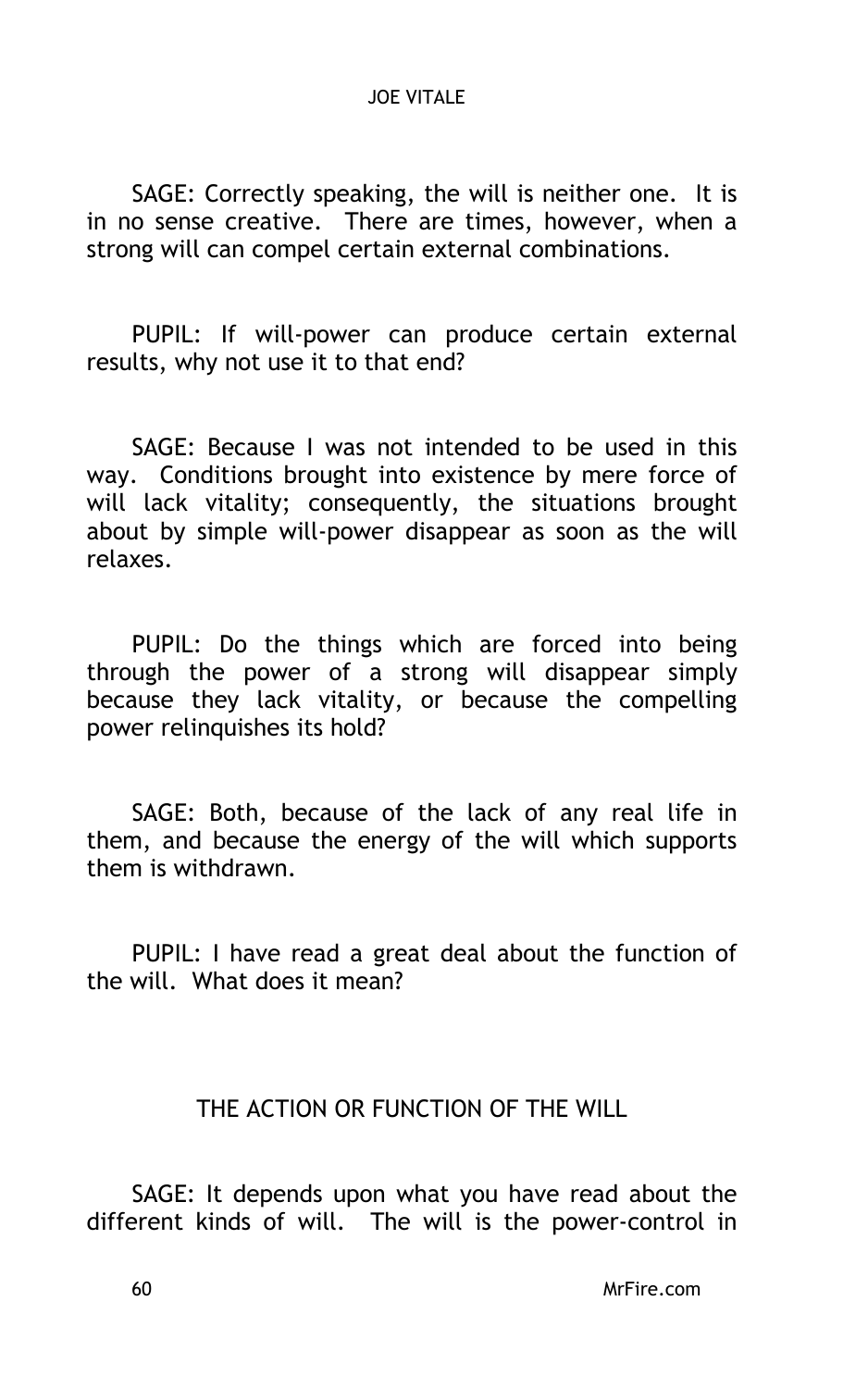SAGE: Correctly speaking, the will is neither one. It is in no sense creative. There are times, however, when a strong will can compel certain external combinations.

PUPIL: If will-power can produce certain external results, why not use it to that end?

SAGE: Because I was not intended to be used in this way. Conditions brought into existence by mere force of will lack vitality; consequently, the situations brought about by simple will-power disappear as soon as the will relaxes.

PUPIL: Do the things which are forced into being through the power of a strong will disappear simply because they lack vitality, or because the compelling power relinquishes its hold?

SAGE: Both, because of the lack of any real life in them, and because the energy of the will which supports them is withdrawn.

PUPIL: I have read a great deal about the function of the will. What does it mean?

### THE ACTION OR FUNCTION OF THE WILL

SAGE: It depends upon what you have read about the different kinds of will. The will is the power-control in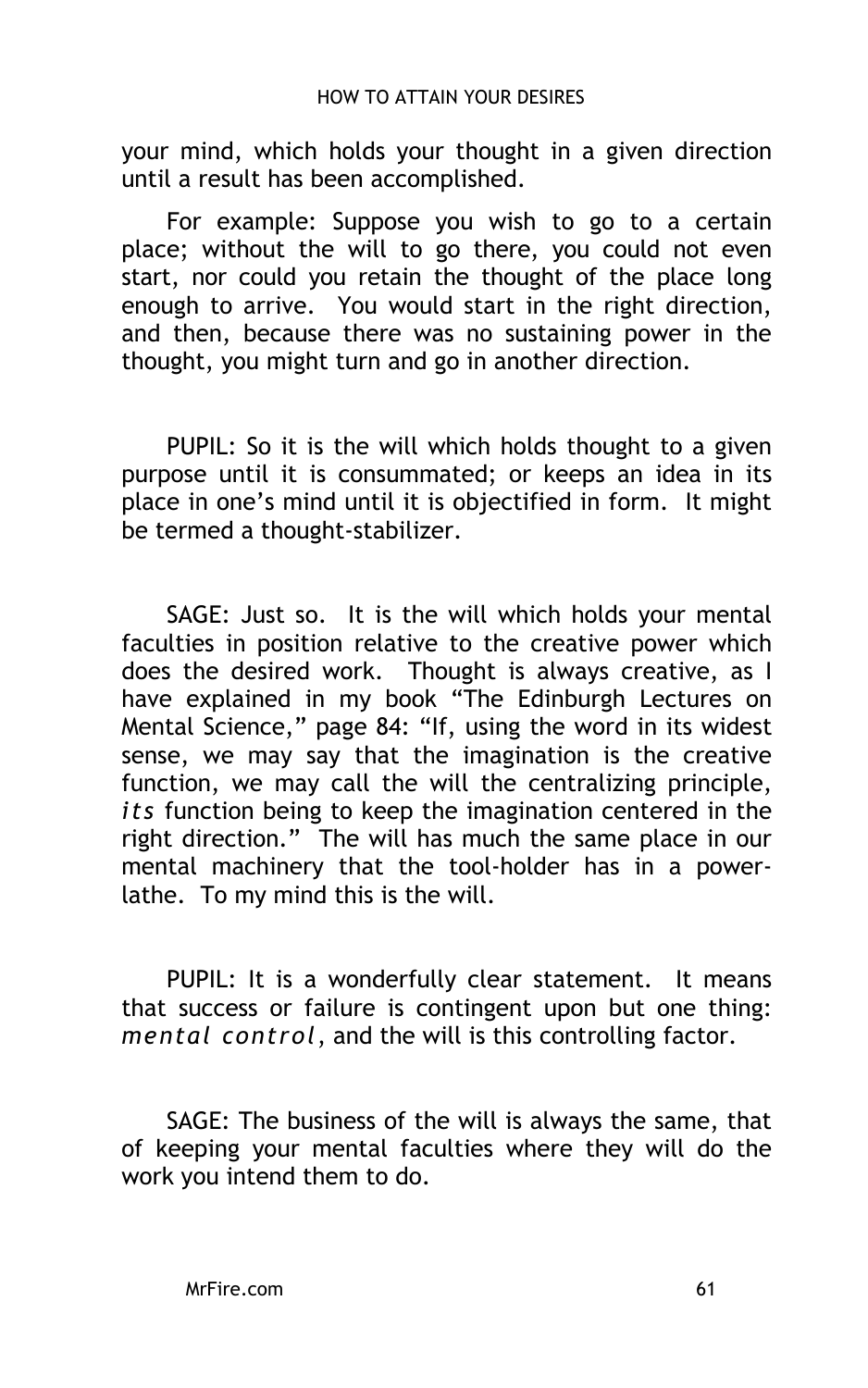your mind, which holds your thought in a given direction until a result has been accomplished.

For example: Suppose you wish to go to a certain place; without the will to go there, you could not even start, nor could you retain the thought of the place long enough to arrive. You would start in the right direction, and then, because there was no sustaining power in the thought, you might turn and go in another direction.

PUPIL: So it is the will which holds thought to a given purpose until it is consummated; or keeps an idea in its place in one's mind until it is objectified in form. It might be termed a thought-stabilizer.

SAGE: Just so. It is the will which holds your mental faculties in position relative to the creative power which does the desired work. Thought is always creative, as I have explained in my book "The Edinburgh Lectures on Mental Science," page 84: "If, using the word in its widest sense, we may say that the imagination is the creative function, we may call the will the centralizing principle, *its* function being to keep the imagination centered in the right direction." The will has much the same place in our mental machinery that the tool-holder has in a powerlathe. To my mind this is the will.

PUPIL: It is a wonderfully clear statement. It means that success or failure is contingent upon but one thing: *mental control*, and the will is this controlling factor.

SAGE: The business of the will is always the same, that of keeping your mental faculties where they will do the work you intend them to do.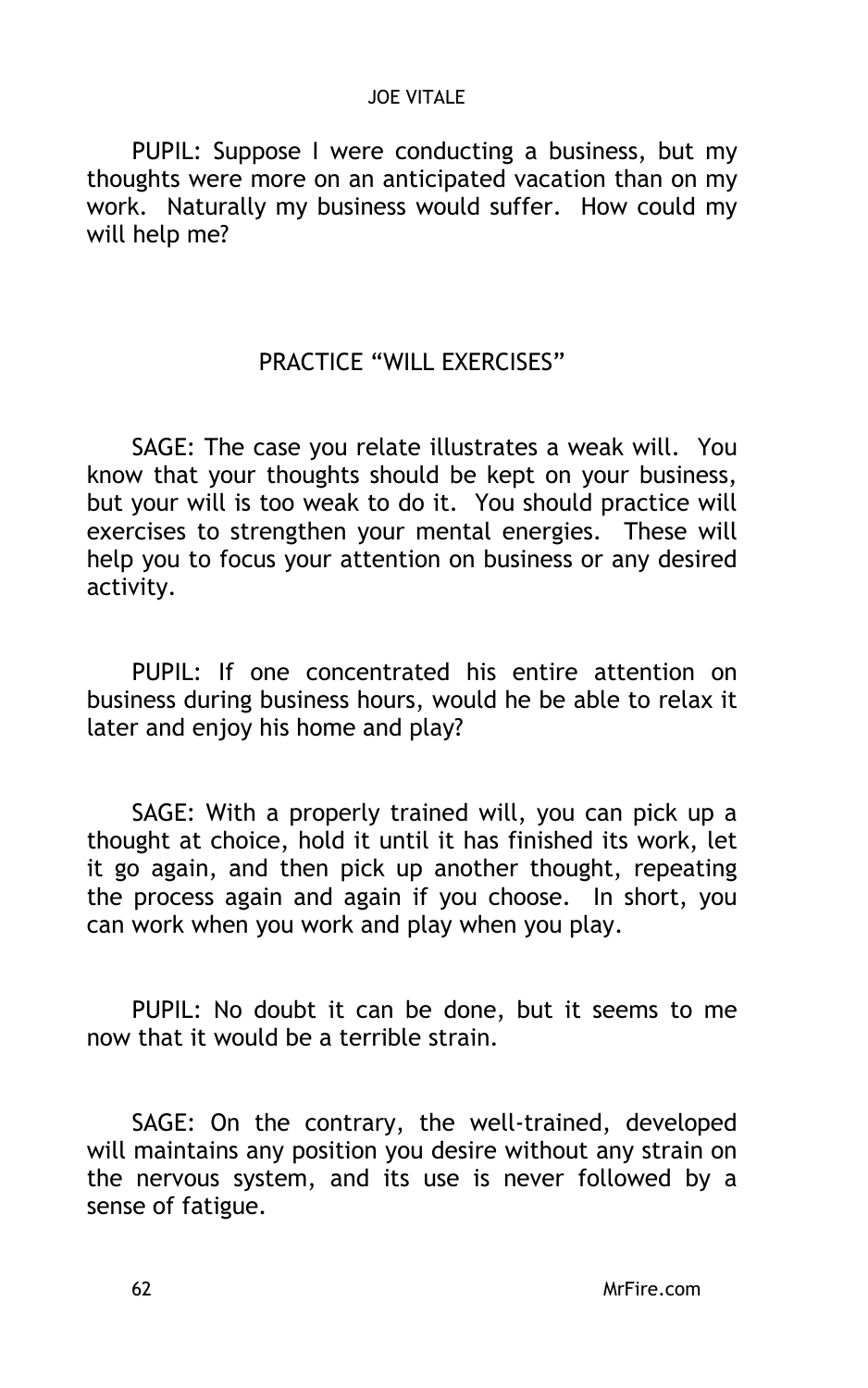PUPIL: Suppose I were conducting a business, but my thoughts were more on an anticipated vacation than on my work. Naturally my business would suffer. How could my will help me?

## PRACTICE "WILL EXERCISES"

SAGE: The case you relate illustrates a weak will. You know that your thoughts should be kept on your business, but your will is too weak to do it. You should practice will exercises to strengthen your mental energies. These will help you to focus your attention on business or any desired activity.

PUPIL: If one concentrated his entire attention on business during business hours, would he be able to relax it later and enjoy his home and play?

SAGE: With a properly trained will, you can pick up a thought at choice, hold it until it has finished its work, let it go again, and then pick up another thought, repeating the process again and again if you choose. In short, you can work when you work and play when you play.

PUPIL: No doubt it can be done, but it seems to me now that it would be a terrible strain.

SAGE: On the contrary, the well-trained, developed will maintains any position you desire without any strain on the nervous system, and its use is never followed by a sense of fatigue.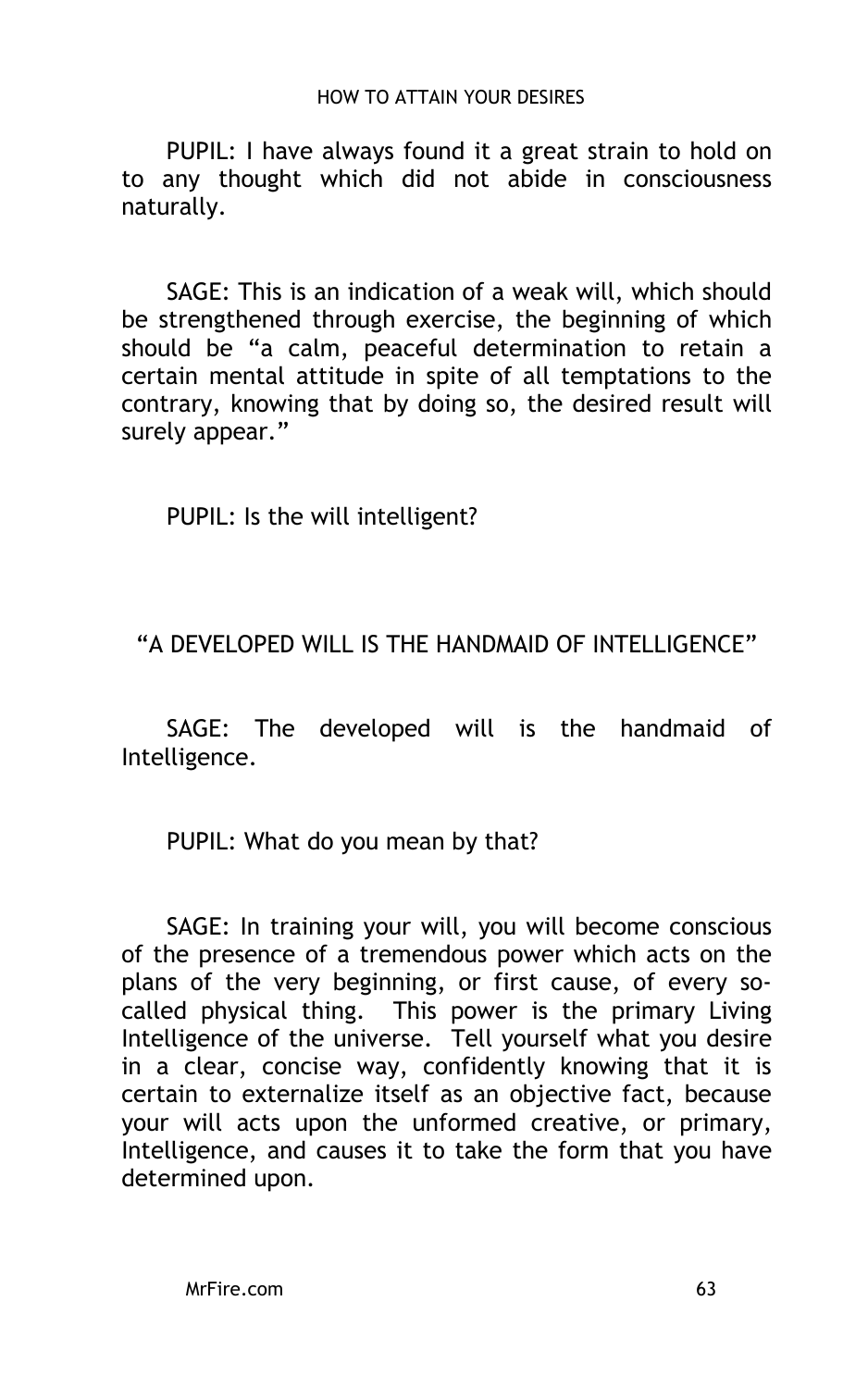PUPIL: I have always found it a great strain to hold on to any thought which did not abide in consciousness naturally.

SAGE: This is an indication of a weak will, which should be strengthened through exercise, the beginning of which should be "a calm, peaceful determination to retain a certain mental attitude in spite of all temptations to the contrary, knowing that by doing so, the desired result will surely appear."

PUPIL: Is the will intelligent?

## "A DEVELOPED WILL IS THE HANDMAID OF INTELLIGENCE"

SAGE: The developed will is the handmaid of Intelligence.

PUPIL: What do you mean by that?

SAGE: In training your will, you will become conscious of the presence of a tremendous power which acts on the plans of the very beginning, or first cause, of every socalled physical thing. This power is the primary Living Intelligence of the universe. Tell yourself what you desire in a clear, concise way, confidently knowing that it is certain to externalize itself as an objective fact, because your will acts upon the unformed creative, or primary, Intelligence, and causes it to take the form that you have determined upon.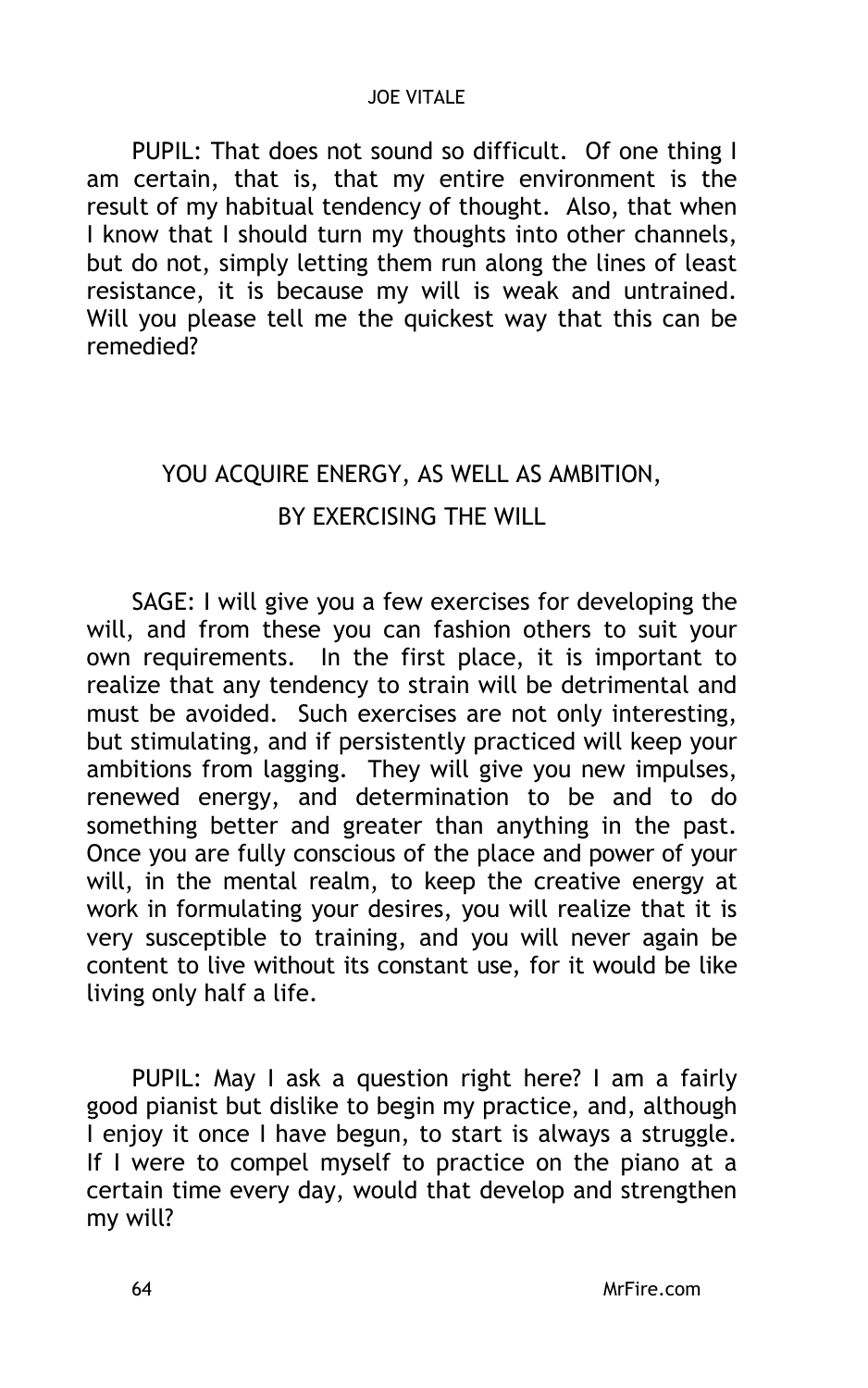PUPIL: That does not sound so difficult. Of one thing I am certain, that is, that my entire environment is the result of my habitual tendency of thought. Also, that when I know that I should turn my thoughts into other channels, but do not, simply letting them run along the lines of least resistance, it is because my will is weak and untrained. Will you please tell me the quickest way that this can be remedied?

## YOU ACQUIRE ENERGY, AS WELL AS AMBITION,

## BY EXERCISING THE WILL

SAGE: I will give you a few exercises for developing the will, and from these you can fashion others to suit your own requirements. In the first place, it is important to realize that any tendency to strain will be detrimental and must be avoided. Such exercises are not only interesting, but stimulating, and if persistently practiced will keep your ambitions from lagging. They will give you new impulses, renewed energy, and determination to be and to do something better and greater than anything in the past. Once you are fully conscious of the place and power of your will, in the mental realm, to keep the creative energy at work in formulating your desires, you will realize that it is very susceptible to training, and you will never again be content to live without its constant use, for it would be like living only half a life.

PUPIL: May I ask a question right here? I am a fairly good pianist but dislike to begin my practice, and, although I enjoy it once I have begun, to start is always a struggle. If I were to compel myself to practice on the piano at a certain time every day, would that develop and strengthen my will?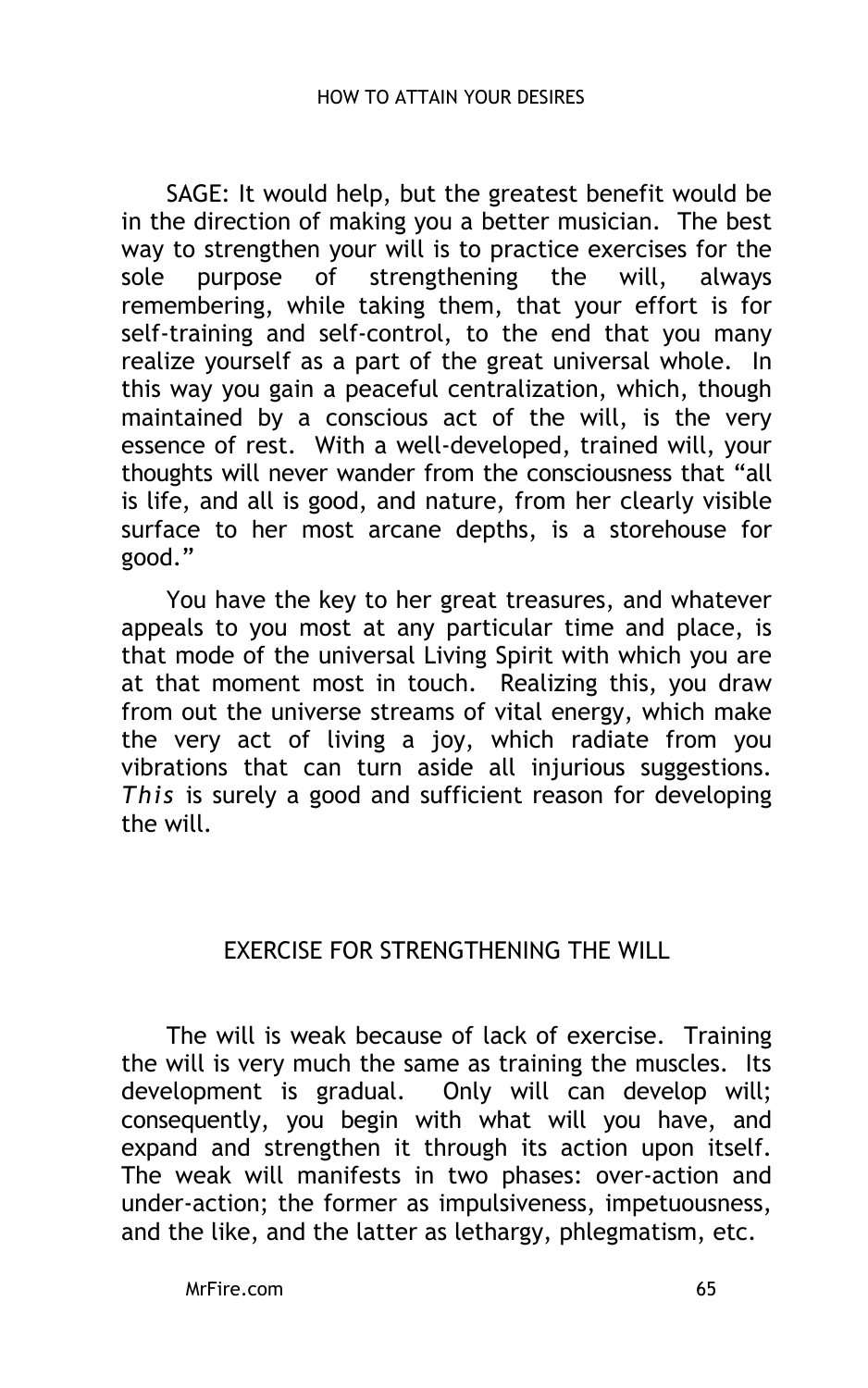SAGE: It would help, but the greatest benefit would be in the direction of making you a better musician. The best way to strengthen your will is to practice exercises for the sole purpose of strengthening the will, always remembering, while taking them, that your effort is for self-training and self-control, to the end that you many realize yourself as a part of the great universal whole. In this way you gain a peaceful centralization, which, though maintained by a conscious act of the will, is the very essence of rest. With a well-developed, trained will, your thoughts will never wander from the consciousness that "all is life, and all is good, and nature, from her clearly visible surface to her most arcane depths, is a storehouse for good."

You have the key to her great treasures, and whatever appeals to you most at any particular time and place, is that mode of the universal Living Spirit with which you are at that moment most in touch. Realizing this, you draw from out the universe streams of vital energy, which make the very act of living a joy, which radiate from you vibrations that can turn aside all injurious suggestions. *This* is surely a good and sufficient reason for developing the will.

## EXERCISE FOR STRENGTHENING THE WILL

The will is weak because of lack of exercise. Training the will is very much the same as training the muscles. Its development is gradual. Only will can develop will; consequently, you begin with what will you have, and expand and strengthen it through its action upon itself. The weak will manifests in two phases: over-action and under-action; the former as impulsiveness, impetuousness, and the like, and the latter as lethargy, phlegmatism, etc.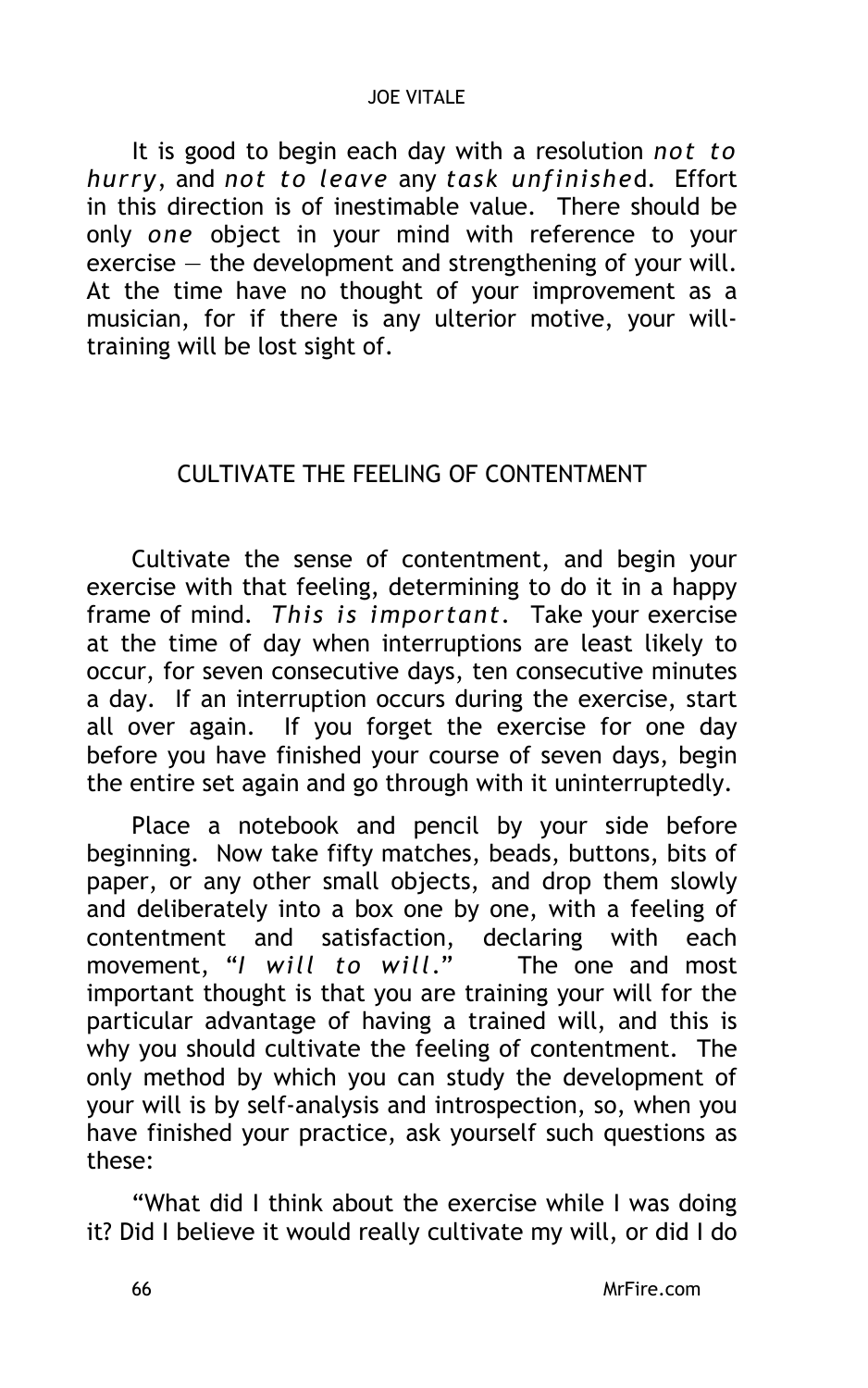It is good to begin each day with a resolution *not to hurry*, and *not to leave* any *task unfinishe*d. Effort in this direction is of inestimable value. There should be only *one* object in your mind with reference to your exercise — the development and strengthening of your will. At the time have no thought of your improvement as a musician, for if there is any ulterior motive, your willtraining will be lost sight of.

## CULTIVATE THE FEELING OF CONTENTMENT

Cultivate the sense of contentment, and begin your exercise with that feeling, determining to do it in a happy frame of mind. *This is important.* Take your exercise at the time of day when interruptions are least likely to occur, for seven consecutive days, ten consecutive minutes a day. If an interruption occurs during the exercise, start all over again. If you forget the exercise for one day before you have finished your course of seven days, begin the entire set again and go through with it uninterruptedly.

Place a notebook and pencil by your side before beginning. Now take fifty matches, beads, buttons, bits of paper, or any other small objects, and drop them slowly and deliberately into a box one by one, with a feeling of contentment and satisfaction, declaring with each movement, "*I will to will*." The one and most important thought is that you are training your will for the particular advantage of having a trained will, and this is why you should cultivate the feeling of contentment. The only method by which you can study the development of your will is by self-analysis and introspection, so, when you have finished your practice, ask yourself such questions as these:

"What did I think about the exercise while I was doing it? Did I believe it would really cultivate my will, or did I do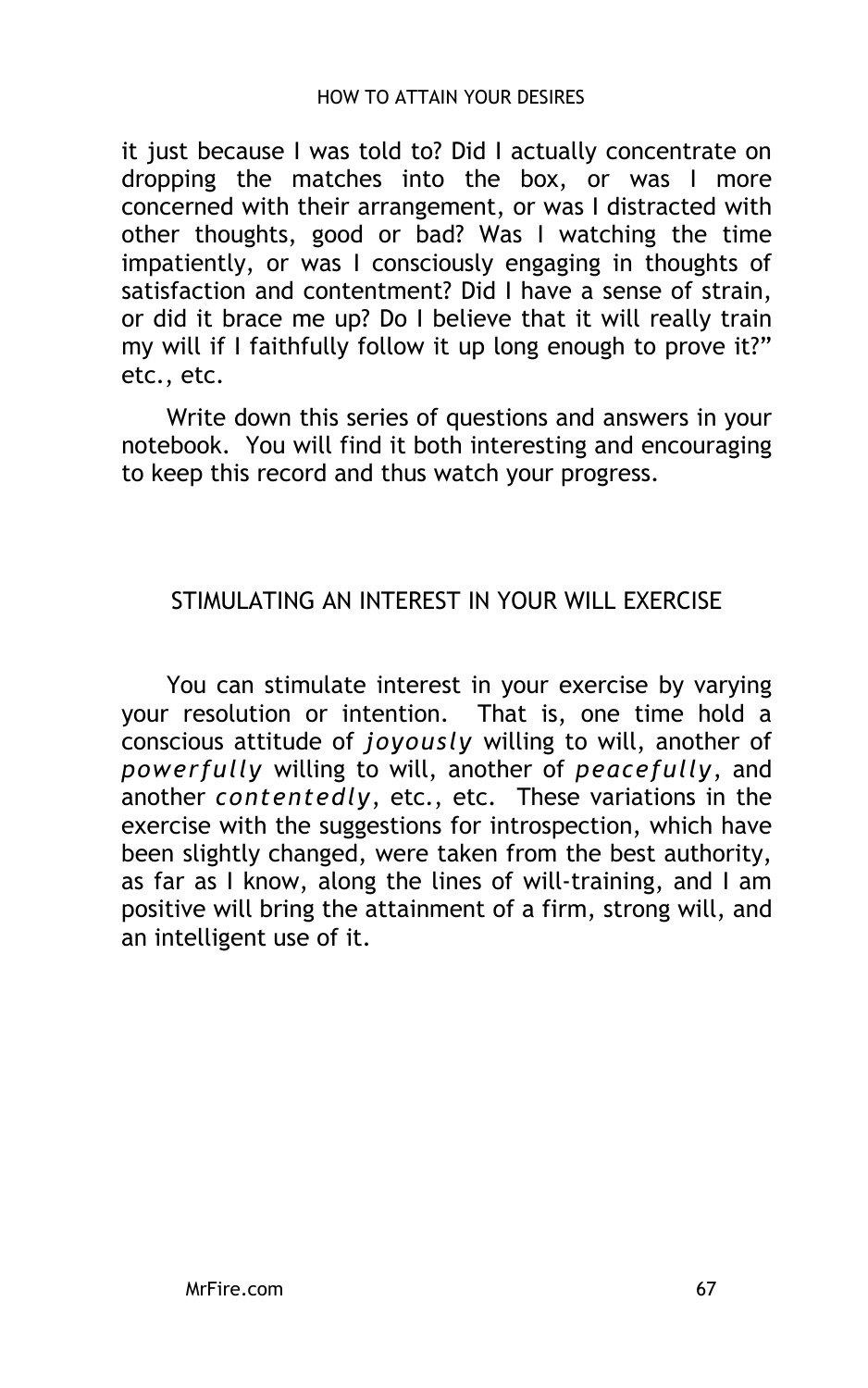#### HOW TO ATTAIN YOUR DESIRES

it just because I was told to? Did I actually concentrate on dropping the matches into the box, or was I more concerned with their arrangement, or was I distracted with other thoughts, good or bad? Was I watching the time impatiently, or was I consciously engaging in thoughts of satisfaction and contentment? Did I have a sense of strain, or did it brace me up? Do I believe that it will really train my will if I faithfully follow it up long enough to prove it?" etc., etc.

Write down this series of questions and answers in your notebook. You will find it both interesting and encouraging to keep this record and thus watch your progress.

## STIMULATING AN INTEREST IN YOUR WILL EXERCISE

You can stimulate interest in your exercise by varying your resolution or intention. That is, one time hold a conscious attitude of *joyously* willing to will, another of *powerfully* willing to will, another of *peacefully*, and another *contentedly*, etc., etc. These variations in the exercise with the suggestions for introspection, which have been slightly changed, were taken from the best authority, as far as I know, along the lines of will-training, and I am positive will bring the attainment of a firm, strong will, and an intelligent use of it.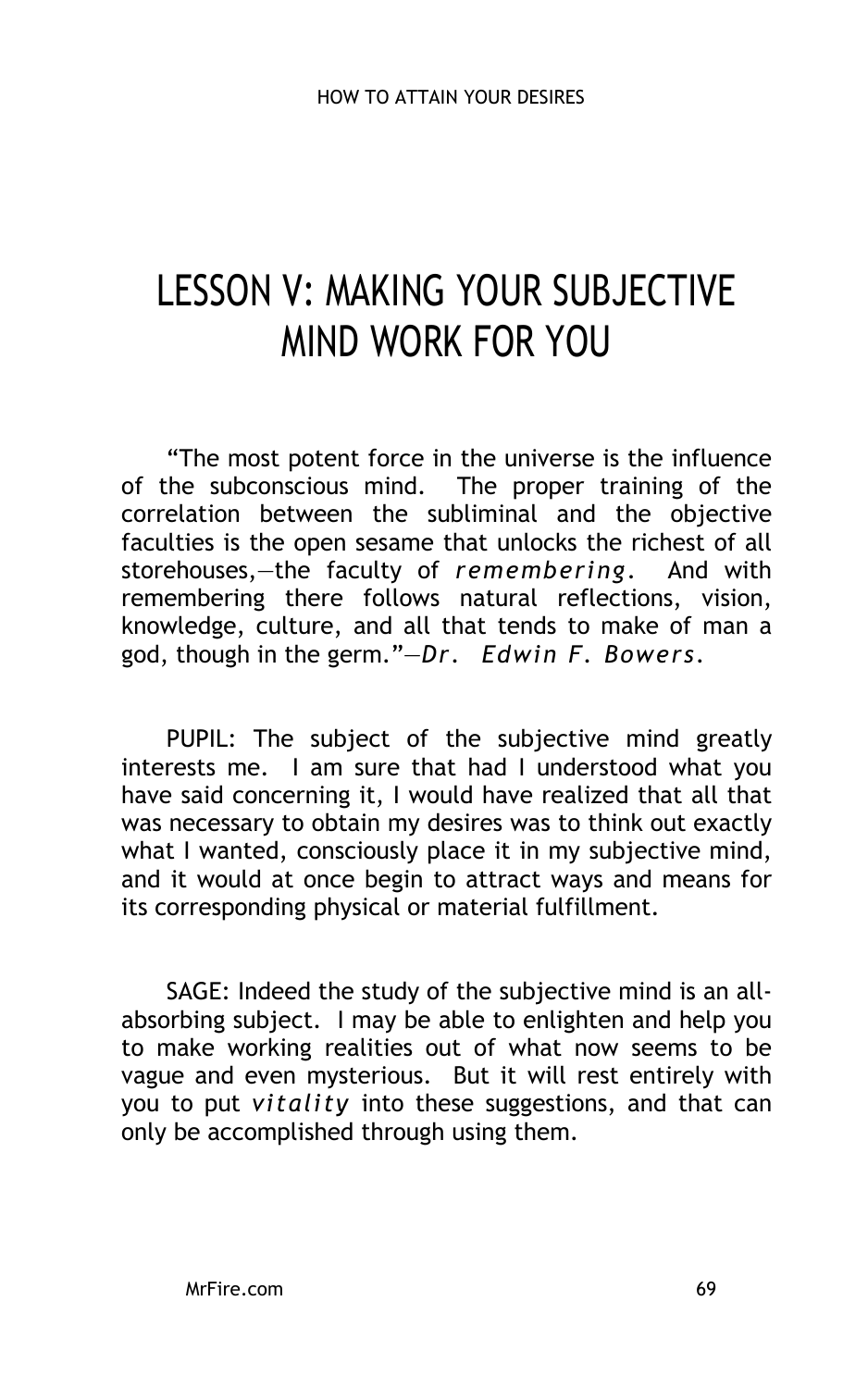# LESSON V: MAKING YOUR SUBJECTIVE MIND WORK FOR YOU

"The most potent force in the universe is the influence of the subconscious mind. The proper training of the correlation between the subliminal and the objective faculties is the open sesame that unlocks the richest of all storehouses,—the faculty of *remembering*. And with remembering there follows natural reflections, vision, knowledge, culture, and all that tends to make of man a god, though in the germ."—*Dr. Edwin F. Bowers.* 

PUPIL: The subject of the subjective mind greatly interests me. I am sure that had I understood what you have said concerning it, I would have realized that all that was necessary to obtain my desires was to think out exactly what I wanted, consciously place it in my subjective mind, and it would at once begin to attract ways and means for its corresponding physical or material fulfillment.

SAGE: Indeed the study of the subjective mind is an allabsorbing subject. I may be able to enlighten and help you to make working realities out of what now seems to be vague and even mysterious. But it will rest entirely with you to put *vitality* into these suggestions, and that can only be accomplished through using them.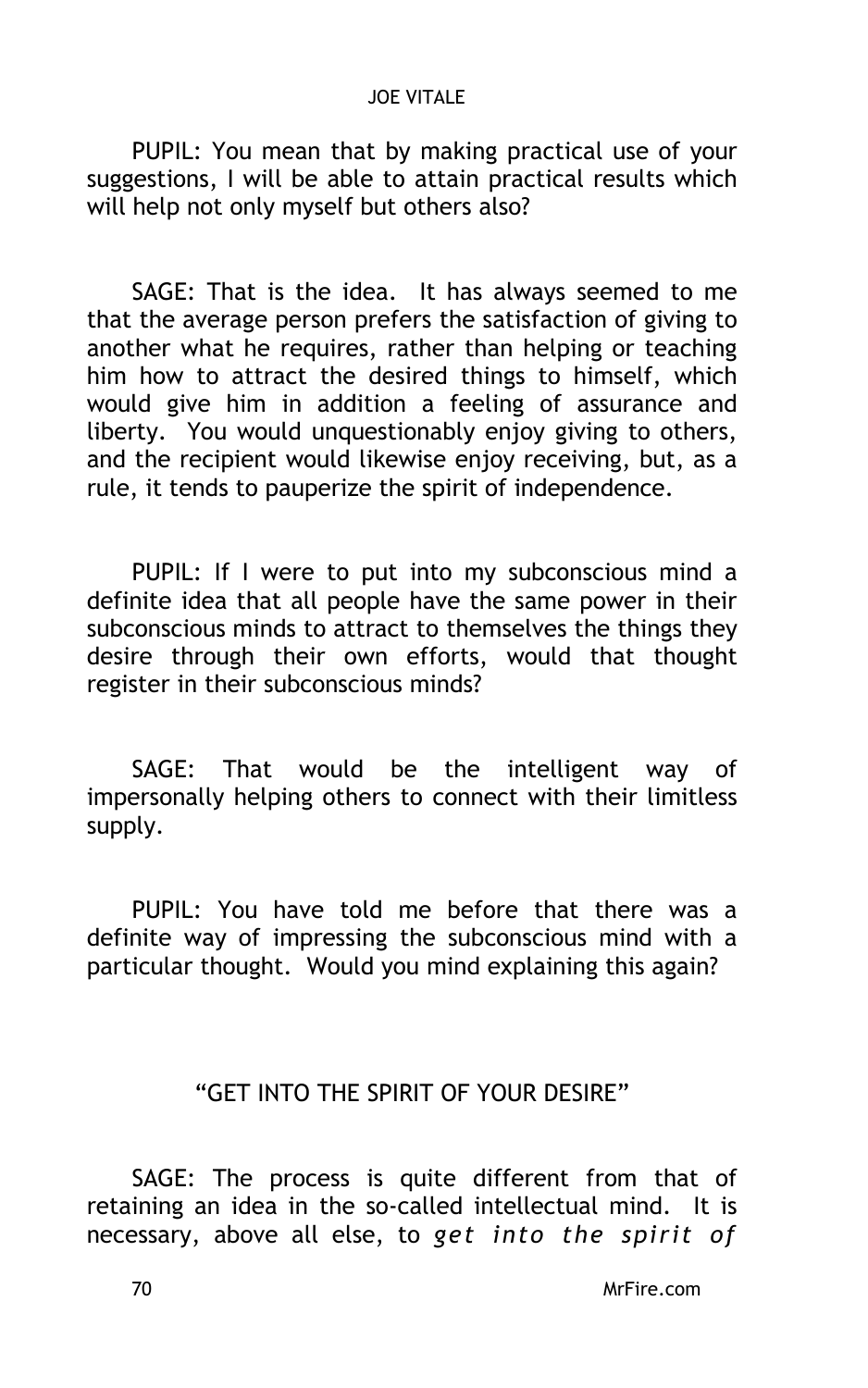PUPIL: You mean that by making practical use of your suggestions, I will be able to attain practical results which will help not only myself but others also?

SAGE: That is the idea. It has always seemed to me that the average person prefers the satisfaction of giving to another what he requires, rather than helping or teaching him how to attract the desired things to himself, which would give him in addition a feeling of assurance and liberty. You would unquestionably enjoy giving to others, and the recipient would likewise enjoy receiving, but, as a rule, it tends to pauperize the spirit of independence.

PUPIL: If I were to put into my subconscious mind a definite idea that all people have the same power in their subconscious minds to attract to themselves the things they desire through their own efforts, would that thought register in their subconscious minds?

SAGE: That would be the intelligent way of impersonally helping others to connect with their limitless supply.

PUPIL: You have told me before that there was a definite way of impressing the subconscious mind with a particular thought. Would you mind explaining this again?

#### "GET INTO THE SPIRIT OF YOUR DESIRE"

SAGE: The process is quite different from that of retaining an idea in the so-called intellectual mind. It is necessary, above all else, to *get into the spirit of*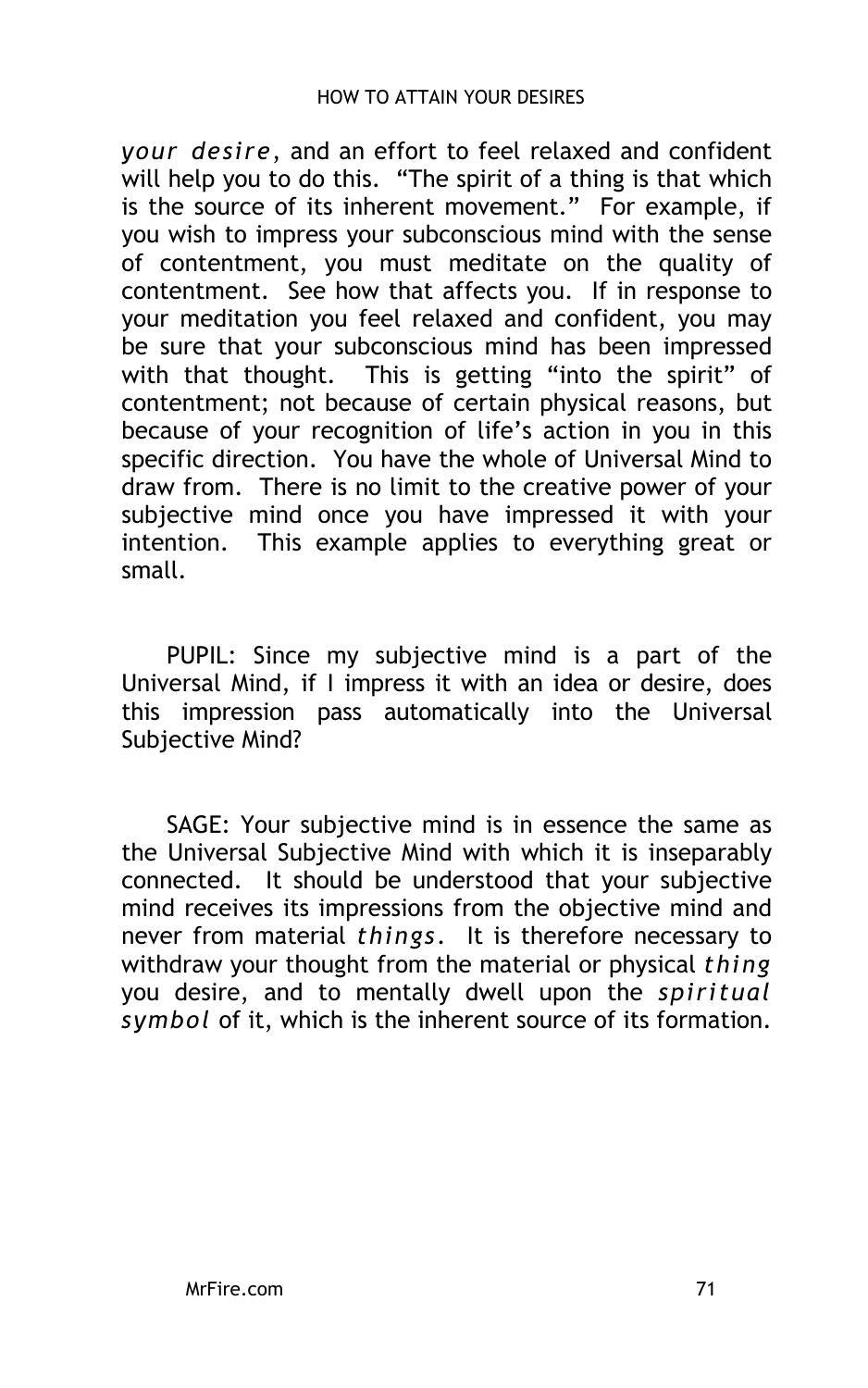*your desire*, and an effort to feel relaxed and confident will help you to do this. "The spirit of a thing is that which is the source of its inherent movement." For example, if you wish to impress your subconscious mind with the sense of contentment, you must meditate on the quality of contentment. See how that affects you. If in response to your meditation you feel relaxed and confident, you may be sure that your subconscious mind has been impressed with that thought. This is getting "into the spirit" of contentment; not because of certain physical reasons, but because of your recognition of life's action in you in this specific direction. You have the whole of Universal Mind to draw from. There is no limit to the creative power of your subjective mind once you have impressed it with your intention. This example applies to everything great or small.

PUPIL: Since my subjective mind is a part of the Universal Mind, if I impress it with an idea or desire, does this impression pass automatically into the Universal Subjective Mind?

SAGE: Your subjective mind is in essence the same as the Universal Subjective Mind with which it is inseparably connected. It should be understood that your subjective mind receives its impressions from the objective mind and never from material *things* . It is therefore necessary to withdraw your thought from the material or physical *thing* you desire, and to mentally dwell upon the *spiritual symbol* of it, which is the inherent source of its formation.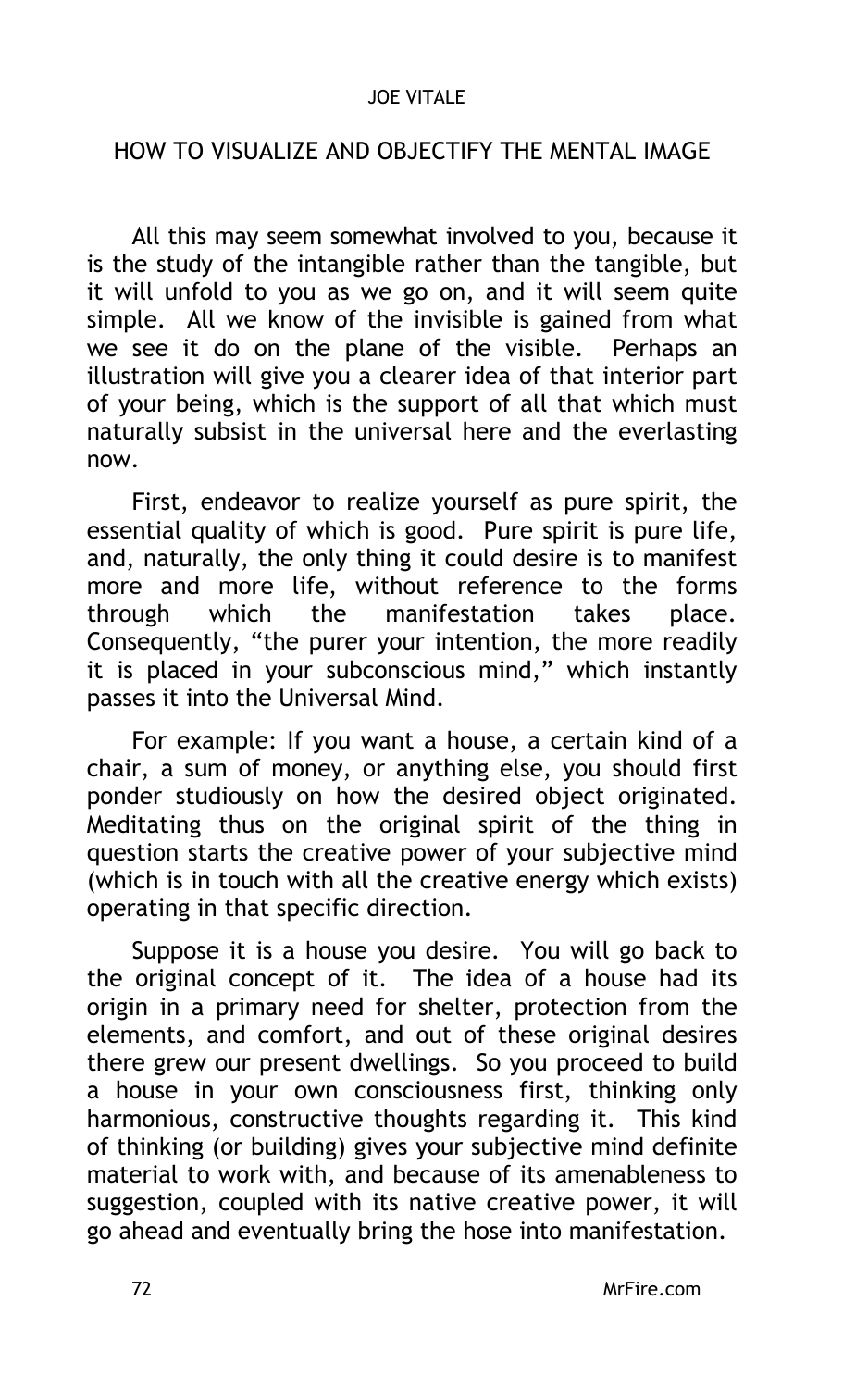#### HOW TO VISUALIZE AND OBJECTIFY THE MENTAL IMAGE

All this may seem somewhat involved to you, because it is the study of the intangible rather than the tangible, but it will unfold to you as we go on, and it will seem quite simple. All we know of the invisible is gained from what we see it do on the plane of the visible. Perhaps an illustration will give you a clearer idea of that interior part of your being, which is the support of all that which must naturally subsist in the universal here and the everlasting now.

First, endeavor to realize yourself as pure spirit, the essential quality of which is good. Pure spirit is pure life, and, naturally, the only thing it could desire is to manifest more and more life, without reference to the forms through which the manifestation takes place. Consequently, "the purer your intention, the more readily it is placed in your subconscious mind," which instantly passes it into the Universal Mind.

For example: If you want a house, a certain kind of a chair, a sum of money, or anything else, you should first ponder studiously on how the desired object originated. Meditating thus on the original spirit of the thing in question starts the creative power of your subjective mind (which is in touch with all the creative energy which exists) operating in that specific direction.

Suppose it is a house you desire. You will go back to the original concept of it. The idea of a house had its origin in a primary need for shelter, protection from the elements, and comfort, and out of these original desires there grew our present dwellings. So you proceed to build a house in your own consciousness first, thinking only harmonious, constructive thoughts regarding it. This kind of thinking (or building) gives your subjective mind definite material to work with, and because of its amenableness to suggestion, coupled with its native creative power, it will go ahead and eventually bring the hose into manifestation.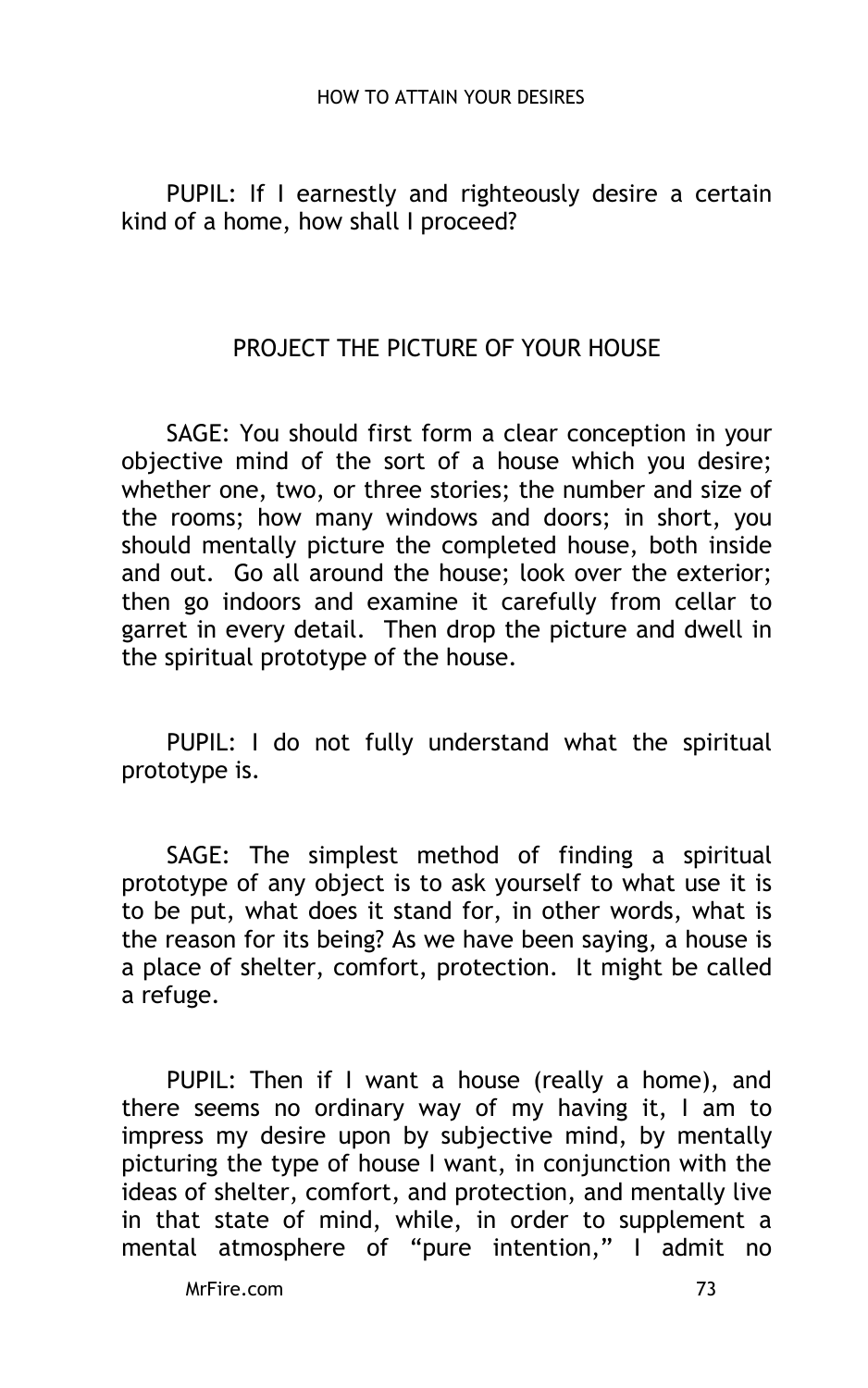PUPIL: If I earnestly and righteously desire a certain kind of a home, how shall I proceed?

## PROJECT THE PICTURE OF YOUR HOUSE

SAGE: You should first form a clear conception in your objective mind of the sort of a house which you desire; whether one, two, or three stories; the number and size of the rooms; how many windows and doors; in short, you should mentally picture the completed house, both inside and out. Go all around the house; look over the exterior; then go indoors and examine it carefully from cellar to garret in every detail. Then drop the picture and dwell in the spiritual prototype of the house.

PUPIL: I do not fully understand what the spiritual prototype is.

SAGE: The simplest method of finding a spiritual prototype of any object is to ask yourself to what use it is to be put, what does it stand for, in other words, what is the reason for its being? As we have been saying, a house is a place of shelter, comfort, protection. It might be called a refuge.

PUPIL: Then if I want a house (really a home), and there seems no ordinary way of my having it, I am to impress my desire upon by subjective mind, by mentally picturing the type of house I want, in conjunction with the ideas of shelter, comfort, and protection, and mentally live in that state of mind, while, in order to supplement a mental atmosphere of "pure intention," I admit no

MrFire.com 23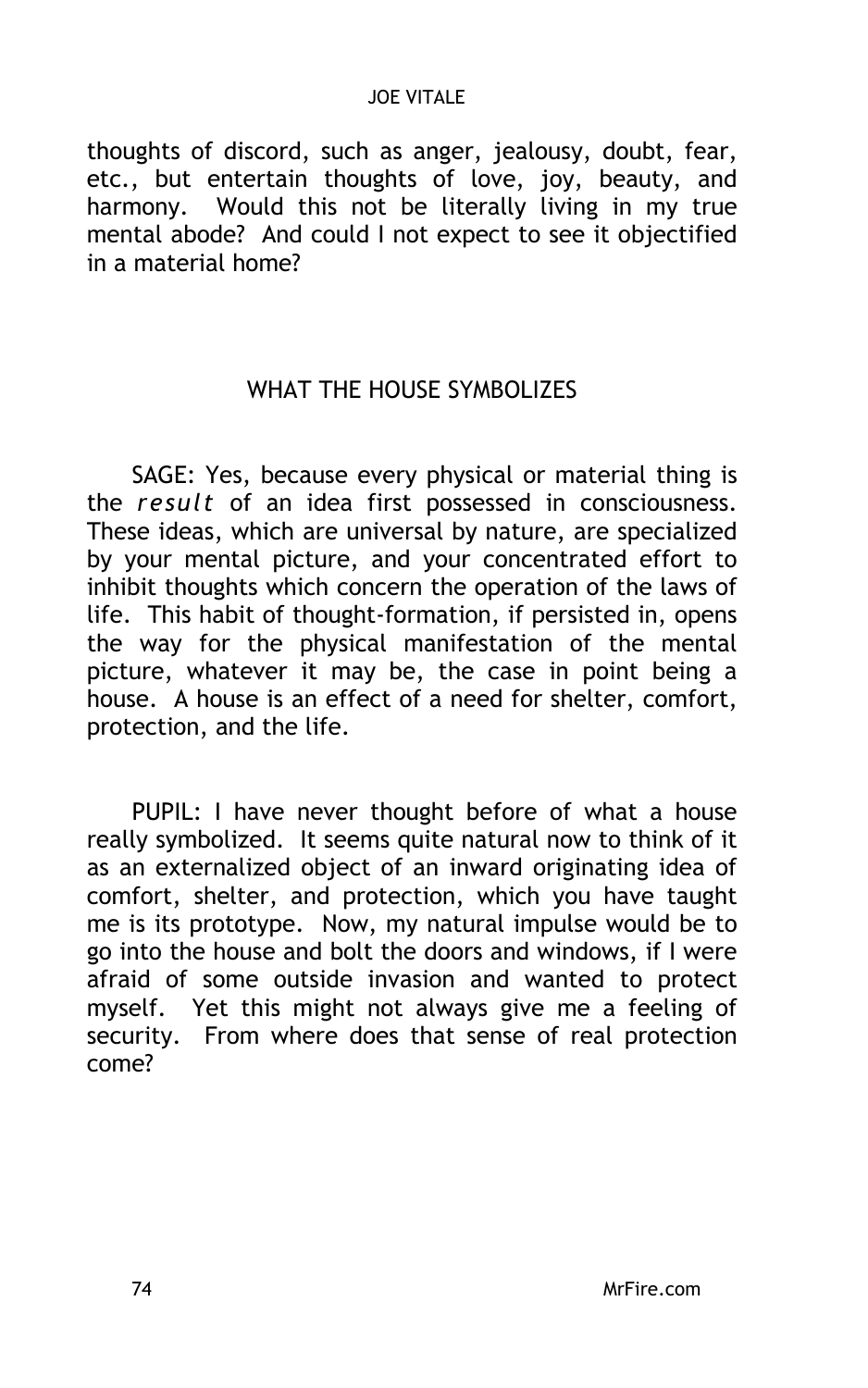thoughts of discord, such as anger, jealousy, doubt, fear, etc., but entertain thoughts of love, joy, beauty, and harmony. Would this not be literally living in my true mental abode? And could I not expect to see it objectified in a material home?

## WHAT THE HOUSE SYMBOLIZES

SAGE: Yes, because every physical or material thing is the *result* of an idea first possessed in consciousness. These ideas, which are universal by nature, are specialized by your mental picture, and your concentrated effort to inhibit thoughts which concern the operation of the laws of life. This habit of thought-formation, if persisted in, opens the way for the physical manifestation of the mental picture, whatever it may be, the case in point being a house. A house is an effect of a need for shelter, comfort, protection, and the life.

PUPIL: I have never thought before of what a house really symbolized. It seems quite natural now to think of it as an externalized object of an inward originating idea of comfort, shelter, and protection, which you have taught me is its prototype. Now, my natural impulse would be to go into the house and bolt the doors and windows, if I were afraid of some outside invasion and wanted to protect myself. Yet this might not always give me a feeling of security. From where does that sense of real protection come?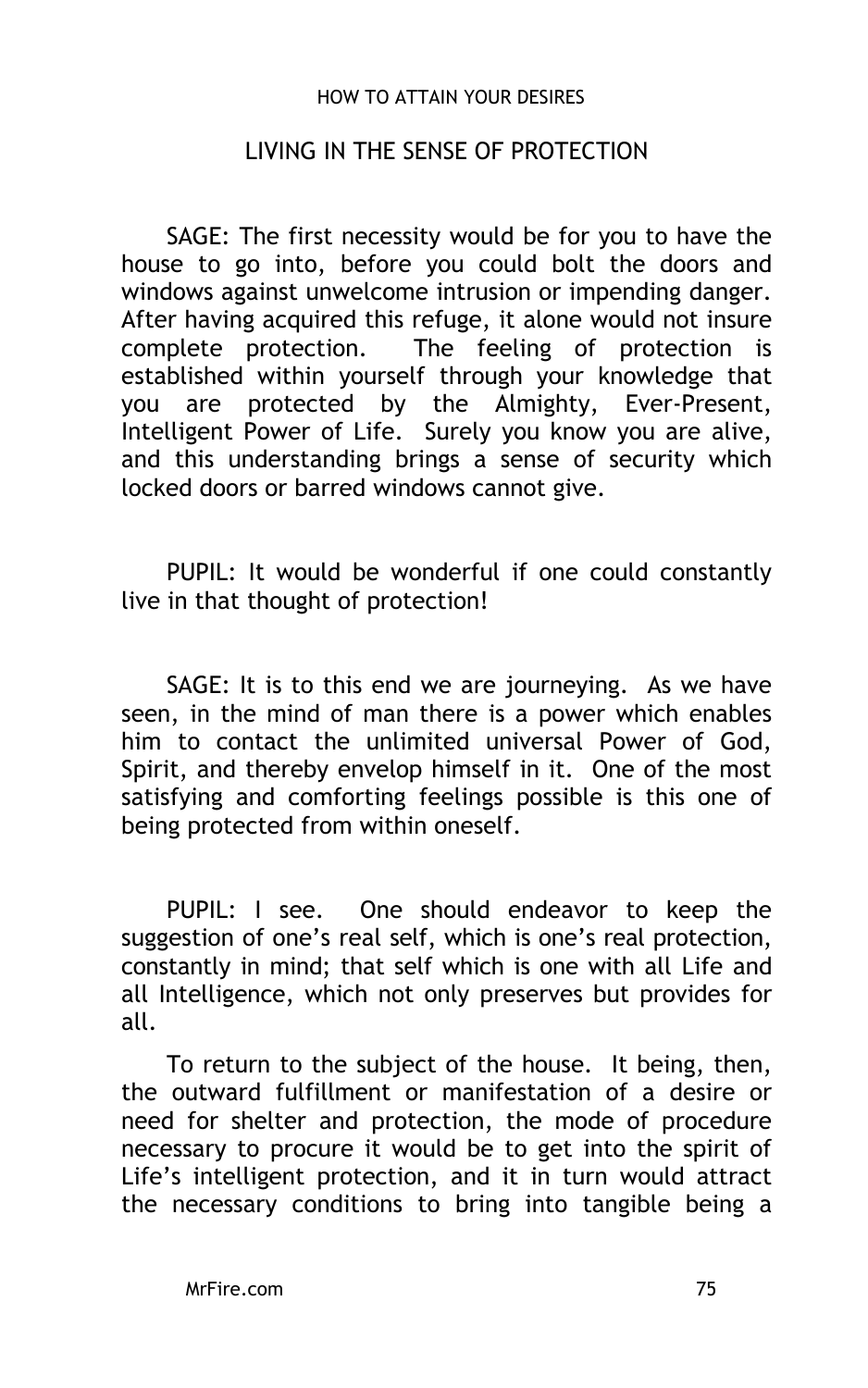#### HOW TO ATTAIN YOUR DESIRES

#### LIVING IN THE SENSE OF PROTECTION

SAGE: The first necessity would be for you to have the house to go into, before you could bolt the doors and windows against unwelcome intrusion or impending danger. After having acquired this refuge, it alone would not insure complete protection. The feeling of protection is established within yourself through your knowledge that you are protected by the Almighty, Ever-Present, Intelligent Power of Life. Surely you know you are alive, and this understanding brings a sense of security which locked doors or barred windows cannot give.

PUPIL: It would be wonderful if one could constantly live in that thought of protection!

SAGE: It is to this end we are journeying. As we have seen, in the mind of man there is a power which enables him to contact the unlimited universal Power of God, Spirit, and thereby envelop himself in it. One of the most satisfying and comforting feelings possible is this one of being protected from within oneself.

PUPIL: I see. One should endeavor to keep the suggestion of one's real self, which is one's real protection, constantly in mind; that self which is one with all Life and all Intelligence, which not only preserves but provides for all.

To return to the subject of the house. It being, then, the outward fulfillment or manifestation of a desire or need for shelter and protection, the mode of procedure necessary to procure it would be to get into the spirit of Life's intelligent protection, and it in turn would attract the necessary conditions to bring into tangible being a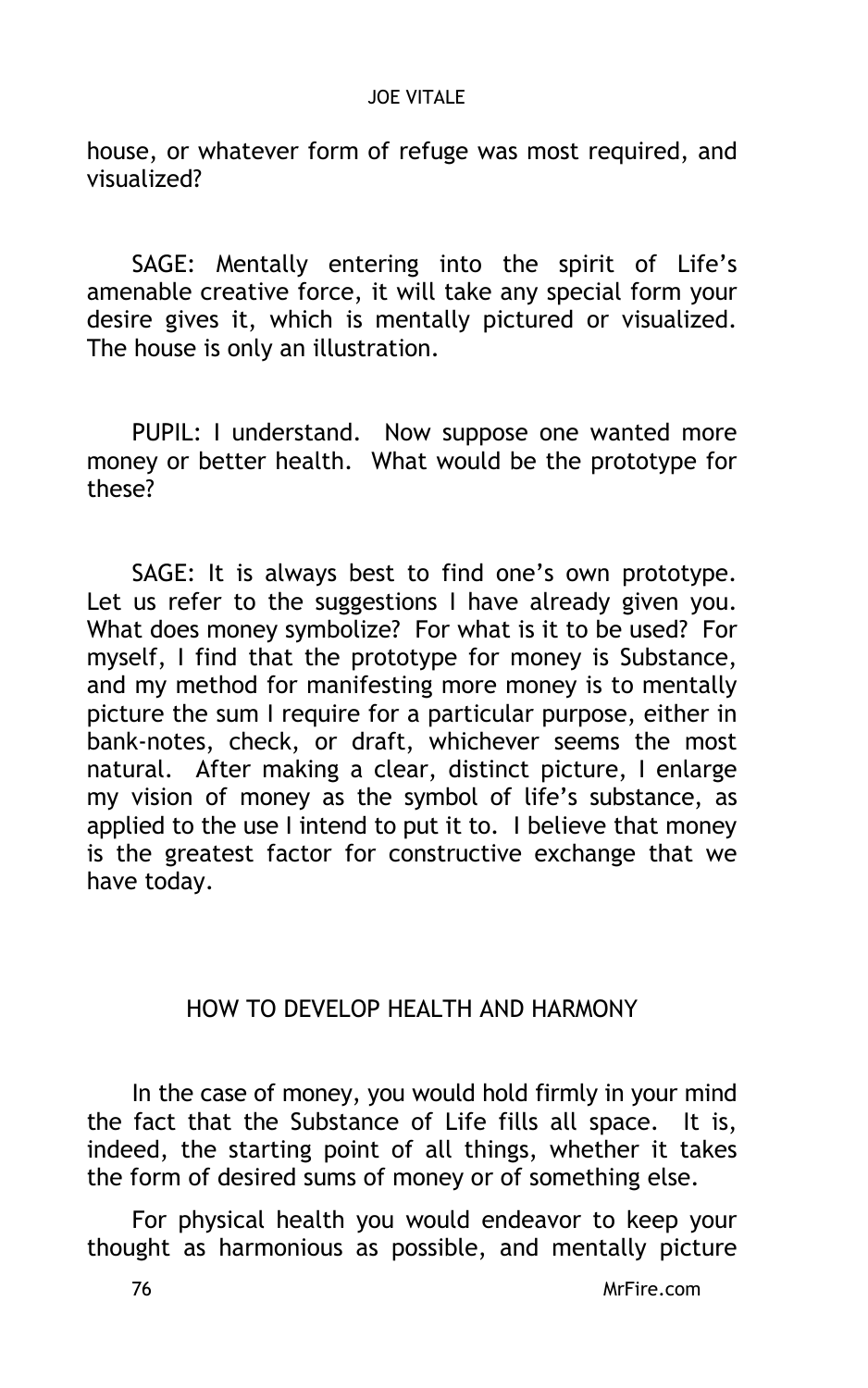house, or whatever form of refuge was most required, and visualized?

SAGE: Mentally entering into the spirit of Life's amenable creative force, it will take any special form your desire gives it, which is mentally pictured or visualized. The house is only an illustration.

PUPIL: I understand. Now suppose one wanted more money or better health. What would be the prototype for these?

SAGE: It is always best to find one's own prototype. Let us refer to the suggestions I have already given you. What does money symbolize? For what is it to be used? For myself, I find that the prototype for money is Substance, and my method for manifesting more money is to mentally picture the sum I require for a particular purpose, either in bank-notes, check, or draft, whichever seems the most natural. After making a clear, distinct picture, I enlarge my vision of money as the symbol of life's substance, as applied to the use I intend to put it to. I believe that money is the greatest factor for constructive exchange that we have today.

## HOW TO DEVELOP HEALTH AND HARMONY

In the case of money, you would hold firmly in your mind the fact that the Substance of Life fills all space. It is, indeed, the starting point of all things, whether it takes the form of desired sums of money or of something else.

For physical health you would endeavor to keep your thought as harmonious as possible, and mentally picture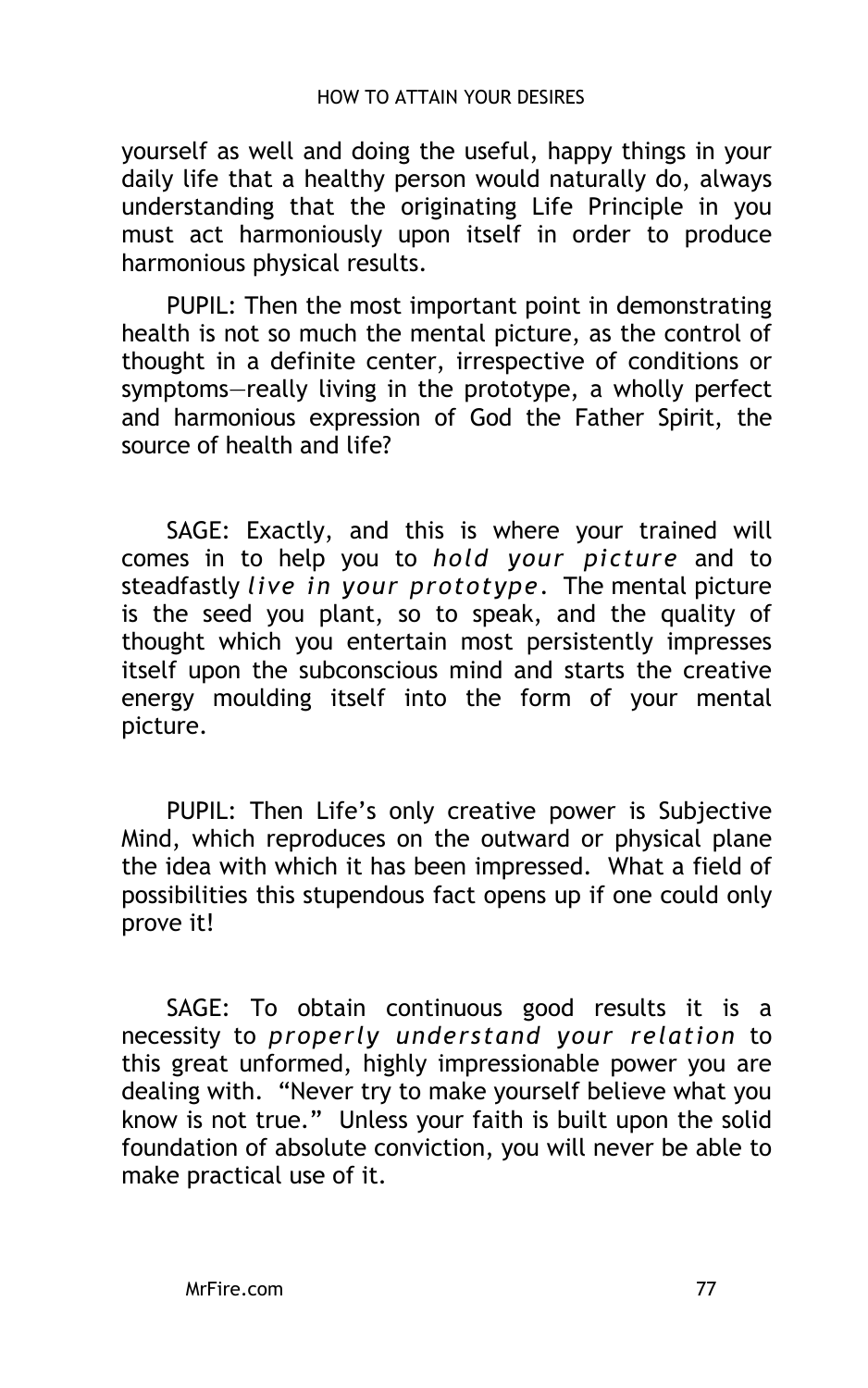yourself as well and doing the useful, happy things in your daily life that a healthy person would naturally do, always understanding that the originating Life Principle in you must act harmoniously upon itself in order to produce harmonious physical results.

PUPIL: Then the most important point in demonstrating health is not so much the mental picture, as the control of thought in a definite center, irrespective of conditions or symptoms—really living in the prototype, a wholly perfect and harmonious expression of God the Father Spirit, the source of health and life?

SAGE: Exactly, and this is where your trained will comes in to help you to *hold your picture* and to steadfastly *live in your prototype*. The mental picture is the seed you plant, so to speak, and the quality of thought which you entertain most persistently impresses itself upon the subconscious mind and starts the creative energy moulding itself into the form of your mental picture.

PUPIL: Then Life's only creative power is Subjective Mind, which reproduces on the outward or physical plane the idea with which it has been impressed. What a field of possibilities this stupendous fact opens up if one could only prove it!

SAGE: To obtain continuous good results it is a necessity to *properly understand your relation* to this great unformed, highly impressionable power you are dealing with. "Never try to make yourself believe what you know is not true." Unless your faith is built upon the solid foundation of absolute conviction, you will never be able to make practical use of it.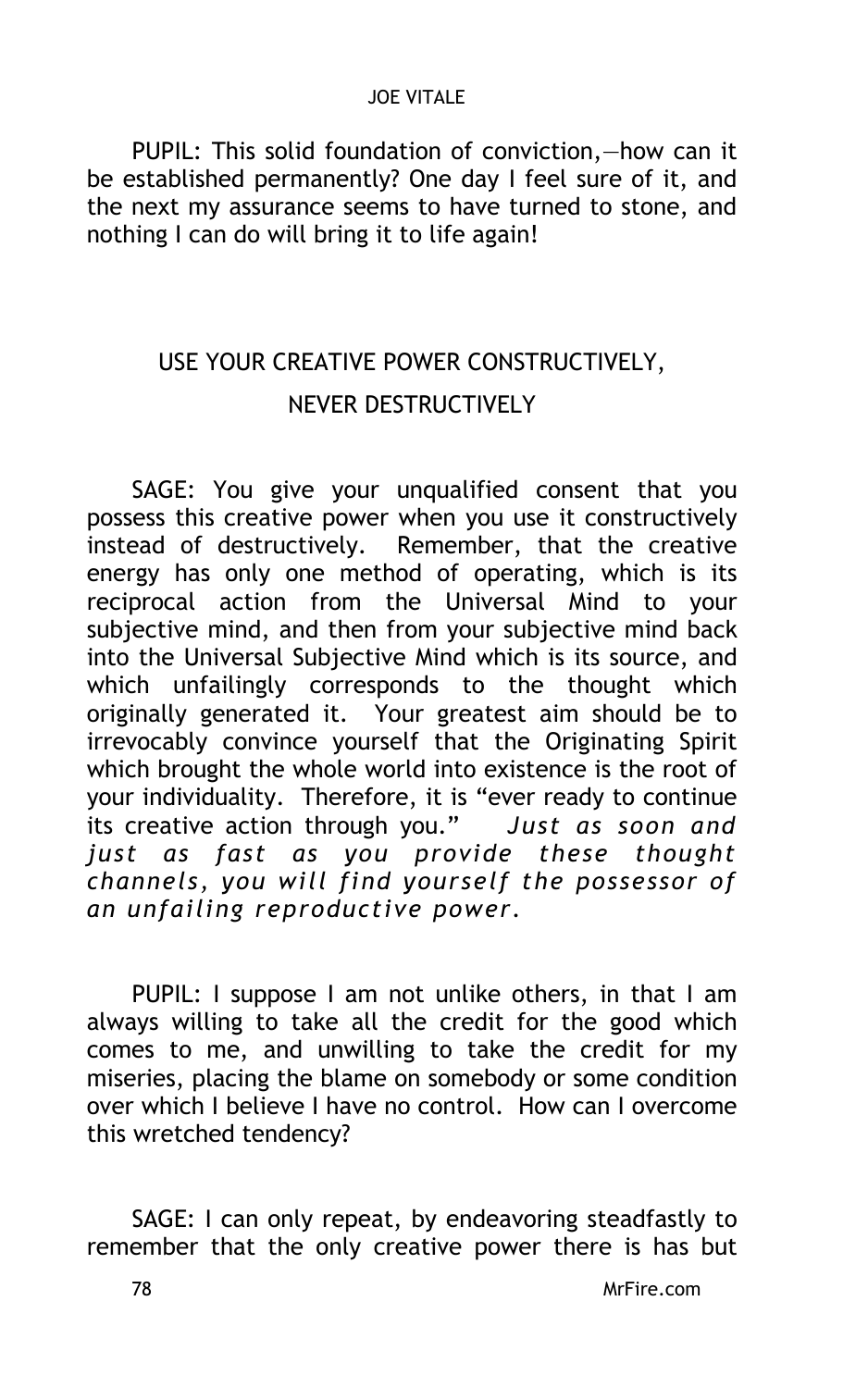PUPIL: This solid foundation of conviction,—how can it be established permanently? One day I feel sure of it, and the next my assurance seems to have turned to stone, and nothing I can do will bring it to life again!

## USE YOUR CREATIVE POWER CONSTRUCTIVELY, NEVER DESTRUCTIVELY

SAGE: You give your unqualified consent that you possess this creative power when you use it constructively instead of destructively. Remember, that the creative energy has only one method of operating, which is its reciprocal action from the Universal Mind to your subjective mind, and then from your subjective mind back into the Universal Subjective Mind which is its source, and which unfailingly corresponds to the thought which originally generated it. Your greatest aim should be to irrevocably convince yourself that the Originating Spirit which brought the whole world into existence is the root of your individuality. Therefore, it is "ever ready to continue its creative action through you." *Just as soon and just as fast as you provide these thought channels, you will find yourself the possessor of an unfailing reproductive power.* 

PUPIL: I suppose I am not unlike others, in that I am always willing to take all the credit for the good which comes to me, and unwilling to take the credit for my miseries, placing the blame on somebody or some condition over which I believe I have no control. How can I overcome this wretched tendency?

SAGE: I can only repeat, by endeavoring steadfastly to remember that the only creative power there is has but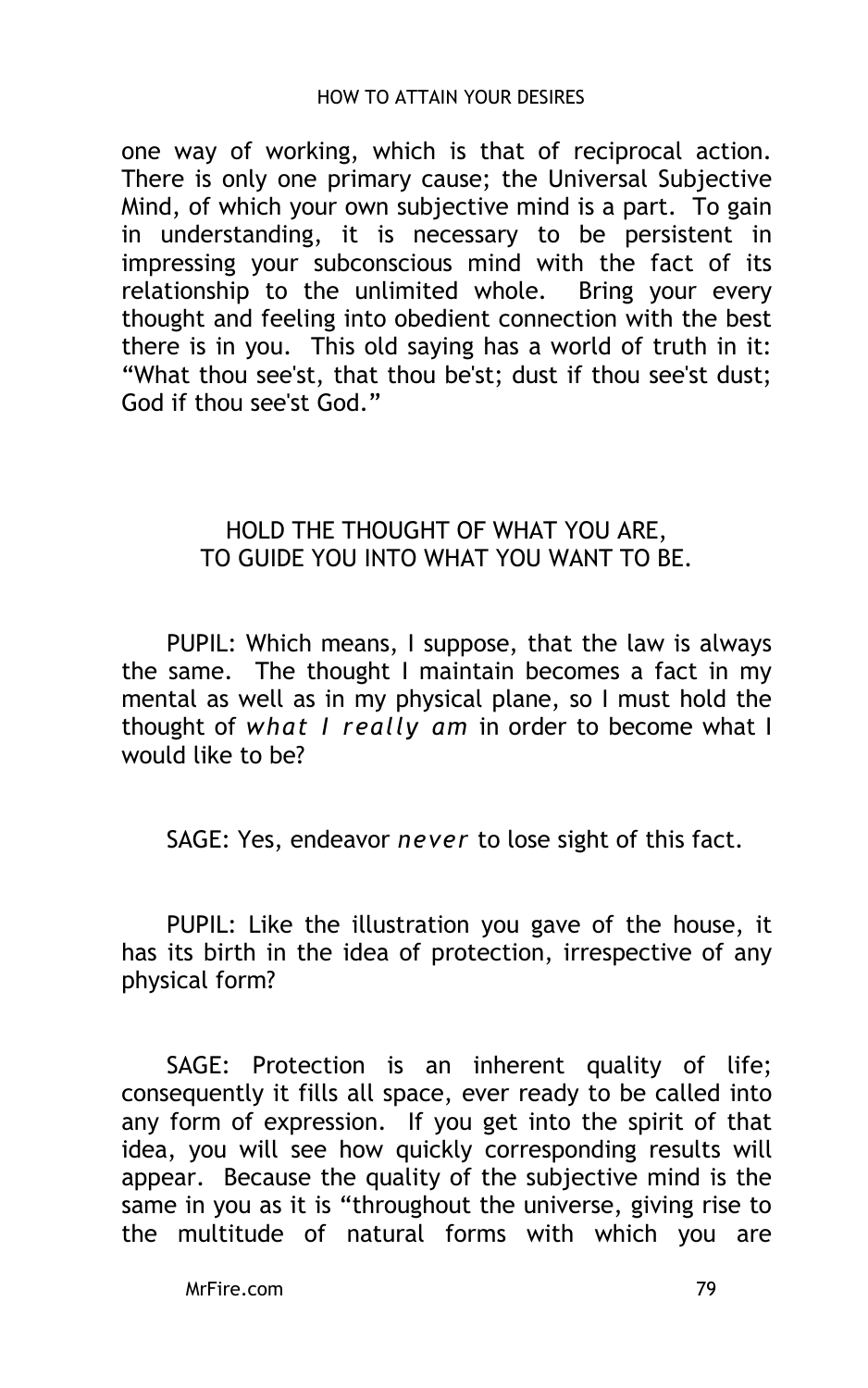#### HOW TO ATTAIN YOUR DESIRES

one way of working, which is that of reciprocal action. There is only one primary cause; the Universal Subjective Mind, of which your own subjective mind is a part. To gain in understanding, it is necessary to be persistent in impressing your subconscious mind with the fact of its relationship to the unlimited whole. Bring your every thought and feeling into obedient connection with the best there is in you. This old saying has a world of truth in it: "What thou see'st, that thou be'st; dust if thou see'st dust; God if thou see'st God."

## HOLD THE THOUGHT OF WHAT YOU ARE, TO GUIDE YOU INTO WHAT YOU WANT TO BE.

PUPIL: Which means, I suppose, that the law is always the same. The thought I maintain becomes a fact in my mental as well as in my physical plane, so I must hold the thought of *what I really am* in order to become what I would like to be?

SAGE: Yes, endeavor *never* to lose sight of this fact.

PUPIL: Like the illustration you gave of the house, it has its birth in the idea of protection, irrespective of any physical form?

SAGE: Protection is an inherent quality of life; consequently it fills all space, ever ready to be called into any form of expression. If you get into the spirit of that idea, you will see how quickly corresponding results will appear. Because the quality of the subjective mind is the same in you as it is "throughout the universe, giving rise to the multitude of natural forms with which you are

MrFire.com 29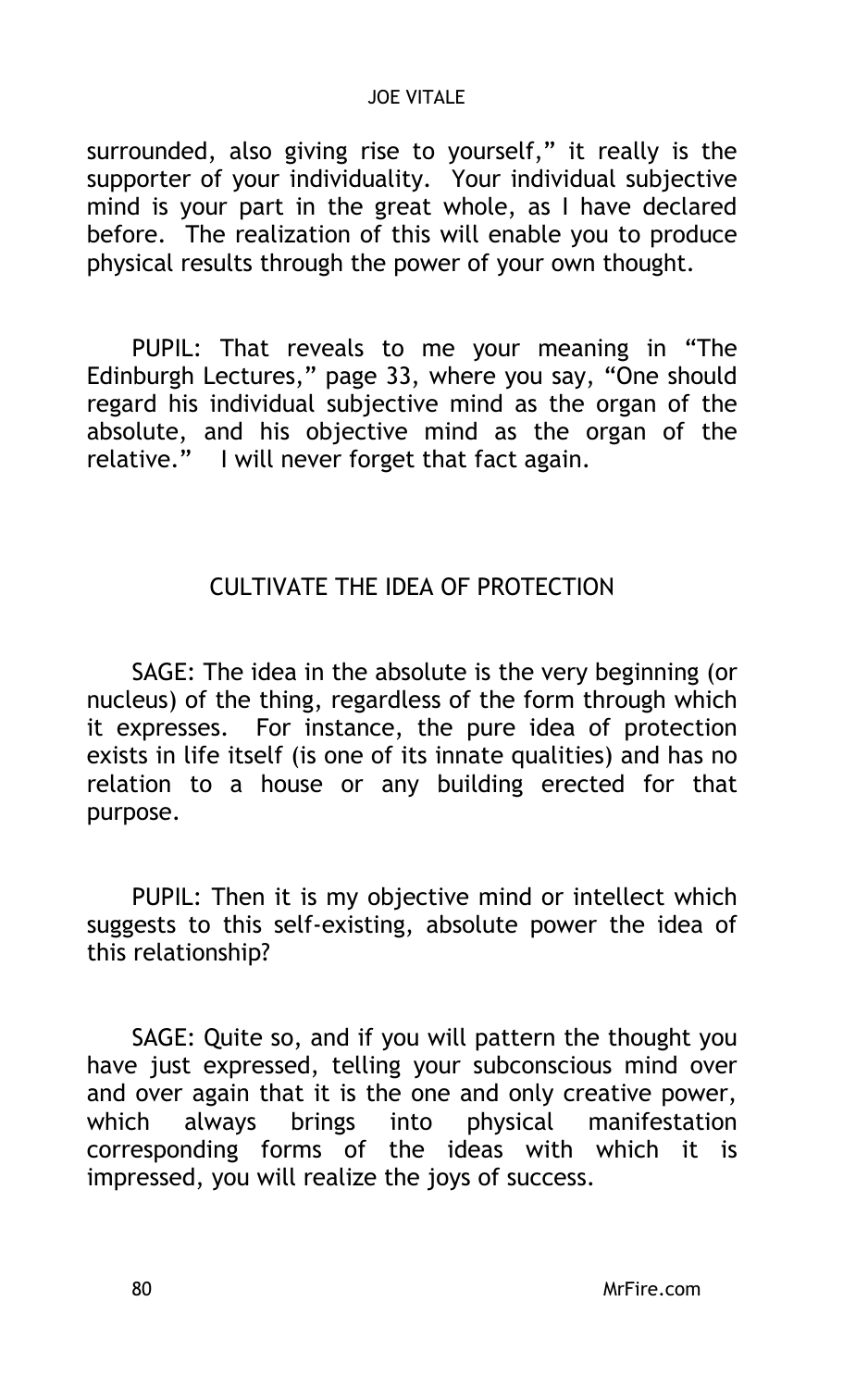surrounded, also giving rise to yourself," it really is the supporter of your individuality. Your individual subjective mind is your part in the great whole, as I have declared before. The realization of this will enable you to produce physical results through the power of your own thought.

PUPIL: That reveals to me your meaning in "The Edinburgh Lectures," page 33, where you say, "One should regard his individual subjective mind as the organ of the absolute, and his objective mind as the organ of the relative." I will never forget that fact again.

## CULTIVATE THE IDEA OF PROTECTION

SAGE: The idea in the absolute is the very beginning (or nucleus) of the thing, regardless of the form through which it expresses. For instance, the pure idea of protection exists in life itself (is one of its innate qualities) and has no relation to a house or any building erected for that purpose.

PUPIL: Then it is my objective mind or intellect which suggests to this self-existing, absolute power the idea of this relationship?

SAGE: Quite so, and if you will pattern the thought you have just expressed, telling your subconscious mind over and over again that it is the one and only creative power, which always brings into physical manifestation corresponding forms of the ideas with which it is impressed, you will realize the joys of success.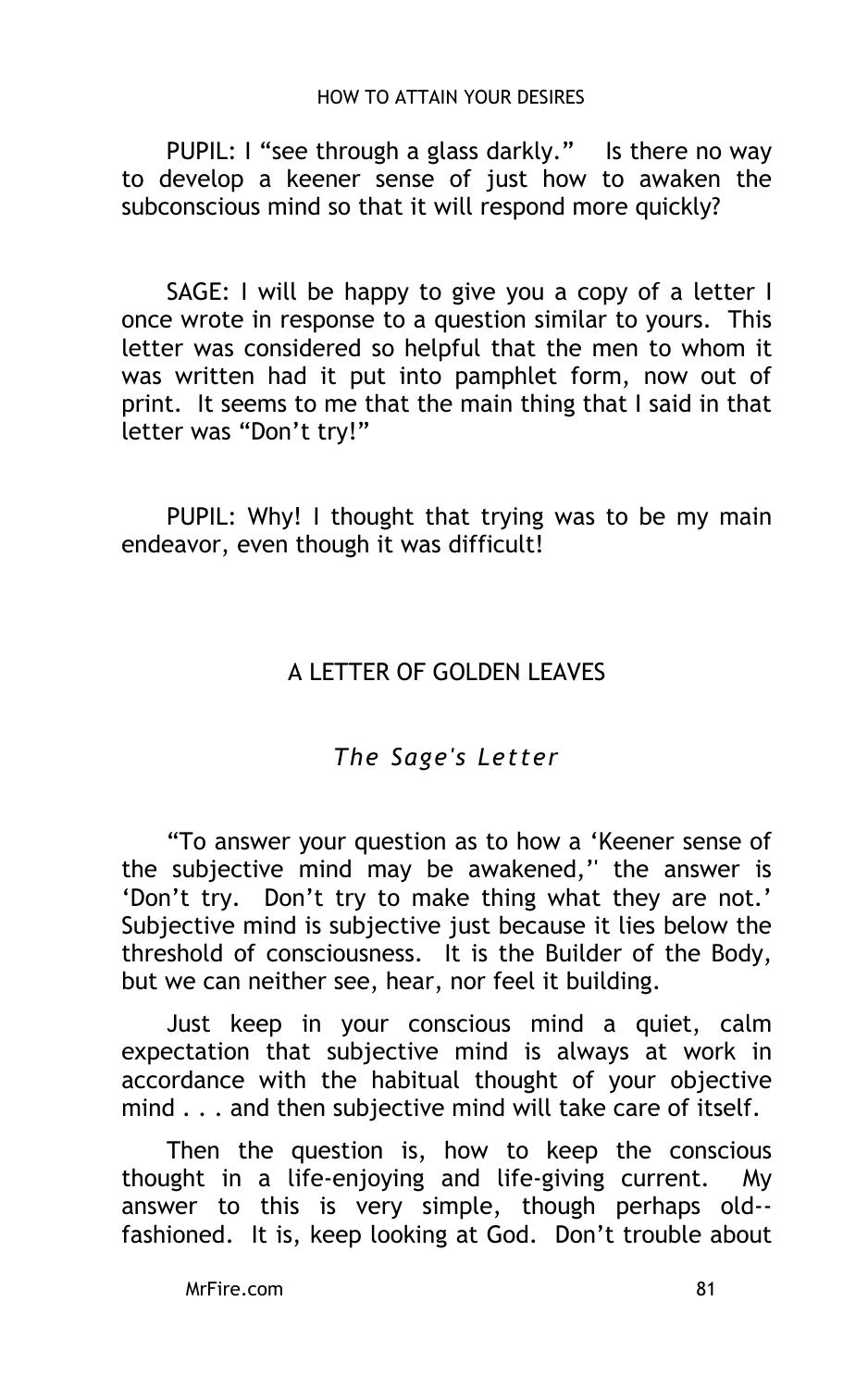PUPIL: I "see through a glass darkly." Is there no way to develop a keener sense of just how to awaken the subconscious mind so that it will respond more quickly?

SAGE: I will be happy to give you a copy of a letter I once wrote in response to a question similar to yours. This letter was considered so helpful that the men to whom it was written had it put into pamphlet form, now out of print. It seems to me that the main thing that I said in that letter was "Don't try!"

PUPIL: Why! I thought that trying was to be my main endeavor, even though it was difficult!

## A LETTER OF GOLDEN LEAVES

## *The Sage's Letter*

"To answer your question as to how a 'Keener sense of the subjective mind may be awakened,'' the answer is 'Don't try. Don't try to make thing what they are not.' Subjective mind is subjective just because it lies below the threshold of consciousness. It is the Builder of the Body, but we can neither see, hear, nor feel it building.

Just keep in your conscious mind a quiet, calm expectation that subjective mind is always at work in accordance with the habitual thought of your objective mind . . . and then subjective mind will take care of itself.

Then the question is, how to keep the conscious thought in a life-enjoying and life-giving current. My answer to this is very simple, though perhaps old- fashioned. It is, keep looking at God. Don't trouble about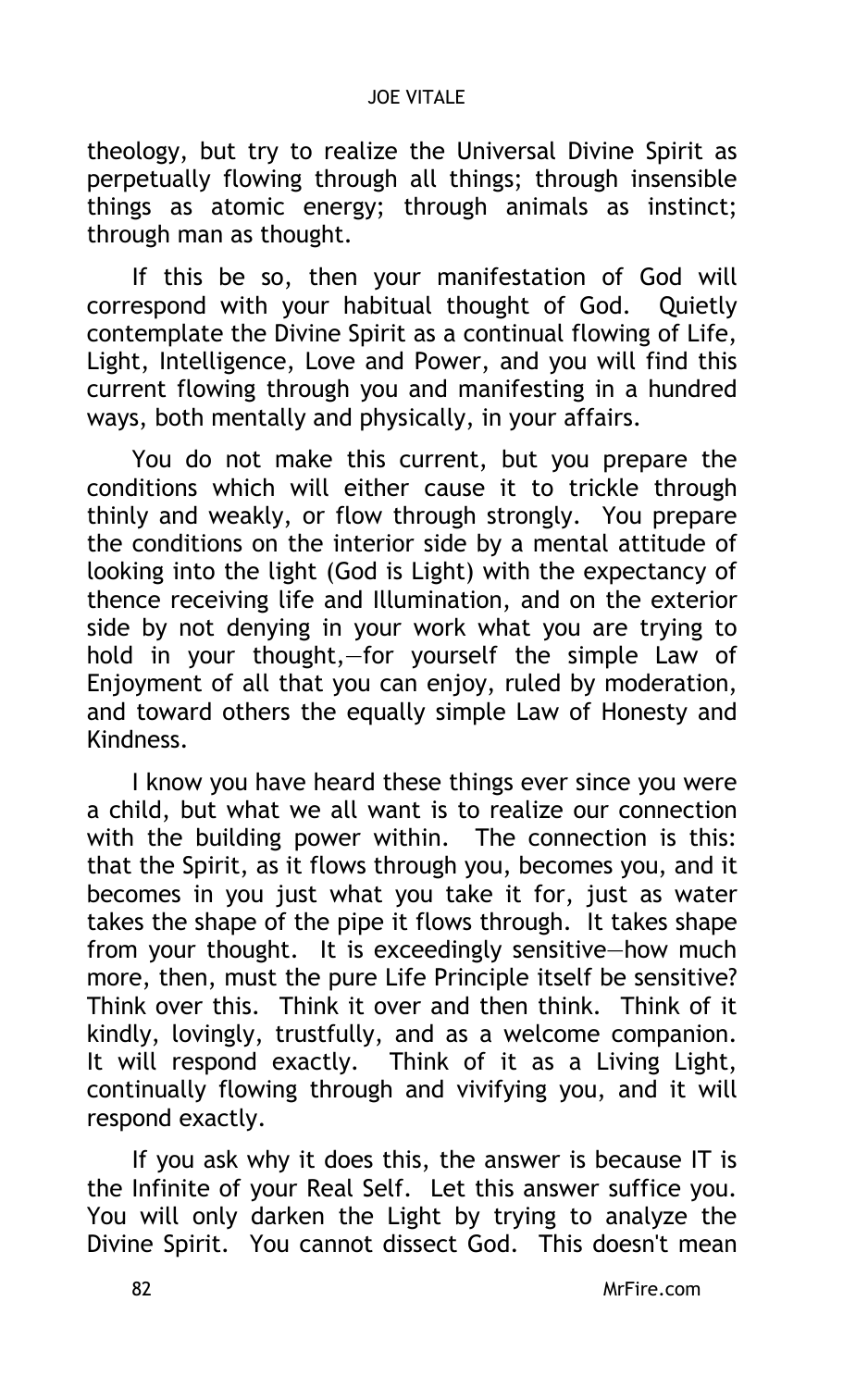theology, but try to realize the Universal Divine Spirit as perpetually flowing through all things; through insensible things as atomic energy; through animals as instinct; through man as thought.

If this be so, then your manifestation of God will correspond with your habitual thought of God. Quietly contemplate the Divine Spirit as a continual flowing of Life, Light, Intelligence, Love and Power, and you will find this current flowing through you and manifesting in a hundred ways, both mentally and physically, in your affairs.

You do not make this current, but you prepare the conditions which will either cause it to trickle through thinly and weakly, or flow through strongly. You prepare the conditions on the interior side by a mental attitude of looking into the light (God is Light) with the expectancy of thence receiving life and Illumination, and on the exterior side by not denying in your work what you are trying to hold in your thought,—for yourself the simple Law of Enjoyment of all that you can enjoy, ruled by moderation, and toward others the equally simple Law of Honesty and Kindness.

I know you have heard these things ever since you were a child, but what we all want is to realize our connection with the building power within. The connection is this: that the Spirit, as it flows through you, becomes you, and it becomes in you just what you take it for, just as water takes the shape of the pipe it flows through. It takes shape from your thought. It is exceedingly sensitive—how much more, then, must the pure Life Principle itself be sensitive? Think over this. Think it over and then think. Think of it kindly, lovingly, trustfully, and as a welcome companion. It will respond exactly. Think of it as a Living Light, continually flowing through and vivifying you, and it will respond exactly.

If you ask why it does this, the answer is because IT is the Infinite of your Real Self. Let this answer suffice you. You will only darken the Light by trying to analyze the Divine Spirit. You cannot dissect God. This doesn't mean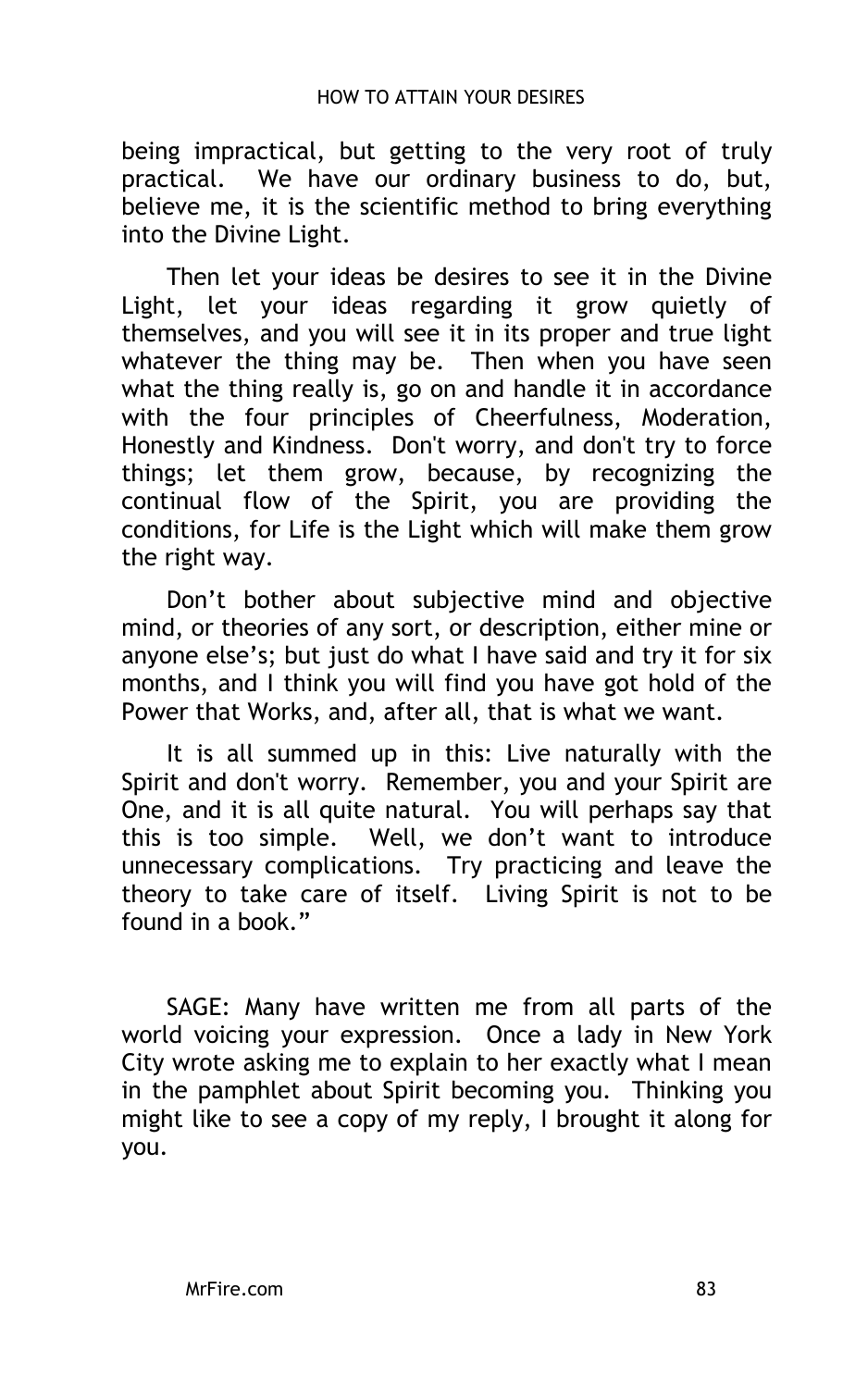being impractical, but getting to the very root of truly practical. We have our ordinary business to do, but, believe me, it is the scientific method to bring everything into the Divine Light.

Then let your ideas be desires to see it in the Divine Light, let your ideas regarding it grow quietly of themselves, and you will see it in its proper and true light whatever the thing may be. Then when you have seen what the thing really is, go on and handle it in accordance with the four principles of Cheerfulness, Moderation, Honestly and Kindness. Don't worry, and don't try to force things; let them grow, because, by recognizing the continual flow of the Spirit, you are providing the conditions, for Life is the Light which will make them grow the right way.

Don't bother about subjective mind and objective mind, or theories of any sort, or description, either mine or anyone else's; but just do what I have said and try it for six months, and I think you will find you have got hold of the Power that Works, and, after all, that is what we want.

It is all summed up in this: Live naturally with the Spirit and don't worry. Remember, you and your Spirit are One, and it is all quite natural. You will perhaps say that this is too simple. Well, we don't want to introduce unnecessary complications. Try practicing and leave the theory to take care of itself. Living Spirit is not to be found in a book."

SAGE: Many have written me from all parts of the world voicing your expression. Once a lady in New York City wrote asking me to explain to her exactly what I mean in the pamphlet about Spirit becoming you. Thinking you might like to see a copy of my reply, I brought it along for you.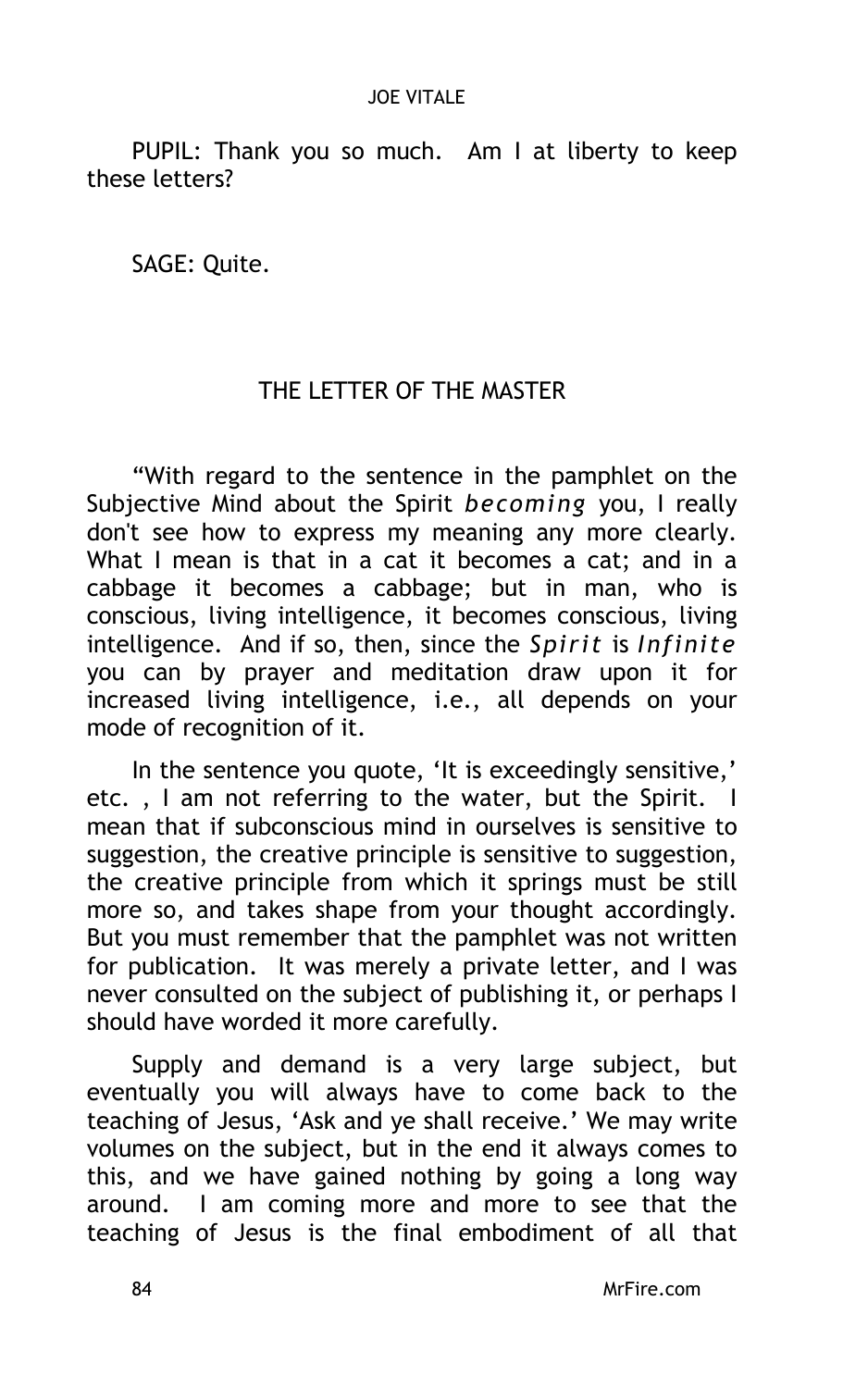PUPIL: Thank you so much. Am I at liberty to keep these letters?

SAGE: Quite.

## THE LETTER OF THE MASTER

"With regard to the sentence in the pamphlet on the Subjective Mind about the Spirit *becoming* you, I really don't see how to express my meaning any more clearly. What I mean is that in a cat it becomes a cat; and in a cabbage it becomes a cabbage; but in man, who is conscious, living intelligence, it becomes conscious, living intelligence. And if so, then, since the *Spirit* is *Infinite* you can by prayer and meditation draw upon it for increased living intelligence, i.e., all depends on your mode of recognition of it.

In the sentence you quote, 'It is exceedingly sensitive,' etc. , I am not referring to the water, but the Spirit. I mean that if subconscious mind in ourselves is sensitive to suggestion, the creative principle is sensitive to suggestion, the creative principle from which it springs must be still more so, and takes shape from your thought accordingly. But you must remember that the pamphlet was not written for publication. It was merely a private letter, and I was never consulted on the subject of publishing it, or perhaps I should have worded it more carefully.

Supply and demand is a very large subject, but eventually you will always have to come back to the teaching of Jesus, 'Ask and ye shall receive.' We may write volumes on the subject, but in the end it always comes to this, and we have gained nothing by going a long way around. I am coming more and more to see that the teaching of Jesus is the final embodiment of all that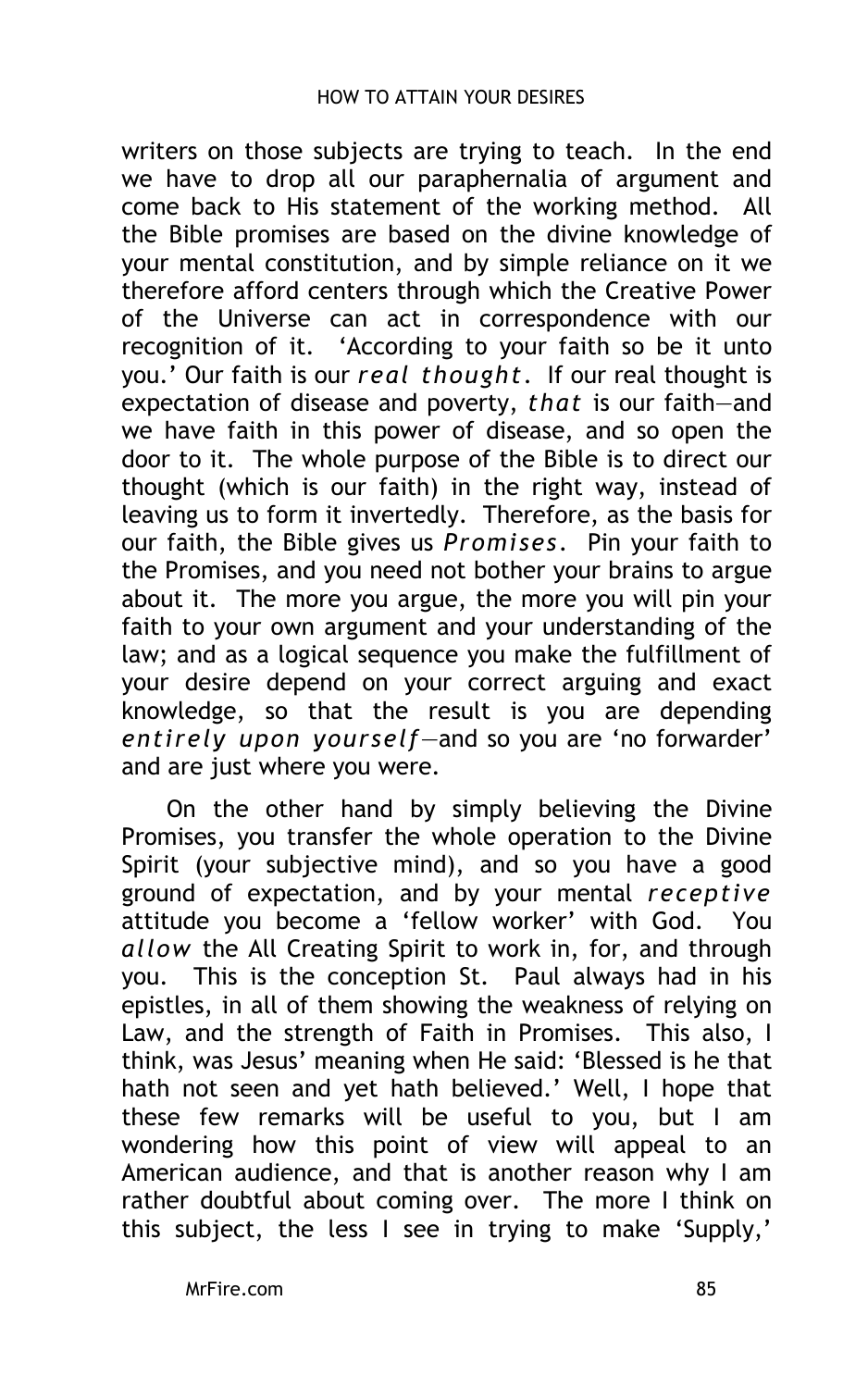writers on those subjects are trying to teach. In the end we have to drop all our paraphernalia of argument and come back to His statement of the working method. All the Bible promises are based on the divine knowledge of your mental constitution, and by simple reliance on it we therefore afford centers through which the Creative Power of the Universe can act in correspondence with our recognition of it. 'According to your faith so be it unto you.' Our faith is our *real thought*. If our real thought is expectation of disease and poverty, *that* is our faith—and we have faith in this power of disease, and so open the door to it. The whole purpose of the Bible is to direct our thought (which is our faith) in the right way, instead of leaving us to form it invertedly. Therefore, as the basis for our faith, the Bible gives us *Promises* . Pin your faith to the Promises, and you need not bother your brains to argue about it. The more you argue, the more you will pin your faith to your own argument and your understanding of the law; and as a logical sequence you make the fulfillment of your desire depend on your correct arguing and exact knowledge, so that the result is you are depending *entirely upon yourself*—and so you are 'no forwarder' and are just where you were.

On the other hand by simply believing the Divine Promises, you transfer the whole operation to the Divine Spirit (your subjective mind), and so you have a good ground of expectation, and by your mental *receptive* attitude you become a 'fellow worker' with God. You *allow* the All Creating Spirit to work in, for, and through you. This is the conception St. Paul always had in his epistles, in all of them showing the weakness of relying on Law, and the strength of Faith in Promises. This also, I think, was Jesus' meaning when He said: 'Blessed is he that hath not seen and yet hath believed.' Well, I hope that these few remarks will be useful to you, but I am wondering how this point of view will appeal to an American audience, and that is another reason why I am rather doubtful about coming over. The more I think on this subject, the less I see in trying to make 'Supply,'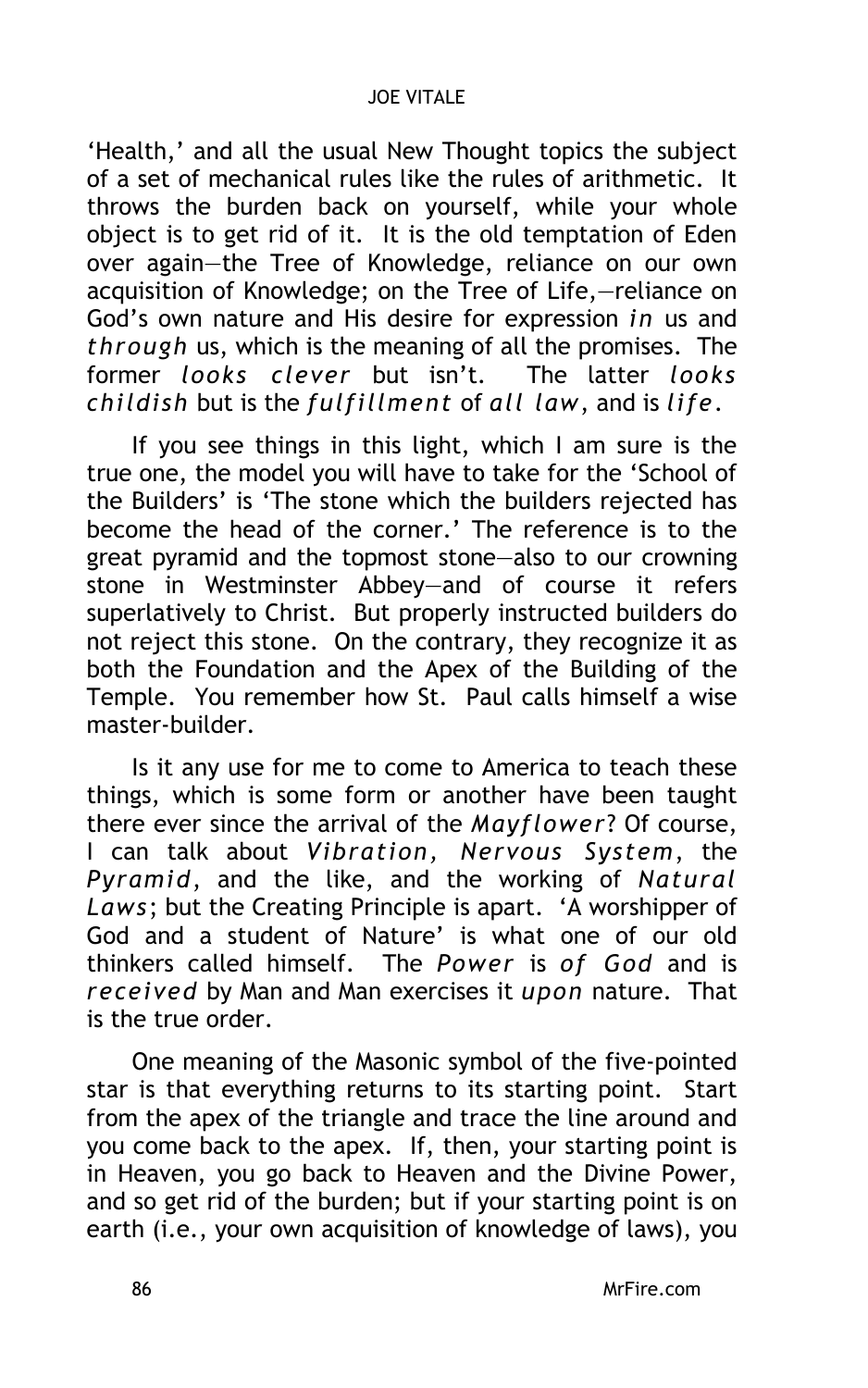'Health,' and all the usual New Thought topics the subject of a set of mechanical rules like the rules of arithmetic. It throws the burden back on yourself, while your whole object is to get rid of it. It is the old temptation of Eden over again—the Tree of Knowledge, reliance on our own acquisition of Knowledge; on the Tree of Life,—reliance on God's own nature and His desire for expression *in* us and *through* us, which is the meaning of all the promises. The former *looks clever* but isn't. The latter *looks childish* but is the *fulfillment* of *all law*, and is *life*.

If you see things in this light, which I am sure is the true one, the model you will have to take for the 'School of the Builders' is 'The stone which the builders rejected has become the head of the corner.' The reference is to the great pyramid and the topmost stone—also to our crowning stone in Westminster Abbey—and of course it refers superlatively to Christ. But properly instructed builders do not reject this stone. On the contrary, they recognize it as both the Foundation and the Apex of the Building of the Temple. You remember how St. Paul calls himself a wise master-builder.

Is it any use for me to come to America to teach these things, which is some form or another have been taught there ever since the arrival of the *Mayflower*? Of course, I can talk about *Vibration, Nervous System*, the *Pyramid*, and the like, and the working of *Natural Laws* ; but the Creating Principle is apart. 'A worshipper of God and a student of Nature' is what one of our old thinkers called himself. The *Power* is *of God* and is *received* by Man and Man exercises it *upon* nature. That is the true order.

One meaning of the Masonic symbol of the five-pointed star is that everything returns to its starting point. Start from the apex of the triangle and trace the line around and you come back to the apex. If, then, your starting point is in Heaven, you go back to Heaven and the Divine Power, and so get rid of the burden; but if your starting point is on earth (i.e., your own acquisition of knowledge of laws), you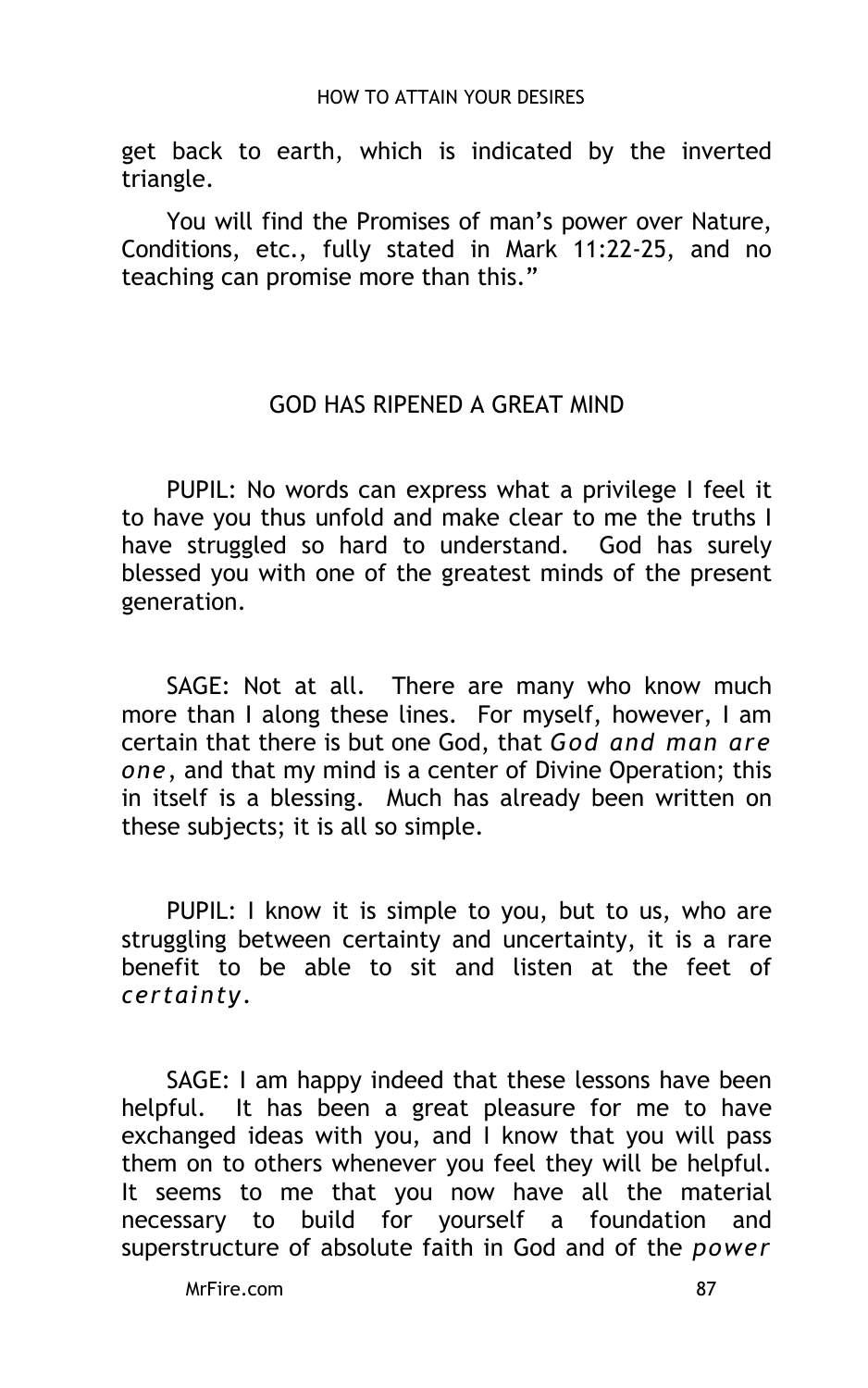get back to earth, which is indicated by the inverted triangle.

You will find the Promises of man's power over Nature, Conditions, etc., fully stated in Mark 11:22-25, and no teaching can promise more than this."

## GOD HAS RIPENED A GREAT MIND

PUPIL: No words can express what a privilege I feel it to have you thus unfold and make clear to me the truths I have struggled so hard to understand. God has surely blessed you with one of the greatest minds of the present generation.

SAGE: Not at all. There are many who know much more than I along these lines. For myself, however, I am certain that there is but one God, that *God and man are one*, and that my mind is a center of Divine Operation; this in itself is a blessing. Much has already been written on these subjects; it is all so simple.

PUPIL: I know it is simple to you, but to us, who are struggling between certainty and uncertainty, it is a rare benefit to be able to sit and listen at the feet of *certainty*.

SAGE: I am happy indeed that these lessons have been helpful. It has been a great pleasure for me to have exchanged ideas with you, and I know that you will pass them on to others whenever you feel they will be helpful. It seems to me that you now have all the material necessary to build for yourself a foundation and superstructure of absolute faith in God and of the *power* 

MrFire.com 87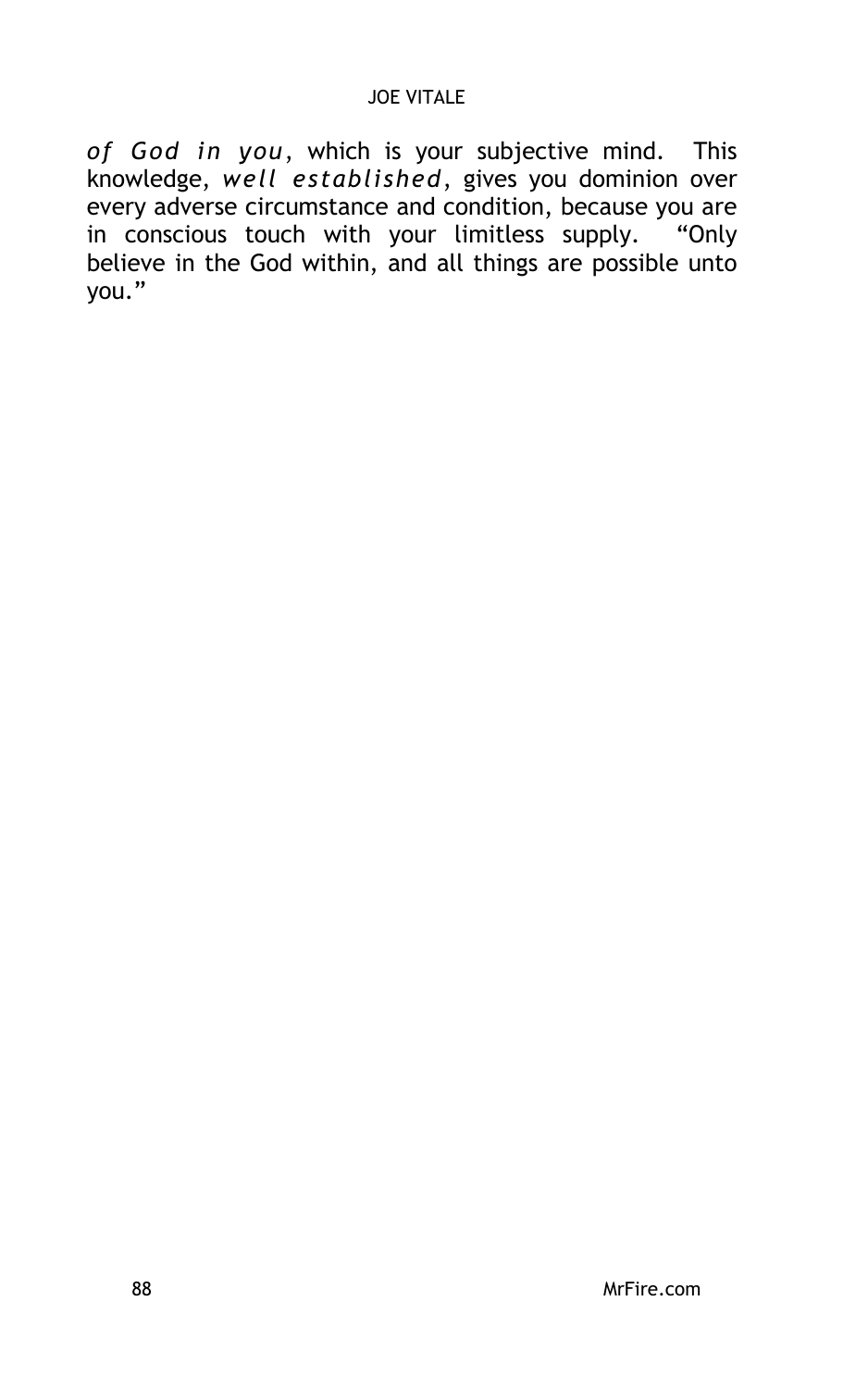*of God in you*, which is your subjective mind. This knowledge, *well established*, gives you dominion over every adverse circumstance and condition, because you are in conscious touch with your limitless supply. "Only believe in the God within, and all things are possible unto you."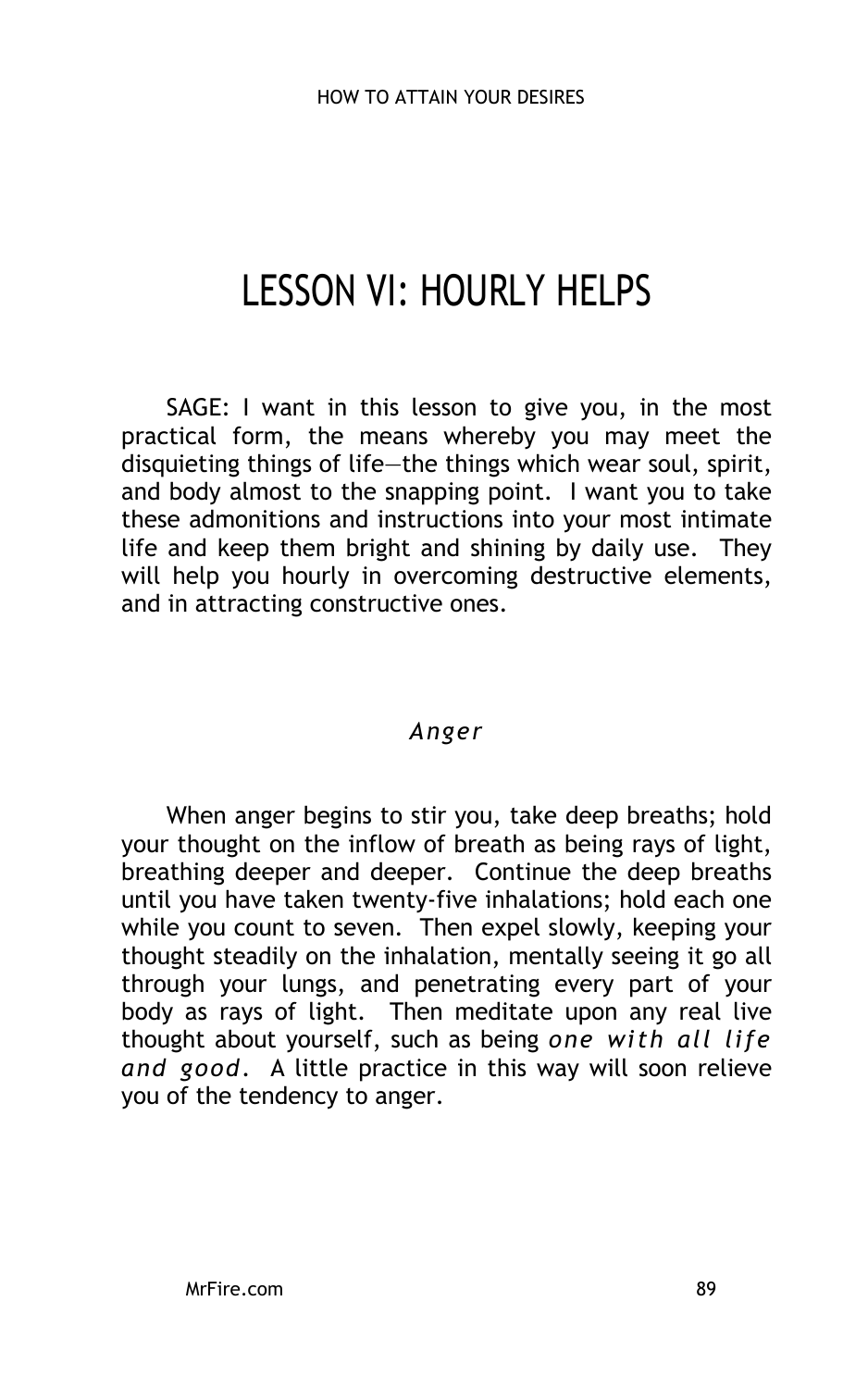## LESSON VI: HOURLY HELPS

SAGE: I want in this lesson to give you, in the most practical form, the means whereby you may meet the disquieting things of life—the things which wear soul, spirit, and body almost to the snapping point. I want you to take these admonitions and instructions into your most intimate life and keep them bright and shining by daily use. They will help you hourly in overcoming destructive elements, and in attracting constructive ones.

## *Anger*

When anger begins to stir you, take deep breaths; hold your thought on the inflow of breath as being rays of light, breathing deeper and deeper. Continue the deep breaths until you have taken twenty-five inhalations; hold each one while you count to seven. Then expel slowly, keeping your thought steadily on the inhalation, mentally seeing it go all through your lungs, and penetrating every part of your body as rays of light. Then meditate upon any real live thought about yourself, such as being *one with all life and good*. A little practice in this way will soon relieve you of the tendency to anger.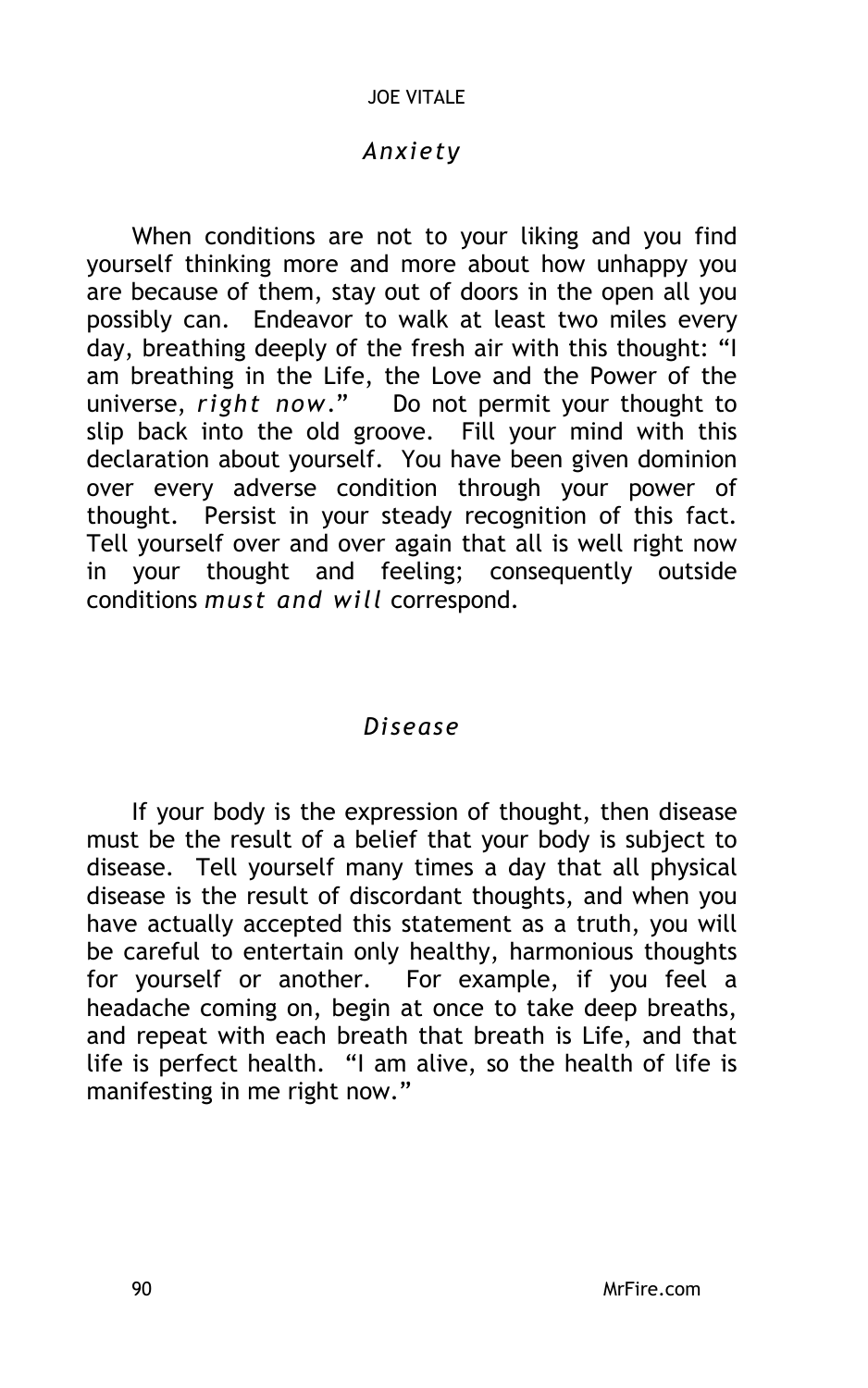### *Anxiety*

When conditions are not to your liking and you find yourself thinking more and more about how unhappy you are because of them, stay out of doors in the open all you possibly can. Endeavor to walk at least two miles every day, breathing deeply of the fresh air with this thought: "I am breathing in the Life, the Love and the Power of the universe, *right now*." Do not permit your thought to slip back into the old groove. Fill your mind with this declaration about yourself. You have been given dominion over every adverse condition through your power of thought. Persist in your steady recognition of this fact. Tell yourself over and over again that all is well right now in your thought and feeling; consequently outside conditions *must and will* correspond.

#### *Disease*

If your body is the expression of thought, then disease must be the result of a belief that your body is subject to disease. Tell yourself many times a day that all physical disease is the result of discordant thoughts, and when you have actually accepted this statement as a truth, you will be careful to entertain only healthy, harmonious thoughts for yourself or another. For example, if you feel a headache coming on, begin at once to take deep breaths, and repeat with each breath that breath is Life, and that life is perfect health. "I am alive, so the health of life is manifesting in me right now."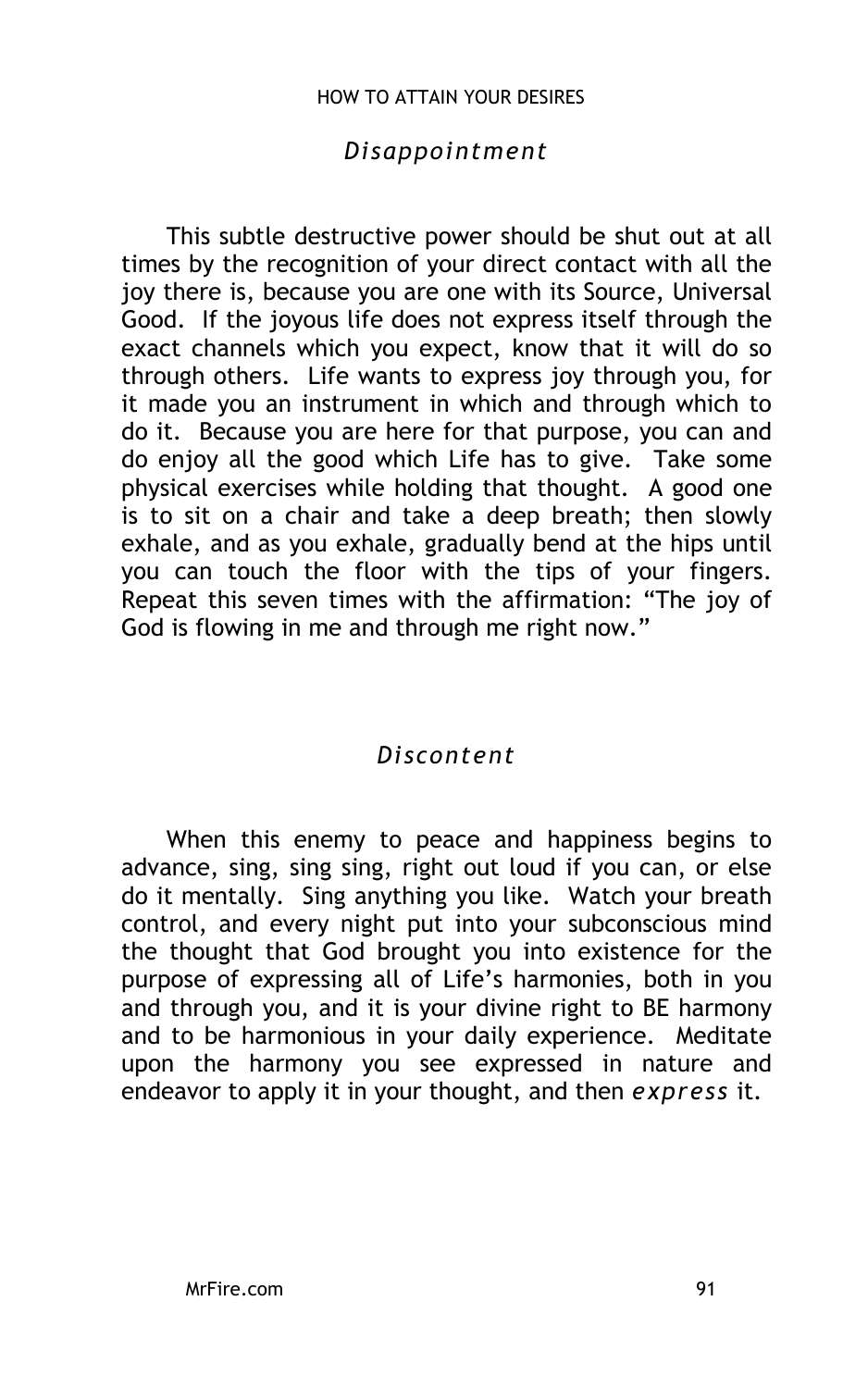## *Disappointment*

This subtle destructive power should be shut out at all times by the recognition of your direct contact with all the joy there is, because you are one with its Source, Universal Good. If the joyous life does not express itself through the exact channels which you expect, know that it will do so through others. Life wants to express joy through you, for it made you an instrument in which and through which to do it. Because you are here for that purpose, you can and do enjoy all the good which Life has to give. Take some physical exercises while holding that thought. A good one is to sit on a chair and take a deep breath; then slowly exhale, and as you exhale, gradually bend at the hips until you can touch the floor with the tips of your fingers. Repeat this seven times with the affirmation: "The joy of God is flowing in me and through me right now."

## *Discontent*

When this enemy to peace and happiness begins to advance, sing, sing sing, right out loud if you can, or else do it mentally. Sing anything you like. Watch your breath control, and every night put into your subconscious mind the thought that God brought you into existence for the purpose of expressing all of Life's harmonies, both in you and through you, and it is your divine right to BE harmony and to be harmonious in your daily experience. Meditate upon the harmony you see expressed in nature and endeavor to apply it in your thought, and then *express* it.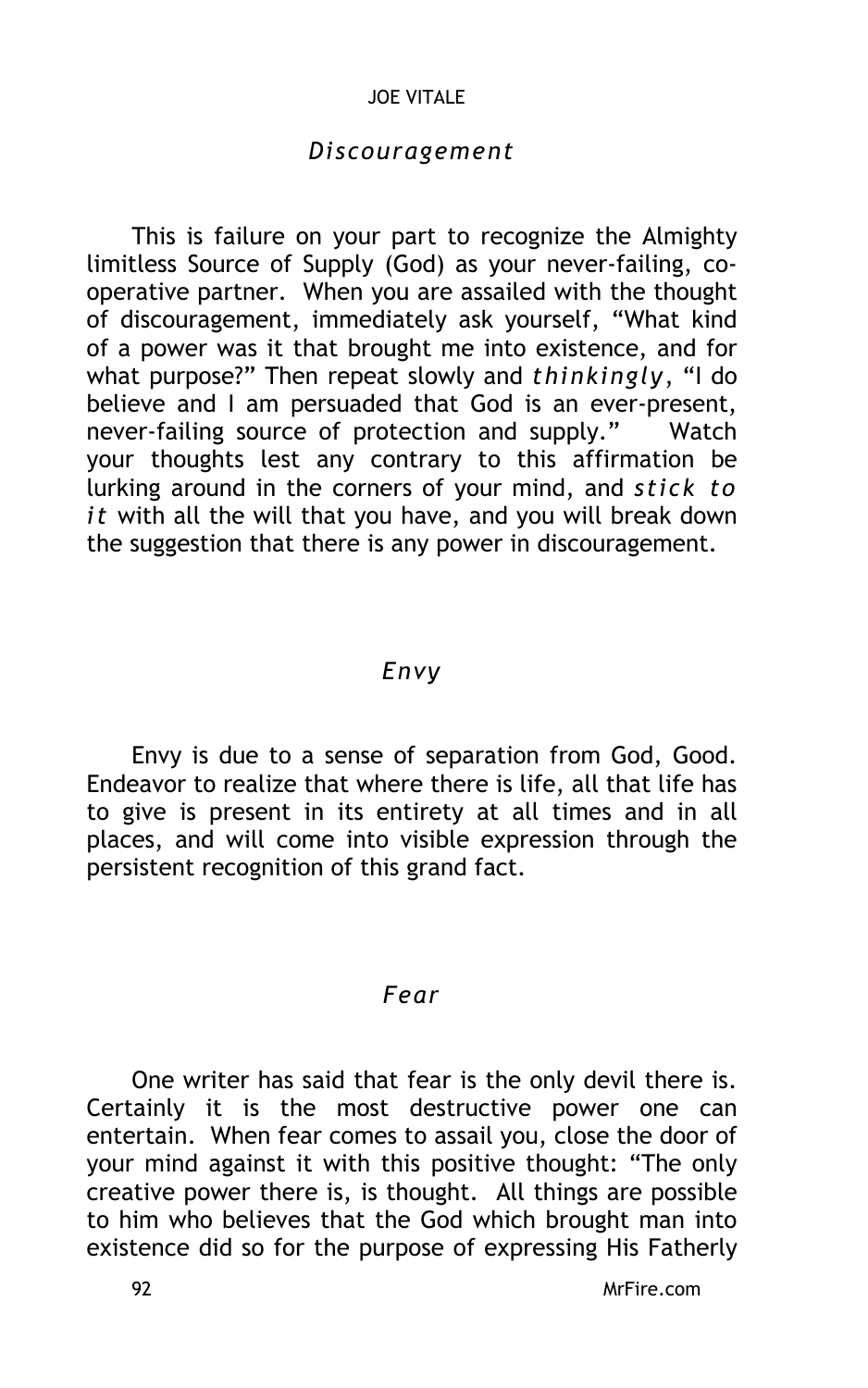#### *Discouragement*

This is failure on your part to recognize the Almighty limitless Source of Supply (God) as your never-failing, cooperative partner. When you are assailed with the thought of discouragement, immediately ask yourself, "What kind of a power was it that brought me into existence, and for what purpose?" Then repeat slowly and *thinkingly*, "I do believe and I am persuaded that God is an ever-present, never-failing source of protection and supply." Watch your thoughts lest any contrary to this affirmation be lurking around in the corners of your mind, and *stick to it* with all the will that you have, and you will break down the suggestion that there is any power in discouragement.

## *Envy*

Envy is due to a sense of separation from God, Good. Endeavor to realize that where there is life, all that life has to give is present in its entirety at all times and in all places, and will come into visible expression through the persistent recognition of this grand fact.

#### *Fear*

One writer has said that fear is the only devil there is. Certainly it is the most destructive power one can entertain. When fear comes to assail you, close the door of your mind against it with this positive thought: "The only creative power there is, is thought. All things are possible to him who believes that the God which brought man into existence did so for the purpose of expressing His Fatherly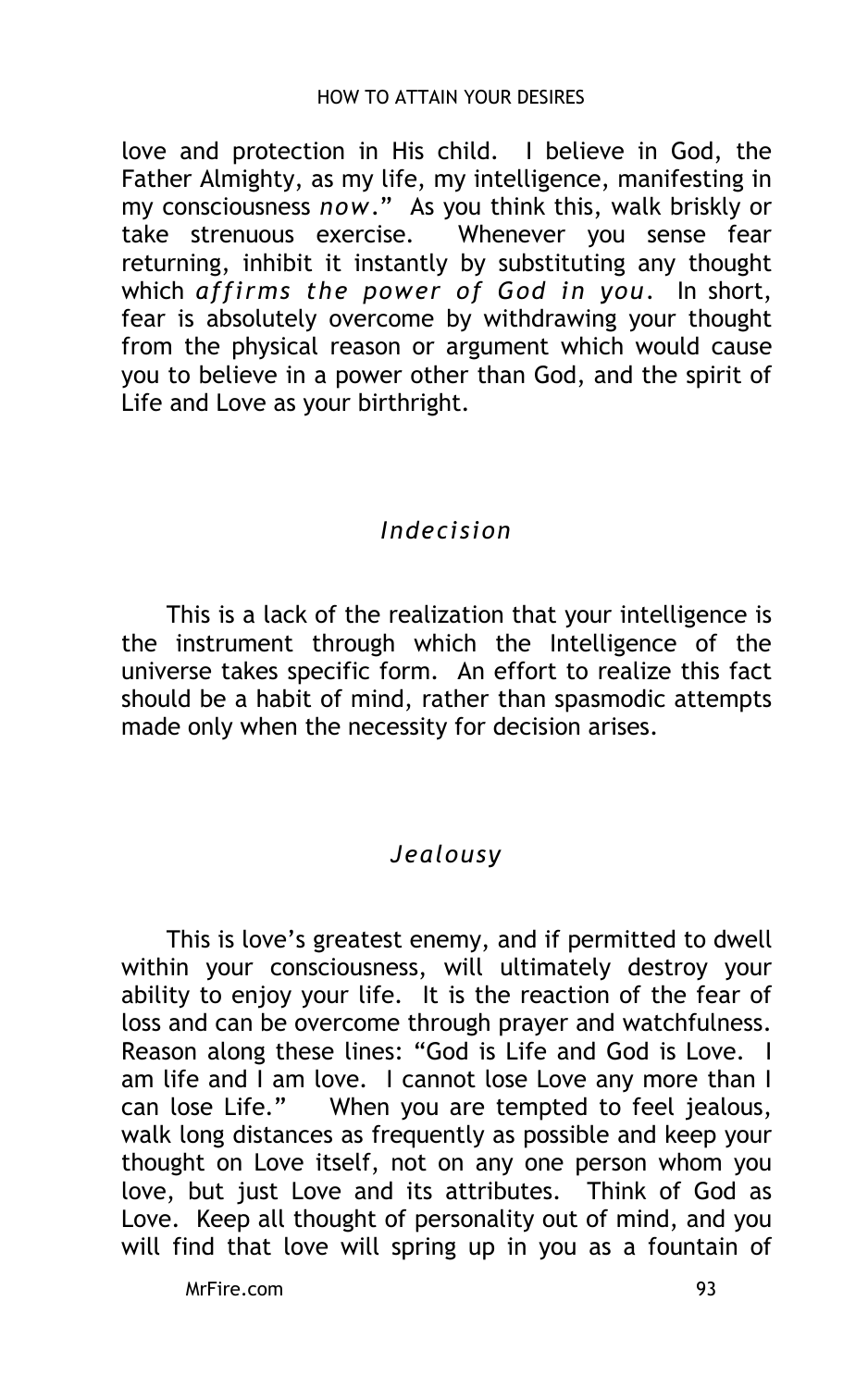#### HOW TO ATTAIN YOUR DESIRES

love and protection in His child. I believe in God, the Father Almighty, as my life, my intelligence, manifesting in my consciousness *now*." As you think this, walk briskly or take strenuous exercise. Whenever you sense fear returning, inhibit it instantly by substituting any thought which *affirms the power of God in you*. In short, fear is absolutely overcome by withdrawing your thought from the physical reason or argument which would cause you to believe in a power other than God, and the spirit of Life and Love as your birthright.

## *Indecision*

This is a lack of the realization that your intelligence is the instrument through which the Intelligence of the universe takes specific form. An effort to realize this fact should be a habit of mind, rather than spasmodic attempts made only when the necessity for decision arises.

## *Jealousy*

This is love's greatest enemy, and if permitted to dwell within your consciousness, will ultimately destroy your ability to enjoy your life. It is the reaction of the fear of loss and can be overcome through prayer and watchfulness. Reason along these lines: "God is Life and God is Love. I am life and I am love. I cannot lose Love any more than I can lose Life." When you are tempted to feel jealous, walk long distances as frequently as possible and keep your thought on Love itself, not on any one person whom you love, but just Love and its attributes. Think of God as Love. Keep all thought of personality out of mind, and you will find that love will spring up in you as a fountain of

MrFire.com 93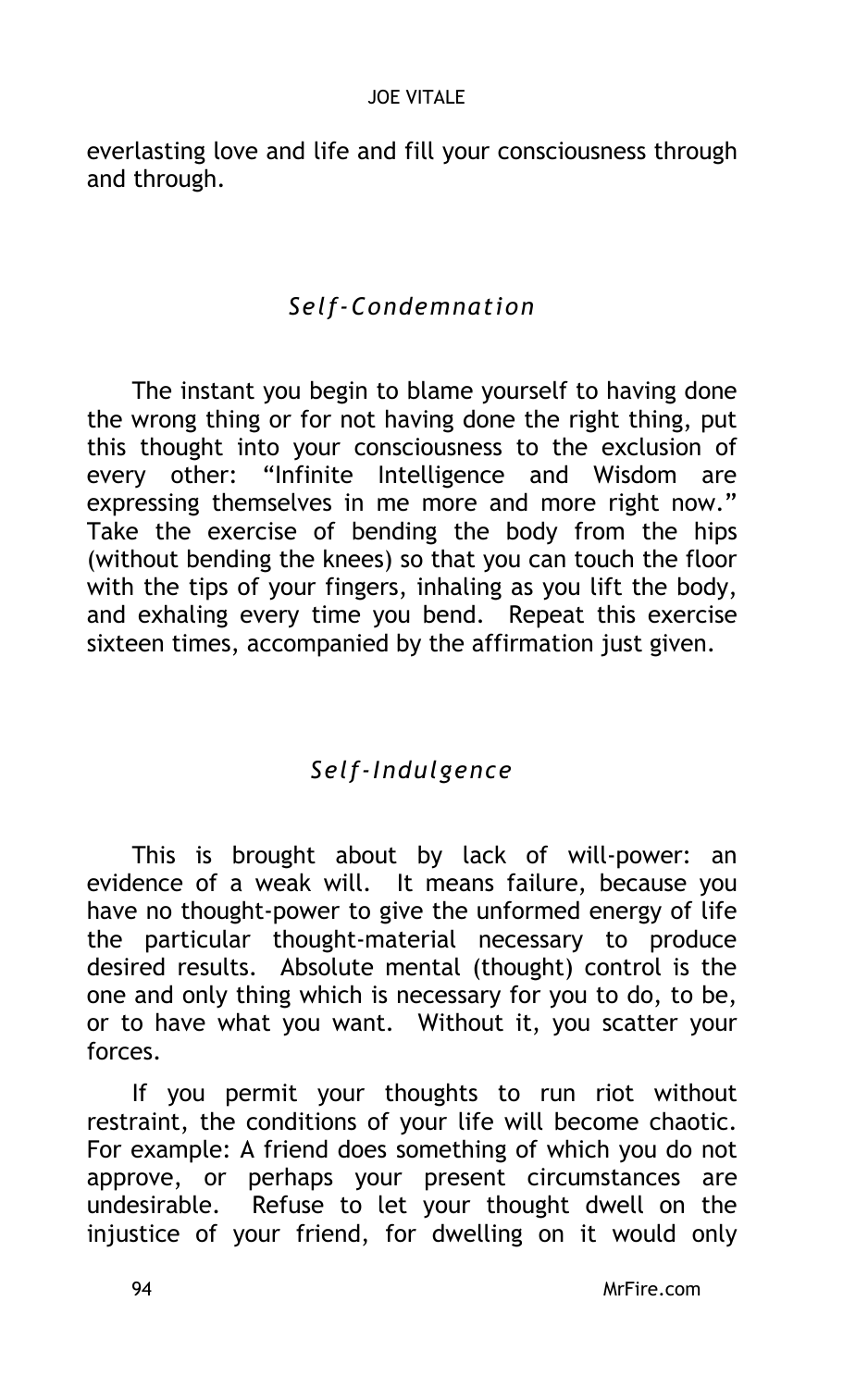everlasting love and life and fill your consciousness through and through.

## *Self-Condemnation*

The instant you begin to blame yourself to having done the wrong thing or for not having done the right thing, put this thought into your consciousness to the exclusion of every other: "Infinite Intelligence and Wisdom are expressing themselves in me more and more right now." Take the exercise of bending the body from the hips (without bending the knees) so that you can touch the floor with the tips of your fingers, inhaling as you lift the body, and exhaling every time you bend. Repeat this exercise sixteen times, accompanied by the affirmation just given.

## *Self-Indulgence*

This is brought about by lack of will-power: an evidence of a weak will. It means failure, because you have no thought-power to give the unformed energy of life the particular thought-material necessary to produce desired results. Absolute mental (thought) control is the one and only thing which is necessary for you to do, to be, or to have what you want. Without it, you scatter your forces.

If you permit your thoughts to run riot without restraint, the conditions of your life will become chaotic. For example: A friend does something of which you do not approve, or perhaps your present circumstances are undesirable. Refuse to let your thought dwell on the injustice of your friend, for dwelling on it would only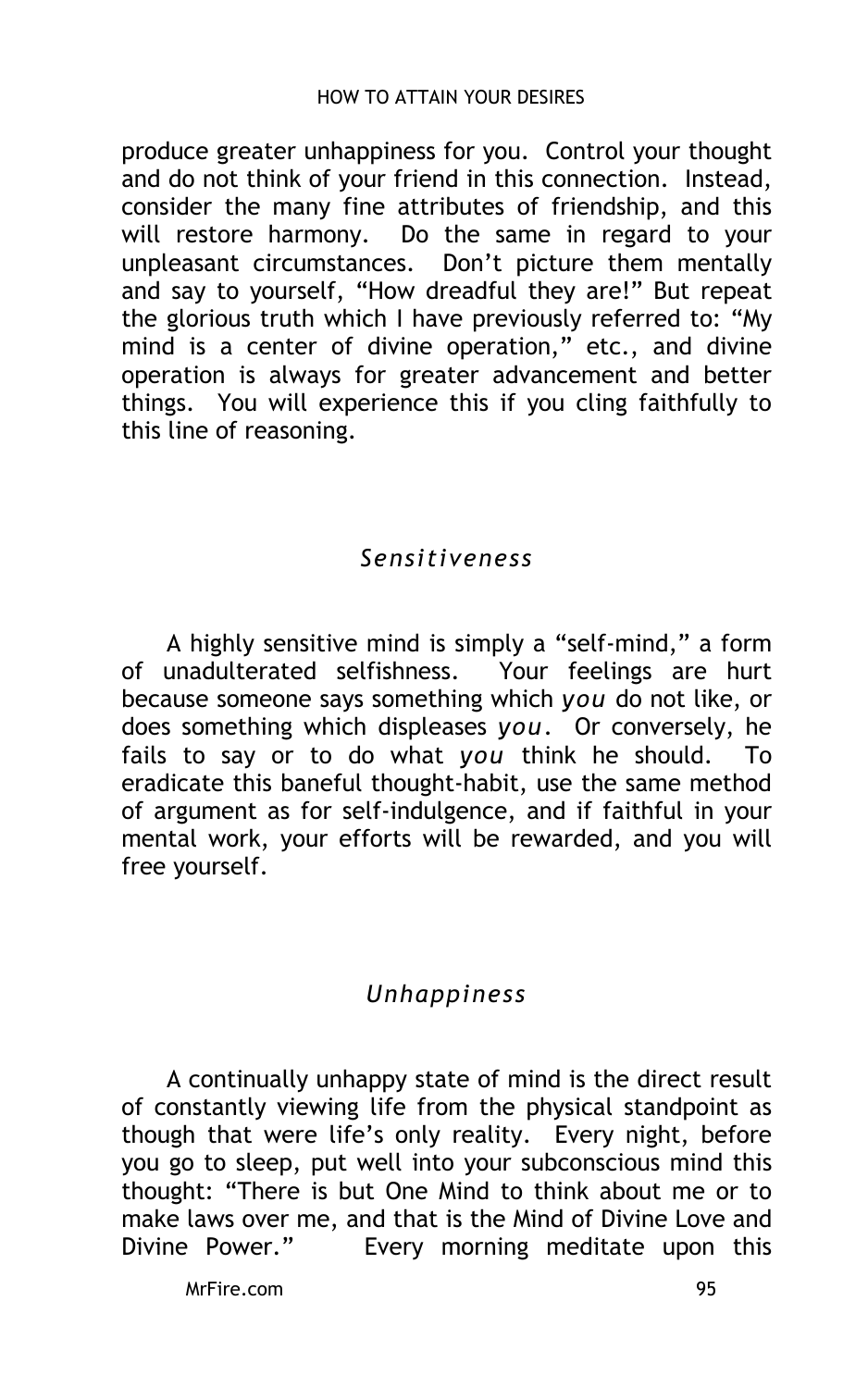produce greater unhappiness for you. Control your thought and do not think of your friend in this connection. Instead, consider the many fine attributes of friendship, and this will restore harmony. Do the same in regard to your unpleasant circumstances. Don't picture them mentally and say to yourself, "How dreadful they are!" But repeat the glorious truth which I have previously referred to: "My mind is a center of divine operation," etc., and divine operation is always for greater advancement and better things. You will experience this if you cling faithfully to this line of reasoning.

## *Sensitiveness*

A highly sensitive mind is simply a "self-mind," a form<br>unadulterated selfishness. Your feelings are hurt of unadulterated selfishness. because someone says something which *you* do not like, or does something which displeases *you*. Or conversely, he fails to say or to do what *you* think he should. To eradicate this baneful thought-habit, use the same method of argument as for self-indulgence, and if faithful in your mental work, your efforts will be rewarded, and you will free yourself.

## *Unhappiness*

A continually unhappy state of mind is the direct result of constantly viewing life from the physical standpoint as though that were life's only reality. Every night, before you go to sleep, put well into your subconscious mind this thought: "There is but One Mind to think about me or to make laws over me, and that is the Mind of Divine Love and Divine Power." Every morning meditate upon this

MrFire.com 95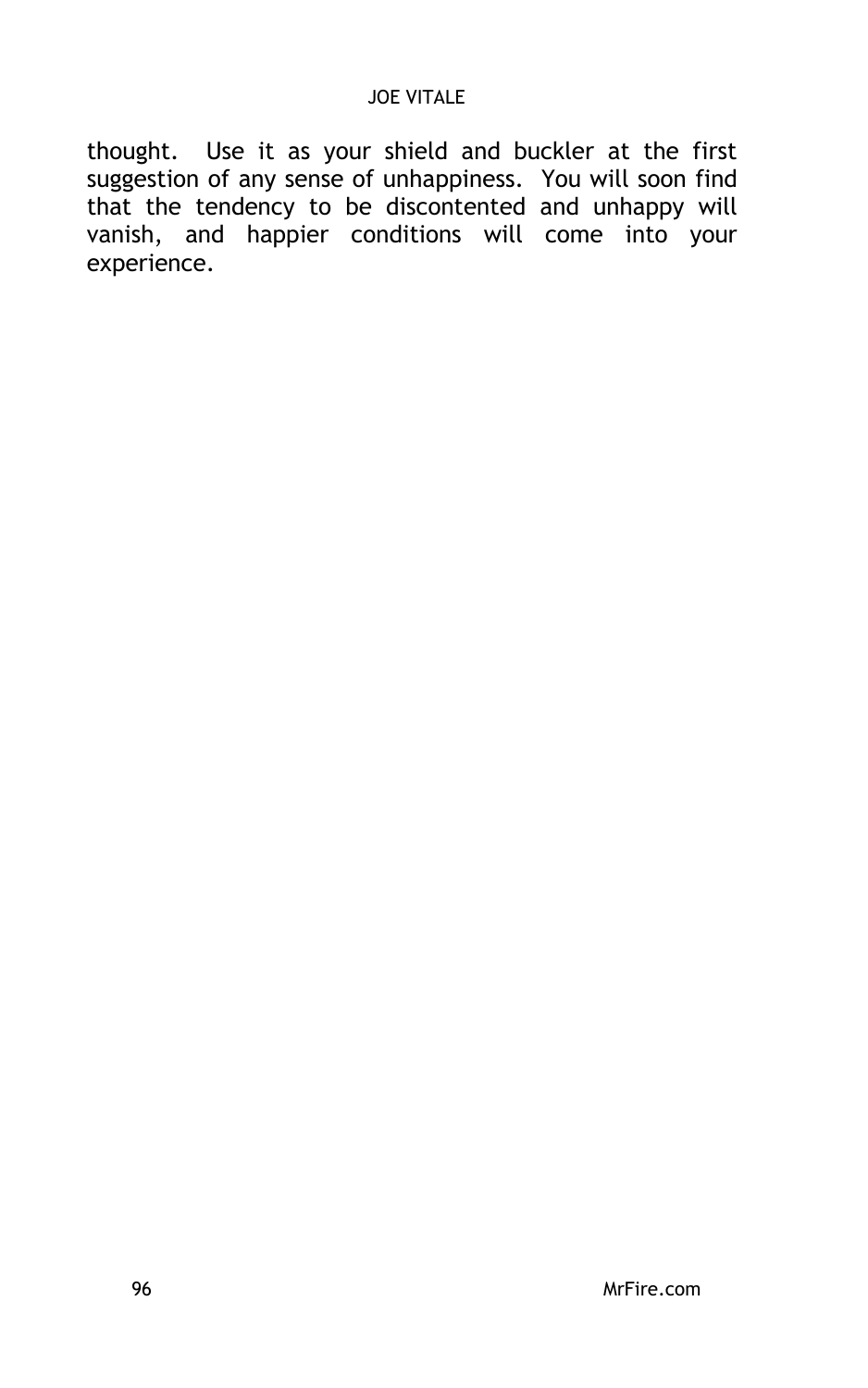thought. Use it as your shield and buckler at the first suggestion of any sense of unhappiness. You will soon find that the tendency to be discontented and unhappy will vanish, and happier conditions will come into your experience.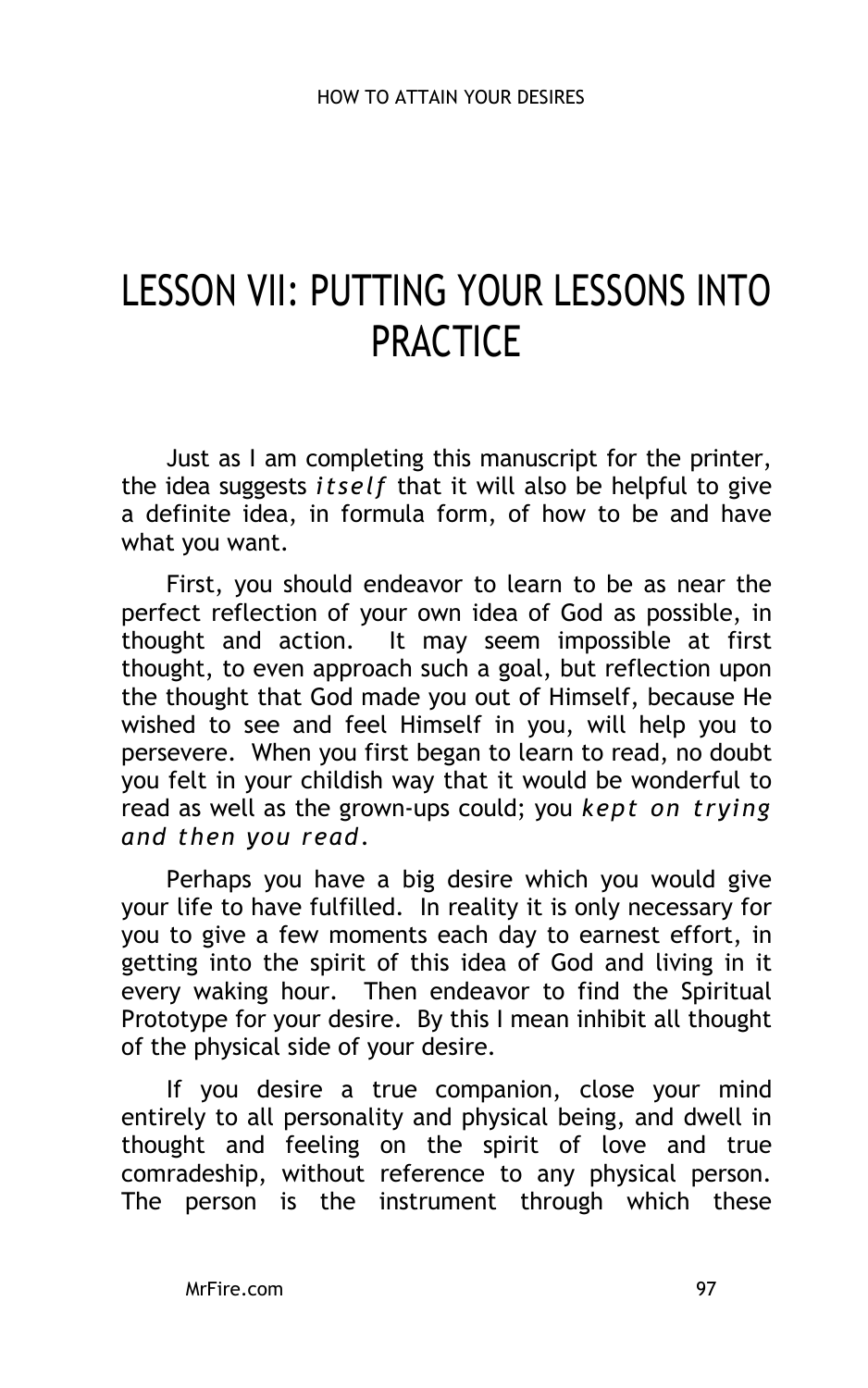## LESSON VII: PUTTING YOUR LESSONS INTO **PRACTICE**

Just as I am completing this manuscript for the printer, the idea suggests *itself* that it will also be helpful to give a definite idea, in formula form, of how to be and have what you want.

First, you should endeavor to learn to be as near the perfect reflection of your own idea of God as possible, in thought and action. It may seem impossible at first thought, to even approach such a goal, but reflection upon the thought that God made you out of Himself, because He wished to see and feel Himself in you, will help you to persevere. When you first began to learn to read, no doubt you felt in your childish way that it would be wonderful to read as well as the grown-ups could; you *kept on trying and then you read*.

Perhaps you have a big desire which you would give your life to have fulfilled. In reality it is only necessary for you to give a few moments each day to earnest effort, in getting into the spirit of this idea of God and living in it every waking hour. Then endeavor to find the Spiritual Prototype for your desire. By this I mean inhibit all thought of the physical side of your desire.

If you desire a true companion, close your mind entirely to all personality and physical being, and dwell in thought and feeling on the spirit of love and true comradeship, without reference to any physical person. The person is the instrument through which these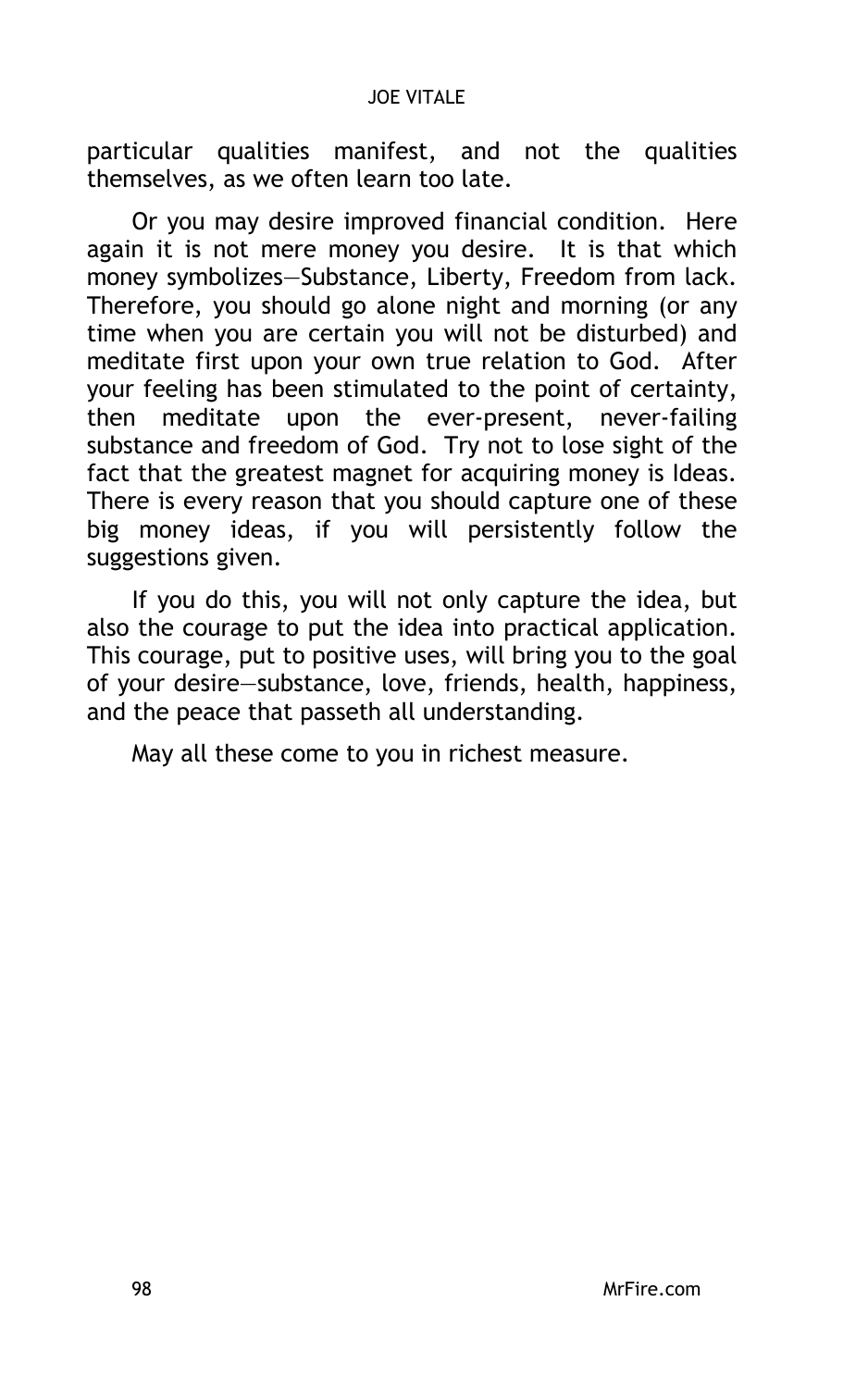particular qualities manifest, and not the qualities themselves, as we often learn too late.

Or you may desire improved financial condition. Here again it is not mere money you desire. It is that which money symbolizes—Substance, Liberty, Freedom from lack. Therefore, you should go alone night and morning (or any time when you are certain you will not be disturbed) and meditate first upon your own true relation to God. After your feeling has been stimulated to the point of certainty, then meditate upon the ever-present, never-failing substance and freedom of God. Try not to lose sight of the fact that the greatest magnet for acquiring money is Ideas. There is every reason that you should capture one of these big money ideas, if you will persistently follow the suggestions given.

If you do this, you will not only capture the idea, but also the courage to put the idea into practical application. This courage, put to positive uses, will bring you to the goal of your desire—substance, love, friends, health, happiness, and the peace that passeth all understanding.

May all these come to you in richest measure.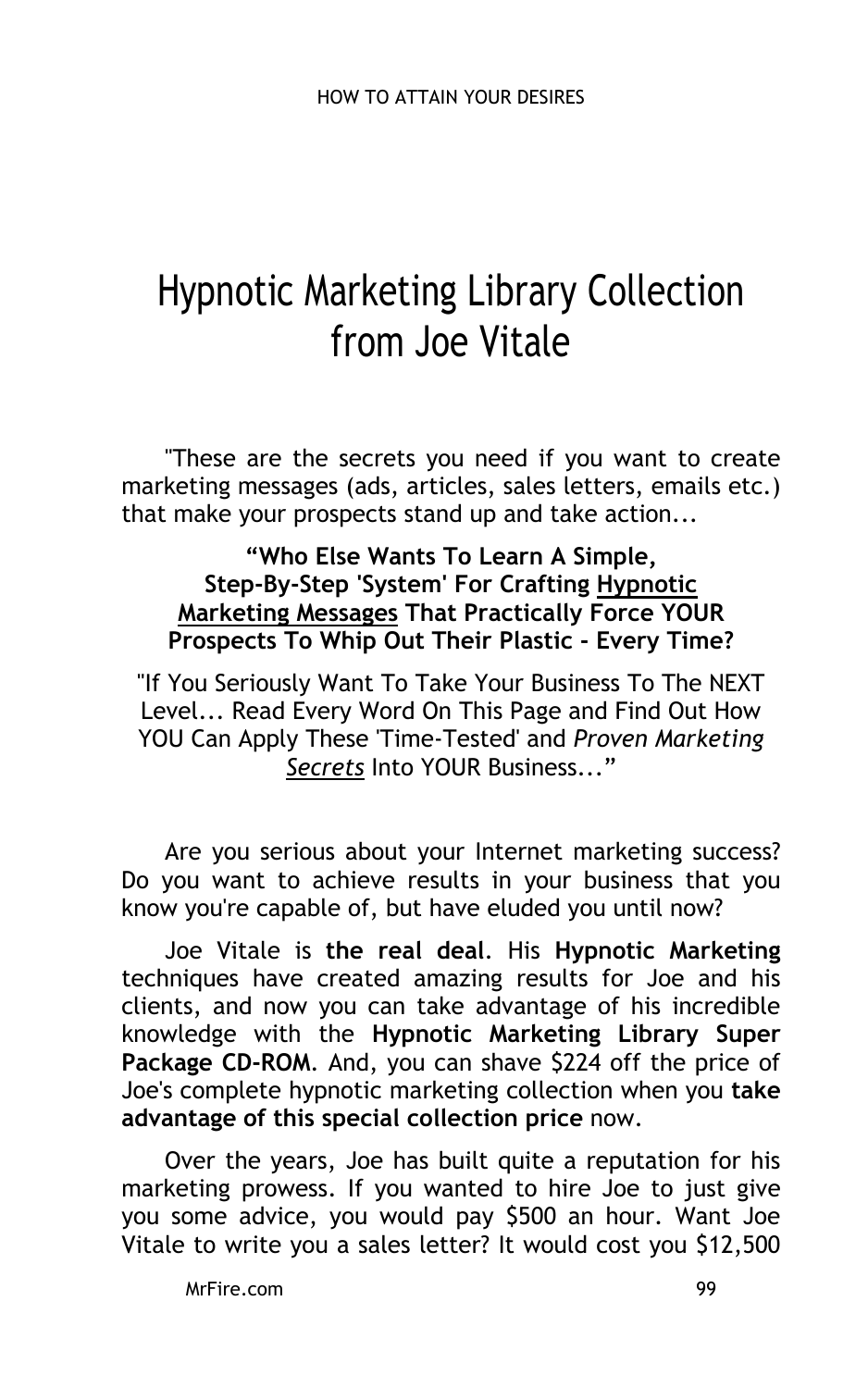# Hypnotic Marketing Library Collection from Joe Vitale

"These are the secrets you need if you want to create marketing messages (ads, articles, sales letters, emails etc.) that make your prospects stand up and take action...

#### **"Who Else Wants To Learn A Simple, Step-By-Step 'System' For Crafting Hypnotic Marketing Messages That Practically Force YOUR Prospects To Whip Out Their Plastic - Every Time?**

"If You Seriously Want To Take Your Business To The NEXT Level... Read Every Word On This Page and Find Out How YOU Can Apply These 'Time-Tested' and *Proven Marketing Secrets* Into YOUR Business..."

Are you serious about your Internet marketing success? Do you want to achieve results in your business that you know you're capable of, but have eluded you until now?

Joe Vitale is **the real deal**. His **Hypnotic Marketing** techniques have created amazing results for Joe and his clients, and now you can take advantage of his incredible knowledge with the **Hypnotic Marketing Library Super Package CD-ROM**. And, you can shave \$224 off the price of Joe's complete hypnotic marketing collection when you **take advantage of this special collection price** now.

Over the years, Joe has built quite a reputation for his marketing prowess. If you wanted to hire Joe to just give you some advice, you would pay \$500 an hour. Want Joe Vitale to write you a sales letter? It would cost you \$12,500

MrFire.com 99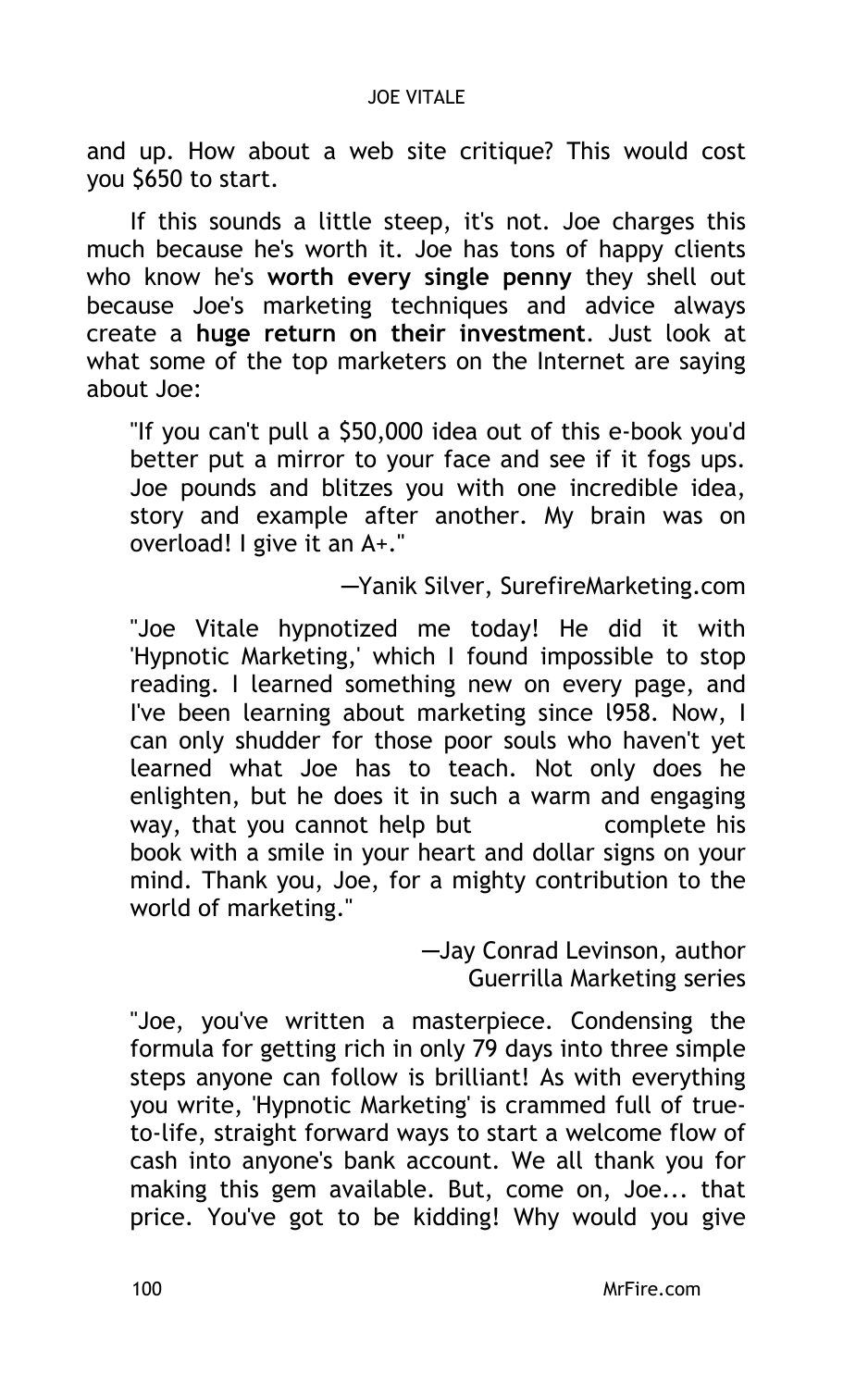and up. How about a web site critique? This would cost you \$650 to start.

If this sounds a little steep, it's not. Joe charges this much because he's worth it. Joe has tons of happy clients who know he's **worth every single penny** they shell out because Joe's marketing techniques and advice always create a **huge return on their investment**. Just look at what some of the top marketers on the Internet are saying about Joe:

"If you can't pull a \$50,000 idea out of this e-book you'd better put a mirror to your face and see if it fogs ups. Joe pounds and blitzes you with one incredible idea, story and example after another. My brain was on overload! I give it an A+."

─Yanik Silver, SurefireMarketing.com

"Joe Vitale hypnotized me today! He did it with 'Hypnotic Marketing,' which I found impossible to stop reading. I learned something new on every page, and I've been learning about marketing since l958. Now, I can only shudder for those poor souls who haven't yet learned what Joe has to teach. Not only does he enlighten, but he does it in such a warm and engaging way, that you cannot help but complete his book with a smile in your heart and dollar signs on your mind. Thank you, Joe, for a mighty contribution to the world of marketing."

> ─Jay Conrad Levinson, author Guerrilla Marketing series

"Joe, you've written a masterpiece. Condensing the formula for getting rich in only 79 days into three simple steps anyone can follow is brilliant! As with everything you write, 'Hypnotic Marketing' is crammed full of trueto-life, straight forward ways to start a welcome flow of cash into anyone's bank account. We all thank you for making this gem available. But, come on, Joe... that price. You've got to be kidding! Why would you give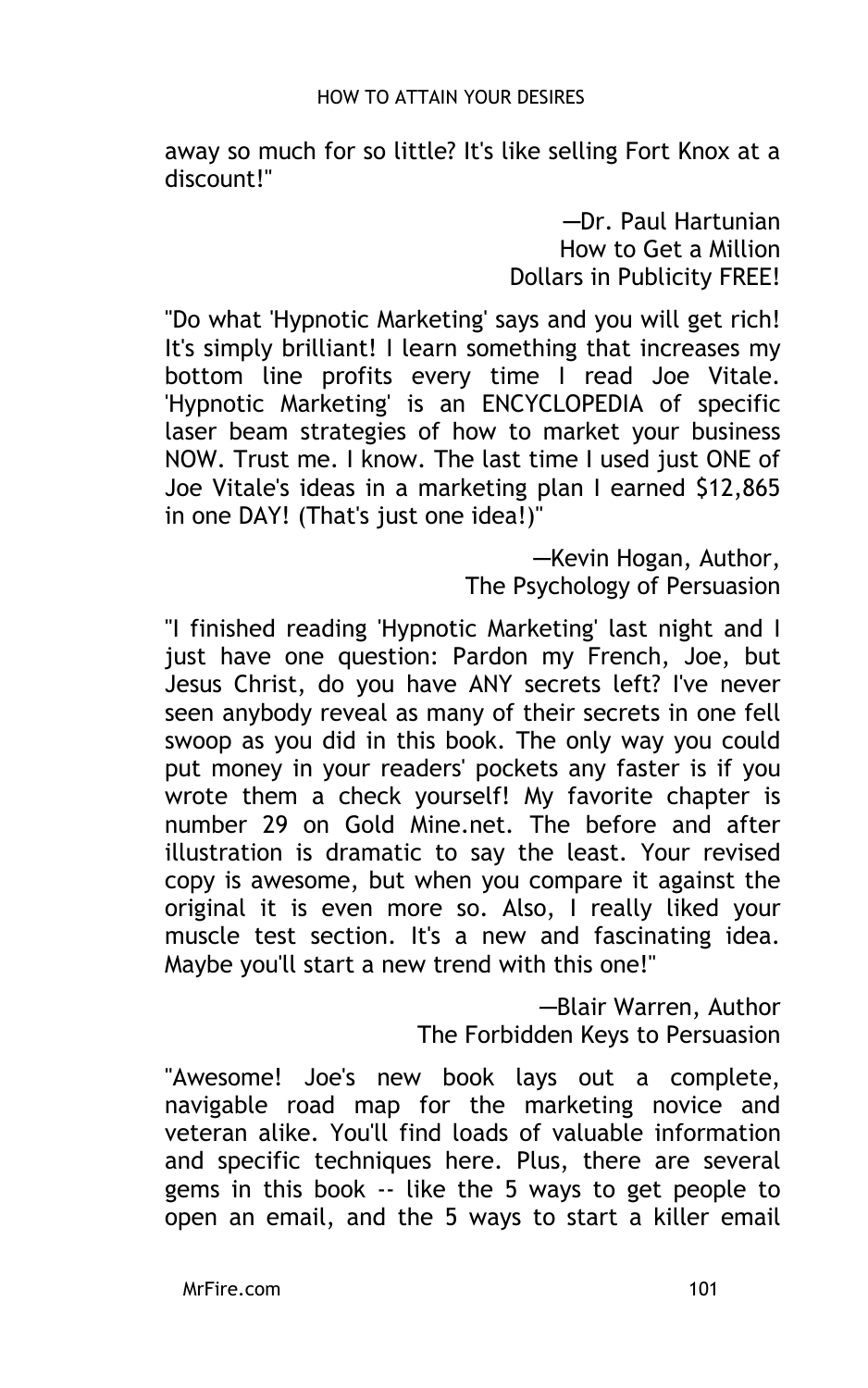away so much for so little? It's like selling Fort Knox at a discount!"

> ─Dr. Paul Hartunian How to Get a Million Dollars in Publicity FREE!

"Do what 'Hypnotic Marketing' says and you will get rich! It's simply brilliant! I learn something that increases my bottom line profits every time I read Joe Vitale. 'Hypnotic Marketing' is an ENCYCLOPEDIA of specific laser beam strategies of how to market your business NOW. Trust me. I know. The last time I used just ONE of Joe Vitale's ideas in a marketing plan I earned \$12,865 in one DAY! (That's just one idea!)"

> ─Kevin Hogan, Author, The Psychology of Persuasion

"I finished reading 'Hypnotic Marketing' last night and I just have one question: Pardon my French, Joe, but Jesus Christ, do you have ANY secrets left? I've never seen anybody reveal as many of their secrets in one fell swoop as you did in this book. The only way you could put money in your readers' pockets any faster is if you wrote them a check yourself! My favorite chapter is number 29 on Gold Mine.net. The before and after illustration is dramatic to say the least. Your revised copy is awesome, but when you compare it against the original it is even more so. Also, I really liked your muscle test section. It's a new and fascinating idea. Maybe you'll start a new trend with this one!"

> ─Blair Warren, Author The Forbidden Keys to Persuasion

"Awesome! Joe's new book lays out a complete, navigable road map for the marketing novice and veteran alike. You'll find loads of valuable information and specific techniques here. Plus, there are several gems in this book -- like the 5 ways to get people to open an email, and the 5 ways to start a killer email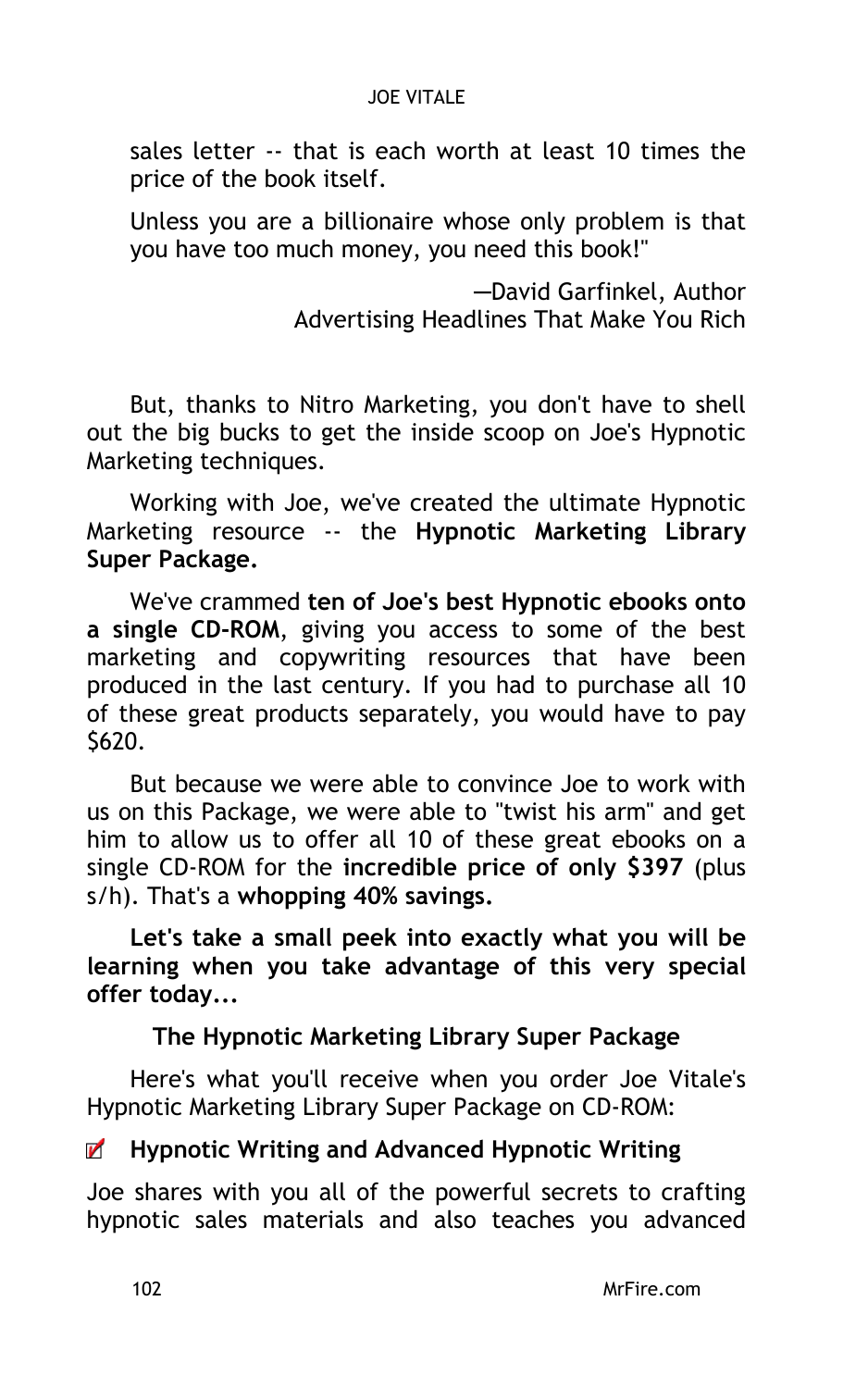sales letter -- that is each worth at least 10 times the price of the book itself.

Unless you are a billionaire whose only problem is that you have too much money, you need this book!"

> ─David Garfinkel, Author Advertising Headlines That Make You Rich

But, thanks to Nitro Marketing, you don't have to shell out the big bucks to get the inside scoop on Joe's Hypnotic Marketing techniques.

Working with Joe, we've created the ultimate Hypnotic Marketing resource -- the **Hypnotic Marketing Library Super Package.** 

We've crammed **ten of Joe's best Hypnotic ebooks onto a single CD-ROM**, giving you access to some of the best marketing and copywriting resources that have been produced in the last century. If you had to purchase all 10 of these great products separately, you would have to pay \$620.

But because we were able to convince Joe to work with us on this Package, we were able to "twist his arm" and get him to allow us to offer all 10 of these great ebooks on a single CD-ROM for the **incredible price of only \$397** (plus s/h). That's a **whopping 40% savings.**

**Let's take a small peek into exactly what you will be learning when you take advantage of this very special offer today...** 

## **The Hypnotic Marketing Library Super Package**

Here's what you'll receive when you order Joe Vitale's Hypnotic Marketing Library Super Package on CD-ROM:

# **Hypnotic Writing and Advanced Hypnotic Writing**

Joe shares with you all of the powerful secrets to crafting hypnotic sales materials and also teaches you advanced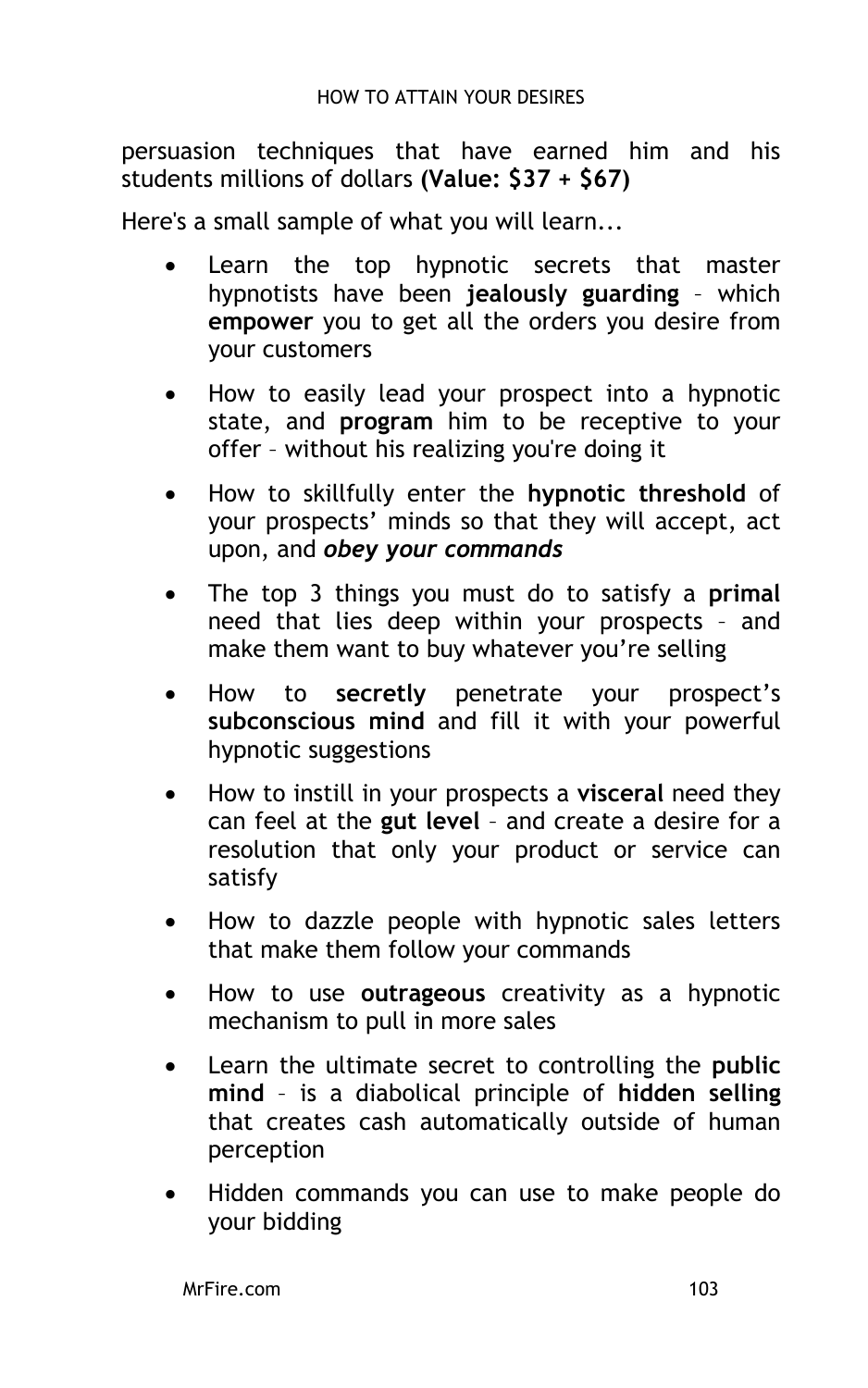persuasion techniques that have earned him and his students millions of dollars **(Value: \$37 + \$67)**

Here's a small sample of what you will learn...

- Learn the top hypnotic secrets that master hypnotists have been **jealously guarding** – which **empower** you to get all the orders you desire from your customers
- How to easily lead your prospect into a hypnotic state, and **program** him to be receptive to your offer – without his realizing you're doing it
- How to skillfully enter the **hypnotic threshold** of your prospects' minds so that they will accept, act upon, and *obey your commands*
- The top 3 things you must do to satisfy a **primal** need that lies deep within your prospects – and make them want to buy whatever you're selling
- How to **secretly** penetrate your prospect's **subconscious mind** and fill it with your powerful hypnotic suggestions
- How to instill in your prospects a **visceral** need they can feel at the **gut level** – and create a desire for a resolution that only your product or service can satisfy
- How to dazzle people with hypnotic sales letters that make them follow your commands
- How to use **outrageous** creativity as a hypnotic mechanism to pull in more sales
- Learn the ultimate secret to controlling the **public mind** – is a diabolical principle of **hidden selling** that creates cash automatically outside of human perception
- Hidden commands you can use to make people do your bidding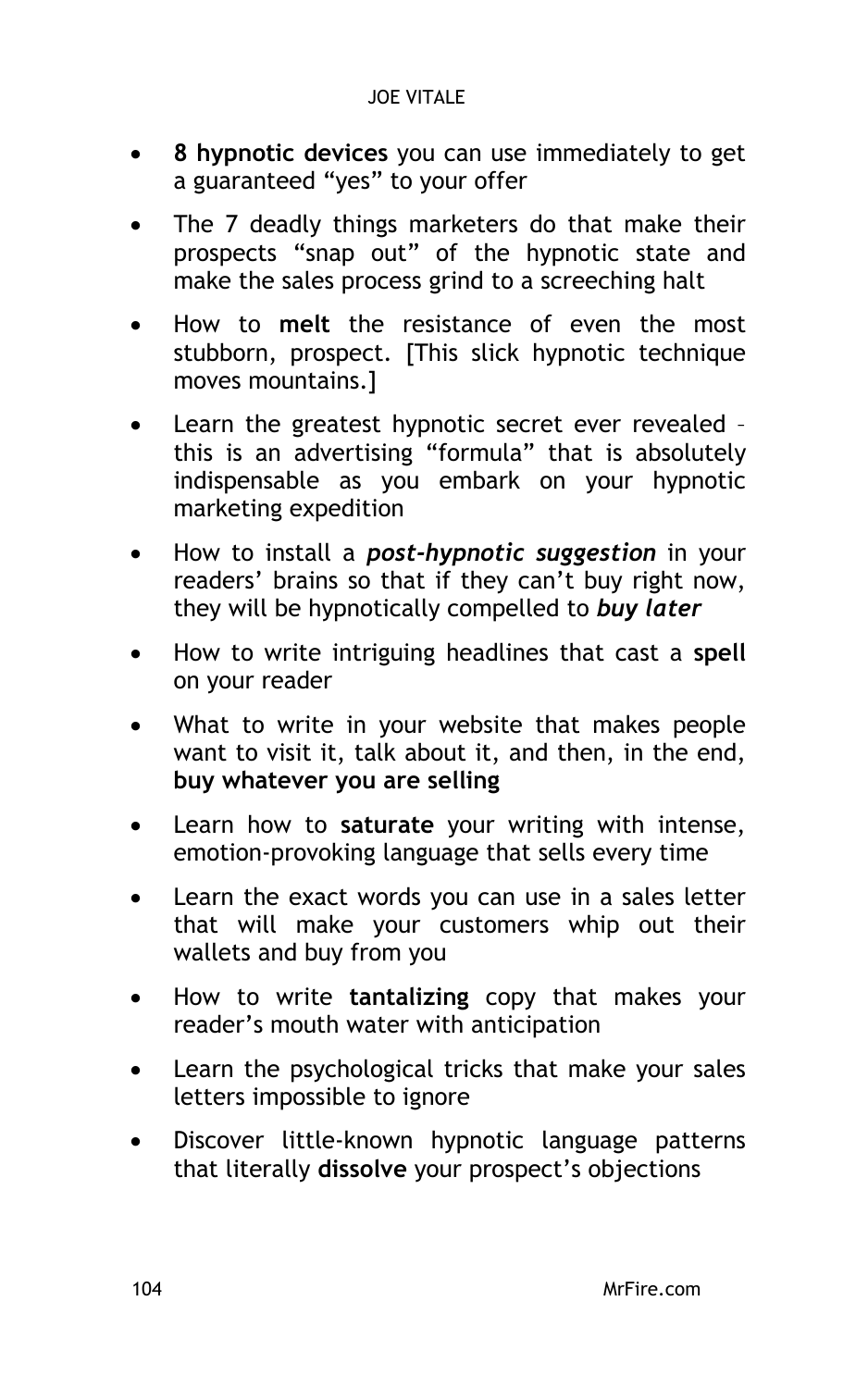- **8 hypnotic devices** you can use immediately to get a guaranteed "yes" to your offer
- The 7 deadly things marketers do that make their prospects "snap out" of the hypnotic state and make the sales process grind to a screeching halt
- How to **melt** the resistance of even the most stubborn, prospect. [This slick hypnotic technique moves mountains.]
- Learn the greatest hypnotic secret ever revealed this is an advertising "formula" that is absolutely indispensable as you embark on your hypnotic marketing expedition
- How to install a *post-hypnotic suggestion* in your readers' brains so that if they can't buy right now, they will be hypnotically compelled to *buy later*
- How to write intriguing headlines that cast a **spell** on your reader
- What to write in your website that makes people want to visit it, talk about it, and then, in the end, **buy whatever you are selling**
- Learn how to **saturate** your writing with intense, emotion-provoking language that sells every time
- Learn the exact words you can use in a sales letter that will make your customers whip out their wallets and buy from you
- How to write **tantalizing** copy that makes your reader's mouth water with anticipation
- Learn the psychological tricks that make your sales letters impossible to ignore
- Discover little-known hypnotic language patterns that literally **dissolve** your prospect's objections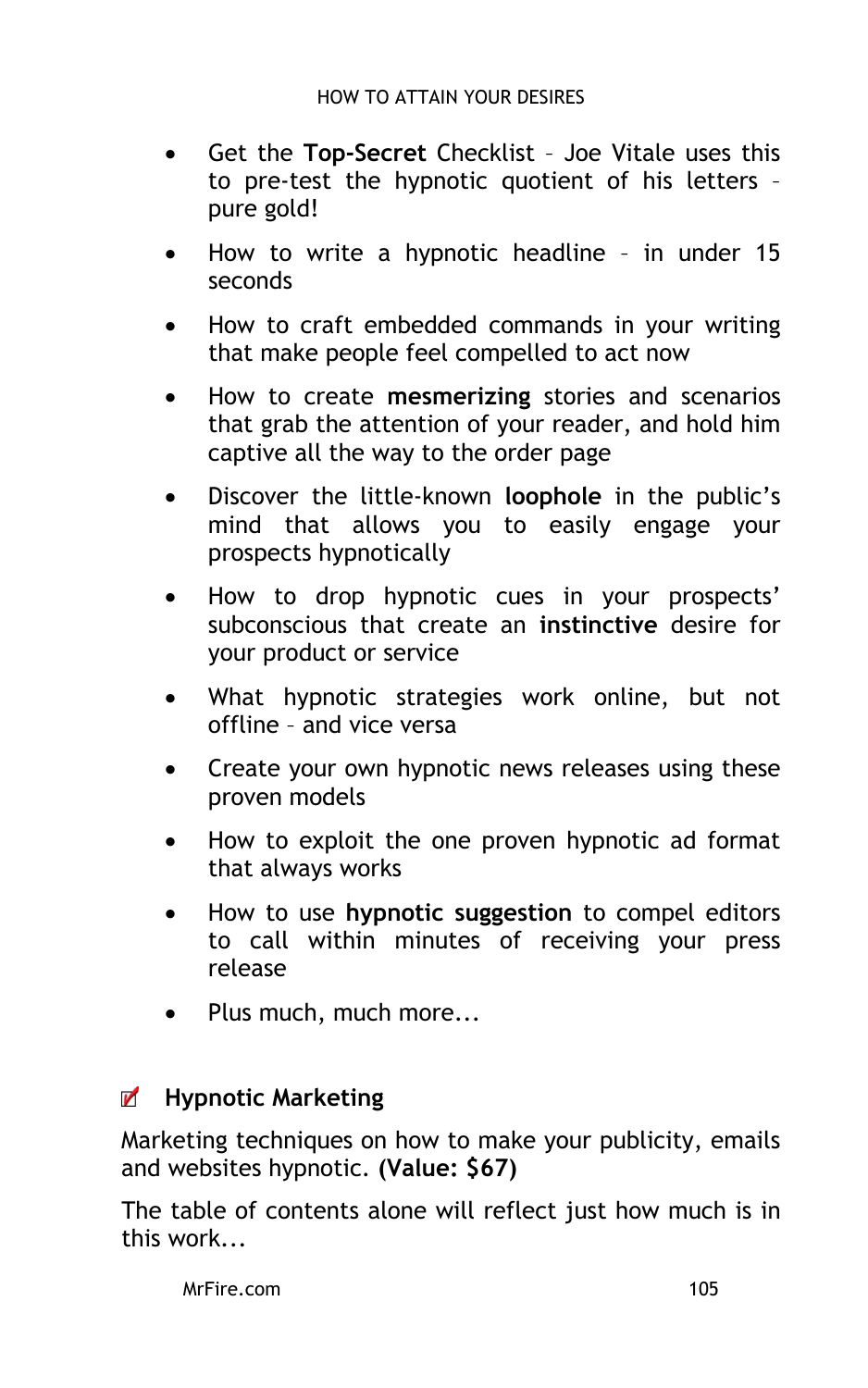- Get the **Top-Secret** Checklist Joe Vitale uses this to pre-test the hypnotic quotient of his letters – pure gold!
- How to write a hypnotic headline in under 15 seconds
- How to craft embedded commands in your writing that make people feel compelled to act now
- How to create **mesmerizing** stories and scenarios that grab the attention of your reader, and hold him captive all the way to the order page
- Discover the little-known **loophole** in the public's mind that allows you to easily engage your prospects hypnotically
- How to drop hypnotic cues in your prospects' subconscious that create an **instinctive** desire for your product or service
- What hypnotic strategies work online, but not offline – and vice versa
- Create your own hypnotic news releases using these proven models
- How to exploit the one proven hypnotic ad format that always works
- How to use **hypnotic suggestion** to compel editors to call within minutes of receiving your press release
- Plus much, much more...

# **Hypnotic Marketing**

Marketing techniques on how to make your publicity, emails and websites hypnotic. **(Value: \$67)**

The table of contents alone will reflect just how much is in this work...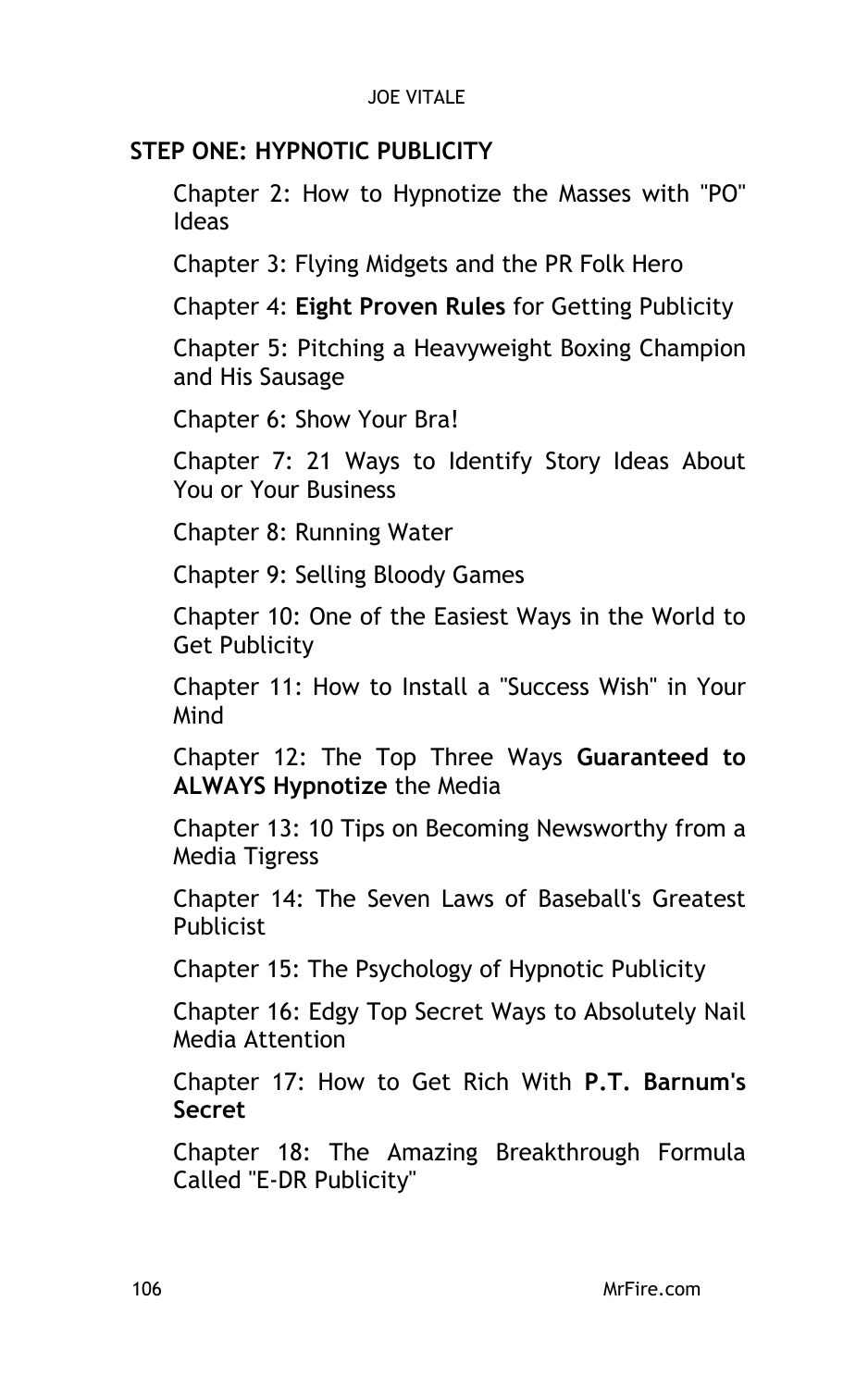# **STEP ONE: HYPNOTIC PUBLICITY**

Chapter 2: How to Hypnotize the Masses with "PO" Ideas

Chapter 3: Flying Midgets and the PR Folk Hero

Chapter 4: **Eight Proven Rules** for Getting Publicity

Chapter 5: Pitching a Heavyweight Boxing Champion and His Sausage

Chapter 6: Show Your Bra!

Chapter 7: 21 Ways to Identify Story Ideas About You or Your Business

Chapter 8: Running Water

Chapter 9: Selling Bloody Games

Chapter 10: One of the Easiest Ways in the World to Get Publicity

Chapter 11: How to Install a "Success Wish" in Your Mind

Chapter 12: The Top Three Ways **Guaranteed to ALWAYS Hypnotize** the Media

Chapter 13: 10 Tips on Becoming Newsworthy from a Media Tigress

Chapter 14: The Seven Laws of Baseball's Greatest Publicist

Chapter 15: The Psychology of Hypnotic Publicity

Chapter 16: Edgy Top Secret Ways to Absolutely Nail Media Attention

Chapter 17: How to Get Rich With **P.T. Barnum's Secret** 

Chapter 18: The Amazing Breakthrough Formula Called "E-DR Publicity"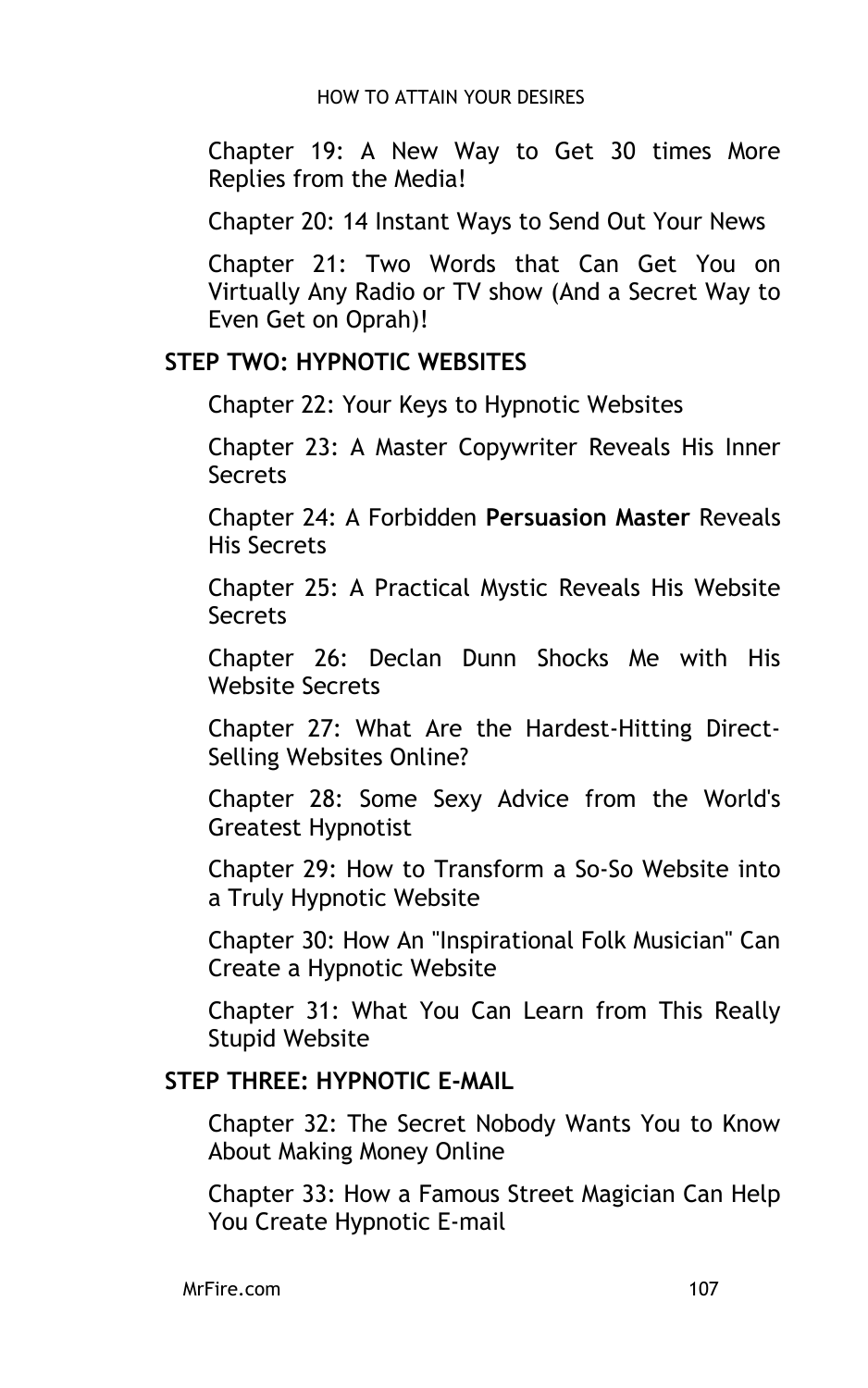Chapter 19: A New Way to Get 30 times More Replies from the Media!

Chapter 20: 14 Instant Ways to Send Out Your News

Chapter 21: Two Words that Can Get You on Virtually Any Radio or TV show (And a Secret Way to Even Get on Oprah)!

#### **STEP TWO: HYPNOTIC WEBSITES**

Chapter 22: Your Keys to Hypnotic Websites

Chapter 23: A Master Copywriter Reveals His Inner **Secrets** 

Chapter 24: A Forbidden **Persuasion Master** Reveals His Secrets

Chapter 25: A Practical Mystic Reveals His Website **Secrets** 

Chapter 26: Declan Dunn Shocks Me with His Website Secrets

Chapter 27: What Are the Hardest-Hitting Direct-Selling Websites Online?

Chapter 28: Some Sexy Advice from the World's Greatest Hypnotist

Chapter 29: How to Transform a So-So Website into a Truly Hypnotic Website

Chapter 30: How An "Inspirational Folk Musician" Can Create a Hypnotic Website

Chapter 31: What You Can Learn from This Really Stupid Website

## **STEP THREE: HYPNOTIC E-MAIL**

Chapter 32: The Secret Nobody Wants You to Know About Making Money Online

Chapter 33: How a Famous Street Magician Can Help You Create Hypnotic E-mail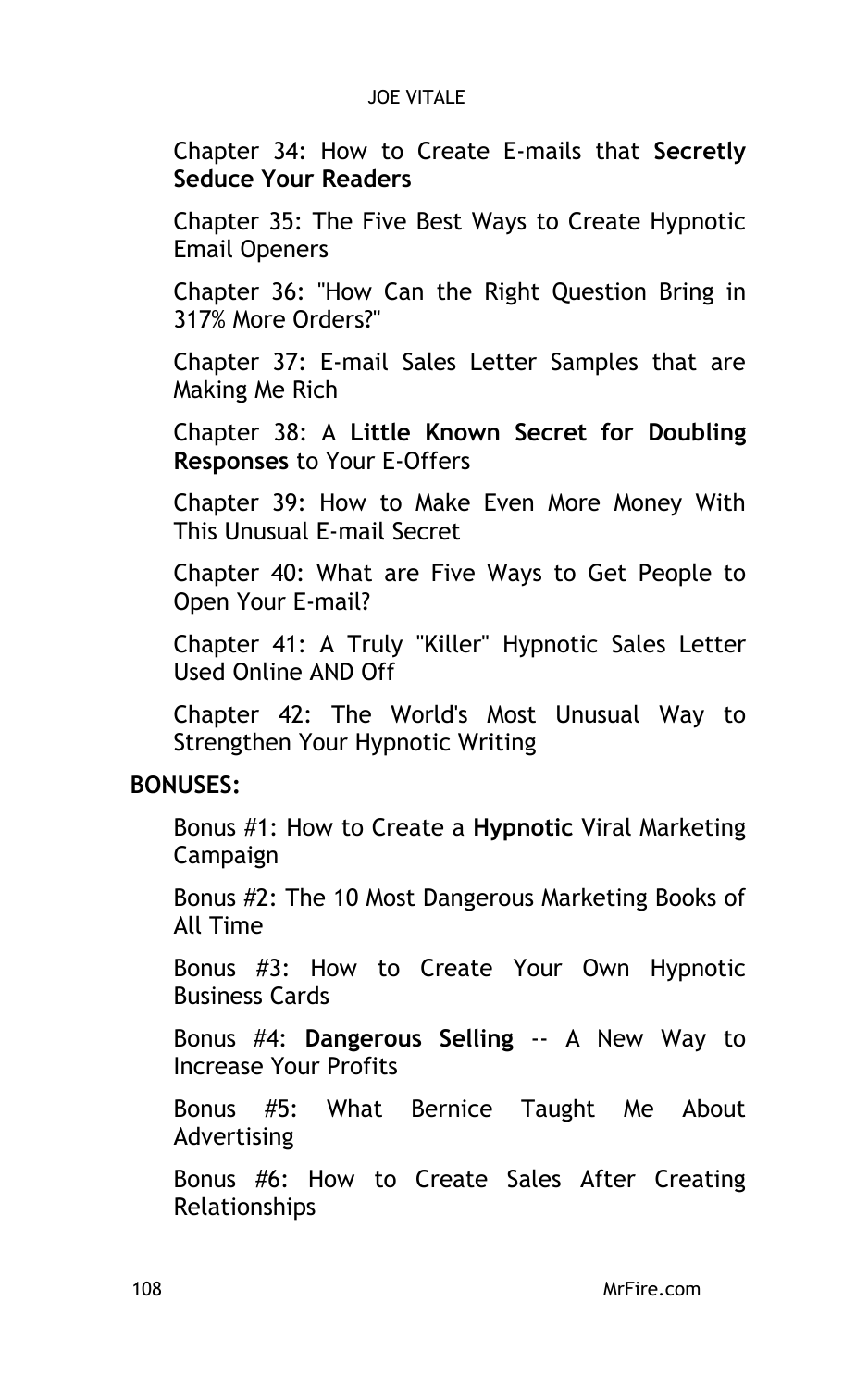Chapter 34: How to Create E-mails that **Secretly Seduce Your Readers** 

Chapter 35: The Five Best Ways to Create Hypnotic Email Openers

Chapter 36: "How Can the Right Question Bring in 317% More Orders?"

Chapter 37: E-mail Sales Letter Samples that are Making Me Rich

Chapter 38: A **Little Known Secret for Doubling Responses** to Your E-Offers

Chapter 39: How to Make Even More Money With This Unusual E-mail Secret

Chapter 40: What are Five Ways to Get People to Open Your E-mail?

Chapter 41: A Truly "Killer" Hypnotic Sales Letter Used Online AND Off

Chapter 42: The World's Most Unusual Way to Strengthen Your Hypnotic Writing

#### **BONUSES:**

Bonus #1: How to Create a **Hypnotic** Viral Marketing Campaign

Bonus #2: The 10 Most Dangerous Marketing Books of All Time

Bonus #3: How to Create Your Own Hypnotic Business Cards

Bonus #4: **Dangerous Selling** -- A New Way to Increase Your Profits

Bonus #5: What Bernice Taught Me About Advertising

Bonus #6: How to Create Sales After Creating Relationships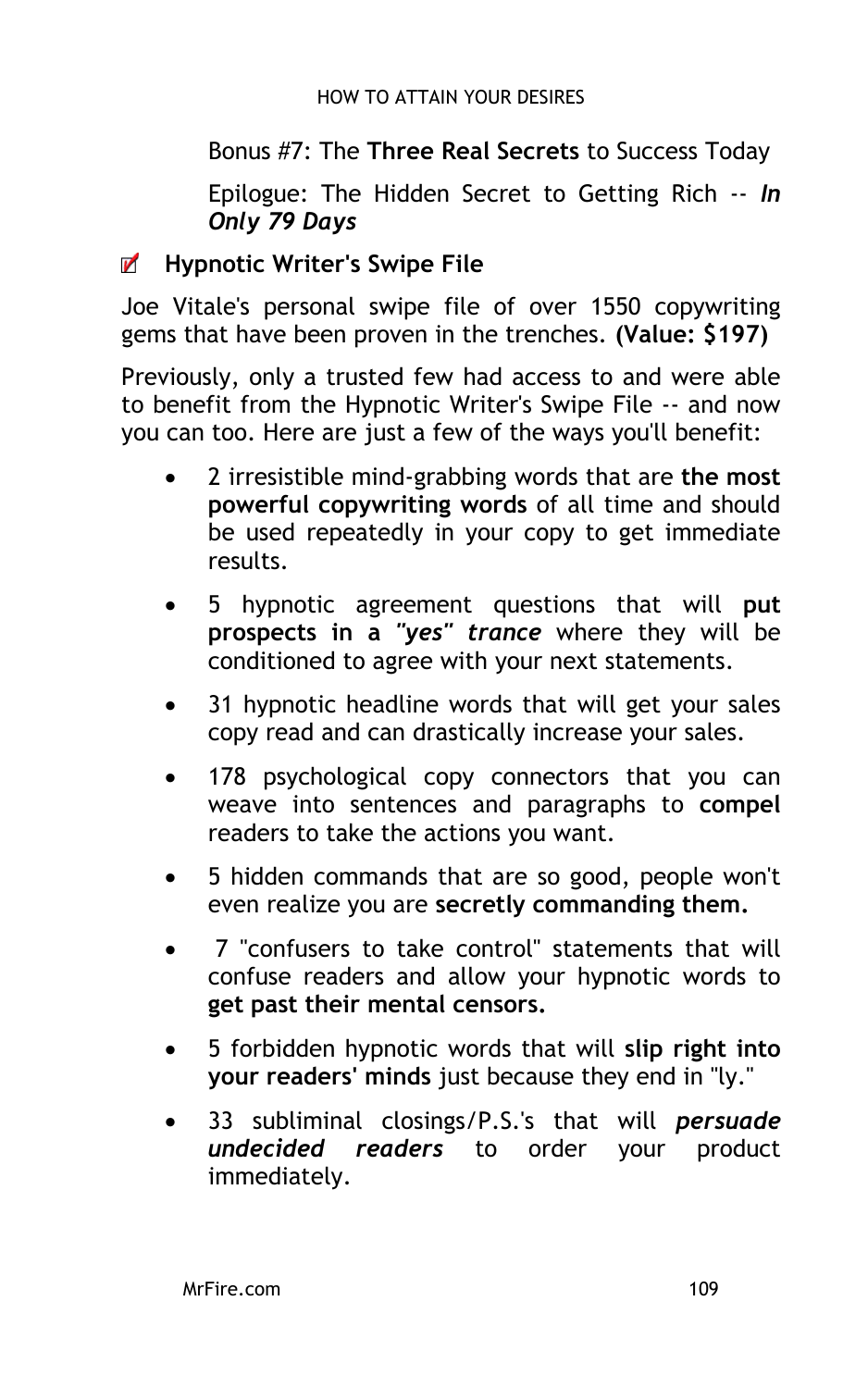# Bonus #7: The **Three Real Secrets** to Success Today

Epilogue: The Hidden Secret to Getting Rich -- *In Only 79 Days*

#### **Hypnotic Writer's Swipe File M**

Joe Vitale's personal swipe file of over 1550 copywriting gems that have been proven in the trenches. **(Value: \$197)**

Previously, only a trusted few had access to and were able to benefit from the Hypnotic Writer's Swipe File -- and now you can too. Here are just a few of the ways you'll benefit:

- 2 irresistible mind-grabbing words that are **the most powerful copywriting words** of all time and should be used repeatedly in your copy to get immediate results.
- 5 hypnotic agreement questions that will **put prospects in a** *"yes" trance* where they will be conditioned to agree with your next statements.
- 31 hypnotic headline words that will get your sales copy read and can drastically increase your sales.
- 178 psychological copy connectors that you can weave into sentences and paragraphs to **compel** readers to take the actions you want.
- 5 hidden commands that are so good, people won't even realize you are **secretly commanding them.**
- 7 "confusers to take control" statements that will confuse readers and allow your hypnotic words to **get past their mental censors.**
- 5 forbidden hypnotic words that will **slip right into your readers' minds** just because they end in "ly."
- 33 subliminal closings/P.S.'s that will *persuade undecided readers* to order your product immediately.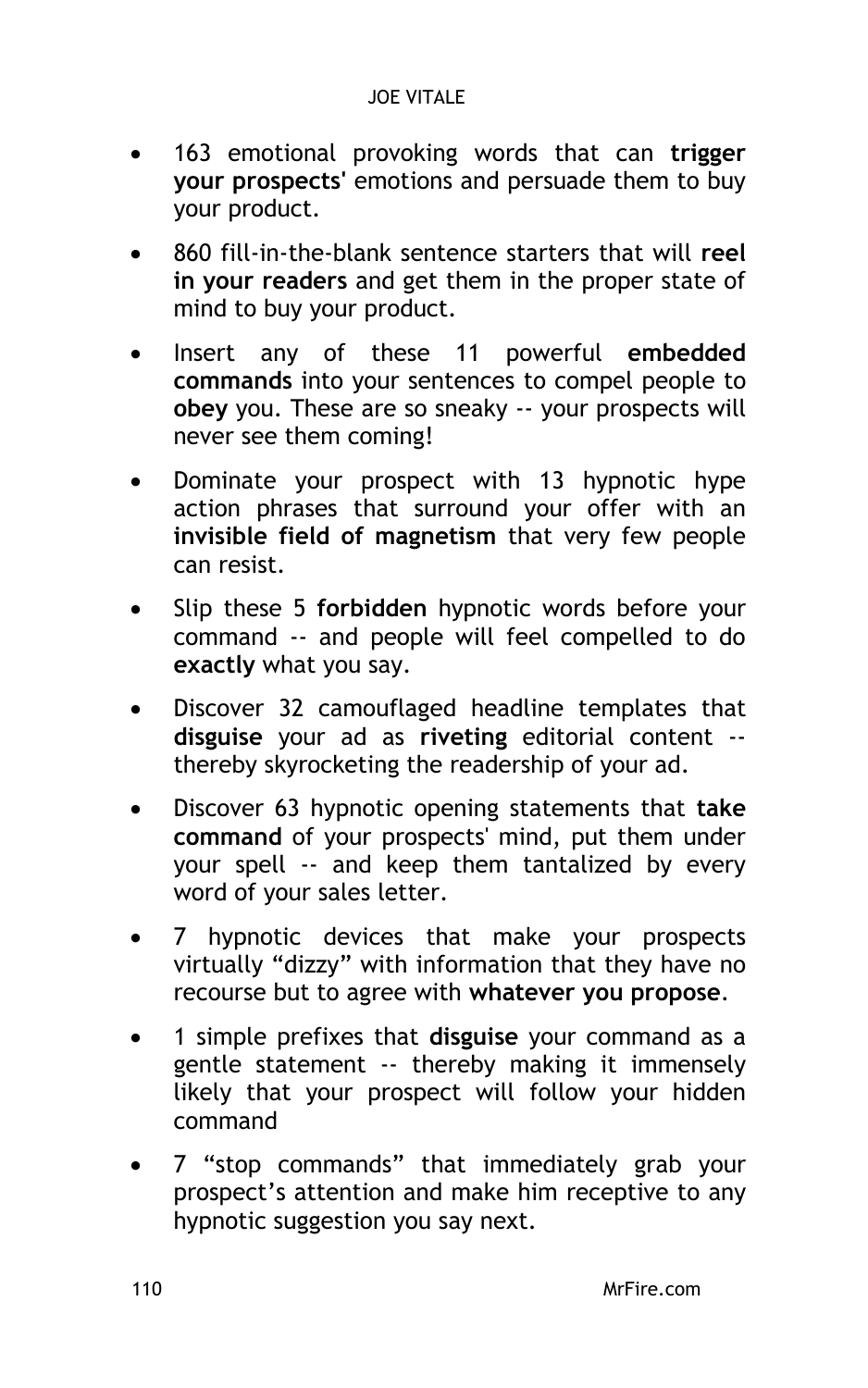- 163 emotional provoking words that can **trigger your prospects'** emotions and persuade them to buy your product.
- 860 fill-in-the-blank sentence starters that will **reel in your readers** and get them in the proper state of mind to buy your product.
- Insert any of these 11 powerful **embedded commands** into your sentences to compel people to **obey** you. These are so sneaky -- your prospects will never see them coming!
- Dominate your prospect with 13 hypnotic hype action phrases that surround your offer with an **invisible field of magnetism** that very few people can resist.
- Slip these 5 **forbidden** hypnotic words before your command -- and people will feel compelled to do **exactly** what you say.
- Discover 32 camouflaged headline templates that **disguise** your ad as **riveting** editorial content - thereby skyrocketing the readership of your ad.
- Discover 63 hypnotic opening statements that **take command** of your prospects' mind, put them under your spell -- and keep them tantalized by every word of your sales letter.
- 7 hypnotic devices that make your prospects virtually "dizzy" with information that they have no recourse but to agree with **whatever you propose**.
- 1 simple prefixes that **disguise** your command as a gentle statement -- thereby making it immensely likely that your prospect will follow your hidden command
- 7 "stop commands" that immediately grab your prospect's attention and make him receptive to any hypnotic suggestion you say next.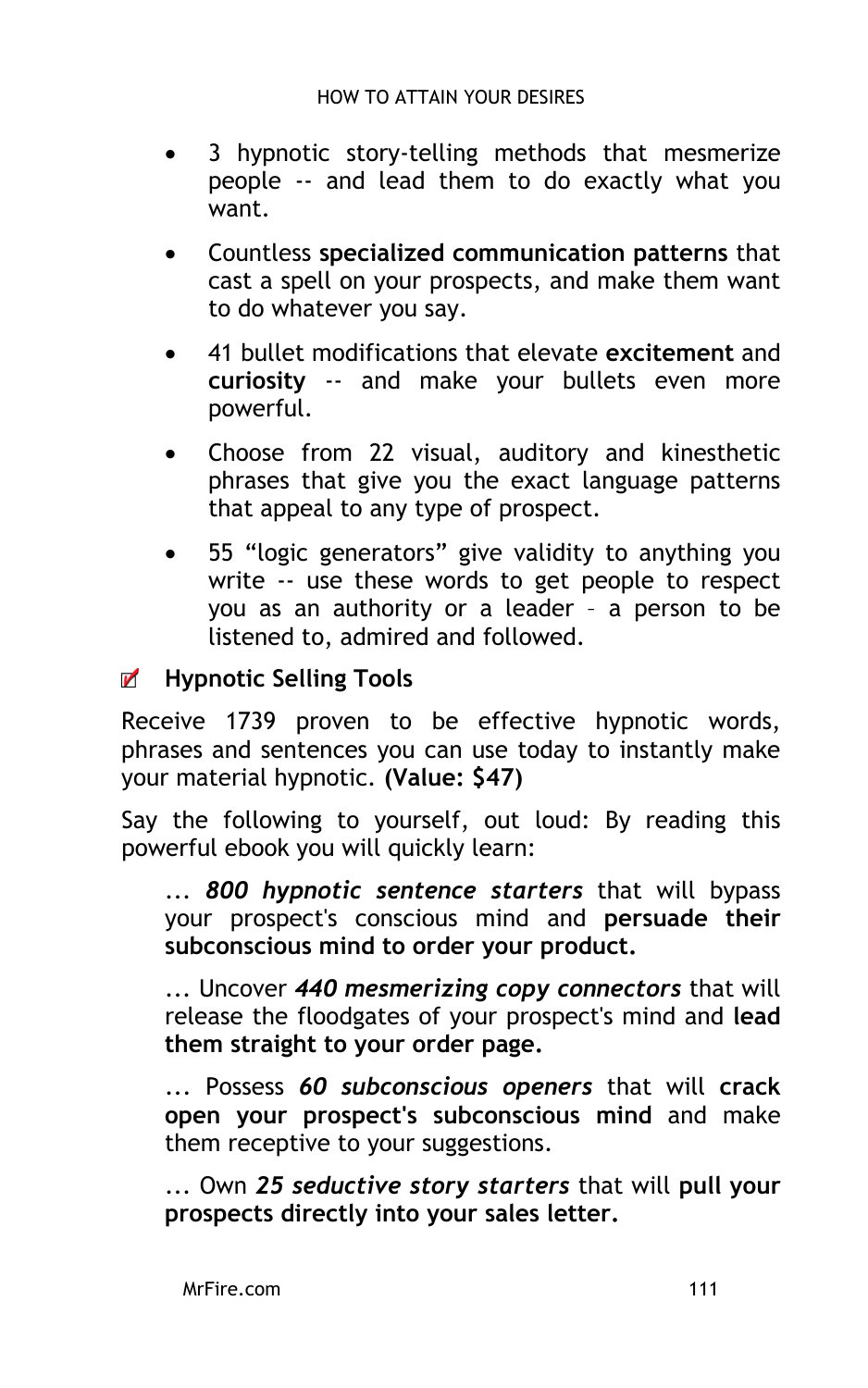- 3 hypnotic story-telling methods that mesmerize people -- and lead them to do exactly what you want.
- Countless **specialized communication patterns** that cast a spell on your prospects, and make them want to do whatever you say.
- 41 bullet modifications that elevate **excitement** and **curiosity** -- and make your bullets even more powerful.
- Choose from 22 visual, auditory and kinesthetic phrases that give you the exact language patterns that appeal to any type of prospect.
- 55 "logic generators" give validity to anything you write -- use these words to get people to respect you as an authority or a leader – a person to be listened to, admired and followed.

#### **Hypnotic Selling Tools**   $\mathbf{v}$

Receive 1739 proven to be effective hypnotic words, phrases and sentences you can use today to instantly make your material hypnotic. **(Value: \$47)**

Say the following to yourself, out loud: By reading this powerful ebook you will quickly learn:

... *800 hypnotic sentence starters* that will bypass your prospect's conscious mind and **persuade their subconscious mind to order your product.**

... Uncover *440 mesmerizing copy connectors* that will release the floodgates of your prospect's mind and **lead them straight to your order page.**

... Possess *60 subconscious openers* that will **crack open your prospect's subconscious mind** and make them receptive to your suggestions.

... Own *25 seductive story starters* that will **pull your prospects directly into your sales letter.**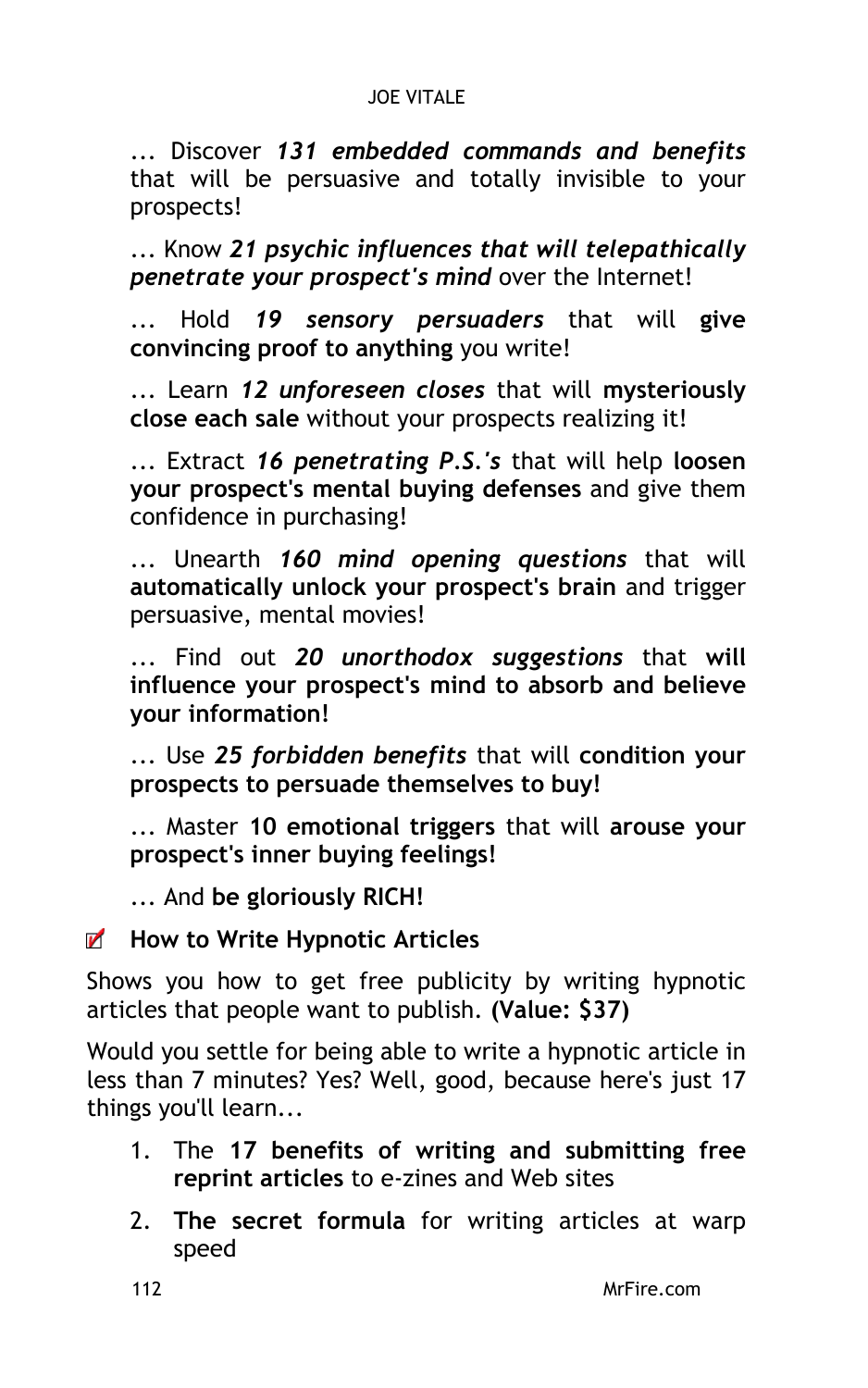... Discover *131 embedded commands and benefits*  that will be persuasive and totally invisible to your prospects!

... Know *21 psychic influences that will telepathically penetrate your prospect's mind* over the Internet!

... Hold *19 sensory persuaders* that will **give convincing proof to anything** you write!

... Learn *12 unforeseen closes* that will **mysteriously close each sale** without your prospects realizing it!

... Extract *16 penetrating P.S.'s* that will help **loosen your prospect's mental buying defenses** and give them confidence in purchasing!

... Unearth *160 mind opening questions* that will **automatically unlock your prospect's brain** and trigger persuasive, mental movies!

... Find out *20 unorthodox suggestions* that **will influence your prospect's mind to absorb and believe your information!** 

... Use *25 forbidden benefits* that will **condition your prospects to persuade themselves to buy!**

... Master **10 emotional triggers** that will **arouse your prospect's inner buying feelings!**

... And **be gloriously RICH!**

## **How to Write Hypnotic Articles**

Shows you how to get free publicity by writing hypnotic articles that people want to publish. **(Value: \$37)**

Would you settle for being able to write a hypnotic article in less than 7 minutes? Yes? Well, good, because here's just 17 things you'll learn...

- 1. The **17 benefits of writing and submitting free reprint articles** to e-zines and Web sites
- 2. **The secret formula** for writing articles at warp speed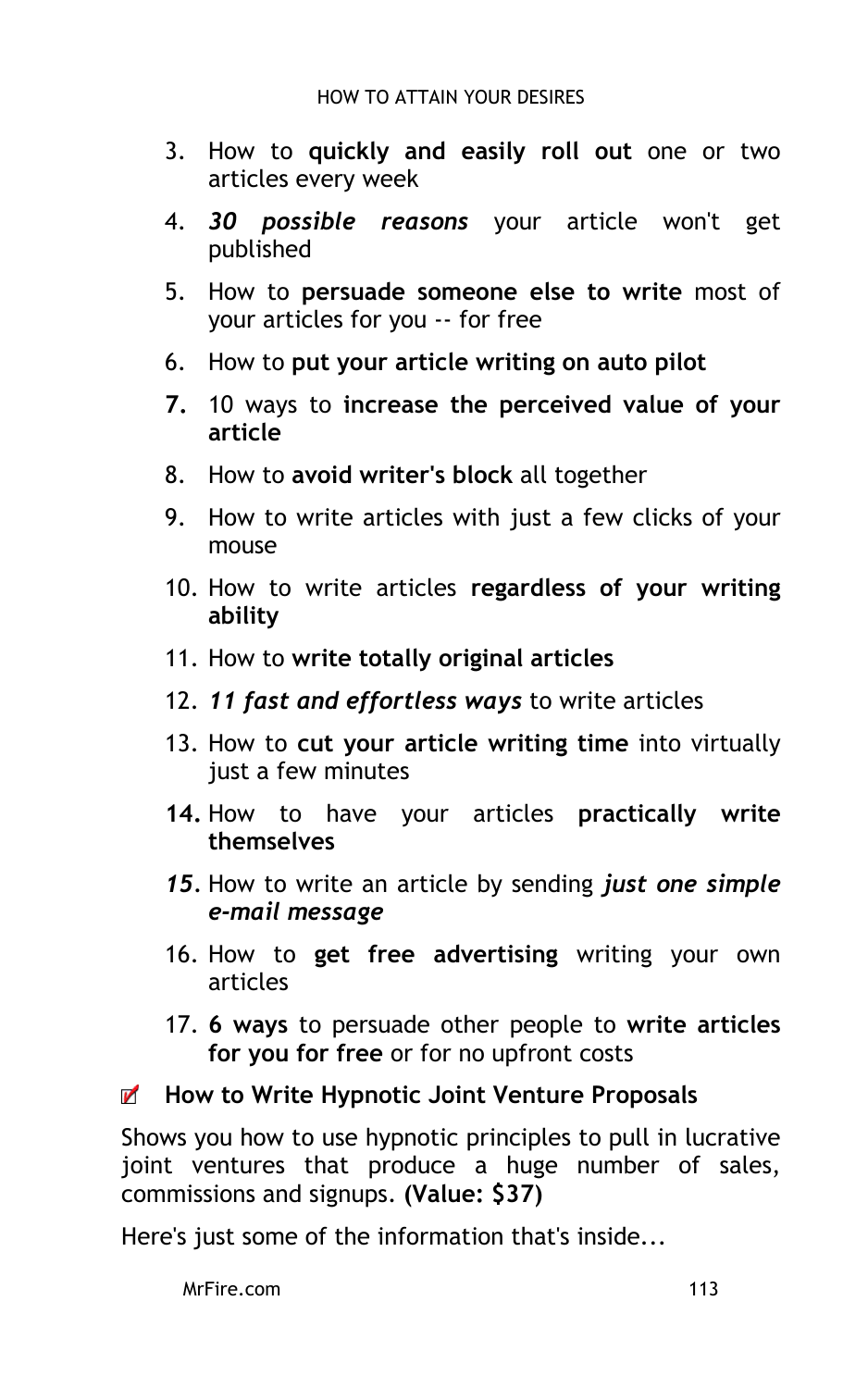- 3. How to **quickly and easily roll out** one or two articles every week
- 4. *30 possible reasons* your article won't get published
- 5. How to **persuade someone else to write** most of your articles for you -- for free
- 6. How to **put your article writing on auto pilot**
- **7.** 10 ways to **increase the perceived value of your article**
- 8. How to **avoid writer's block** all together
- 9. How to write articles with just a few clicks of your mouse
- 10. How to write articles **regardless of your writing ability**
- 11. How to **write totally original articles**
- 12. *11 fast and effortless ways* to write articles
- 13. How to **cut your article writing time** into virtually just a few minutes
- **14.** How to have your articles **practically write themselves**
- *15.* How to write an article by sending *just one simple e-mail message*
- 16. How to **get free advertising** writing your own articles
- 17. **6 ways** to persuade other people to **write articles for you for free** or for no upfront costs

## **How to Write Hypnotic Joint Venture Proposals**

Shows you how to use hypnotic principles to pull in lucrative joint ventures that produce a huge number of sales, commissions and signups. **(Value: \$37)**

Here's just some of the information that's inside...

MrFire.com 113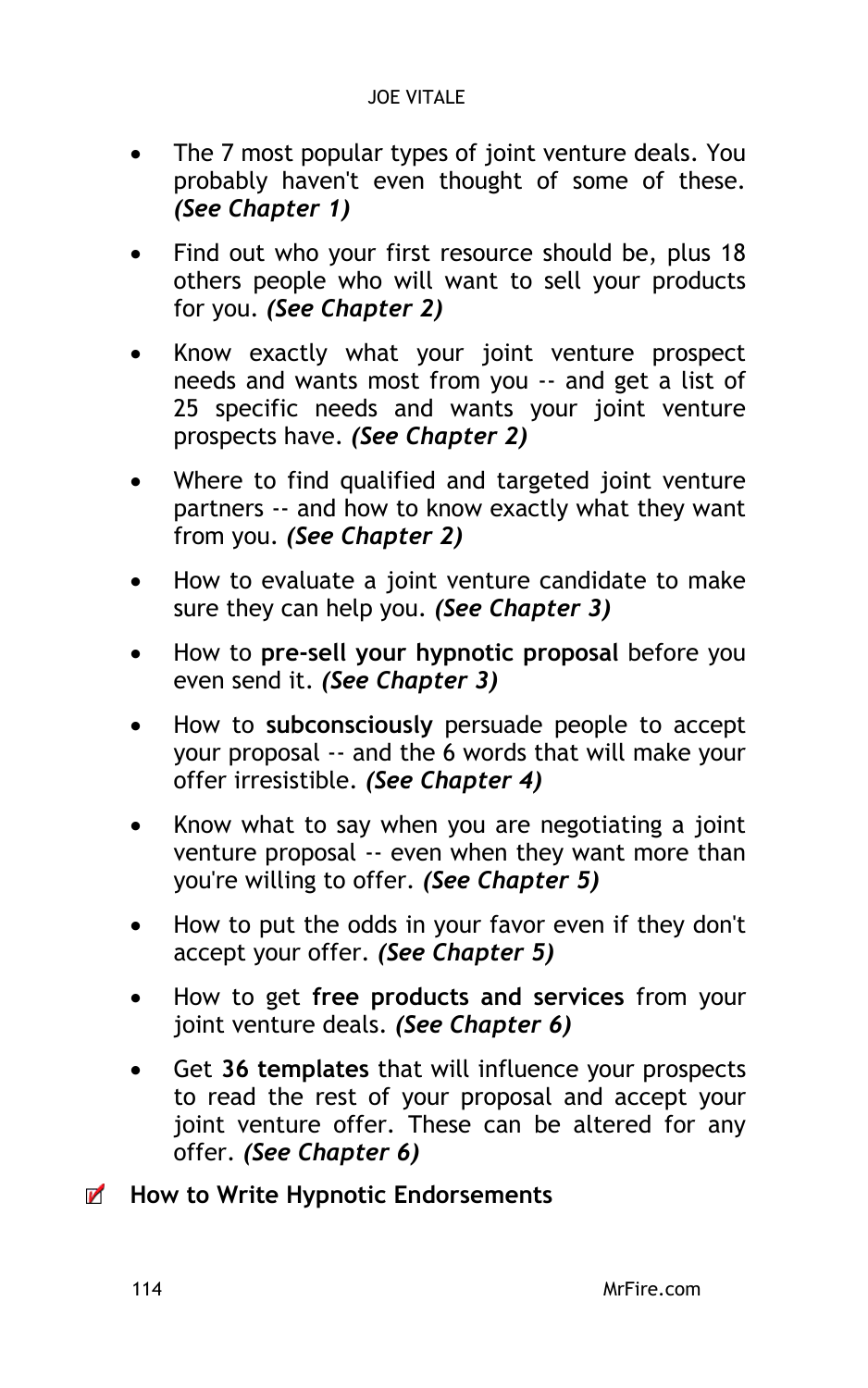- The 7 most popular types of joint venture deals. You probably haven't even thought of some of these. *(See Chapter 1)*
- Find out who your first resource should be, plus 18 others people who will want to sell your products for you. *(See Chapter 2)*
- Know exactly what your joint venture prospect needs and wants most from you -- and get a list of 25 specific needs and wants your joint venture prospects have. *(See Chapter 2)*
- Where to find qualified and targeted joint venture partners -- and how to know exactly what they want from you. *(See Chapter 2)*
- How to evaluate a joint venture candidate to make sure they can help you. *(See Chapter 3)*
- How to **pre-sell your hypnotic proposal** before you even send it. *(See Chapter 3)*
- How to **subconsciously** persuade people to accept your proposal -- and the 6 words that will make your offer irresistible. *(See Chapter 4)*
- Know what to say when you are negotiating a joint venture proposal -- even when they want more than you're willing to offer. *(See Chapter 5)*
- How to put the odds in your favor even if they don't accept your offer. *(See Chapter 5)*
- How to get **free products and services** from your joint venture deals. *(See Chapter 6)*
- Get **36 templates** that will influence your prospects to read the rest of your proposal and accept your joint venture offer. These can be altered for any offer. *(See Chapter 6)*
- $\overline{\mathbf{v}}$ **How to Write Hypnotic Endorsements**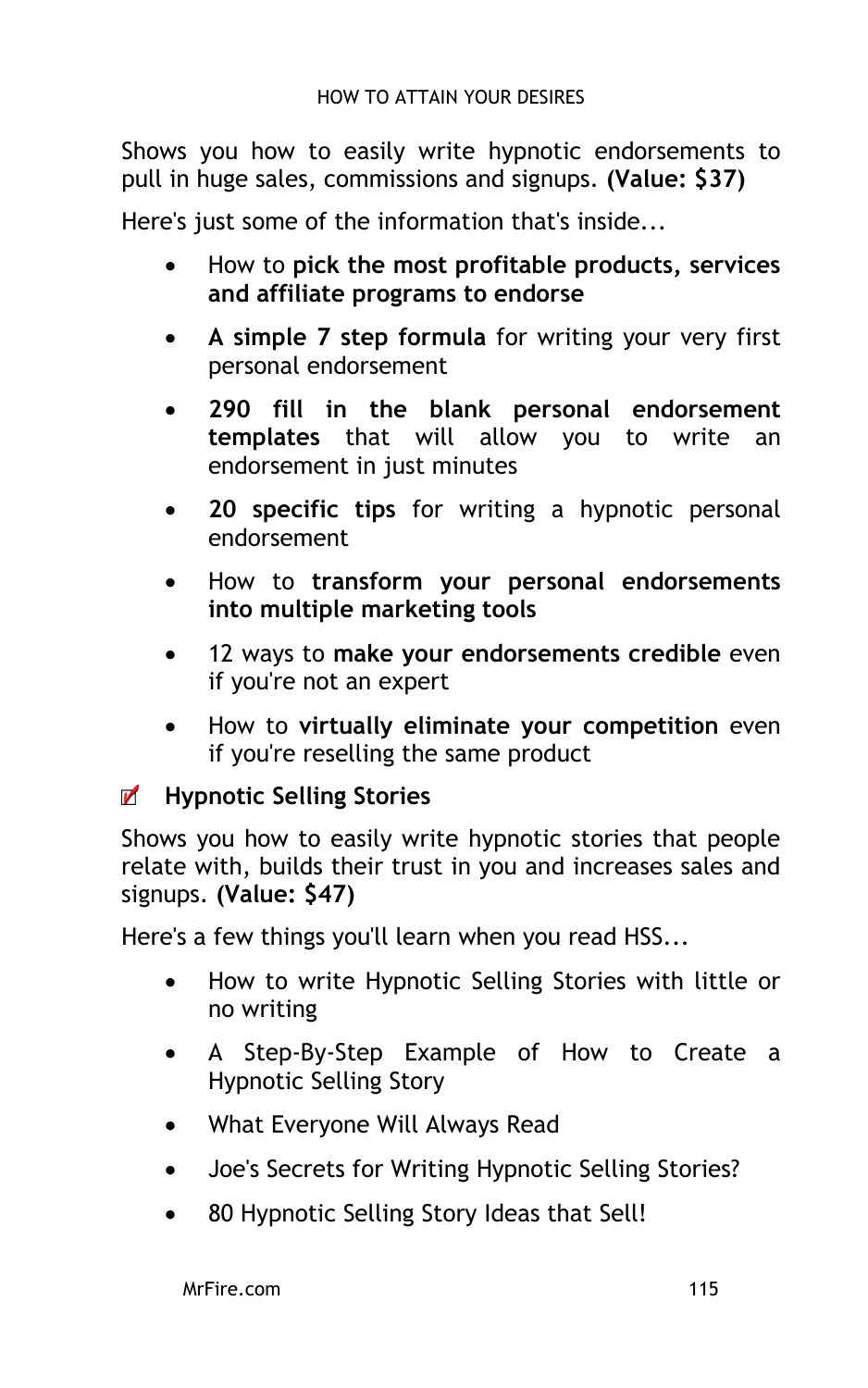Shows you how to easily write hypnotic endorsements to pull in huge sales, commissions and signups. **(Value: \$37)**

Here's just some of the information that's inside...

- How to **pick the most profitable products, services and affiliate programs to endorse**
- **A simple 7 step formula** for writing your very first personal endorsement
- **290 fill in the blank personal endorsement templates** that will allow you to write an endorsement in just minutes
- **20 specific tips** for writing a hypnotic personal endorsement
- How to **transform your personal endorsements into multiple marketing tools**
- 12 ways to **make your endorsements credible** even if you're not an expert
- How to **virtually eliminate your competition** even if you're reselling the same product

#### **Hypnotic Selling Stories**   $\blacksquare$

Shows you how to easily write hypnotic stories that people relate with, builds their trust in you and increases sales and signups. **(Value: \$47)**

Here's a few things you'll learn when you read HSS...

- How to write Hypnotic Selling Stories with little or no writing
- A Step-By-Step Example of How to Create a Hypnotic Selling Story
- What Everyone Will Always Read
- Joe's Secrets for Writing Hypnotic Selling Stories?
- 80 Hypnotic Selling Story Ideas that Sell!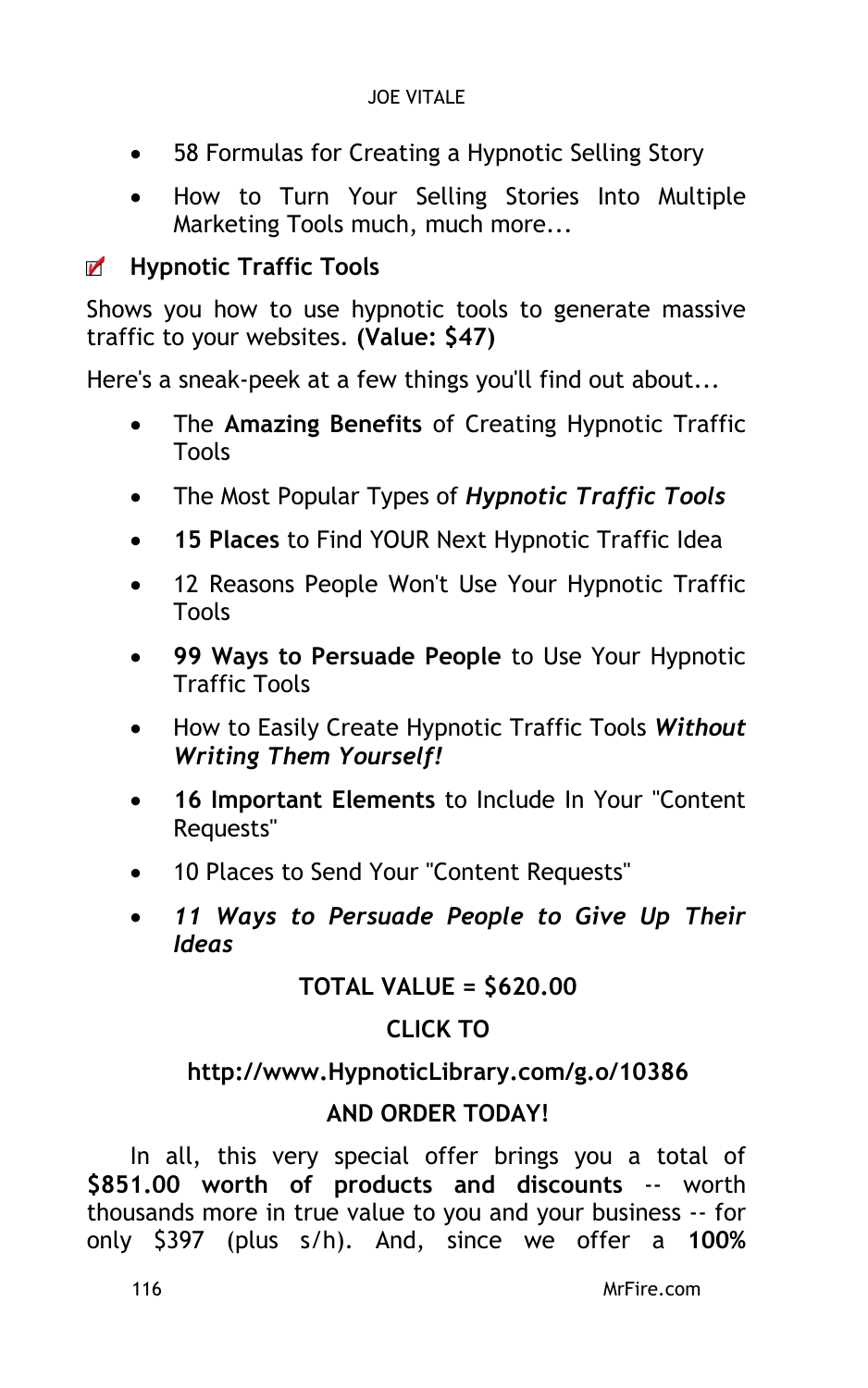- 58 Formulas for Creating a Hypnotic Selling Story
- How to Turn Your Selling Stories Into Multiple Marketing Tools much, much more...

# **Hypnotic Traffic Tools**

Shows you how to use hypnotic tools to generate massive traffic to your websites. **(Value: \$47)**

Here's a sneak-peek at a few things you'll find out about...

- The **Amazing Benefits** of Creating Hypnotic Traffic **Tools**
- The Most Popular Types of *Hypnotic Traffic Tools*
- **15 Places** to Find YOUR Next Hypnotic Traffic Idea
- 12 Reasons People Won't Use Your Hypnotic Traffic Tools
- **99 Ways to Persuade People** to Use Your Hypnotic Traffic Tools
- How to Easily Create Hypnotic Traffic Tools *Without Writing Them Yourself!*
- **16 Important Elements** to Include In Your "Content Requests"
- 10 Places to Send Your "Content Requests"
- *11 Ways to Persuade People to Give Up Their Ideas*

## **TOTAL VALUE = \$620.00**

# **CLICK TO**

## **http://www.HypnoticLibrary.com/g.o/10386**

## **AND ORDER TODAY!**

In all, this very special offer brings you a total of **\$851.00 worth of products and discounts** -- worth thousands more in true value to you and your business -- for only \$397 (plus s/h). And, since we offer a **100%**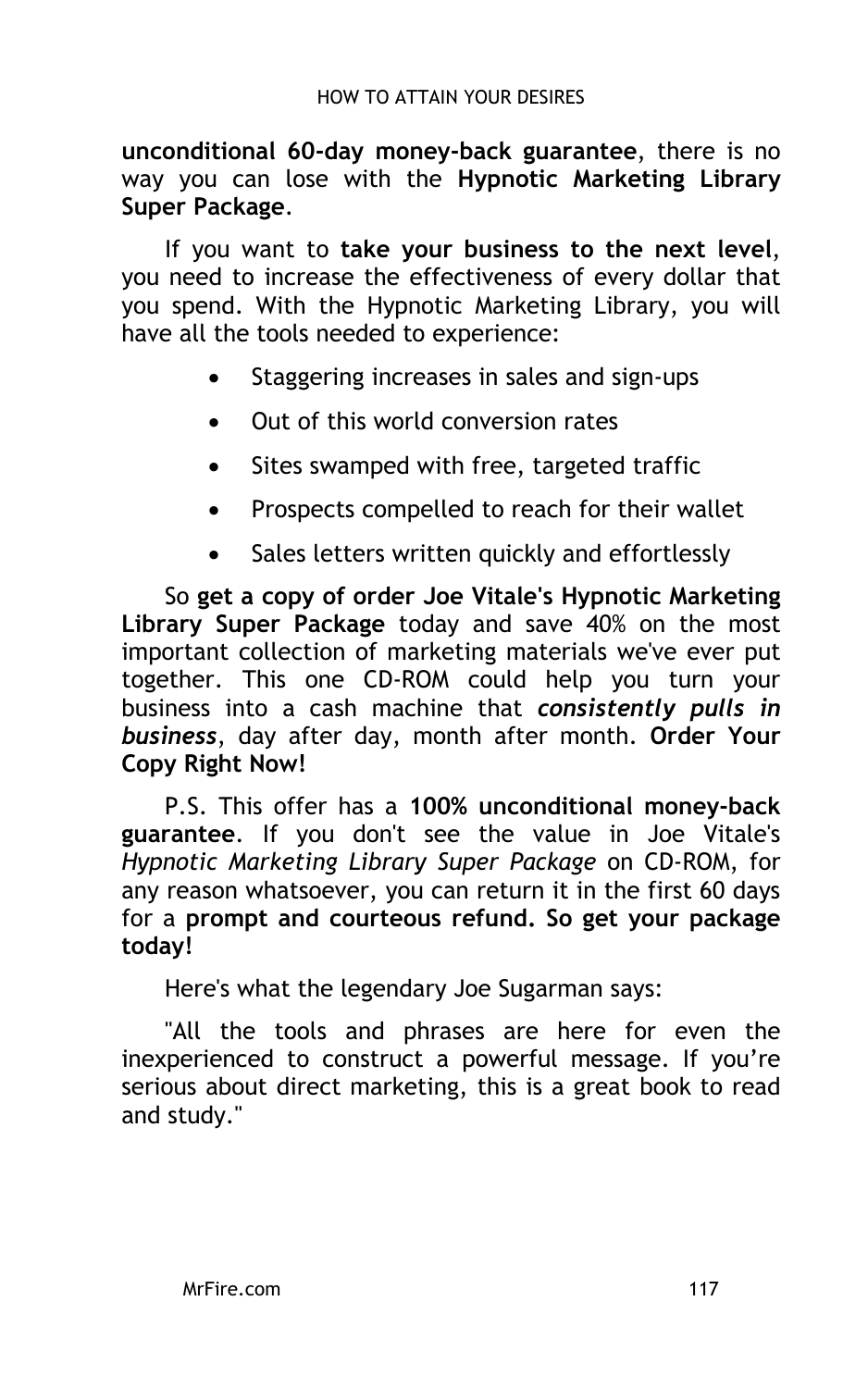**unconditional 60-day money-back guarantee**, there is no way you can lose with the **Hypnotic Marketing Library Super Package**.

If you want to **take your business to the next level**, you need to increase the effectiveness of every dollar that you spend. With the Hypnotic Marketing Library, you will have all the tools needed to experience:

- Staggering increases in sales and sign-ups
- Out of this world conversion rates
- Sites swamped with free, targeted traffic
- Prospects compelled to reach for their wallet
- Sales letters written quickly and effortlessly

So **get a copy of order Joe Vitale's Hypnotic Marketing Library Super Package** today and save 40% on the most important collection of marketing materials we've ever put together. This one CD-ROM could help you turn your business into a cash machine that *consistently pulls in business*, day after day, month after month. **Order Your Copy Right Now!**

P.S. This offer has a **100% unconditional money-back guarantee**. If you don't see the value in Joe Vitale's *Hypnotic Marketing Library Super Package* on CD-ROM, for any reason whatsoever, you can return it in the first 60 days for a **prompt and courteous refund. So get your package today!**

Here's what the legendary Joe Sugarman says:

"All the tools and phrases are here for even the inexperienced to construct a powerful message. If you're serious about direct marketing, this is a great book to read and study."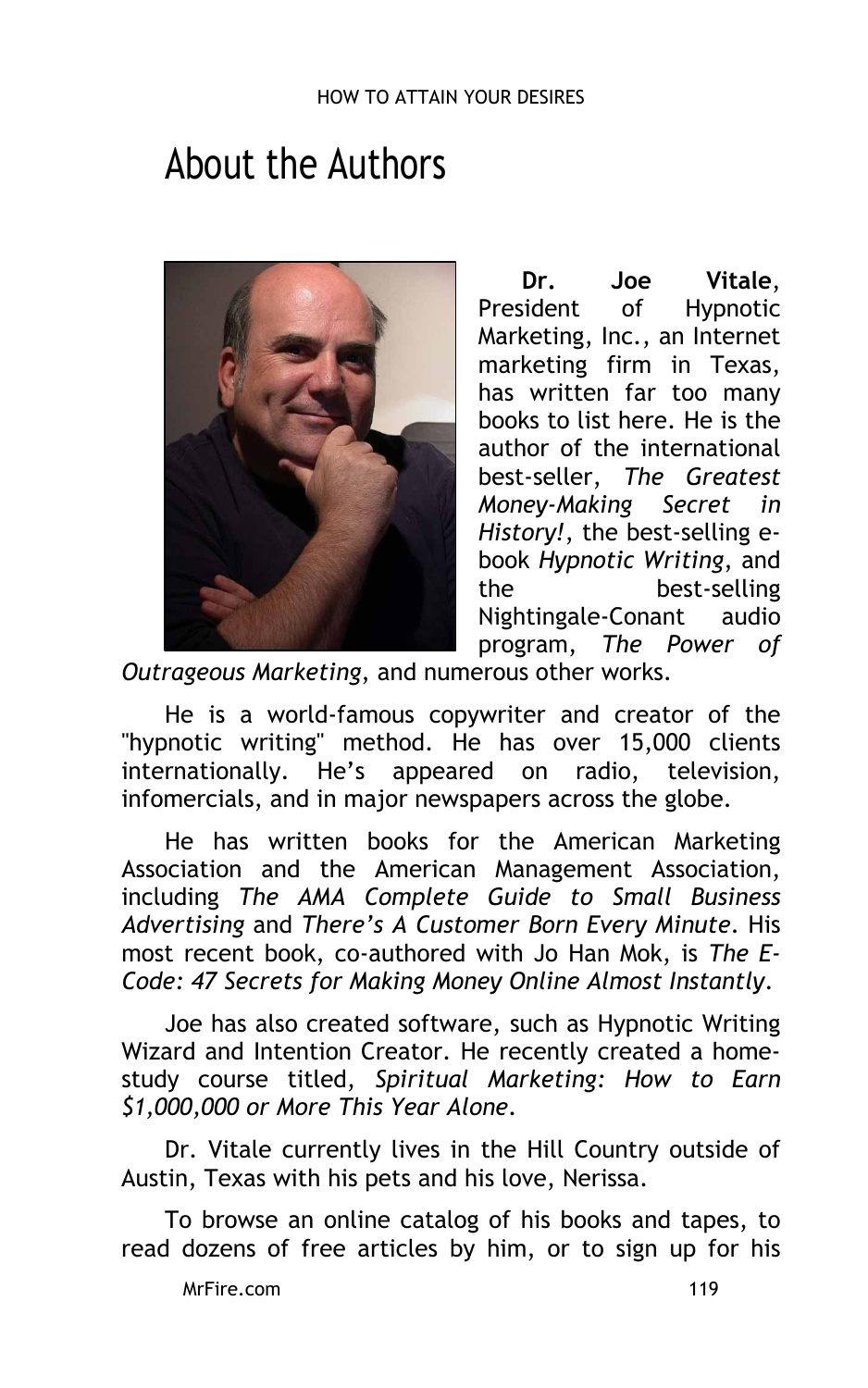# About the Authors



**Dr. Joe Vitale**, President of Hypnotic Marketing, Inc., an Internet marketing firm in Texas, has written far too many books to list here. He is the author of the international best-seller, *The Greatest Money-Making Secret in History!*, the best-selling ebook *Hypnotic Writing*, and the best-selling Nightingale-Conant audio program, *The Power of*

*Outrageous Marketing*, and numerous other works.

He is a world-famous copywriter and creator of the "hypnotic writing" method. He has over 15,000 clients internationally. He's appeared on radio, television, infomercials, and in major newspapers across the globe.

He has written books for the American Marketing Association and the American Management Association, including *The AMA Complete Guide to Small Business Advertising* and *There's A Customer Born Every Minute*. His most recent book, co-authored with Jo Han Mok, is *The E-Code: 47 Secrets for Making Money Online Almost Instantly*.

Joe has also created software, such as Hypnotic Writing Wizard and Intention Creator. He recently created a homestudy course titled, *Spiritual Marketing: How to Earn \$1,000,000 or More This Year Alone*.

Dr. Vitale currently lives in the Hill Country outside of Austin, Texas with his pets and his love, Nerissa.

To browse an online catalog of his books and tapes, to read dozens of free articles by him, or to sign up for his

MrFire.com and the state of the 119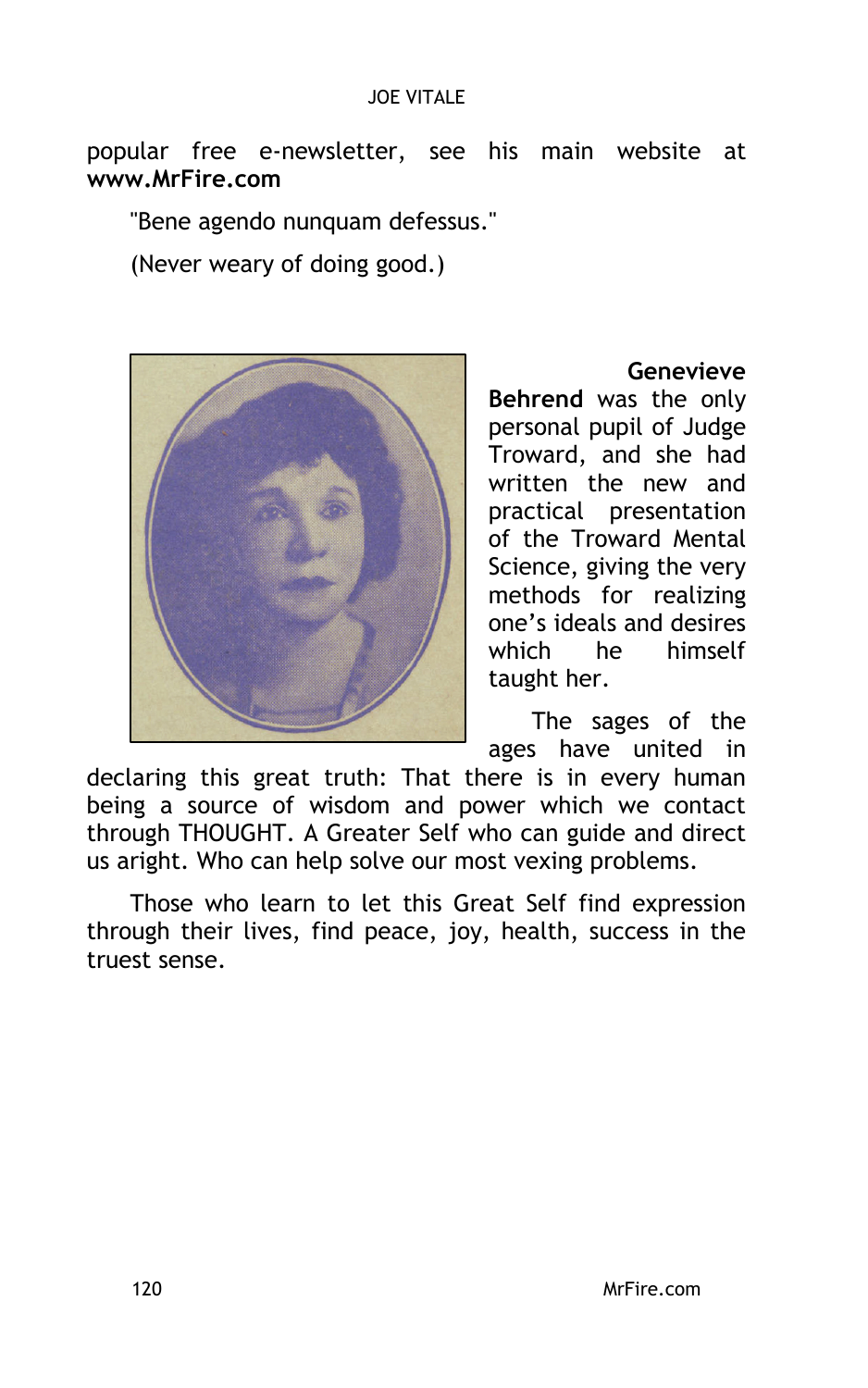popular free e-newsletter, see his main website at **www.MrFire.com**

"Bene agendo nunquam defessus."

(Never weary of doing good.)



**Genevieve Behrend** was the only personal pupil of Judge Troward, and she had written the new and practical presentation of the Troward Mental Science, giving the very methods for realizing one's ideals and desires which he himself taught her.

The sages of the ages have united in

declaring this great truth: That there is in every human being a source of wisdom and power which we contact through THOUGHT. A Greater Self who can guide and direct us aright. Who can help solve our most vexing problems.

Those who learn to let this Great Self find expression through their lives, find peace, joy, health, success in the truest sense.